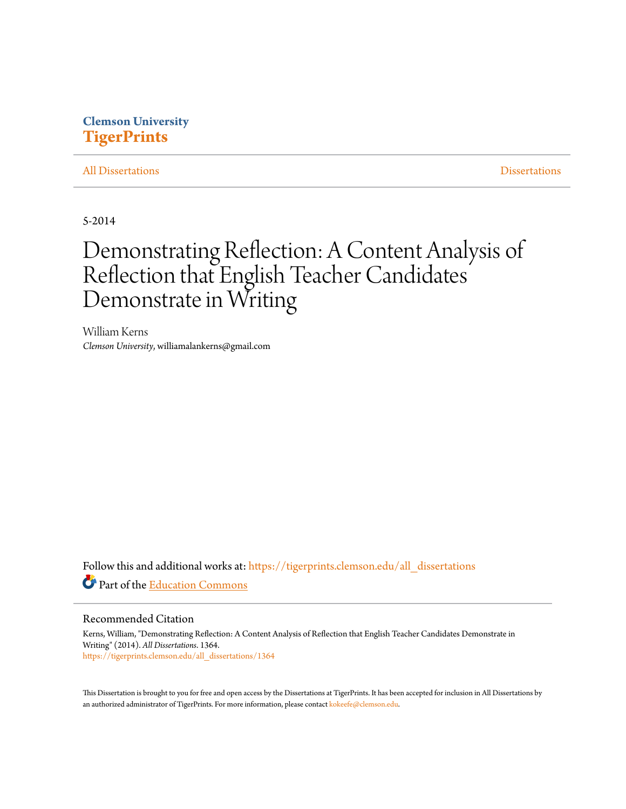### **Clemson University [TigerPrints](https://tigerprints.clemson.edu?utm_source=tigerprints.clemson.edu%2Fall_dissertations%2F1364&utm_medium=PDF&utm_campaign=PDFCoverPages)**

#### [All Dissertations](https://tigerprints.clemson.edu/all_dissertations?utm_source=tigerprints.clemson.edu%2Fall_dissertations%2F1364&utm_medium=PDF&utm_campaign=PDFCoverPages) [Dissertations](https://tigerprints.clemson.edu/dissertations?utm_source=tigerprints.clemson.edu%2Fall_dissertations%2F1364&utm_medium=PDF&utm_campaign=PDFCoverPages)

5-2014

# Demonstrating Reflection: A Content Analysis of Reflection that English Teacher Candidates Demonstrate in Writing

William Kerns *Clemson University*, williamalankerns@gmail.com

Follow this and additional works at: [https://tigerprints.clemson.edu/all\\_dissertations](https://tigerprints.clemson.edu/all_dissertations?utm_source=tigerprints.clemson.edu%2Fall_dissertations%2F1364&utm_medium=PDF&utm_campaign=PDFCoverPages) Part of the [Education Commons](http://network.bepress.com/hgg/discipline/784?utm_source=tigerprints.clemson.edu%2Fall_dissertations%2F1364&utm_medium=PDF&utm_campaign=PDFCoverPages)

#### Recommended Citation

Kerns, William, "Demonstrating Reflection: A Content Analysis of Reflection that English Teacher Candidates Demonstrate in Writing" (2014). *All Dissertations*. 1364. [https://tigerprints.clemson.edu/all\\_dissertations/1364](https://tigerprints.clemson.edu/all_dissertations/1364?utm_source=tigerprints.clemson.edu%2Fall_dissertations%2F1364&utm_medium=PDF&utm_campaign=PDFCoverPages)

This Dissertation is brought to you for free and open access by the Dissertations at TigerPrints. It has been accepted for inclusion in All Dissertations by an authorized administrator of TigerPrints. For more information, please contact [kokeefe@clemson.edu.](mailto:kokeefe@clemson.edu)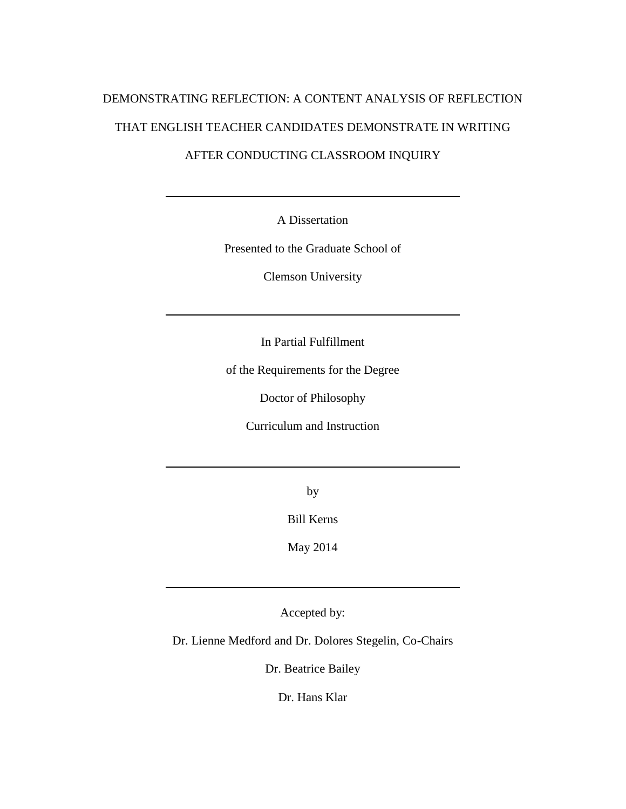# DEMONSTRATING REFLECTION: A CONTENT ANALYSIS OF REFLECTION THAT ENGLISH TEACHER CANDIDATES DEMONSTRATE IN WRITING

### AFTER CONDUCTING CLASSROOM INQUIRY

A Dissertation

Presented to the Graduate School of

Clemson University

In Partial Fulfillment

of the Requirements for the Degree

Doctor of Philosophy

Curriculum and Instruction

by

Bill Kerns

May 2014

Accepted by:

Dr. Lienne Medford and Dr. Dolores Stegelin, Co-Chairs

Dr. Beatrice Bailey

Dr. Hans Klar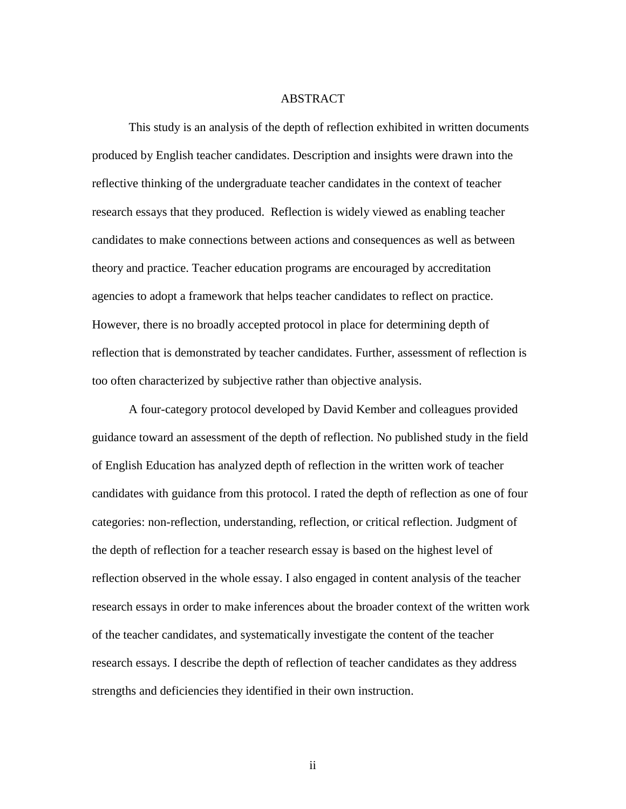#### ABSTRACT

This study is an analysis of the depth of reflection exhibited in written documents produced by English teacher candidates. Description and insights were drawn into the reflective thinking of the undergraduate teacher candidates in the context of teacher research essays that they produced. Reflection is widely viewed as enabling teacher candidates to make connections between actions and consequences as well as between theory and practice. Teacher education programs are encouraged by accreditation agencies to adopt a framework that helps teacher candidates to reflect on practice. However, there is no broadly accepted protocol in place for determining depth of reflection that is demonstrated by teacher candidates. Further, assessment of reflection is too often characterized by subjective rather than objective analysis.

A four-category protocol developed by David Kember and colleagues provided guidance toward an assessment of the depth of reflection. No published study in the field of English Education has analyzed depth of reflection in the written work of teacher candidates with guidance from this protocol. I rated the depth of reflection as one of four categories: non-reflection, understanding, reflection, or critical reflection. Judgment of the depth of reflection for a teacher research essay is based on the highest level of reflection observed in the whole essay. I also engaged in content analysis of the teacher research essays in order to make inferences about the broader context of the written work of the teacher candidates, and systematically investigate the content of the teacher research essays. I describe the depth of reflection of teacher candidates as they address strengths and deficiencies they identified in their own instruction.

ii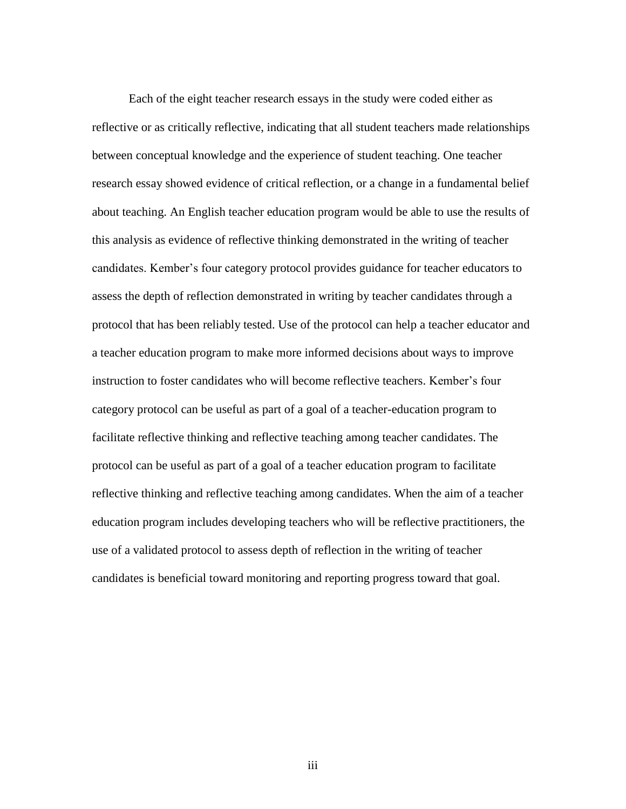Each of the eight teacher research essays in the study were coded either as reflective or as critically reflective, indicating that all student teachers made relationships between conceptual knowledge and the experience of student teaching. One teacher research essay showed evidence of critical reflection, or a change in a fundamental belief about teaching. An English teacher education program would be able to use the results of this analysis as evidence of reflective thinking demonstrated in the writing of teacher candidates. Kember's four category protocol provides guidance for teacher educators to assess the depth of reflection demonstrated in writing by teacher candidates through a protocol that has been reliably tested. Use of the protocol can help a teacher educator and a teacher education program to make more informed decisions about ways to improve instruction to foster candidates who will become reflective teachers. Kember's four category protocol can be useful as part of a goal of a teacher-education program to facilitate reflective thinking and reflective teaching among teacher candidates. The protocol can be useful as part of a goal of a teacher education program to facilitate reflective thinking and reflective teaching among candidates. When the aim of a teacher education program includes developing teachers who will be reflective practitioners, the use of a validated protocol to assess depth of reflection in the writing of teacher candidates is beneficial toward monitoring and reporting progress toward that goal.

iii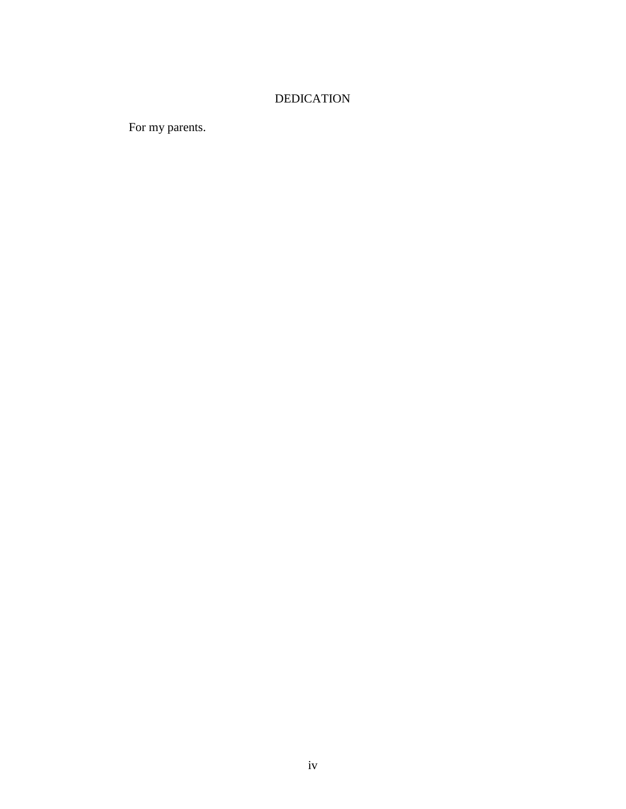## DEDICATION

For my parents.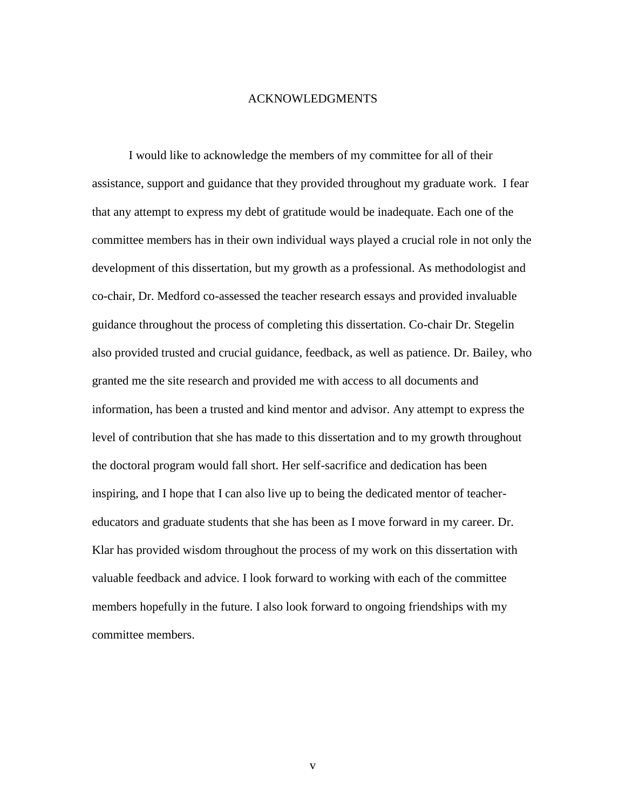#### ACKNOWLEDGMENTS

I would like to acknowledge the members of my committee for all of their assistance, support and guidance that they provided throughout my graduate work. I fear that any attempt to express my debt of gratitude would be inadequate. Each one of the committee members has in their own individual ways played a crucial role in not only the development of this dissertation, but my growth as a professional. As methodologist and co-chair, Dr. Medford co-assessed the teacher research essays and provided invaluable guidance throughout the process of completing this dissertation. Co-chair Dr. Stegelin also provided trusted and crucial guidance, feedback, as well as patience. Dr. Bailey, who granted me the site research and provided me with access to all documents and information, has been a trusted and kind mentor and advisor. Any attempt to express the level of contribution that she has made to this dissertation and to my growth throughout the doctoral program would fall short. Her self-sacrifice and dedication has been inspiring, and I hope that I can also live up to being the dedicated mentor of teachereducators and graduate students that she has been as I move forward in my career. Dr. Klar has provided wisdom throughout the process of my work on this dissertation with valuable feedback and advice. I look forward to working with each of the committee members hopefully in the future. I also look forward to ongoing friendships with my committee members.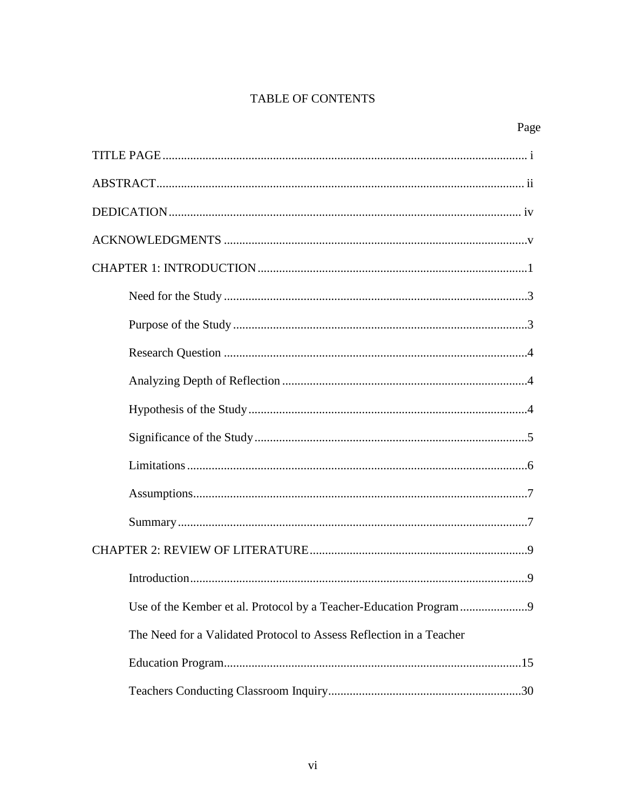## TABLE OF CONTENTS

| The Need for a Validated Protocol to Assess Reflection in a Teacher |
|---------------------------------------------------------------------|
|                                                                     |
|                                                                     |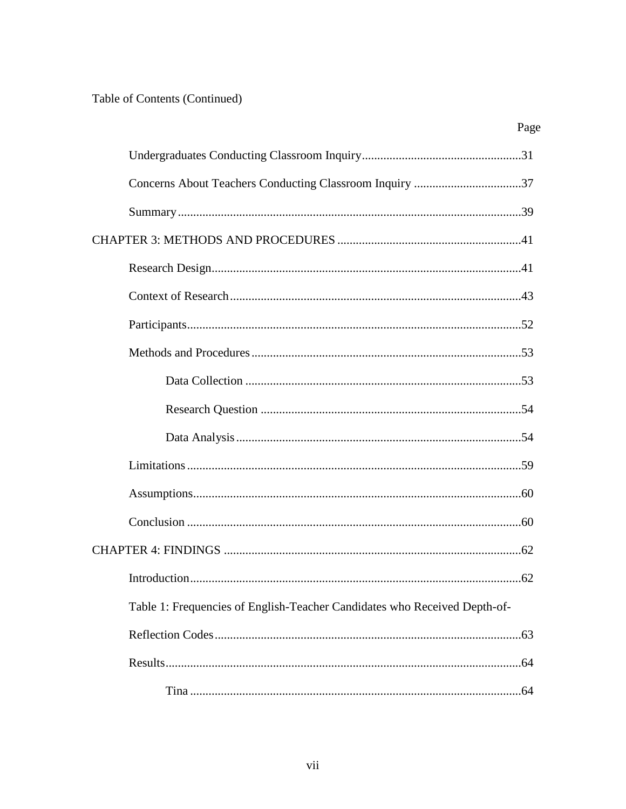## Table of Contents (Continued)

| Page                                                                      |
|---------------------------------------------------------------------------|
|                                                                           |
|                                                                           |
|                                                                           |
|                                                                           |
|                                                                           |
|                                                                           |
|                                                                           |
|                                                                           |
|                                                                           |
|                                                                           |
|                                                                           |
|                                                                           |
|                                                                           |
|                                                                           |
|                                                                           |
|                                                                           |
| Table 1: Frequencies of English-Teacher Candidates who Received Depth-of- |
|                                                                           |
|                                                                           |
|                                                                           |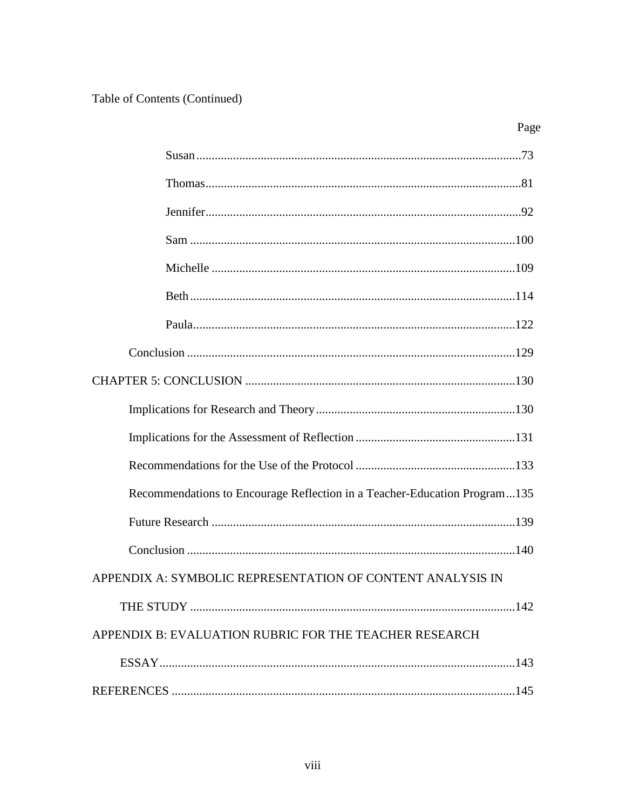Table of Contents (Continued)

| Recommendations to Encourage Reflection in a Teacher-Education Program135 |  |
|---------------------------------------------------------------------------|--|
|                                                                           |  |
|                                                                           |  |
| APPENDIX A: SYMBOLIC REPRESENTATION OF CONTENT ANALYSIS IN                |  |
|                                                                           |  |
| APPENDIX B: EVALUATION RUBRIC FOR THE TEACHER RESEARCH                    |  |
|                                                                           |  |
|                                                                           |  |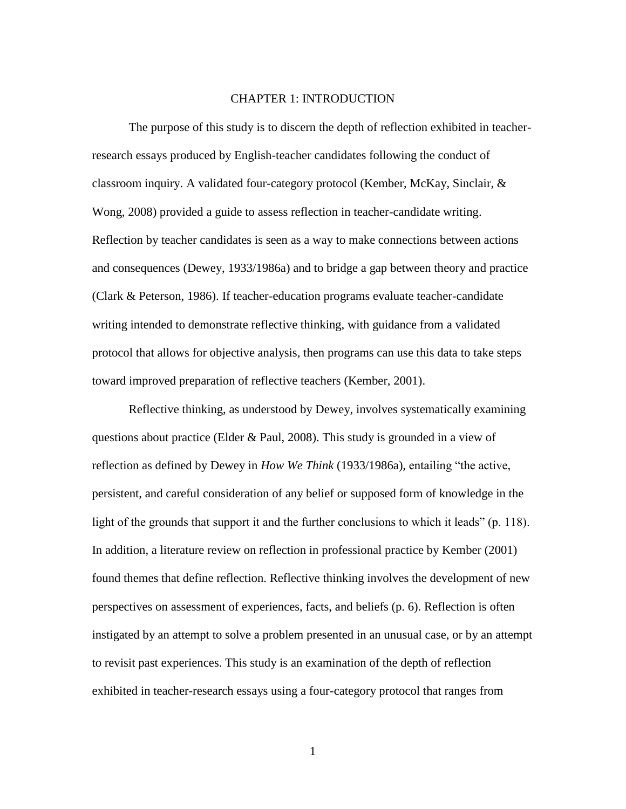#### CHAPTER 1: INTRODUCTION

The purpose of this study is to discern the depth of reflection exhibited in teacherresearch essays produced by English-teacher candidates following the conduct of classroom inquiry. A validated four-category protocol (Kember, McKay, Sinclair, & Wong, 2008) provided a guide to assess reflection in teacher-candidate writing. Reflection by teacher candidates is seen as a way to make connections between actions and consequences (Dewey, 1933/1986a) and to bridge a gap between theory and practice (Clark & Peterson, 1986). If teacher-education programs evaluate teacher-candidate writing intended to demonstrate reflective thinking, with guidance from a validated protocol that allows for objective analysis, then programs can use this data to take steps toward improved preparation of reflective teachers (Kember, 2001).

Reflective thinking, as understood by Dewey, involves systematically examining questions about practice (Elder & Paul, 2008). This study is grounded in a view of reflection as defined by Dewey in *How We Think* (1933/1986a), entailing "the active, persistent, and careful consideration of any belief or supposed form of knowledge in the light of the grounds that support it and the further conclusions to which it leads" (p. 118). In addition, a literature review on reflection in professional practice by Kember (2001) found themes that define reflection. Reflective thinking involves the development of new perspectives on assessment of experiences, facts, and beliefs (p. 6). Reflection is often instigated by an attempt to solve a problem presented in an unusual case, or by an attempt to revisit past experiences. This study is an examination of the depth of reflection exhibited in teacher-research essays using a four-category protocol that ranges from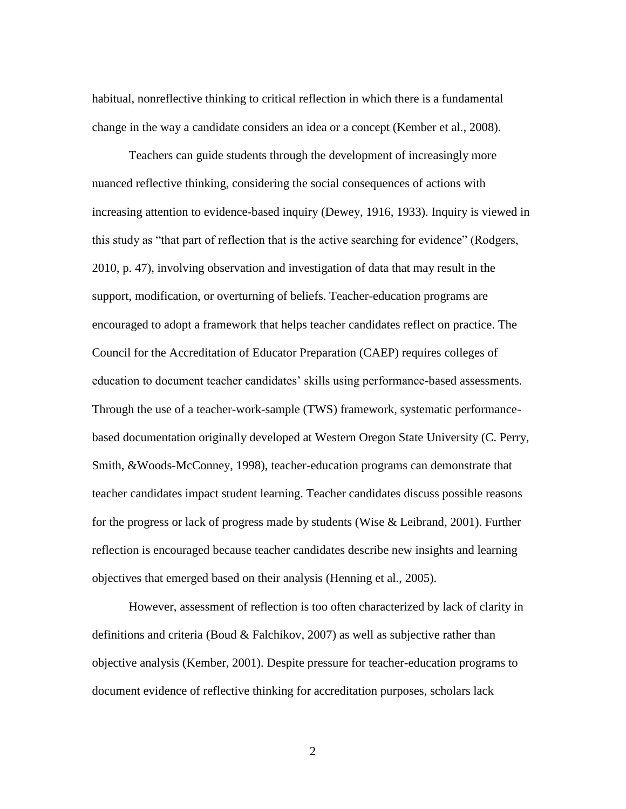habitual, nonreflective thinking to critical reflection in which there is a fundamental change in the way a candidate considers an idea or a concept (Kember et al., 2008).

Teachers can guide students through the development of increasingly more nuanced reflective thinking, considering the social consequences of actions with increasing attention to evidence-based inquiry (Dewey, 1916, 1933). Inquiry is viewed in this study as "that part of reflection that is the active searching for evidence" (Rodgers, 2010, p. 47), involving observation and investigation of data that may result in the support, modification, or overturning of beliefs. Teacher-education programs are encouraged to adopt a framework that helps teacher candidates reflect on practice. The Council for the Accreditation of Educator Preparation (CAEP) requires colleges of education to document teacher candidates' skills using performance-based assessments. Through the use of a teacher-work-sample (TWS) framework, systematic performancebased documentation originally developed at Western Oregon State University (C. Perry, Smith, &Woods-McConney, 1998), teacher-education programs can demonstrate that teacher candidates impact student learning. Teacher candidates discuss possible reasons for the progress or lack of progress made by students (Wise & Leibrand, 2001). Further reflection is encouraged because teacher candidates describe new insights and learning objectives that emerged based on their analysis (Henning et al., 2005).

However, assessment of reflection is too often characterized by lack of clarity in definitions and criteria (Boud & Falchikov, 2007) as well as subjective rather than objective analysis (Kember, 2001). Despite pressure for teacher-education programs to document evidence of reflective thinking for accreditation purposes, scholars lack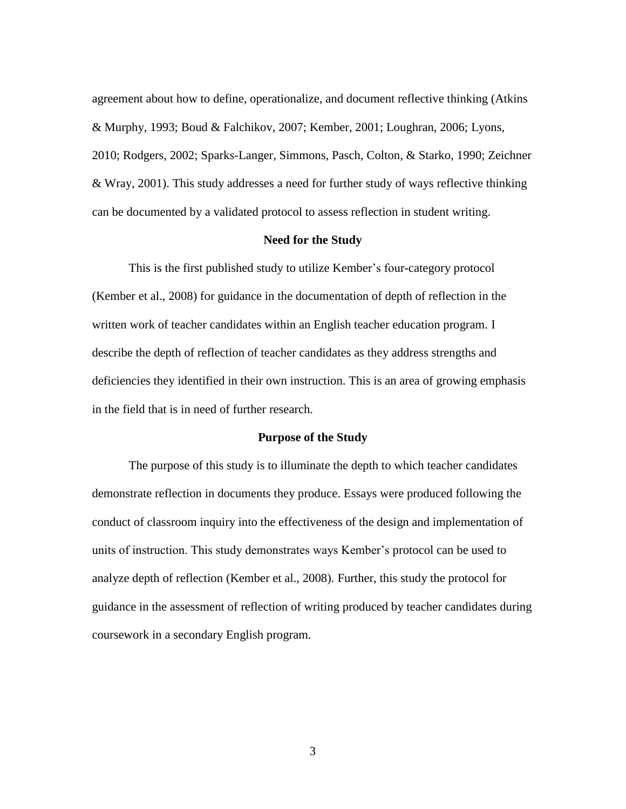agreement about how to define, operationalize, and document reflective thinking (Atkins & Murphy, 1993; Boud & Falchikov, 2007; Kember, 2001; Loughran, 2006; Lyons, 2010; Rodgers, 2002; Sparks-Langer, Simmons, Pasch, Colton, & Starko, 1990; Zeichner & Wray, 2001). This study addresses a need for further study of ways reflective thinking can be documented by a validated protocol to assess reflection in student writing.

#### **Need for the Study**

This is the first published study to utilize Kember's four-category protocol (Kember et al., 2008) for guidance in the documentation of depth of reflection in the written work of teacher candidates within an English teacher education program. I describe the depth of reflection of teacher candidates as they address strengths and deficiencies they identified in their own instruction. This is an area of growing emphasis in the field that is in need of further research.

#### **Purpose of the Study**

The purpose of this study is to illuminate the depth to which teacher candidates demonstrate reflection in documents they produce. Essays were produced following the conduct of classroom inquiry into the effectiveness of the design and implementation of units of instruction. This study demonstrates ways Kember's protocol can be used to analyze depth of reflection (Kember et al., 2008). Further, this study the protocol for guidance in the assessment of reflection of writing produced by teacher candidates during coursework in a secondary English program.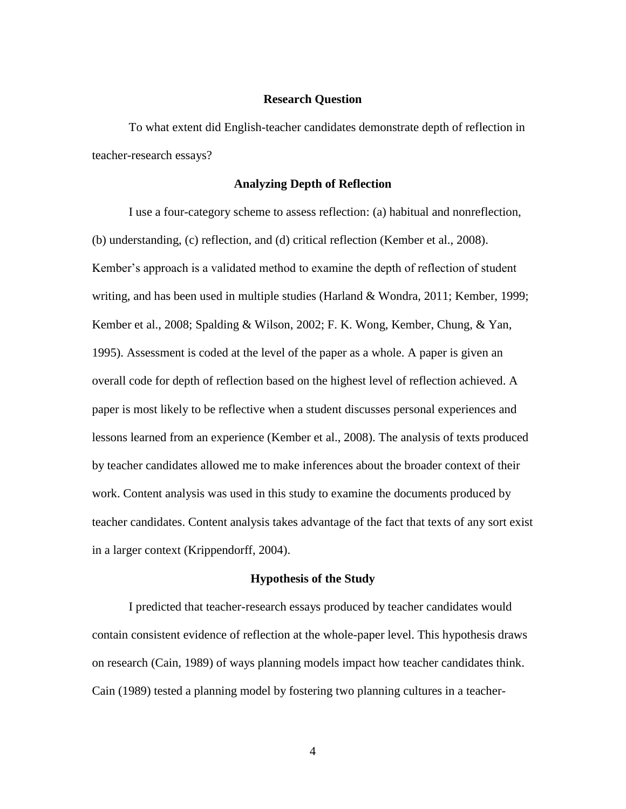#### **Research Question**

To what extent did English-teacher candidates demonstrate depth of reflection in teacher-research essays?

#### **Analyzing Depth of Reflection**

I use a four-category scheme to assess reflection: (a) habitual and nonreflection, (b) understanding, (c) reflection, and (d) critical reflection (Kember et al., 2008). Kember's approach is a validated method to examine the depth of reflection of student writing, and has been used in multiple studies (Harland & Wondra, 2011; Kember, 1999; Kember et al., 2008; Spalding & Wilson, 2002; F. K. Wong, Kember, Chung, & Yan, 1995). Assessment is coded at the level of the paper as a whole. A paper is given an overall code for depth of reflection based on the highest level of reflection achieved. A paper is most likely to be reflective when a student discusses personal experiences and lessons learned from an experience (Kember et al., 2008). The analysis of texts produced by teacher candidates allowed me to make inferences about the broader context of their work. Content analysis was used in this study to examine the documents produced by teacher candidates. Content analysis takes advantage of the fact that texts of any sort exist in a larger context (Krippendorff, 2004).

#### **Hypothesis of the Study**

I predicted that teacher-research essays produced by teacher candidates would contain consistent evidence of reflection at the whole-paper level. This hypothesis draws on research (Cain, 1989) of ways planning models impact how teacher candidates think. Cain (1989) tested a planning model by fostering two planning cultures in a teacher-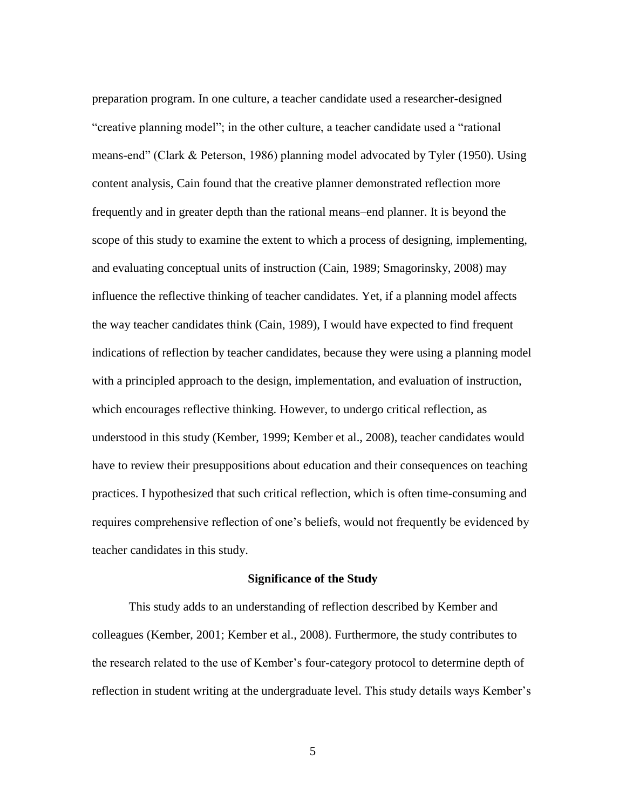preparation program. In one culture, a teacher candidate used a researcher-designed "creative planning model"; in the other culture, a teacher candidate used a "rational means-end" (Clark & Peterson, 1986) planning model advocated by Tyler (1950). Using content analysis, Cain found that the creative planner demonstrated reflection more frequently and in greater depth than the rational means–end planner. It is beyond the scope of this study to examine the extent to which a process of designing, implementing, and evaluating conceptual units of instruction (Cain, 1989; Smagorinsky, 2008) may influence the reflective thinking of teacher candidates. Yet, if a planning model affects the way teacher candidates think (Cain, 1989), I would have expected to find frequent indications of reflection by teacher candidates, because they were using a planning model with a principled approach to the design, implementation, and evaluation of instruction, which encourages reflective thinking. However, to undergo critical reflection, as understood in this study (Kember, 1999; Kember et al., 2008), teacher candidates would have to review their presuppositions about education and their consequences on teaching practices. I hypothesized that such critical reflection, which is often time-consuming and requires comprehensive reflection of one's beliefs, would not frequently be evidenced by teacher candidates in this study.

#### **Significance of the Study**

This study adds to an understanding of reflection described by Kember and colleagues (Kember, 2001; Kember et al., 2008). Furthermore, the study contributes to the research related to the use of Kember's four-category protocol to determine depth of reflection in student writing at the undergraduate level. This study details ways Kember's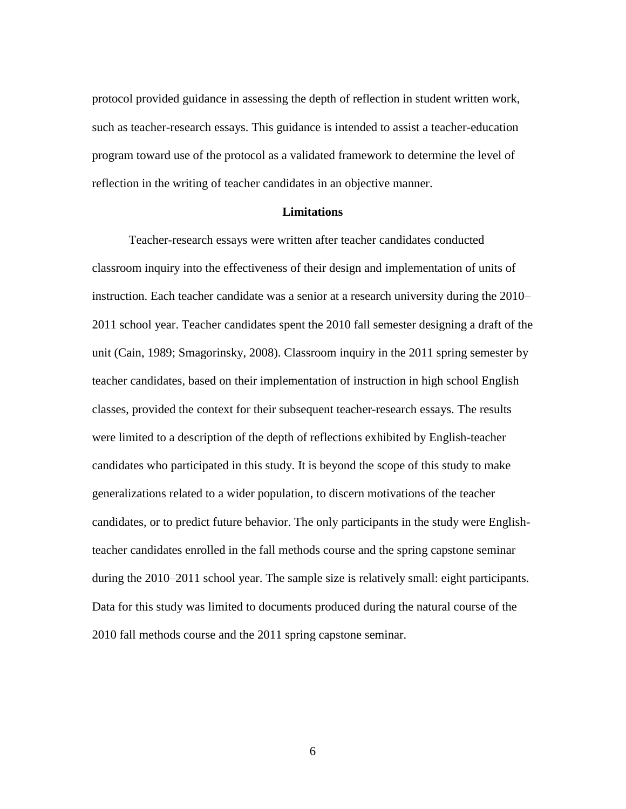protocol provided guidance in assessing the depth of reflection in student written work, such as teacher-research essays. This guidance is intended to assist a teacher-education program toward use of the protocol as a validated framework to determine the level of reflection in the writing of teacher candidates in an objective manner.

#### **Limitations**

Teacher-research essays were written after teacher candidates conducted classroom inquiry into the effectiveness of their design and implementation of units of instruction. Each teacher candidate was a senior at a research university during the 2010– 2011 school year. Teacher candidates spent the 2010 fall semester designing a draft of the unit (Cain, 1989; Smagorinsky, 2008). Classroom inquiry in the 2011 spring semester by teacher candidates, based on their implementation of instruction in high school English classes, provided the context for their subsequent teacher-research essays. The results were limited to a description of the depth of reflections exhibited by English-teacher candidates who participated in this study. It is beyond the scope of this study to make generalizations related to a wider population, to discern motivations of the teacher candidates, or to predict future behavior. The only participants in the study were Englishteacher candidates enrolled in the fall methods course and the spring capstone seminar during the 2010–2011 school year. The sample size is relatively small: eight participants. Data for this study was limited to documents produced during the natural course of the 2010 fall methods course and the 2011 spring capstone seminar.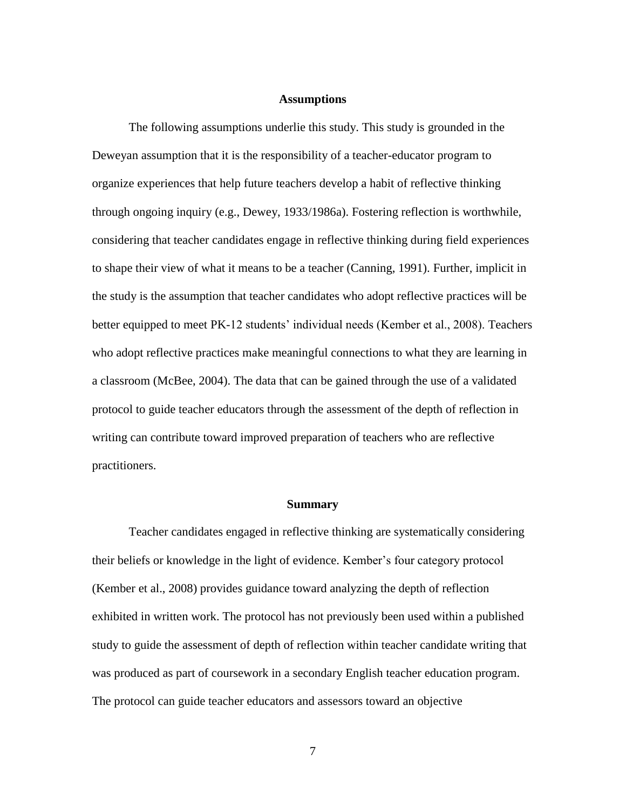#### **Assumptions**

The following assumptions underlie this study. This study is grounded in the Deweyan assumption that it is the responsibility of a teacher-educator program to organize experiences that help future teachers develop a habit of reflective thinking through ongoing inquiry (e.g., Dewey, 1933/1986a). Fostering reflection is worthwhile, considering that teacher candidates engage in reflective thinking during field experiences to shape their view of what it means to be a teacher (Canning, 1991). Further, implicit in the study is the assumption that teacher candidates who adopt reflective practices will be better equipped to meet PK-12 students' individual needs (Kember et al., 2008). Teachers who adopt reflective practices make meaningful connections to what they are learning in a classroom (McBee, 2004). The data that can be gained through the use of a validated protocol to guide teacher educators through the assessment of the depth of reflection in writing can contribute toward improved preparation of teachers who are reflective practitioners.

#### **Summary**

Teacher candidates engaged in reflective thinking are systematically considering their beliefs or knowledge in the light of evidence. Kember's four category protocol (Kember et al., 2008) provides guidance toward analyzing the depth of reflection exhibited in written work. The protocol has not previously been used within a published study to guide the assessment of depth of reflection within teacher candidate writing that was produced as part of coursework in a secondary English teacher education program. The protocol can guide teacher educators and assessors toward an objective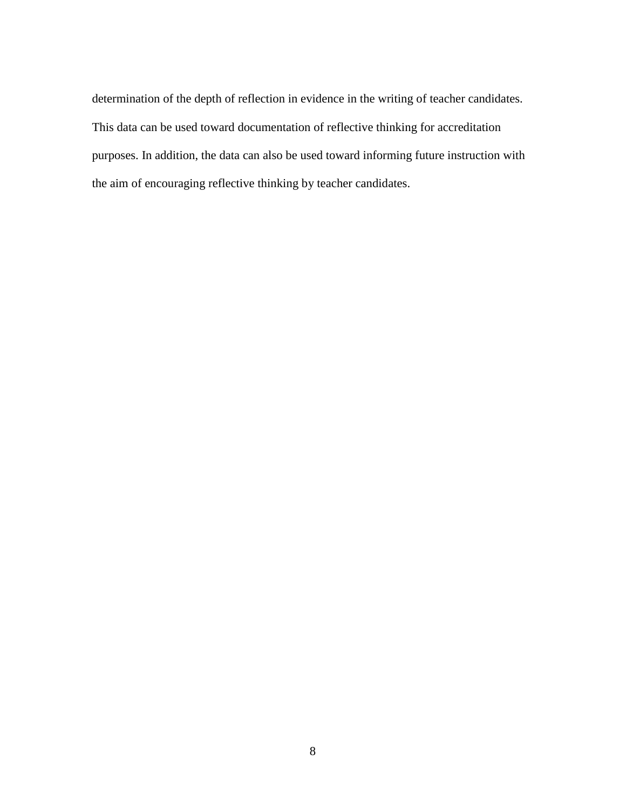determination of the depth of reflection in evidence in the writing of teacher candidates. This data can be used toward documentation of reflective thinking for accreditation purposes. In addition, the data can also be used toward informing future instruction with the aim of encouraging reflective thinking by teacher candidates.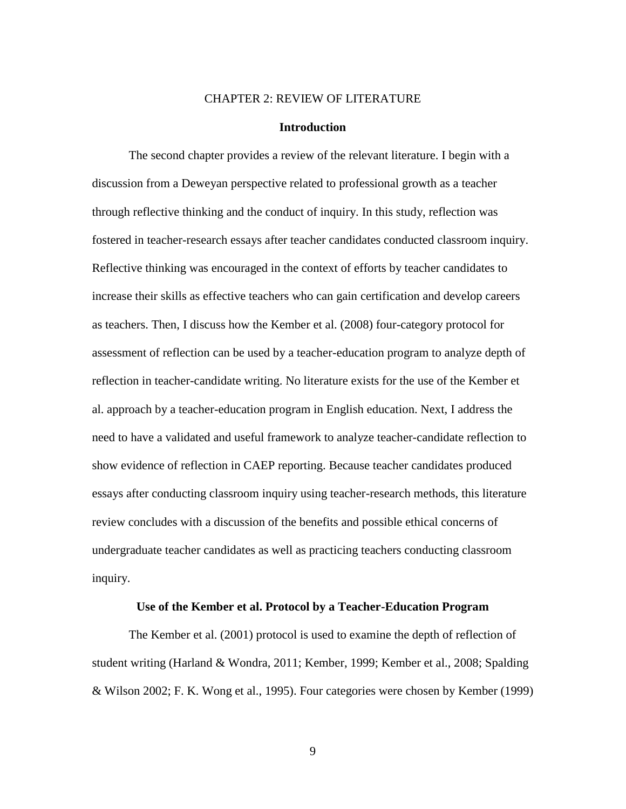#### CHAPTER 2: REVIEW OF LITERATURE

#### **Introduction**

The second chapter provides a review of the relevant literature. I begin with a discussion from a Deweyan perspective related to professional growth as a teacher through reflective thinking and the conduct of inquiry. In this study, reflection was fostered in teacher-research essays after teacher candidates conducted classroom inquiry. Reflective thinking was encouraged in the context of efforts by teacher candidates to increase their skills as effective teachers who can gain certification and develop careers as teachers. Then, I discuss how the Kember et al. (2008) four-category protocol for assessment of reflection can be used by a teacher-education program to analyze depth of reflection in teacher-candidate writing. No literature exists for the use of the Kember et al. approach by a teacher-education program in English education. Next, I address the need to have a validated and useful framework to analyze teacher-candidate reflection to show evidence of reflection in CAEP reporting. Because teacher candidates produced essays after conducting classroom inquiry using teacher-research methods, this literature review concludes with a discussion of the benefits and possible ethical concerns of undergraduate teacher candidates as well as practicing teachers conducting classroom inquiry.

#### **Use of the Kember et al. Protocol by a Teacher-Education Program**

The Kember et al. (2001) protocol is used to examine the depth of reflection of student writing (Harland & Wondra, 2011; Kember, 1999; Kember et al., 2008; Spalding & Wilson 2002; F. K. Wong et al., 1995). Four categories were chosen by Kember (1999)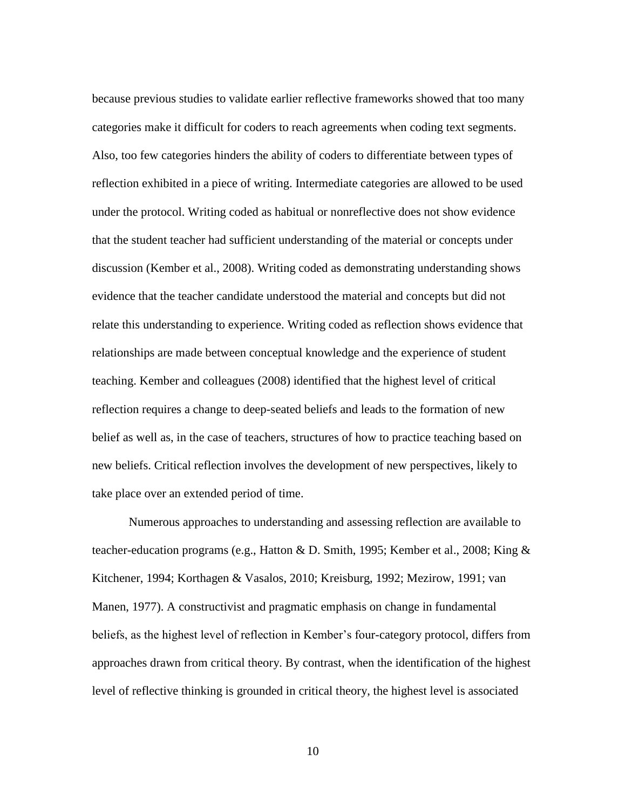because previous studies to validate earlier reflective frameworks showed that too many categories make it difficult for coders to reach agreements when coding text segments. Also, too few categories hinders the ability of coders to differentiate between types of reflection exhibited in a piece of writing. Intermediate categories are allowed to be used under the protocol. Writing coded as habitual or nonreflective does not show evidence that the student teacher had sufficient understanding of the material or concepts under discussion (Kember et al., 2008). Writing coded as demonstrating understanding shows evidence that the teacher candidate understood the material and concepts but did not relate this understanding to experience. Writing coded as reflection shows evidence that relationships are made between conceptual knowledge and the experience of student teaching. Kember and colleagues (2008) identified that the highest level of critical reflection requires a change to deep-seated beliefs and leads to the formation of new belief as well as, in the case of teachers, structures of how to practice teaching based on new beliefs. Critical reflection involves the development of new perspectives, likely to take place over an extended period of time.

Numerous approaches to understanding and assessing reflection are available to teacher-education programs (e.g., Hatton & D. Smith, 1995; Kember et al., 2008; King & Kitchener, 1994; Korthagen & Vasalos, 2010; Kreisburg, 1992; Mezirow, 1991; van Manen, 1977). A constructivist and pragmatic emphasis on change in fundamental beliefs, as the highest level of reflection in Kember's four-category protocol, differs from approaches drawn from critical theory. By contrast, when the identification of the highest level of reflective thinking is grounded in critical theory, the highest level is associated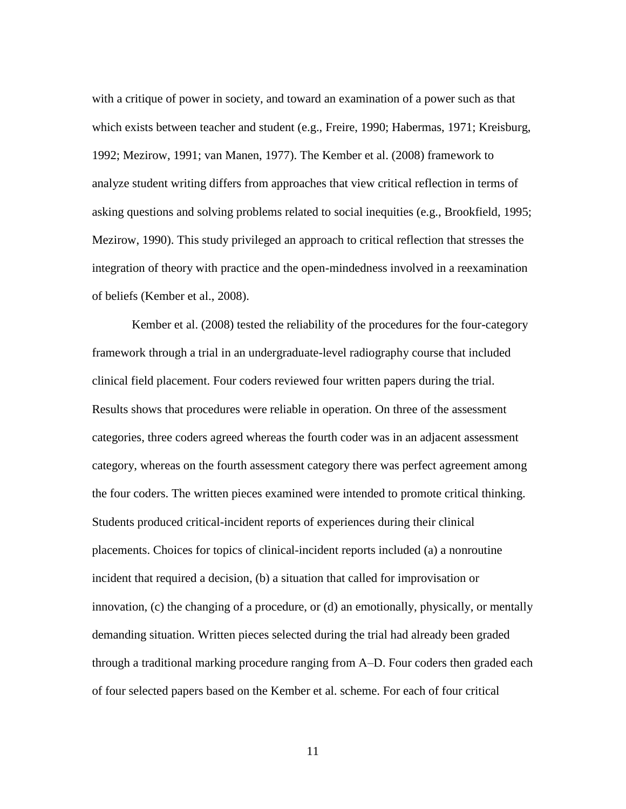with a critique of power in society, and toward an examination of a power such as that which exists between teacher and student (e.g., Freire, 1990; Habermas, 1971; Kreisburg, 1992; Mezirow, 1991; van Manen, 1977). The Kember et al. (2008) framework to analyze student writing differs from approaches that view critical reflection in terms of asking questions and solving problems related to social inequities (e.g., Brookfield, 1995; Mezirow, 1990). This study privileged an approach to critical reflection that stresses the integration of theory with practice and the open-mindedness involved in a reexamination of beliefs (Kember et al., 2008).

Kember et al. (2008) tested the reliability of the procedures for the four-category framework through a trial in an undergraduate-level radiography course that included clinical field placement. Four coders reviewed four written papers during the trial. Results shows that procedures were reliable in operation. On three of the assessment categories, three coders agreed whereas the fourth coder was in an adjacent assessment category, whereas on the fourth assessment category there was perfect agreement among the four coders. The written pieces examined were intended to promote critical thinking. Students produced critical-incident reports of experiences during their clinical placements. Choices for topics of clinical-incident reports included (a) a nonroutine incident that required a decision, (b) a situation that called for improvisation or innovation, (c) the changing of a procedure, or (d) an emotionally, physically, or mentally demanding situation. Written pieces selected during the trial had already been graded through a traditional marking procedure ranging from A–D. Four coders then graded each of four selected papers based on the Kember et al. scheme. For each of four critical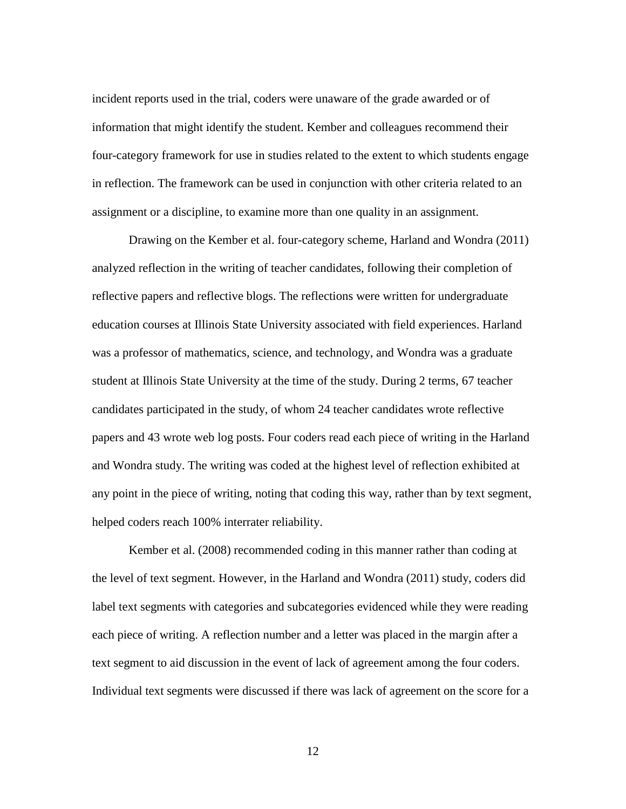incident reports used in the trial, coders were unaware of the grade awarded or of information that might identify the student. Kember and colleagues recommend their four-category framework for use in studies related to the extent to which students engage in reflection. The framework can be used in conjunction with other criteria related to an assignment or a discipline, to examine more than one quality in an assignment.

Drawing on the Kember et al. four-category scheme, Harland and Wondra (2011) analyzed reflection in the writing of teacher candidates, following their completion of reflective papers and reflective blogs. The reflections were written for undergraduate education courses at Illinois State University associated with field experiences. Harland was a professor of mathematics, science, and technology, and Wondra was a graduate student at Illinois State University at the time of the study. During 2 terms, 67 teacher candidates participated in the study, of whom 24 teacher candidates wrote reflective papers and 43 wrote web log posts. Four coders read each piece of writing in the Harland and Wondra study. The writing was coded at the highest level of reflection exhibited at any point in the piece of writing, noting that coding this way, rather than by text segment, helped coders reach 100% interrater reliability.

Kember et al. (2008) recommended coding in this manner rather than coding at the level of text segment. However, in the Harland and Wondra (2011) study, coders did label text segments with categories and subcategories evidenced while they were reading each piece of writing. A reflection number and a letter was placed in the margin after a text segment to aid discussion in the event of lack of agreement among the four coders. Individual text segments were discussed if there was lack of agreement on the score for a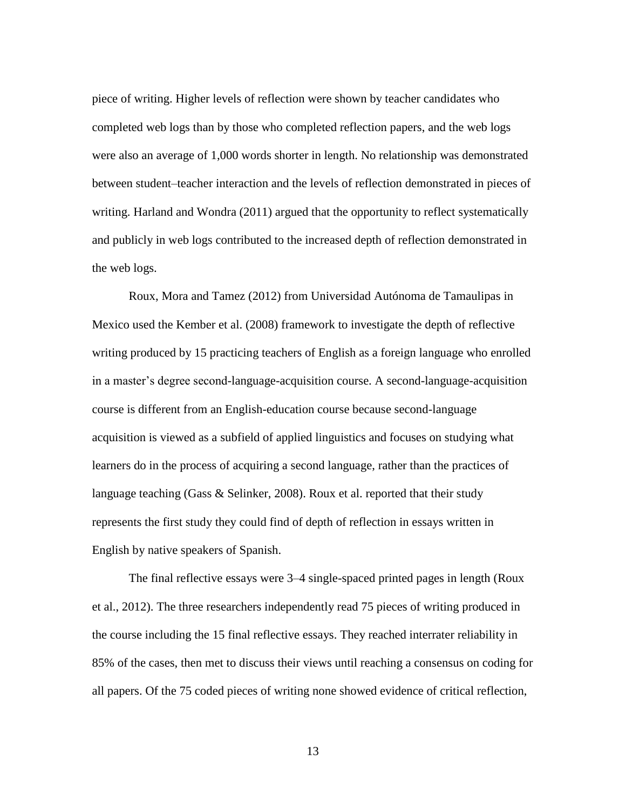piece of writing. Higher levels of reflection were shown by teacher candidates who completed web logs than by those who completed reflection papers, and the web logs were also an average of 1,000 words shorter in length. No relationship was demonstrated between student–teacher interaction and the levels of reflection demonstrated in pieces of writing. Harland and Wondra (2011) argued that the opportunity to reflect systematically and publicly in web logs contributed to the increased depth of reflection demonstrated in the web logs.

Roux, Mora and Tamez (2012) from Universidad Autónoma de Tamaulipas in Mexico used the Kember et al. (2008) framework to investigate the depth of reflective writing produced by 15 practicing teachers of English as a foreign language who enrolled in a master's degree second-language-acquisition course. A second-language-acquisition course is different from an English-education course because second-language acquisition is viewed as a subfield of applied linguistics and focuses on studying what learners do in the process of acquiring a second language, rather than the practices of language teaching (Gass & Selinker, 2008). Roux et al. reported that their study represents the first study they could find of depth of reflection in essays written in English by native speakers of Spanish.

The final reflective essays were 3–4 single-spaced printed pages in length (Roux et al., 2012). The three researchers independently read 75 pieces of writing produced in the course including the 15 final reflective essays. They reached interrater reliability in 85% of the cases, then met to discuss their views until reaching a consensus on coding for all papers. Of the 75 coded pieces of writing none showed evidence of critical reflection,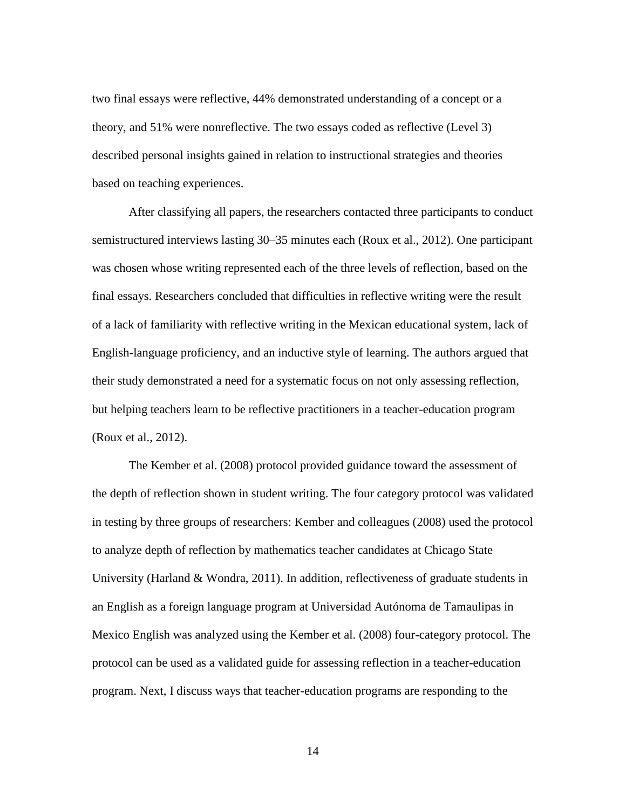two final essays were reflective, 44% demonstrated understanding of a concept or a theory, and 51% were nonreflective. The two essays coded as reflective (Level 3) described personal insights gained in relation to instructional strategies and theories based on teaching experiences.

After classifying all papers, the researchers contacted three participants to conduct semistructured interviews lasting 30–35 minutes each (Roux et al., 2012). One participant was chosen whose writing represented each of the three levels of reflection, based on the final essays. Researchers concluded that difficulties in reflective writing were the result of a lack of familiarity with reflective writing in the Mexican educational system, lack of English-language proficiency, and an inductive style of learning. The authors argued that their study demonstrated a need for a systematic focus on not only assessing reflection, but helping teachers learn to be reflective practitioners in a teacher-education program (Roux et al., 2012).

The Kember et al. (2008) protocol provided guidance toward the assessment of the depth of reflection shown in student writing. The four category protocol was validated in testing by three groups of researchers: Kember and colleagues (2008) used the protocol to analyze depth of reflection by mathematics teacher candidates at Chicago State University (Harland & Wondra, 2011). In addition, reflectiveness of graduate students in an English as a foreign language program at Universidad Autónoma de Tamaulipas in Mexico English was analyzed using the Kember et al. (2008) four-category protocol. The protocol can be used as a validated guide for assessing reflection in a teacher-education program. Next, I discuss ways that teacher-education programs are responding to the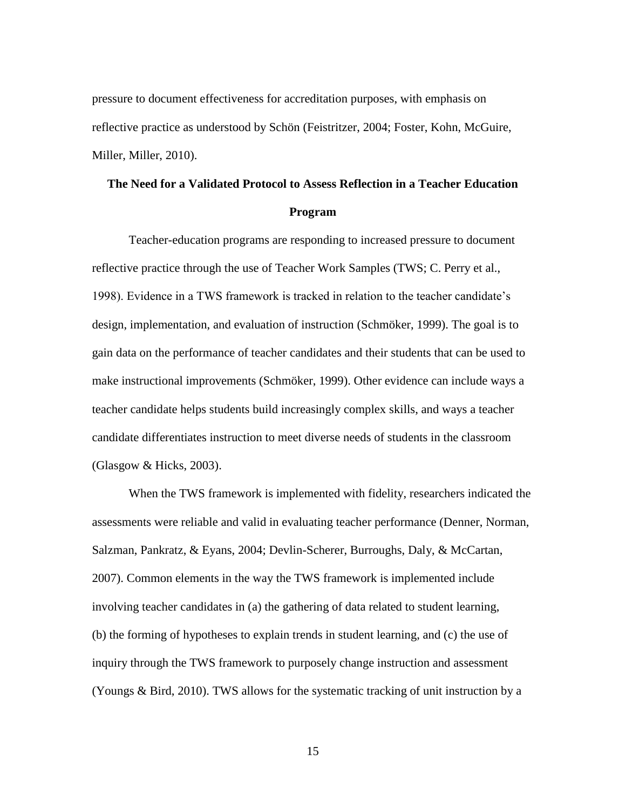pressure to document effectiveness for accreditation purposes, with emphasis on reflective practice as understood by Schön (Feistritzer, 2004; Foster, Kohn, McGuire, Miller, Miller, 2010).

## **The Need for a Validated Protocol to Assess Reflection in a Teacher Education Program**

Teacher-education programs are responding to increased pressure to document reflective practice through the use of Teacher Work Samples (TWS; C. Perry et al., 1998). Evidence in a TWS framework is tracked in relation to the teacher candidate's design, implementation, and evaluation of instruction (Schmöker, 1999). The goal is to gain data on the performance of teacher candidates and their students that can be used to make instructional improvements (Schmöker, 1999). Other evidence can include ways a teacher candidate helps students build increasingly complex skills, and ways a teacher candidate differentiates instruction to meet diverse needs of students in the classroom (Glasgow & Hicks, 2003).

When the TWS framework is implemented with fidelity, researchers indicated the assessments were reliable and valid in evaluating teacher performance (Denner, Norman, Salzman, Pankratz, & Eyans, 2004; Devlin-Scherer, Burroughs, Daly, & McCartan, 2007). Common elements in the way the TWS framework is implemented include involving teacher candidates in (a) the gathering of data related to student learning, (b) the forming of hypotheses to explain trends in student learning, and (c) the use of inquiry through the TWS framework to purposely change instruction and assessment (Youngs & Bird, 2010). TWS allows for the systematic tracking of unit instruction by a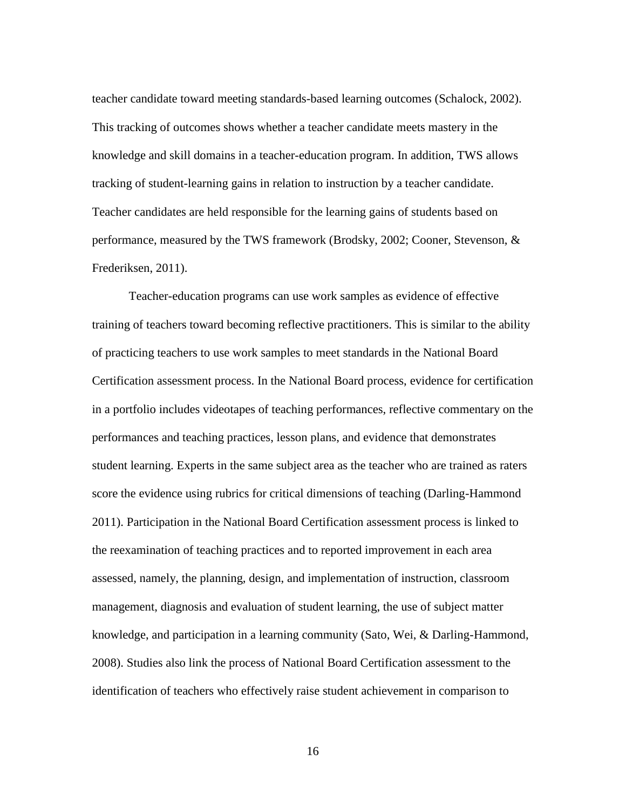teacher candidate toward meeting standards-based learning outcomes (Schalock, 2002). This tracking of outcomes shows whether a teacher candidate meets mastery in the knowledge and skill domains in a teacher-education program. In addition, TWS allows tracking of student-learning gains in relation to instruction by a teacher candidate. Teacher candidates are held responsible for the learning gains of students based on performance, measured by the TWS framework (Brodsky, 2002; Cooner, Stevenson, & Frederiksen, 2011).

Teacher-education programs can use work samples as evidence of effective training of teachers toward becoming reflective practitioners. This is similar to the ability of practicing teachers to use work samples to meet standards in the National Board Certification assessment process. In the National Board process, evidence for certification in a portfolio includes videotapes of teaching performances, reflective commentary on the performances and teaching practices, lesson plans, and evidence that demonstrates student learning. Experts in the same subject area as the teacher who are trained as raters score the evidence using rubrics for critical dimensions of teaching (Darling-Hammond 2011). Participation in the National Board Certification assessment process is linked to the reexamination of teaching practices and to reported improvement in each area assessed, namely, the planning, design, and implementation of instruction, classroom management, diagnosis and evaluation of student learning, the use of subject matter knowledge, and participation in a learning community (Sato, Wei, & Darling-Hammond, 2008). Studies also link the process of National Board Certification assessment to the identification of teachers who effectively raise student achievement in comparison to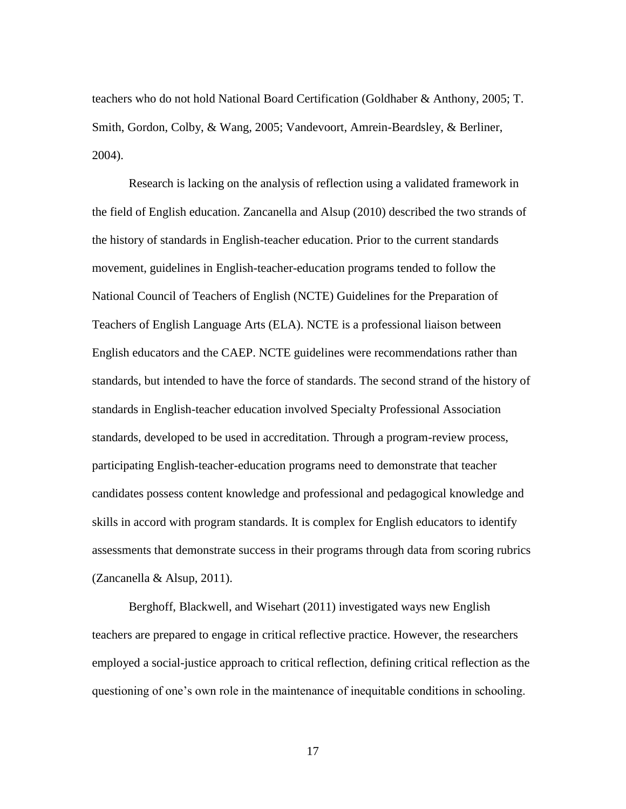teachers who do not hold National Board Certification (Goldhaber & Anthony, 2005; T. Smith, Gordon, Colby, & Wang, 2005; Vandevoort, Amrein-Beardsley, & Berliner, 2004).

Research is lacking on the analysis of reflection using a validated framework in the field of English education. Zancanella and Alsup (2010) described the two strands of the history of standards in English-teacher education. Prior to the current standards movement, guidelines in English-teacher-education programs tended to follow the National Council of Teachers of English (NCTE) Guidelines for the Preparation of Teachers of English Language Arts (ELA). NCTE is a professional liaison between English educators and the CAEP. NCTE guidelines were recommendations rather than standards, but intended to have the force of standards. The second strand of the history of standards in English-teacher education involved Specialty Professional Association standards, developed to be used in accreditation. Through a program-review process, participating English-teacher-education programs need to demonstrate that teacher candidates possess content knowledge and professional and pedagogical knowledge and skills in accord with program standards. It is complex for English educators to identify assessments that demonstrate success in their programs through data from scoring rubrics (Zancanella & Alsup, 2011).

Berghoff, Blackwell, and Wisehart (2011) investigated ways new English teachers are prepared to engage in critical reflective practice. However, the researchers employed a social-justice approach to critical reflection, defining critical reflection as the questioning of one's own role in the maintenance of inequitable conditions in schooling.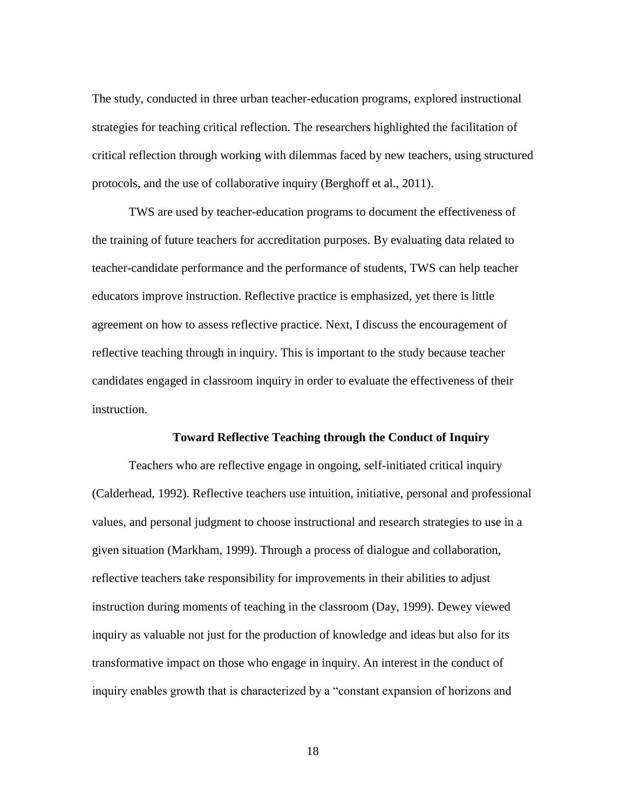The study, conducted in three urban teacher-education programs, explored instructional strategies for teaching critical reflection. The researchers highlighted the facilitation of critical reflection through working with dilemmas faced by new teachers, using structured protocols, and the use of collaborative inquiry (Berghoff et al., 2011).

TWS are used by teacher-education programs to document the effectiveness of the training of future teachers for accreditation purposes. By evaluating data related to teacher-candidate performance and the performance of students, TWS can help teacher educators improve instruction. Reflective practice is emphasized, yet there is little agreement on how to assess reflective practice. Next, I discuss the encouragement of reflective teaching through in inquiry. This is important to the study because teacher candidates engaged in classroom inquiry in order to evaluate the effectiveness of their instruction.

#### **Toward Reflective Teaching through the Conduct of Inquiry**

Teachers who are reflective engage in ongoing, self-initiated critical inquiry (Calderhead, 1992). Reflective teachers use intuition, initiative, personal and professional values, and personal judgment to choose instructional and research strategies to use in a given situation (Markham, 1999). Through a process of dialogue and collaboration, reflective teachers take responsibility for improvements in their abilities to adjust instruction during moments of teaching in the classroom (Day, 1999). Dewey viewed inquiry as valuable not just for the production of knowledge and ideas but also for its transformative impact on those who engage in inquiry. An interest in the conduct of inquiry enables growth that is characterized by a "constant expansion of horizons and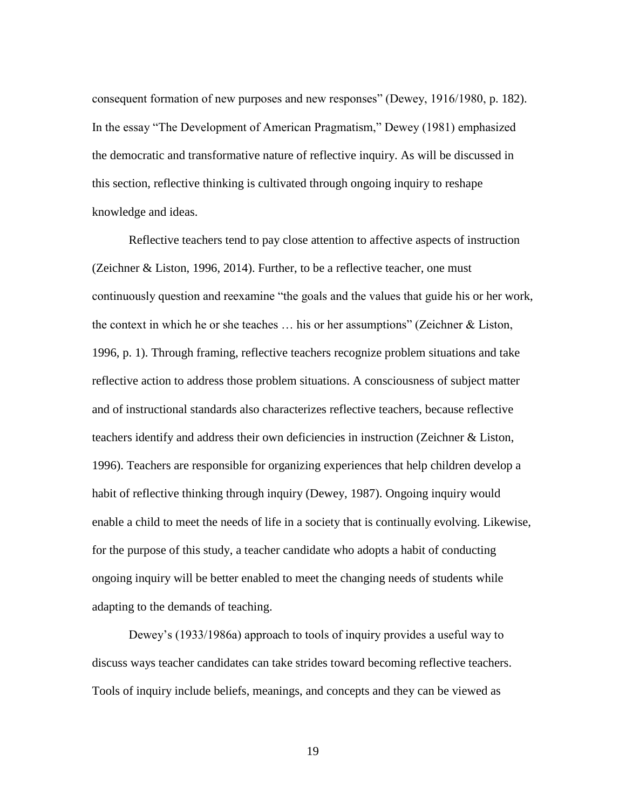consequent formation of new purposes and new responses" (Dewey, 1916/1980, p. 182). In the essay "The Development of American Pragmatism," Dewey (1981) emphasized the democratic and transformative nature of reflective inquiry. As will be discussed in this section, reflective thinking is cultivated through ongoing inquiry to reshape knowledge and ideas.

Reflective teachers tend to pay close attention to affective aspects of instruction (Zeichner & Liston, 1996, 2014). Further, to be a reflective teacher, one must continuously question and reexamine "the goals and the values that guide his or her work, the context in which he or she teaches  $\dots$  his or her assumptions" (Zeichner & Liston, 1996, p. 1). Through framing, reflective teachers recognize problem situations and take reflective action to address those problem situations. A consciousness of subject matter and of instructional standards also characterizes reflective teachers, because reflective teachers identify and address their own deficiencies in instruction (Zeichner & Liston, 1996). Teachers are responsible for organizing experiences that help children develop a habit of reflective thinking through inquiry (Dewey, 1987). Ongoing inquiry would enable a child to meet the needs of life in a society that is continually evolving. Likewise, for the purpose of this study, a teacher candidate who adopts a habit of conducting ongoing inquiry will be better enabled to meet the changing needs of students while adapting to the demands of teaching.

Dewey's (1933/1986a) approach to tools of inquiry provides a useful way to discuss ways teacher candidates can take strides toward becoming reflective teachers. Tools of inquiry include beliefs, meanings, and concepts and they can be viewed as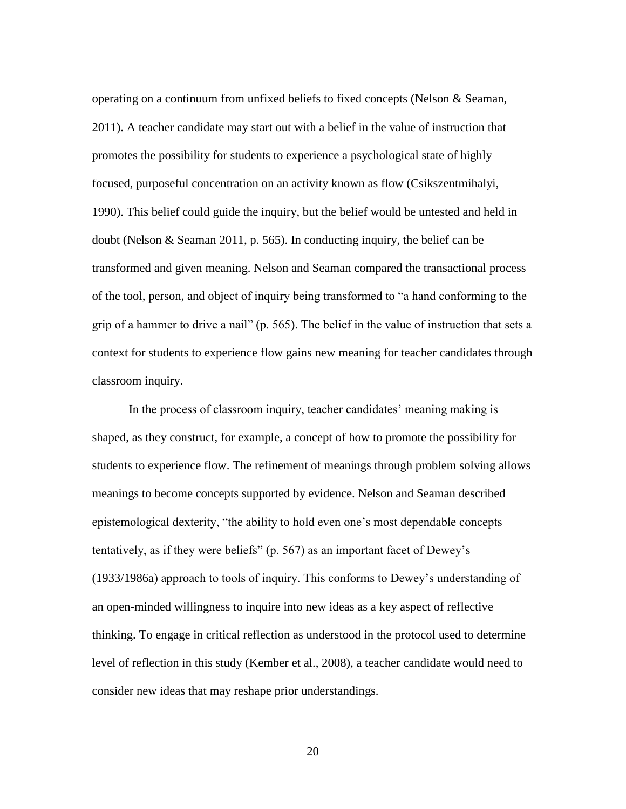operating on a continuum from unfixed beliefs to fixed concepts (Nelson & Seaman, 2011). A teacher candidate may start out with a belief in the value of instruction that promotes the possibility for students to experience a psychological state of highly focused, purposeful concentration on an activity known as flow (Csikszentmihalyi, 1990). This belief could guide the inquiry, but the belief would be untested and held in doubt (Nelson & Seaman 2011, p. 565). In conducting inquiry, the belief can be transformed and given meaning. Nelson and Seaman compared the transactional process of the tool, person, and object of inquiry being transformed to "a hand conforming to the grip of a hammer to drive a nail" (p. 565). The belief in the value of instruction that sets a context for students to experience flow gains new meaning for teacher candidates through classroom inquiry.

In the process of classroom inquiry, teacher candidates' meaning making is shaped, as they construct, for example, a concept of how to promote the possibility for students to experience flow. The refinement of meanings through problem solving allows meanings to become concepts supported by evidence. Nelson and Seaman described epistemological dexterity, "the ability to hold even one's most dependable concepts tentatively, as if they were beliefs" (p. 567) as an important facet of Dewey's (1933/1986a) approach to tools of inquiry. This conforms to Dewey's understanding of an open-minded willingness to inquire into new ideas as a key aspect of reflective thinking. To engage in critical reflection as understood in the protocol used to determine level of reflection in this study (Kember et al., 2008), a teacher candidate would need to consider new ideas that may reshape prior understandings.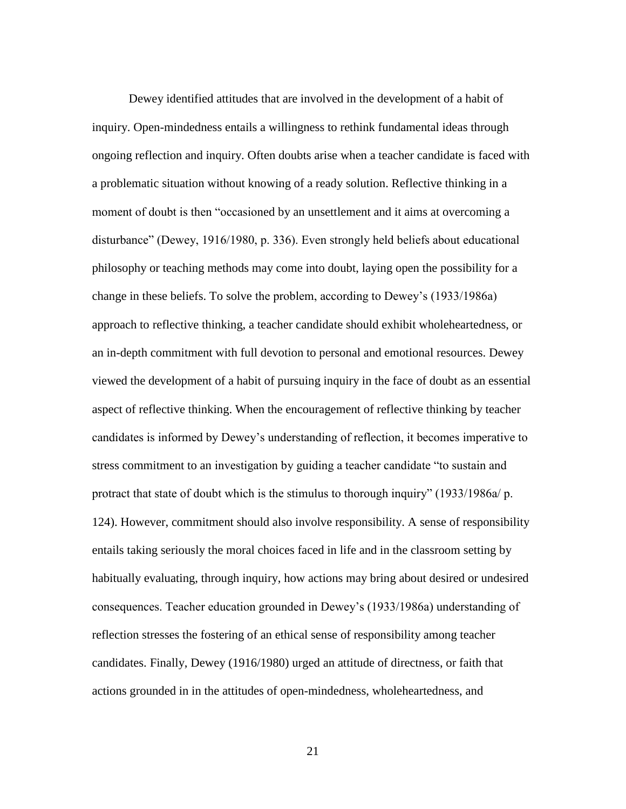Dewey identified attitudes that are involved in the development of a habit of inquiry. Open-mindedness entails a willingness to rethink fundamental ideas through ongoing reflection and inquiry. Often doubts arise when a teacher candidate is faced with a problematic situation without knowing of a ready solution. Reflective thinking in a moment of doubt is then "occasioned by an unsettlement and it aims at overcoming a disturbance" (Dewey, 1916/1980, p. 336). Even strongly held beliefs about educational philosophy or teaching methods may come into doubt, laying open the possibility for a change in these beliefs. To solve the problem, according to Dewey's (1933/1986a) approach to reflective thinking, a teacher candidate should exhibit wholeheartedness, or an in-depth commitment with full devotion to personal and emotional resources. Dewey viewed the development of a habit of pursuing inquiry in the face of doubt as an essential aspect of reflective thinking. When the encouragement of reflective thinking by teacher candidates is informed by Dewey's understanding of reflection, it becomes imperative to stress commitment to an investigation by guiding a teacher candidate "to sustain and protract that state of doubt which is the stimulus to thorough inquiry" (1933/1986a/ p. 124). However, commitment should also involve responsibility. A sense of responsibility entails taking seriously the moral choices faced in life and in the classroom setting by habitually evaluating, through inquiry, how actions may bring about desired or undesired consequences. Teacher education grounded in Dewey's (1933/1986a) understanding of reflection stresses the fostering of an ethical sense of responsibility among teacher candidates. Finally, Dewey (1916/1980) urged an attitude of directness, or faith that actions grounded in in the attitudes of open-mindedness, wholeheartedness, and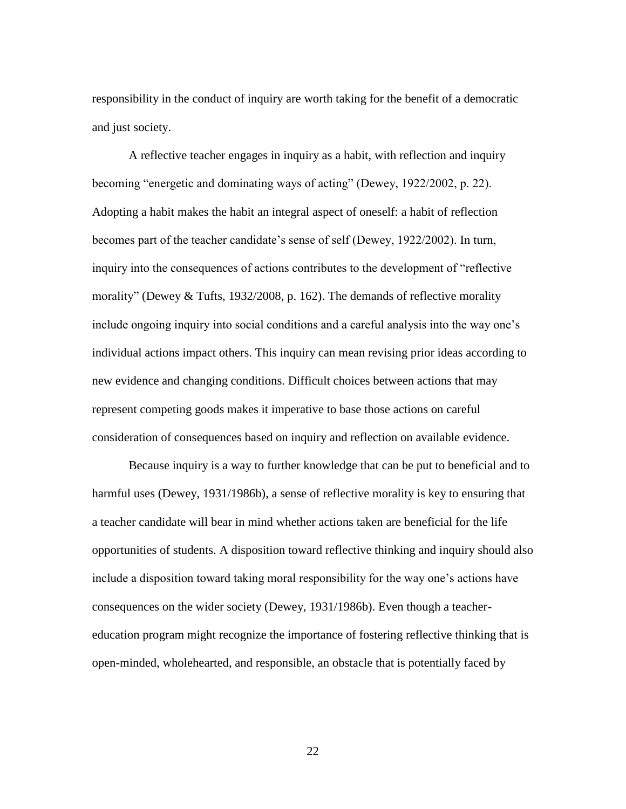responsibility in the conduct of inquiry are worth taking for the benefit of a democratic and just society.

A reflective teacher engages in inquiry as a habit, with reflection and inquiry becoming "energetic and dominating ways of acting" (Dewey, 1922/2002, p. 22). Adopting a habit makes the habit an integral aspect of oneself: a habit of reflection becomes part of the teacher candidate's sense of self (Dewey, 1922/2002). In turn, inquiry into the consequences of actions contributes to the development of "reflective morality" (Dewey & Tufts, 1932/2008, p. 162). The demands of reflective morality include ongoing inquiry into social conditions and a careful analysis into the way one's individual actions impact others. This inquiry can mean revising prior ideas according to new evidence and changing conditions. Difficult choices between actions that may represent competing goods makes it imperative to base those actions on careful consideration of consequences based on inquiry and reflection on available evidence.

Because inquiry is a way to further knowledge that can be put to beneficial and to harmful uses (Dewey, 1931/1986b), a sense of reflective morality is key to ensuring that a teacher candidate will bear in mind whether actions taken are beneficial for the life opportunities of students. A disposition toward reflective thinking and inquiry should also include a disposition toward taking moral responsibility for the way one's actions have consequences on the wider society (Dewey, 1931/1986b). Even though a teachereducation program might recognize the importance of fostering reflective thinking that is open-minded, wholehearted, and responsible, an obstacle that is potentially faced by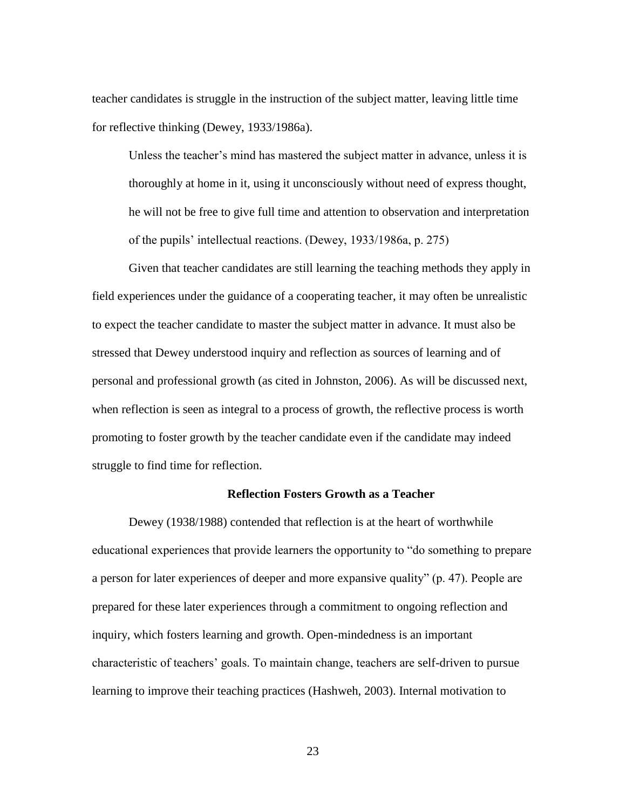teacher candidates is struggle in the instruction of the subject matter, leaving little time for reflective thinking (Dewey, 1933/1986a).

Unless the teacher's mind has mastered the subject matter in advance, unless it is thoroughly at home in it, using it unconsciously without need of express thought, he will not be free to give full time and attention to observation and interpretation of the pupils' intellectual reactions. (Dewey, 1933/1986a, p. 275)

Given that teacher candidates are still learning the teaching methods they apply in field experiences under the guidance of a cooperating teacher, it may often be unrealistic to expect the teacher candidate to master the subject matter in advance. It must also be stressed that Dewey understood inquiry and reflection as sources of learning and of personal and professional growth (as cited in Johnston, 2006). As will be discussed next, when reflection is seen as integral to a process of growth, the reflective process is worth promoting to foster growth by the teacher candidate even if the candidate may indeed struggle to find time for reflection.

#### **Reflection Fosters Growth as a Teacher**

Dewey (1938/1988) contended that reflection is at the heart of worthwhile educational experiences that provide learners the opportunity to "do something to prepare a person for later experiences of deeper and more expansive quality" (p. 47). People are prepared for these later experiences through a commitment to ongoing reflection and inquiry, which fosters learning and growth. Open-mindedness is an important characteristic of teachers' goals. To maintain change, teachers are self-driven to pursue learning to improve their teaching practices (Hashweh, 2003). Internal motivation to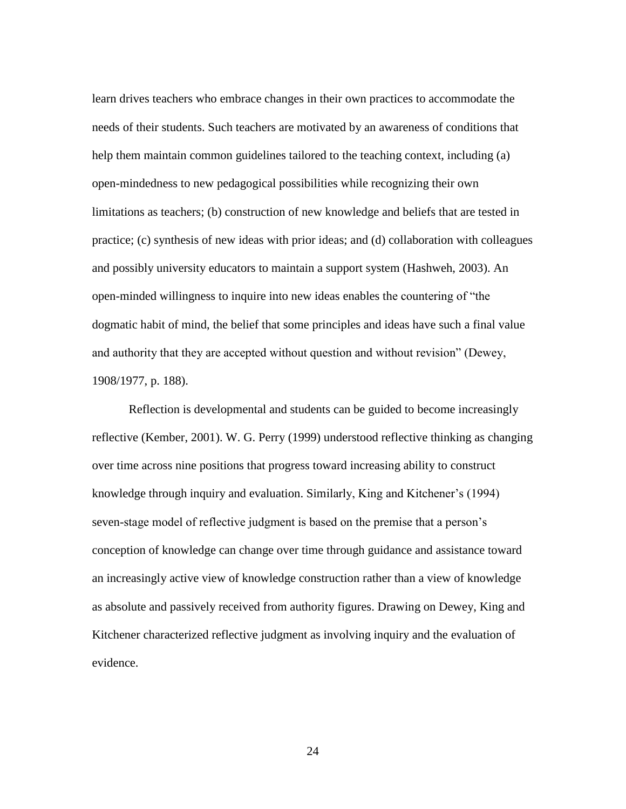learn drives teachers who embrace changes in their own practices to accommodate the needs of their students. Such teachers are motivated by an awareness of conditions that help them maintain common guidelines tailored to the teaching context, including (a) open-mindedness to new pedagogical possibilities while recognizing their own limitations as teachers; (b) construction of new knowledge and beliefs that are tested in practice; (c) synthesis of new ideas with prior ideas; and (d) collaboration with colleagues and possibly university educators to maintain a support system (Hashweh, 2003). An open-minded willingness to inquire into new ideas enables the countering of "the dogmatic habit of mind, the belief that some principles and ideas have such a final value and authority that they are accepted without question and without revision" (Dewey, 1908/1977, p. 188).

Reflection is developmental and students can be guided to become increasingly reflective (Kember, 2001). W. G. Perry (1999) understood reflective thinking as changing over time across nine positions that progress toward increasing ability to construct knowledge through inquiry and evaluation. Similarly, King and Kitchener's (1994) seven-stage model of reflective judgment is based on the premise that a person's conception of knowledge can change over time through guidance and assistance toward an increasingly active view of knowledge construction rather than a view of knowledge as absolute and passively received from authority figures. Drawing on Dewey, King and Kitchener characterized reflective judgment as involving inquiry and the evaluation of evidence.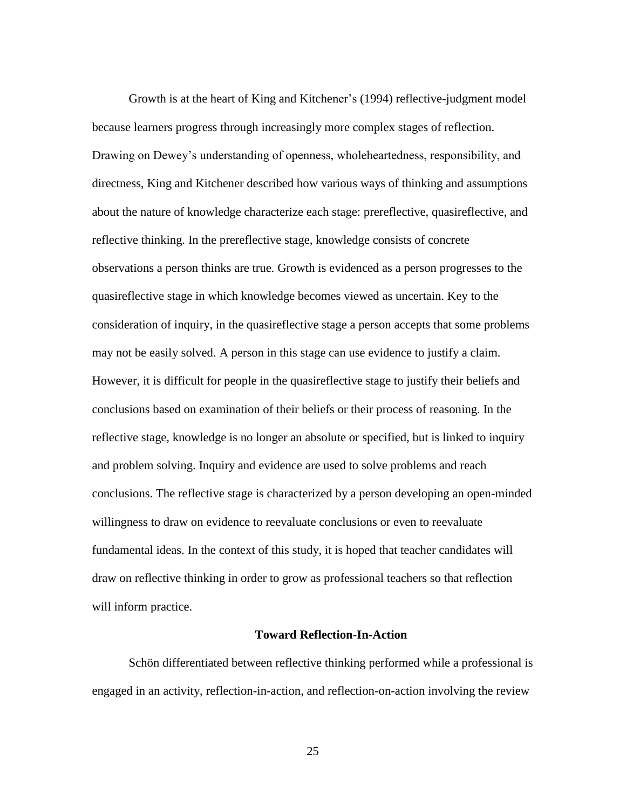Growth is at the heart of King and Kitchener's (1994) reflective-judgment model because learners progress through increasingly more complex stages of reflection. Drawing on Dewey's understanding of openness, wholeheartedness, responsibility, and directness, King and Kitchener described how various ways of thinking and assumptions about the nature of knowledge characterize each stage: prereflective, quasireflective, and reflective thinking. In the prereflective stage, knowledge consists of concrete observations a person thinks are true. Growth is evidenced as a person progresses to the quasireflective stage in which knowledge becomes viewed as uncertain. Key to the consideration of inquiry, in the quasireflective stage a person accepts that some problems may not be easily solved. A person in this stage can use evidence to justify a claim. However, it is difficult for people in the quasireflective stage to justify their beliefs and conclusions based on examination of their beliefs or their process of reasoning. In the reflective stage, knowledge is no longer an absolute or specified, but is linked to inquiry and problem solving. Inquiry and evidence are used to solve problems and reach conclusions. The reflective stage is characterized by a person developing an open-minded willingness to draw on evidence to reevaluate conclusions or even to reevaluate fundamental ideas. In the context of this study, it is hoped that teacher candidates will draw on reflective thinking in order to grow as professional teachers so that reflection will inform practice.

#### **Toward Reflection-In-Action**

Schön differentiated between reflective thinking performed while a professional is engaged in an activity, reflection-in-action, and reflection-on-action involving the review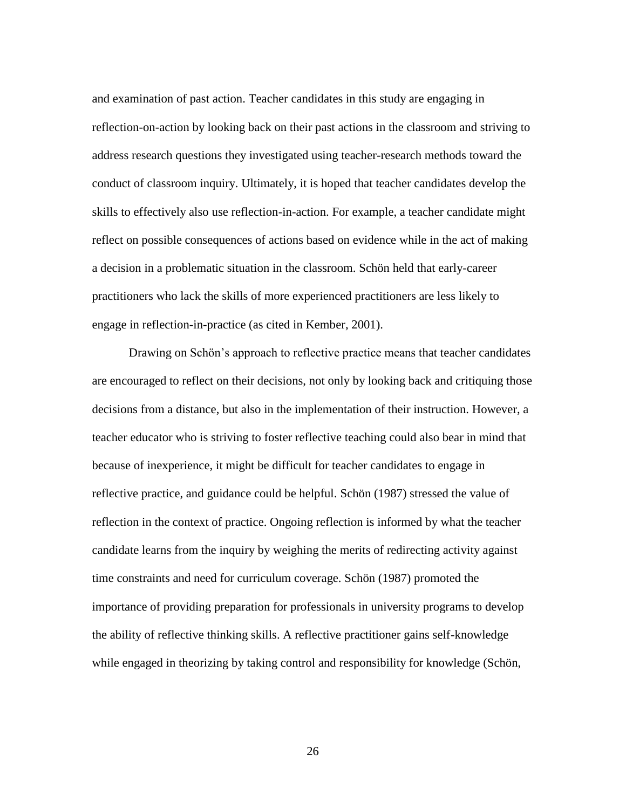and examination of past action. Teacher candidates in this study are engaging in reflection-on-action by looking back on their past actions in the classroom and striving to address research questions they investigated using teacher-research methods toward the conduct of classroom inquiry. Ultimately, it is hoped that teacher candidates develop the skills to effectively also use reflection-in-action. For example, a teacher candidate might reflect on possible consequences of actions based on evidence while in the act of making a decision in a problematic situation in the classroom. Schön held that early-career practitioners who lack the skills of more experienced practitioners are less likely to engage in reflection-in-practice (as cited in Kember, 2001).

Drawing on Schön's approach to reflective practice means that teacher candidates are encouraged to reflect on their decisions, not only by looking back and critiquing those decisions from a distance, but also in the implementation of their instruction. However, a teacher educator who is striving to foster reflective teaching could also bear in mind that because of inexperience, it might be difficult for teacher candidates to engage in reflective practice, and guidance could be helpful. Schön (1987) stressed the value of reflection in the context of practice. Ongoing reflection is informed by what the teacher candidate learns from the inquiry by weighing the merits of redirecting activity against time constraints and need for curriculum coverage. Schön (1987) promoted the importance of providing preparation for professionals in university programs to develop the ability of reflective thinking skills. A reflective practitioner gains self-knowledge while engaged in theorizing by taking control and responsibility for knowledge (Schön,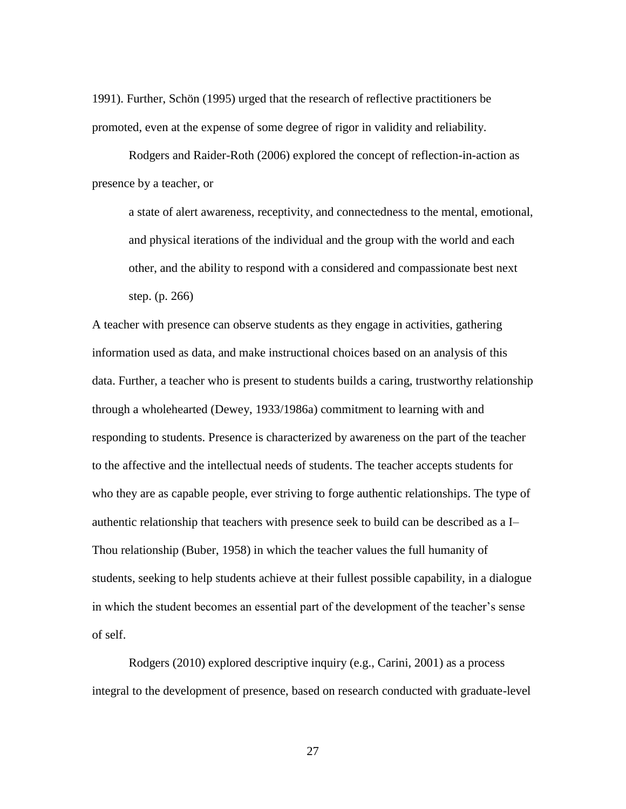1991). Further, Schön (1995) urged that the research of reflective practitioners be promoted, even at the expense of some degree of rigor in validity and reliability.

Rodgers and Raider-Roth (2006) explored the concept of reflection-in-action as presence by a teacher, or

a state of alert awareness, receptivity, and connectedness to the mental, emotional, and physical iterations of the individual and the group with the world and each other, and the ability to respond with a considered and compassionate best next step. (p. 266)

A teacher with presence can observe students as they engage in activities, gathering information used as data, and make instructional choices based on an analysis of this data. Further, a teacher who is present to students builds a caring, trustworthy relationship through a wholehearted (Dewey, 1933/1986a) commitment to learning with and responding to students. Presence is characterized by awareness on the part of the teacher to the affective and the intellectual needs of students. The teacher accepts students for who they are as capable people, ever striving to forge authentic relationships. The type of authentic relationship that teachers with presence seek to build can be described as a I– Thou relationship (Buber, 1958) in which the teacher values the full humanity of students, seeking to help students achieve at their fullest possible capability, in a dialogue in which the student becomes an essential part of the development of the teacher's sense of self.

Rodgers (2010) explored descriptive inquiry (e.g., Carini, 2001) as a process integral to the development of presence, based on research conducted with graduate-level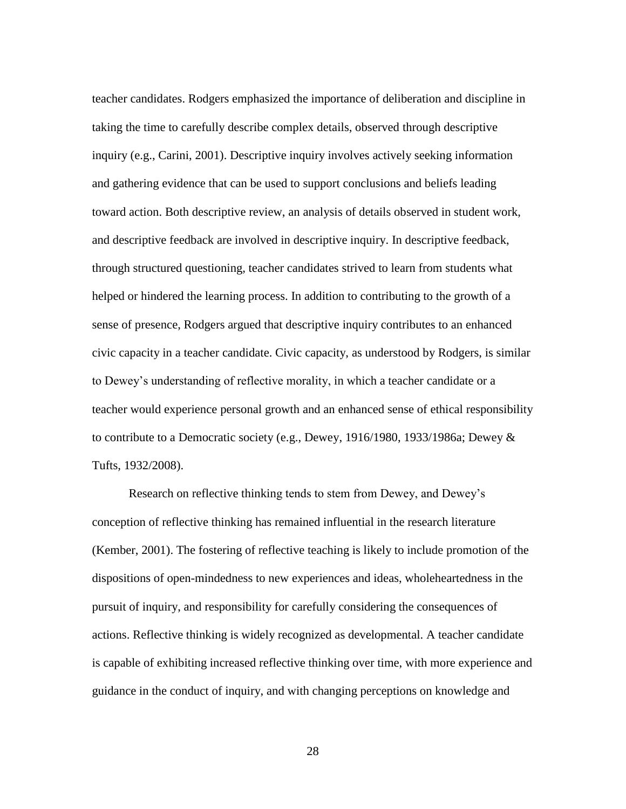teacher candidates. Rodgers emphasized the importance of deliberation and discipline in taking the time to carefully describe complex details, observed through descriptive inquiry (e.g., Carini, 2001). Descriptive inquiry involves actively seeking information and gathering evidence that can be used to support conclusions and beliefs leading toward action. Both descriptive review, an analysis of details observed in student work, and descriptive feedback are involved in descriptive inquiry. In descriptive feedback, through structured questioning, teacher candidates strived to learn from students what helped or hindered the learning process. In addition to contributing to the growth of a sense of presence, Rodgers argued that descriptive inquiry contributes to an enhanced civic capacity in a teacher candidate. Civic capacity, as understood by Rodgers, is similar to Dewey's understanding of reflective morality, in which a teacher candidate or a teacher would experience personal growth and an enhanced sense of ethical responsibility to contribute to a Democratic society (e.g., Dewey, 1916/1980, 1933/1986a; Dewey & Tufts, 1932/2008).

Research on reflective thinking tends to stem from Dewey, and Dewey's conception of reflective thinking has remained influential in the research literature (Kember, 2001). The fostering of reflective teaching is likely to include promotion of the dispositions of open-mindedness to new experiences and ideas, wholeheartedness in the pursuit of inquiry, and responsibility for carefully considering the consequences of actions. Reflective thinking is widely recognized as developmental. A teacher candidate is capable of exhibiting increased reflective thinking over time, with more experience and guidance in the conduct of inquiry, and with changing perceptions on knowledge and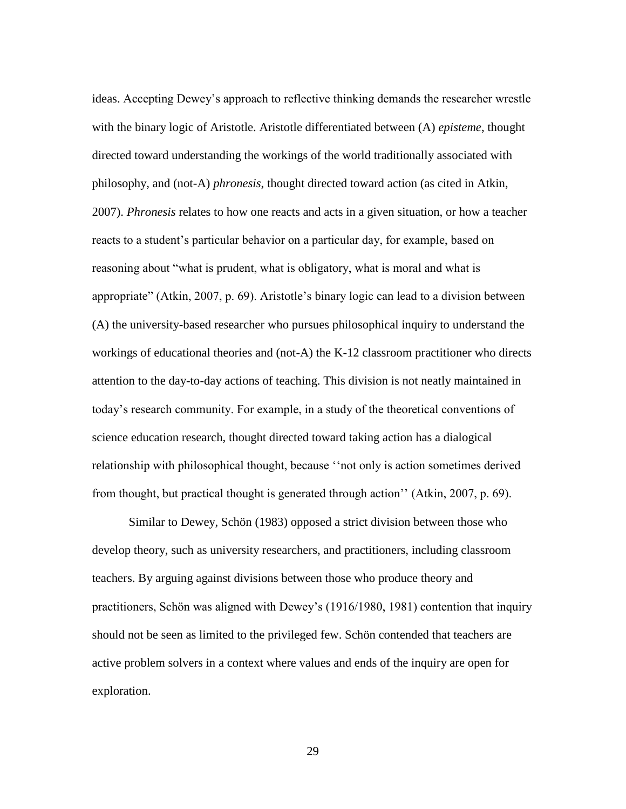ideas. Accepting Dewey's approach to reflective thinking demands the researcher wrestle with the binary logic of Aristotle. Aristotle differentiated between (A) *episteme*, thought directed toward understanding the workings of the world traditionally associated with philosophy, and (not-A) *phronesis*, thought directed toward action (as cited in Atkin, 2007). *Phronesis* relates to how one reacts and acts in a given situation, or how a teacher reacts to a student's particular behavior on a particular day, for example, based on reasoning about "what is prudent, what is obligatory, what is moral and what is appropriate" (Atkin, 2007, p. 69). Aristotle's binary logic can lead to a division between (A) the university-based researcher who pursues philosophical inquiry to understand the workings of educational theories and (not-A) the K-12 classroom practitioner who directs attention to the day-to-day actions of teaching. This division is not neatly maintained in today's research community. For example, in a study of the theoretical conventions of science education research, thought directed toward taking action has a dialogical relationship with philosophical thought, because ''not only is action sometimes derived from thought, but practical thought is generated through action'' (Atkin, 2007, p. 69).

Similar to Dewey, Schön (1983) opposed a strict division between those who develop theory, such as university researchers, and practitioners, including classroom teachers. By arguing against divisions between those who produce theory and practitioners, Schön was aligned with Dewey's (1916/1980, 1981) contention that inquiry should not be seen as limited to the privileged few. Schön contended that teachers are active problem solvers in a context where values and ends of the inquiry are open for exploration.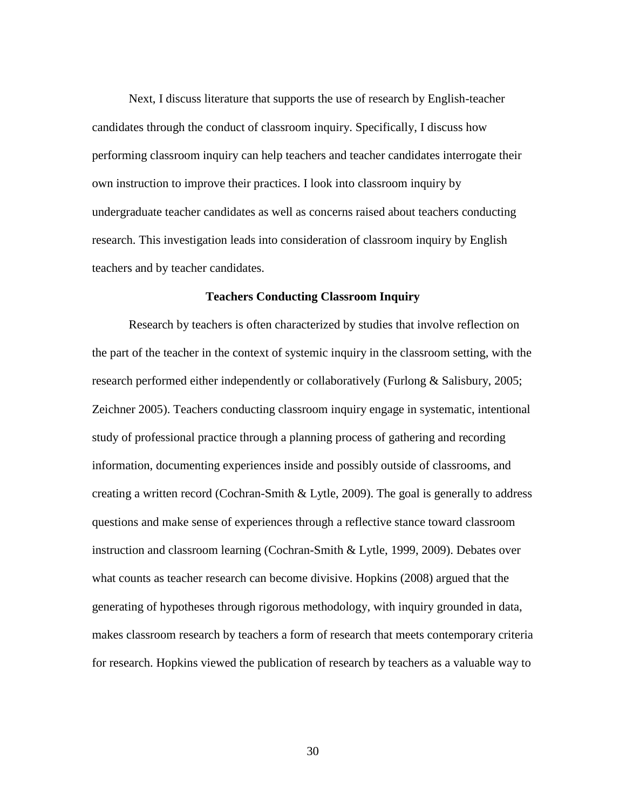Next, I discuss literature that supports the use of research by English-teacher candidates through the conduct of classroom inquiry. Specifically, I discuss how performing classroom inquiry can help teachers and teacher candidates interrogate their own instruction to improve their practices. I look into classroom inquiry by undergraduate teacher candidates as well as concerns raised about teachers conducting research. This investigation leads into consideration of classroom inquiry by English teachers and by teacher candidates.

#### **Teachers Conducting Classroom Inquiry**

Research by teachers is often characterized by studies that involve reflection on the part of the teacher in the context of systemic inquiry in the classroom setting, with the research performed either independently or collaboratively (Furlong & Salisbury, 2005; Zeichner 2005). Teachers conducting classroom inquiry engage in systematic, intentional study of professional practice through a planning process of gathering and recording information, documenting experiences inside and possibly outside of classrooms, and creating a written record (Cochran-Smith & Lytle, 2009). The goal is generally to address questions and make sense of experiences through a reflective stance toward classroom instruction and classroom learning (Cochran-Smith & Lytle, 1999, 2009). Debates over what counts as teacher research can become divisive. Hopkins (2008) argued that the generating of hypotheses through rigorous methodology, with inquiry grounded in data, makes classroom research by teachers a form of research that meets contemporary criteria for research. Hopkins viewed the publication of research by teachers as a valuable way to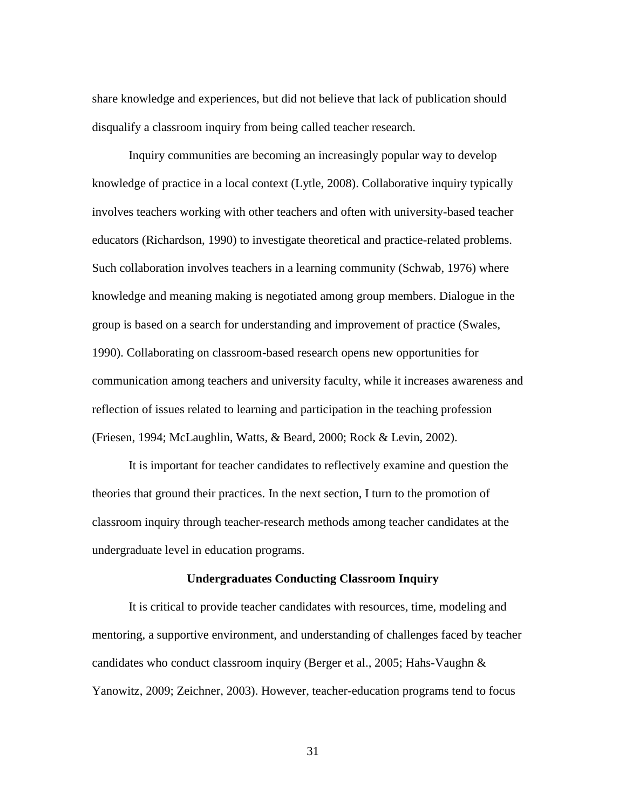share knowledge and experiences, but did not believe that lack of publication should disqualify a classroom inquiry from being called teacher research.

Inquiry communities are becoming an increasingly popular way to develop knowledge of practice in a local context (Lytle, 2008). Collaborative inquiry typically involves teachers working with other teachers and often with university-based teacher educators (Richardson, 1990) to investigate theoretical and practice-related problems. Such collaboration involves teachers in a learning community (Schwab, 1976) where knowledge and meaning making is negotiated among group members. Dialogue in the group is based on a search for understanding and improvement of practice (Swales, 1990). Collaborating on classroom-based research opens new opportunities for communication among teachers and university faculty, while it increases awareness and reflection of issues related to learning and participation in the teaching profession (Friesen, 1994; McLaughlin, Watts, & Beard, 2000; Rock & Levin, 2002).

It is important for teacher candidates to reflectively examine and question the theories that ground their practices. In the next section, I turn to the promotion of classroom inquiry through teacher-research methods among teacher candidates at the undergraduate level in education programs.

# **Undergraduates Conducting Classroom Inquiry**

It is critical to provide teacher candidates with resources, time, modeling and mentoring, a supportive environment, and understanding of challenges faced by teacher candidates who conduct classroom inquiry (Berger et al., 2005; Hahs-Vaughn & Yanowitz, 2009; Zeichner, 2003). However, teacher-education programs tend to focus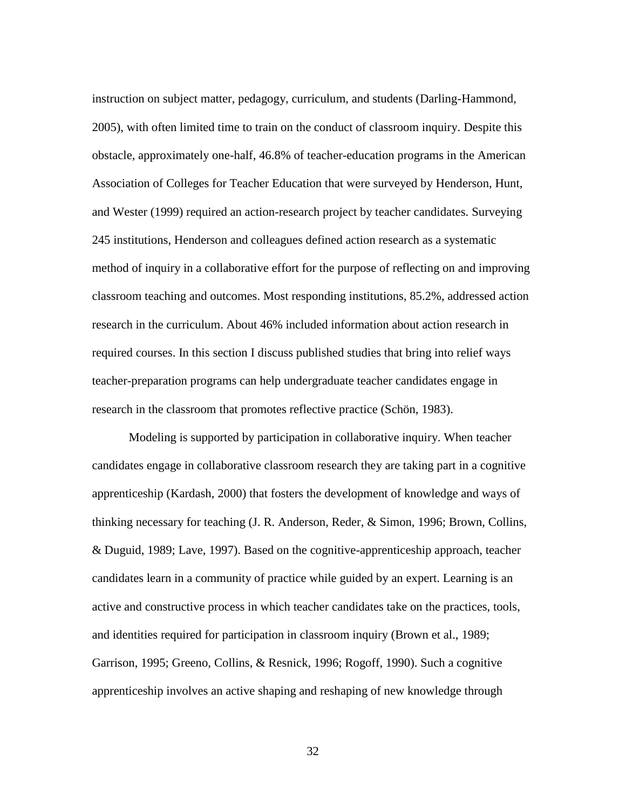instruction on subject matter, pedagogy, curriculum, and students (Darling-Hammond, 2005), with often limited time to train on the conduct of classroom inquiry. Despite this obstacle, approximately one-half, 46.8% of teacher-education programs in the American Association of Colleges for Teacher Education that were surveyed by Henderson, Hunt, and Wester (1999) required an action-research project by teacher candidates. Surveying 245 institutions, Henderson and colleagues defined action research as a systematic method of inquiry in a collaborative effort for the purpose of reflecting on and improving classroom teaching and outcomes. Most responding institutions, 85.2%, addressed action research in the curriculum. About 46% included information about action research in required courses. In this section I discuss published studies that bring into relief ways teacher-preparation programs can help undergraduate teacher candidates engage in research in the classroom that promotes reflective practice (Schön, 1983).

Modeling is supported by participation in collaborative inquiry. When teacher candidates engage in collaborative classroom research they are taking part in a cognitive apprenticeship (Kardash, 2000) that fosters the development of knowledge and ways of thinking necessary for teaching (J. R. Anderson, Reder, & Simon, 1996; Brown, Collins, & Duguid, 1989; Lave, 1997). Based on the cognitive-apprenticeship approach, teacher candidates learn in a community of practice while guided by an expert. Learning is an active and constructive process in which teacher candidates take on the practices, tools, and identities required for participation in classroom inquiry (Brown et al., 1989; Garrison, 1995; Greeno, Collins, & Resnick, 1996; Rogoff, 1990). Such a cognitive apprenticeship involves an active shaping and reshaping of new knowledge through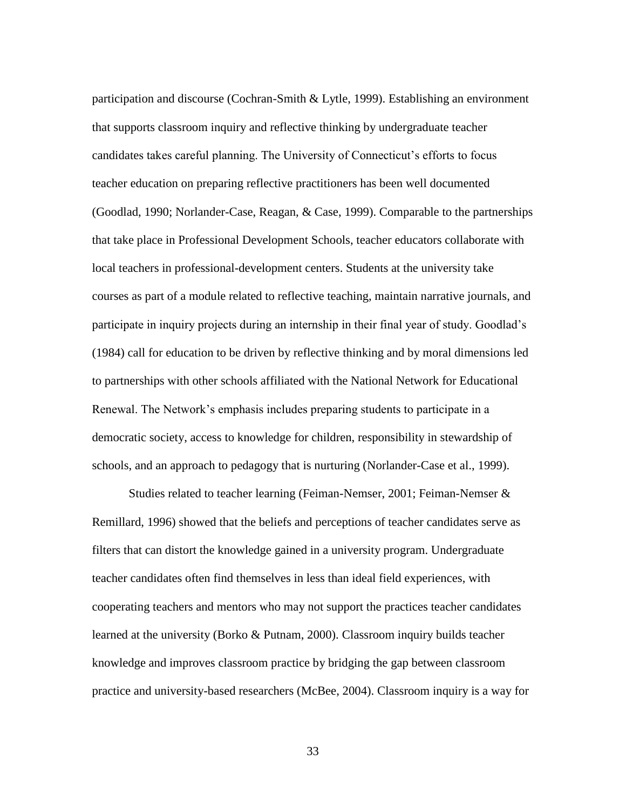participation and discourse (Cochran-Smith & Lytle, 1999). Establishing an environment that supports classroom inquiry and reflective thinking by undergraduate teacher candidates takes careful planning. The University of Connecticut's efforts to focus teacher education on preparing reflective practitioners has been well documented (Goodlad, 1990; Norlander-Case, Reagan, & Case, 1999). Comparable to the partnerships that take place in Professional Development Schools, teacher educators collaborate with local teachers in professional-development centers. Students at the university take courses as part of a module related to reflective teaching, maintain narrative journals, and participate in inquiry projects during an internship in their final year of study. Goodlad's (1984) call for education to be driven by reflective thinking and by moral dimensions led to partnerships with other schools affiliated with the National Network for Educational Renewal. The Network's emphasis includes preparing students to participate in a democratic society, access to knowledge for children, responsibility in stewardship of schools, and an approach to pedagogy that is nurturing (Norlander-Case et al., 1999).

Studies related to teacher learning (Feiman-Nemser, 2001; Feiman-Nemser & Remillard, 1996) showed that the beliefs and perceptions of teacher candidates serve as filters that can distort the knowledge gained in a university program. Undergraduate teacher candidates often find themselves in less than ideal field experiences, with cooperating teachers and mentors who may not support the practices teacher candidates learned at the university (Borko & Putnam, 2000). Classroom inquiry builds teacher knowledge and improves classroom practice by bridging the gap between classroom practice and university-based researchers (McBee, 2004). Classroom inquiry is a way for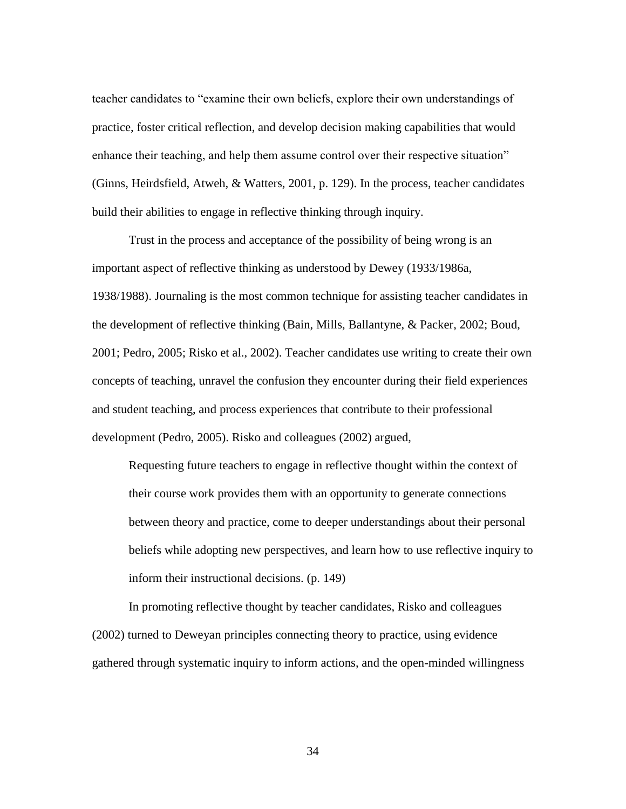teacher candidates to "examine their own beliefs, explore their own understandings of practice, foster critical reflection, and develop decision making capabilities that would enhance their teaching, and help them assume control over their respective situation" (Ginns, Heirdsfield, Atweh, & Watters, 2001, p. 129). In the process, teacher candidates build their abilities to engage in reflective thinking through inquiry.

Trust in the process and acceptance of the possibility of being wrong is an important aspect of reflective thinking as understood by Dewey (1933/1986a, 1938/1988). Journaling is the most common technique for assisting teacher candidates in the development of reflective thinking (Bain, Mills, Ballantyne, & Packer, 2002; Boud, 2001; Pedro, 2005; Risko et al., 2002). Teacher candidates use writing to create their own concepts of teaching, unravel the confusion they encounter during their field experiences and student teaching, and process experiences that contribute to their professional development (Pedro, 2005). Risko and colleagues (2002) argued,

Requesting future teachers to engage in reflective thought within the context of their course work provides them with an opportunity to generate connections between theory and practice, come to deeper understandings about their personal beliefs while adopting new perspectives, and learn how to use reflective inquiry to inform their instructional decisions. (p. 149)

In promoting reflective thought by teacher candidates, Risko and colleagues (2002) turned to Deweyan principles connecting theory to practice, using evidence gathered through systematic inquiry to inform actions, and the open-minded willingness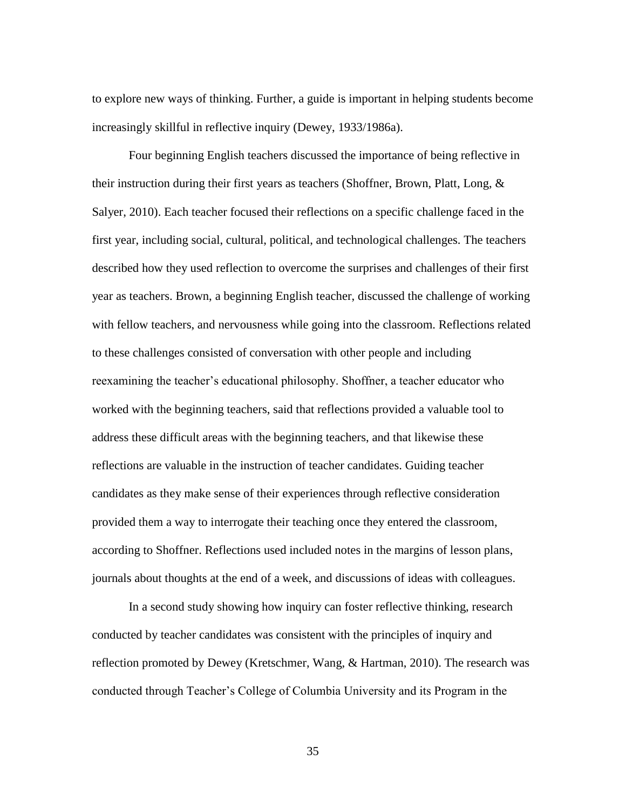to explore new ways of thinking. Further, a guide is important in helping students become increasingly skillful in reflective inquiry (Dewey, 1933/1986a).

Four beginning English teachers discussed the importance of being reflective in their instruction during their first years as teachers (Shoffner, Brown, Platt, Long,  $\&$ Salyer, 2010). Each teacher focused their reflections on a specific challenge faced in the first year, including social, cultural, political, and technological challenges. The teachers described how they used reflection to overcome the surprises and challenges of their first year as teachers. Brown, a beginning English teacher, discussed the challenge of working with fellow teachers, and nervousness while going into the classroom. Reflections related to these challenges consisted of conversation with other people and including reexamining the teacher's educational philosophy. Shoffner, a teacher educator who worked with the beginning teachers, said that reflections provided a valuable tool to address these difficult areas with the beginning teachers, and that likewise these reflections are valuable in the instruction of teacher candidates. Guiding teacher candidates as they make sense of their experiences through reflective consideration provided them a way to interrogate their teaching once they entered the classroom, according to Shoffner. Reflections used included notes in the margins of lesson plans, journals about thoughts at the end of a week, and discussions of ideas with colleagues.

In a second study showing how inquiry can foster reflective thinking, research conducted by teacher candidates was consistent with the principles of inquiry and reflection promoted by Dewey (Kretschmer, Wang, & Hartman, 2010). The research was conducted through Teacher's College of Columbia University and its Program in the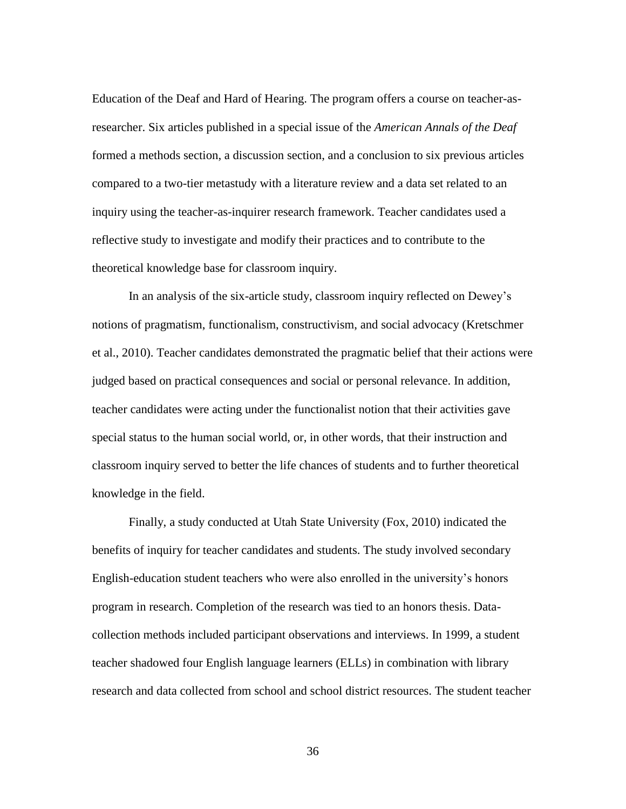Education of the Deaf and Hard of Hearing. The program offers a course on teacher-asresearcher. Six articles published in a special issue of the *American Annals of the Deaf* formed a methods section, a discussion section, and a conclusion to six previous articles compared to a two-tier metastudy with a literature review and a data set related to an inquiry using the teacher-as-inquirer research framework. Teacher candidates used a reflective study to investigate and modify their practices and to contribute to the theoretical knowledge base for classroom inquiry.

In an analysis of the six-article study, classroom inquiry reflected on Dewey's notions of pragmatism, functionalism, constructivism, and social advocacy (Kretschmer et al., 2010). Teacher candidates demonstrated the pragmatic belief that their actions were judged based on practical consequences and social or personal relevance. In addition, teacher candidates were acting under the functionalist notion that their activities gave special status to the human social world, or, in other words, that their instruction and classroom inquiry served to better the life chances of students and to further theoretical knowledge in the field.

Finally, a study conducted at Utah State University (Fox, 2010) indicated the benefits of inquiry for teacher candidates and students. The study involved secondary English-education student teachers who were also enrolled in the university's honors program in research. Completion of the research was tied to an honors thesis. Datacollection methods included participant observations and interviews. In 1999, a student teacher shadowed four English language learners (ELLs) in combination with library research and data collected from school and school district resources. The student teacher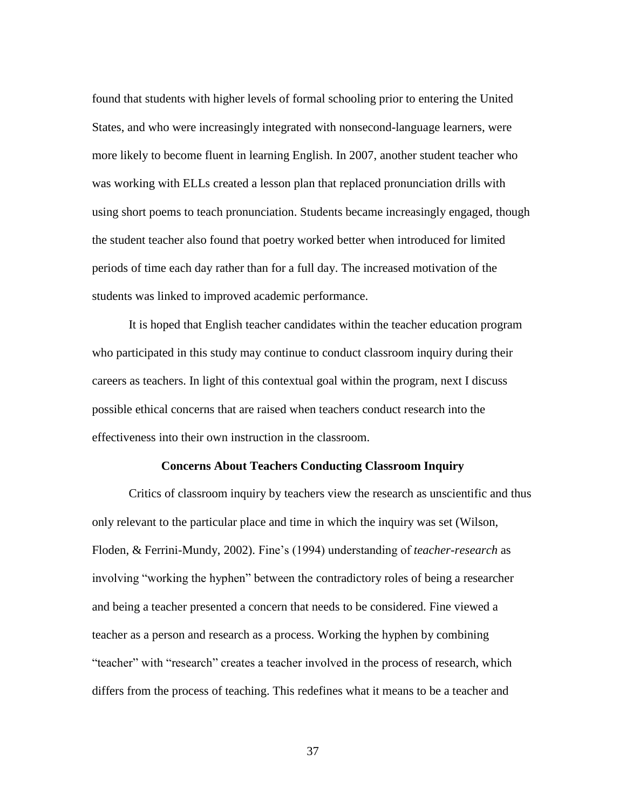found that students with higher levels of formal schooling prior to entering the United States, and who were increasingly integrated with nonsecond-language learners, were more likely to become fluent in learning English. In 2007, another student teacher who was working with ELLs created a lesson plan that replaced pronunciation drills with using short poems to teach pronunciation. Students became increasingly engaged, though the student teacher also found that poetry worked better when introduced for limited periods of time each day rather than for a full day. The increased motivation of the students was linked to improved academic performance.

It is hoped that English teacher candidates within the teacher education program who participated in this study may continue to conduct classroom inquiry during their careers as teachers. In light of this contextual goal within the program, next I discuss possible ethical concerns that are raised when teachers conduct research into the effectiveness into their own instruction in the classroom.

### **Concerns About Teachers Conducting Classroom Inquiry**

Critics of classroom inquiry by teachers view the research as unscientific and thus only relevant to the particular place and time in which the inquiry was set (Wilson, Floden, & Ferrini-Mundy, 2002). Fine's (1994) understanding of *teacher-research* as involving "working the hyphen" between the contradictory roles of being a researcher and being a teacher presented a concern that needs to be considered. Fine viewed a teacher as a person and research as a process. Working the hyphen by combining "teacher" with "research" creates a teacher involved in the process of research, which differs from the process of teaching. This redefines what it means to be a teacher and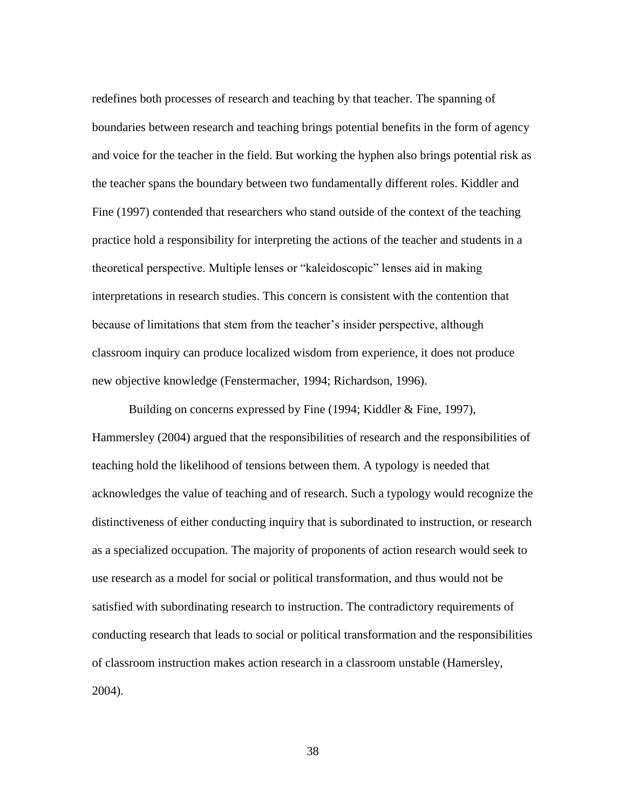redefines both processes of research and teaching by that teacher. The spanning of boundaries between research and teaching brings potential benefits in the form of agency and voice for the teacher in the field. But working the hyphen also brings potential risk as the teacher spans the boundary between two fundamentally different roles. Kiddler and Fine (1997) contended that researchers who stand outside of the context of the teaching practice hold a responsibility for interpreting the actions of the teacher and students in a theoretical perspective. Multiple lenses or "kaleidoscopic" lenses aid in making interpretations in research studies. This concern is consistent with the contention that because of limitations that stem from the teacher's insider perspective, although classroom inquiry can produce localized wisdom from experience, it does not produce new objective knowledge (Fenstermacher, 1994; Richardson, 1996).

Building on concerns expressed by Fine (1994; Kiddler & Fine, 1997), Hammersley (2004) argued that the responsibilities of research and the responsibilities of teaching hold the likelihood of tensions between them. A typology is needed that acknowledges the value of teaching and of research. Such a typology would recognize the distinctiveness of either conducting inquiry that is subordinated to instruction, or research as a specialized occupation. The majority of proponents of action research would seek to use research as a model for social or political transformation, and thus would not be satisfied with subordinating research to instruction. The contradictory requirements of conducting research that leads to social or political transformation and the responsibilities of classroom instruction makes action research in a classroom unstable (Hamersley, 2004).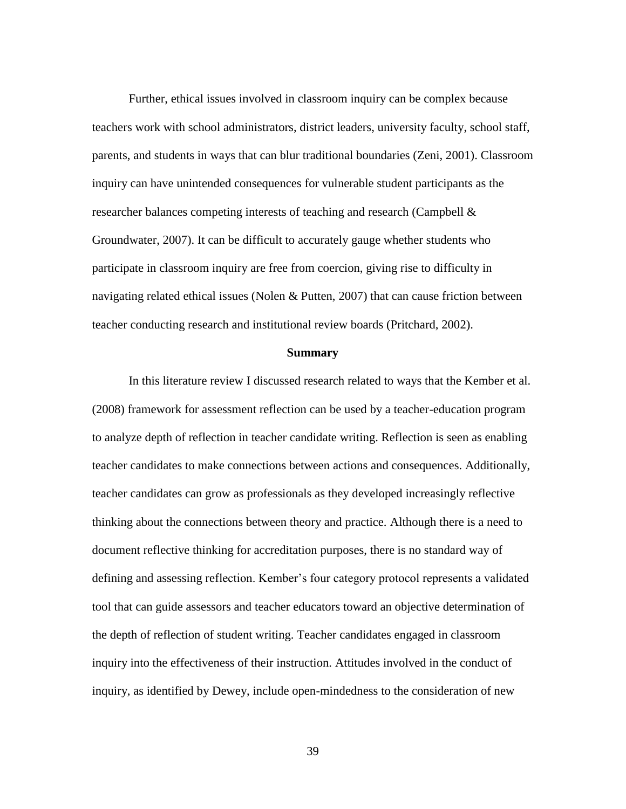Further, ethical issues involved in classroom inquiry can be complex because teachers work with school administrators, district leaders, university faculty, school staff, parents, and students in ways that can blur traditional boundaries (Zeni, 2001). Classroom inquiry can have unintended consequences for vulnerable student participants as the researcher balances competing interests of teaching and research (Campbell & Groundwater, 2007). It can be difficult to accurately gauge whether students who participate in classroom inquiry are free from coercion, giving rise to difficulty in navigating related ethical issues (Nolen & Putten, 2007) that can cause friction between teacher conducting research and institutional review boards (Pritchard, 2002).

### **Summary**

In this literature review I discussed research related to ways that the Kember et al. (2008) framework for assessment reflection can be used by a teacher-education program to analyze depth of reflection in teacher candidate writing. Reflection is seen as enabling teacher candidates to make connections between actions and consequences. Additionally, teacher candidates can grow as professionals as they developed increasingly reflective thinking about the connections between theory and practice. Although there is a need to document reflective thinking for accreditation purposes, there is no standard way of defining and assessing reflection. Kember's four category protocol represents a validated tool that can guide assessors and teacher educators toward an objective determination of the depth of reflection of student writing. Teacher candidates engaged in classroom inquiry into the effectiveness of their instruction. Attitudes involved in the conduct of inquiry, as identified by Dewey, include open-mindedness to the consideration of new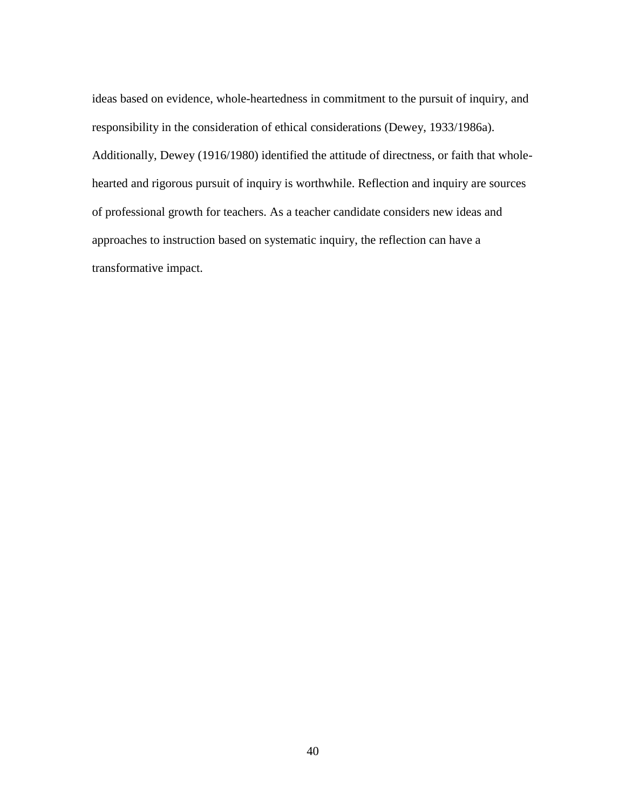ideas based on evidence, whole-heartedness in commitment to the pursuit of inquiry, and responsibility in the consideration of ethical considerations (Dewey, 1933/1986a). Additionally, Dewey (1916/1980) identified the attitude of directness, or faith that wholehearted and rigorous pursuit of inquiry is worthwhile. Reflection and inquiry are sources of professional growth for teachers. As a teacher candidate considers new ideas and approaches to instruction based on systematic inquiry, the reflection can have a transformative impact.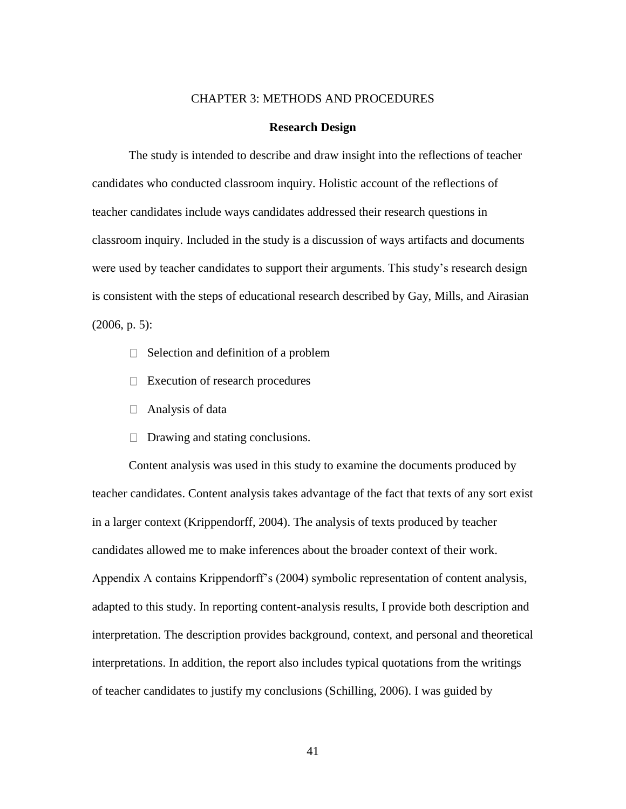## CHAPTER 3: METHODS AND PROCEDURES

### **Research Design**

The study is intended to describe and draw insight into the reflections of teacher candidates who conducted classroom inquiry. Holistic account of the reflections of teacher candidates include ways candidates addressed their research questions in classroom inquiry. Included in the study is a discussion of ways artifacts and documents were used by teacher candidates to support their arguments. This study's research design is consistent with the steps of educational research described by Gay, Mills, and Airasian  $(2006, p. 5)$ :

- $\Box$  Selection and definition of a problem
- $\Box$  Execution of research procedures
- $\Box$  Analysis of data
- $\Box$  Drawing and stating conclusions.

Content analysis was used in this study to examine the documents produced by teacher candidates. Content analysis takes advantage of the fact that texts of any sort exist in a larger context (Krippendorff, 2004). The analysis of texts produced by teacher candidates allowed me to make inferences about the broader context of their work. Appendix A contains Krippendorff's (2004) symbolic representation of content analysis, adapted to this study. In reporting content-analysis results, I provide both description and interpretation. The description provides background, context, and personal and theoretical interpretations. In addition, the report also includes typical quotations from the writings of teacher candidates to justify my conclusions (Schilling, 2006). I was guided by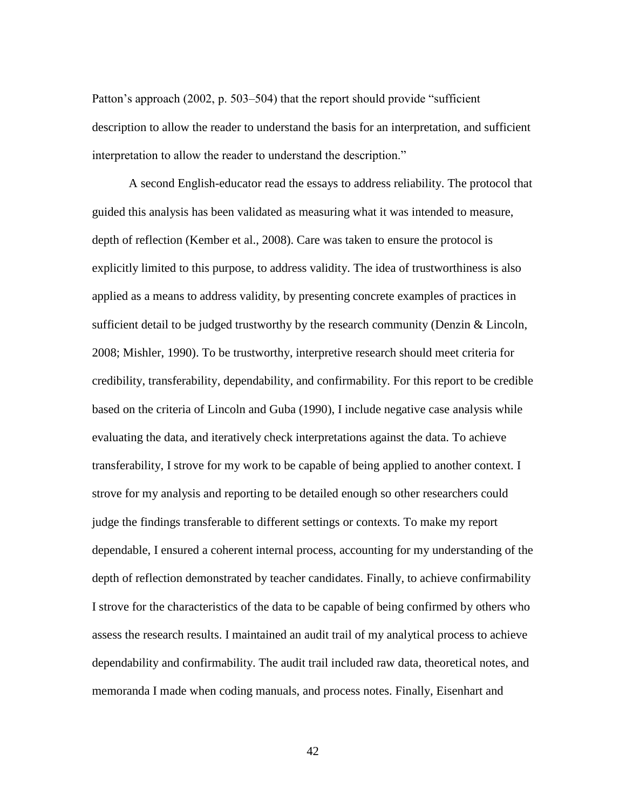Patton's approach (2002, p. 503–504) that the report should provide "sufficient" description to allow the reader to understand the basis for an interpretation, and sufficient interpretation to allow the reader to understand the description."

A second English-educator read the essays to address reliability. The protocol that guided this analysis has been validated as measuring what it was intended to measure, depth of reflection (Kember et al., 2008). Care was taken to ensure the protocol is explicitly limited to this purpose, to address validity. The idea of trustworthiness is also applied as a means to address validity, by presenting concrete examples of practices in sufficient detail to be judged trustworthy by the research community (Denzin & Lincoln, 2008; Mishler, 1990). To be trustworthy, interpretive research should meet criteria for credibility, transferability, dependability, and confirmability. For this report to be credible based on the criteria of Lincoln and Guba (1990), I include negative case analysis while evaluating the data, and iteratively check interpretations against the data. To achieve transferability, I strove for my work to be capable of being applied to another context. I strove for my analysis and reporting to be detailed enough so other researchers could judge the findings transferable to different settings or contexts. To make my report dependable, I ensured a coherent internal process, accounting for my understanding of the depth of reflection demonstrated by teacher candidates. Finally, to achieve confirmability I strove for the characteristics of the data to be capable of being confirmed by others who assess the research results. I maintained an audit trail of my analytical process to achieve dependability and confirmability. The audit trail included raw data, theoretical notes, and memoranda I made when coding manuals, and process notes. Finally, Eisenhart and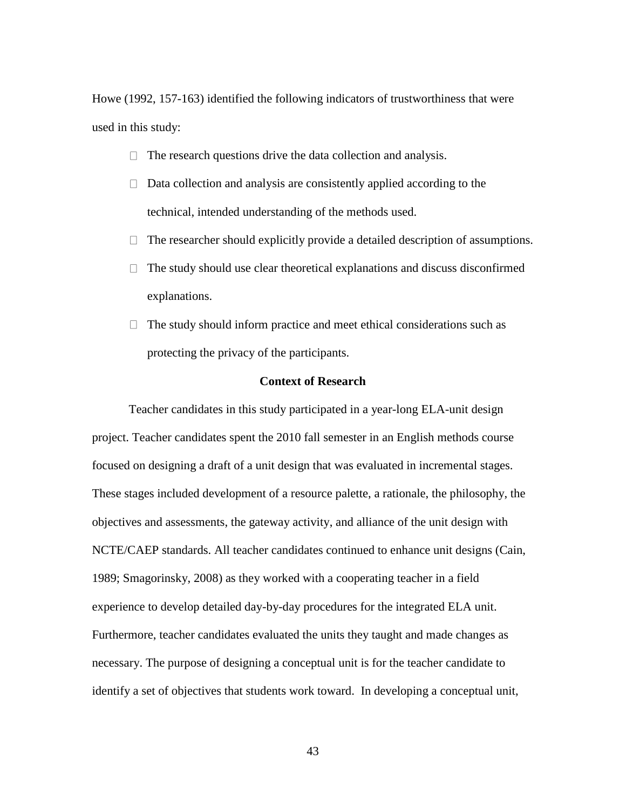Howe (1992, 157-163) identified the following indicators of trustworthiness that were used in this study:

- $\Box$  The research questions drive the data collection and analysis.
- $\Box$  Data collection and analysis are consistently applied according to the technical, intended understanding of the methods used.
- $\Box$  The researcher should explicitly provide a detailed description of assumptions.
- $\Box$  The study should use clear theoretical explanations and discuss disconfirmed explanations.
- $\Box$  The study should inform practice and meet ethical considerations such as protecting the privacy of the participants.

## **Context of Research**

Teacher candidates in this study participated in a year-long ELA-unit design project. Teacher candidates spent the 2010 fall semester in an English methods course focused on designing a draft of a unit design that was evaluated in incremental stages. These stages included development of a resource palette, a rationale, the philosophy, the objectives and assessments, the gateway activity, and alliance of the unit design with NCTE/CAEP standards. All teacher candidates continued to enhance unit designs (Cain, 1989; Smagorinsky, 2008) as they worked with a cooperating teacher in a field experience to develop detailed day-by-day procedures for the integrated ELA unit. Furthermore, teacher candidates evaluated the units they taught and made changes as necessary. The purpose of designing a conceptual unit is for the teacher candidate to identify a set of objectives that students work toward. In developing a conceptual unit,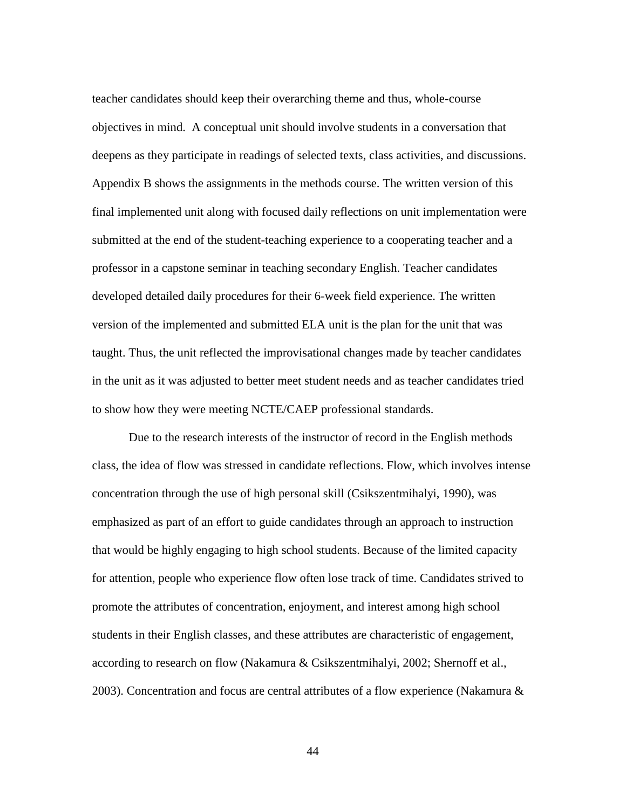teacher candidates should keep their overarching theme and thus, whole-course objectives in mind. A conceptual unit should involve students in a conversation that deepens as they participate in readings of selected texts, class activities, and discussions. Appendix B shows the assignments in the methods course. The written version of this final implemented unit along with focused daily reflections on unit implementation were submitted at the end of the student-teaching experience to a cooperating teacher and a professor in a capstone seminar in teaching secondary English. Teacher candidates developed detailed daily procedures for their 6-week field experience. The written version of the implemented and submitted ELA unit is the plan for the unit that was taught. Thus, the unit reflected the improvisational changes made by teacher candidates in the unit as it was adjusted to better meet student needs and as teacher candidates tried to show how they were meeting NCTE/CAEP professional standards.

Due to the research interests of the instructor of record in the English methods class, the idea of flow was stressed in candidate reflections. Flow, which involves intense concentration through the use of high personal skill (Csikszentmihalyi, 1990), was emphasized as part of an effort to guide candidates through an approach to instruction that would be highly engaging to high school students. Because of the limited capacity for attention, people who experience flow often lose track of time. Candidates strived to promote the attributes of concentration, enjoyment, and interest among high school students in their English classes, and these attributes are characteristic of engagement, according to research on flow (Nakamura & Csikszentmihalyi, 2002; Shernoff et al., 2003). Concentration and focus are central attributes of a flow experience (Nakamura &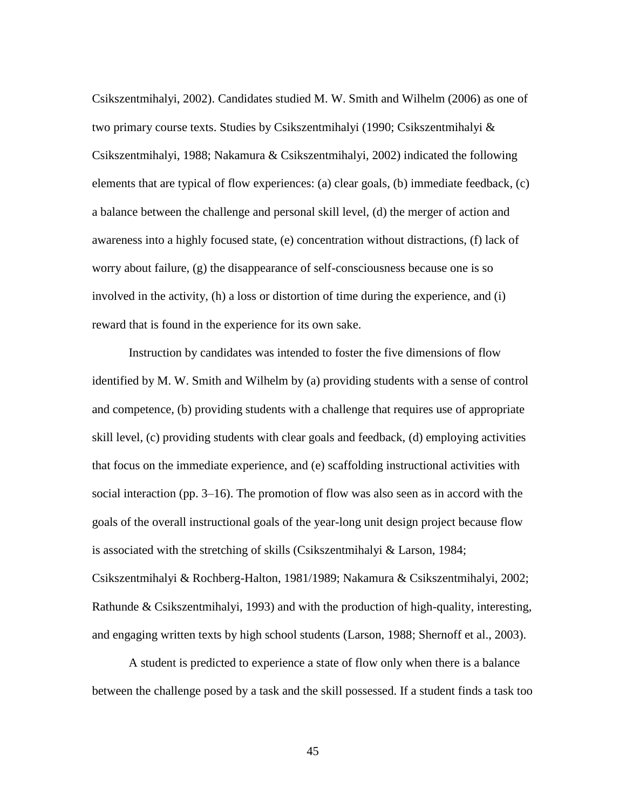Csikszentmihalyi, 2002). Candidates studied M. W. Smith and Wilhelm (2006) as one of two primary course texts. Studies by Csikszentmihalyi (1990; Csikszentmihalyi & Csikszentmihalyi, 1988; Nakamura & Csikszentmihalyi, 2002) indicated the following elements that are typical of flow experiences: (a) clear goals, (b) immediate feedback, (c) a balance between the challenge and personal skill level, (d) the merger of action and awareness into a highly focused state, (e) concentration without distractions, (f) lack of worry about failure, (g) the disappearance of self-consciousness because one is so involved in the activity, (h) a loss or distortion of time during the experience, and (i) reward that is found in the experience for its own sake.

Instruction by candidates was intended to foster the five dimensions of flow identified by M. W. Smith and Wilhelm by (a) providing students with a sense of control and competence, (b) providing students with a challenge that requires use of appropriate skill level, (c) providing students with clear goals and feedback, (d) employing activities that focus on the immediate experience, and (e) scaffolding instructional activities with social interaction (pp. 3–16). The promotion of flow was also seen as in accord with the goals of the overall instructional goals of the year-long unit design project because flow is associated with the stretching of skills (Csikszentmihalyi & Larson, 1984; Csikszentmihalyi & Rochberg-Halton, 1981/1989; Nakamura & Csikszentmihalyi, 2002; Rathunde & Csikszentmihalyi, 1993) and with the production of high-quality, interesting, and engaging written texts by high school students (Larson, 1988; Shernoff et al., 2003).

A student is predicted to experience a state of flow only when there is a balance between the challenge posed by a task and the skill possessed. If a student finds a task too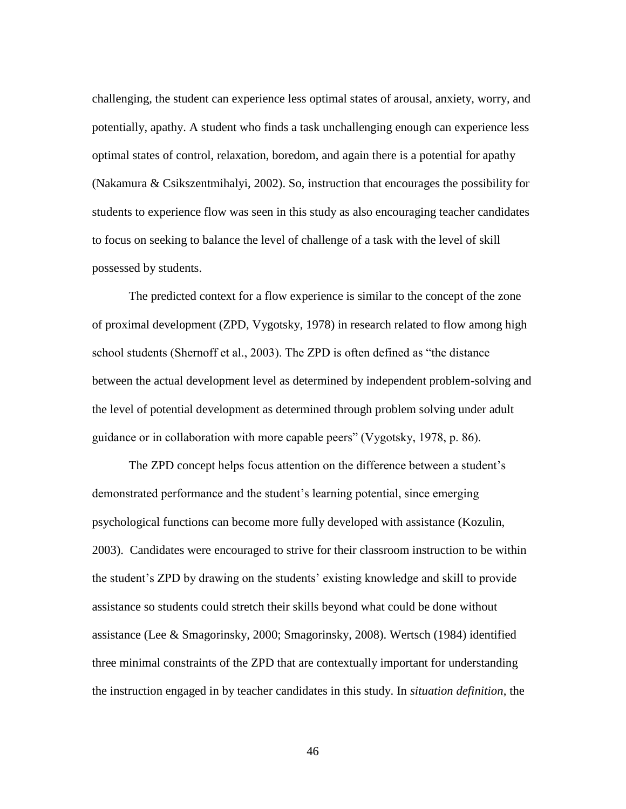challenging, the student can experience less optimal states of arousal, anxiety, worry, and potentially, apathy. A student who finds a task unchallenging enough can experience less optimal states of control, relaxation, boredom, and again there is a potential for apathy (Nakamura & Csikszentmihalyi, 2002). So, instruction that encourages the possibility for students to experience flow was seen in this study as also encouraging teacher candidates to focus on seeking to balance the level of challenge of a task with the level of skill possessed by students.

The predicted context for a flow experience is similar to the concept of the zone of proximal development (ZPD, Vygotsky, 1978) in research related to flow among high school students (Shernoff et al., 2003). The ZPD is often defined as "the distance between the actual development level as determined by independent problem-solving and the level of potential development as determined through problem solving under adult guidance or in collaboration with more capable peers" (Vygotsky, 1978, p. 86).

The ZPD concept helps focus attention on the difference between a student's demonstrated performance and the student's learning potential, since emerging psychological functions can become more fully developed with assistance (Kozulin, 2003). Candidates were encouraged to strive for their classroom instruction to be within the student's ZPD by drawing on the students' existing knowledge and skill to provide assistance so students could stretch their skills beyond what could be done without assistance (Lee & Smagorinsky, 2000; Smagorinsky, 2008). Wertsch (1984) identified three minimal constraints of the ZPD that are contextually important for understanding the instruction engaged in by teacher candidates in this study. In *situation definition*, the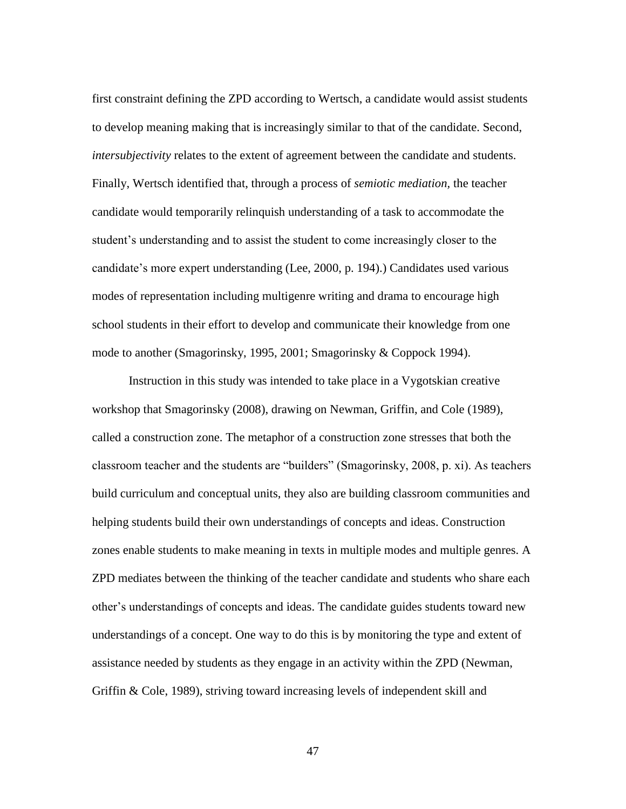first constraint defining the ZPD according to Wertsch, a candidate would assist students to develop meaning making that is increasingly similar to that of the candidate. Second, *intersubjectivity* relates to the extent of agreement between the candidate and students. Finally, Wertsch identified that, through a process of *semiotic mediation,* the teacher candidate would temporarily relinquish understanding of a task to accommodate the student's understanding and to assist the student to come increasingly closer to the candidate's more expert understanding (Lee, 2000, p. 194).) Candidates used various modes of representation including multigenre writing and drama to encourage high school students in their effort to develop and communicate their knowledge from one mode to another (Smagorinsky, 1995, 2001; Smagorinsky & Coppock 1994).

Instruction in this study was intended to take place in a Vygotskian creative workshop that Smagorinsky (2008), drawing on Newman, Griffin, and Cole (1989), called a construction zone. The metaphor of a construction zone stresses that both the classroom teacher and the students are "builders" (Smagorinsky, 2008, p. xi). As teachers build curriculum and conceptual units, they also are building classroom communities and helping students build their own understandings of concepts and ideas. Construction zones enable students to make meaning in texts in multiple modes and multiple genres. A ZPD mediates between the thinking of the teacher candidate and students who share each other's understandings of concepts and ideas. The candidate guides students toward new understandings of a concept. One way to do this is by monitoring the type and extent of assistance needed by students as they engage in an activity within the ZPD (Newman, Griffin & Cole, 1989), striving toward increasing levels of independent skill and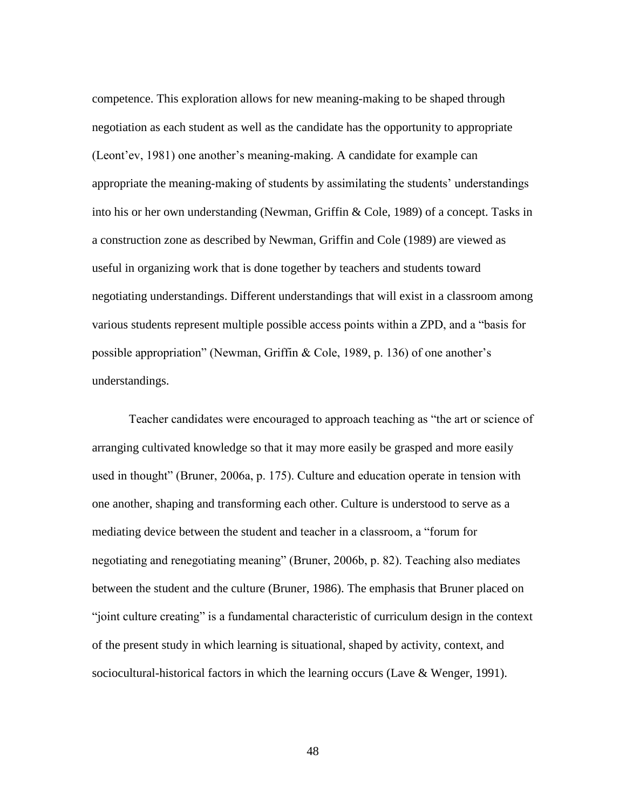competence. This exploration allows for new meaning-making to be shaped through negotiation as each student as well as the candidate has the opportunity to appropriate (Leont'ev, 1981) one another's meaning-making. A candidate for example can appropriate the meaning-making of students by assimilating the students' understandings into his or her own understanding (Newman, Griffin & Cole, 1989) of a concept. Tasks in a construction zone as described by Newman, Griffin and Cole (1989) are viewed as useful in organizing work that is done together by teachers and students toward negotiating understandings. Different understandings that will exist in a classroom among various students represent multiple possible access points within a ZPD, and a "basis for possible appropriation" (Newman, Griffin & Cole, 1989, p. 136) of one another's understandings.

Teacher candidates were encouraged to approach teaching as "the art or science of arranging cultivated knowledge so that it may more easily be grasped and more easily used in thought" (Bruner, 2006a, p. 175). Culture and education operate in tension with one another, shaping and transforming each other. Culture is understood to serve as a mediating device between the student and teacher in a classroom, a "forum for negotiating and renegotiating meaning" (Bruner, 2006b, p. 82). Teaching also mediates between the student and the culture (Bruner, 1986). The emphasis that Bruner placed on "joint culture creating" is a fundamental characteristic of curriculum design in the context of the present study in which learning is situational, shaped by activity, context, and sociocultural-historical factors in which the learning occurs (Lave & Wenger, 1991).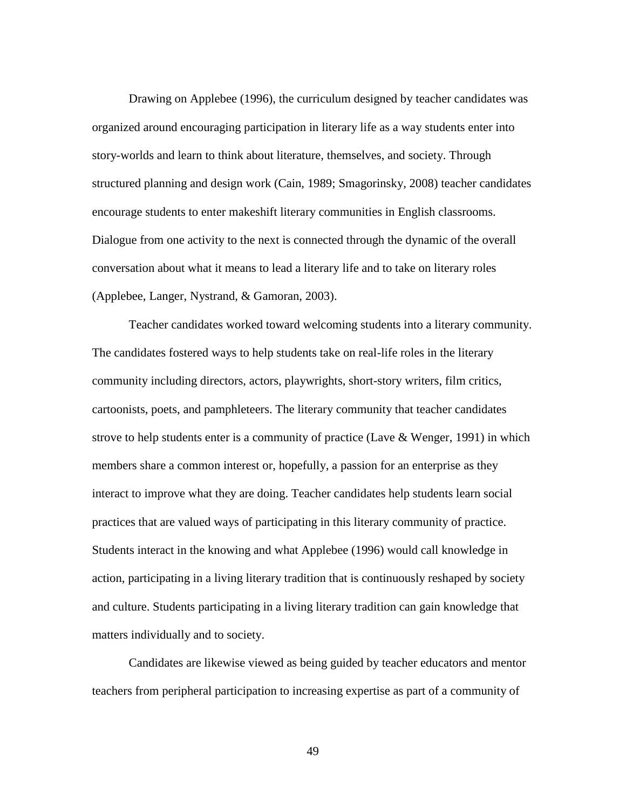Drawing on Applebee (1996), the curriculum designed by teacher candidates was organized around encouraging participation in literary life as a way students enter into story-worlds and learn to think about literature, themselves, and society. Through structured planning and design work (Cain, 1989; Smagorinsky, 2008) teacher candidates encourage students to enter makeshift literary communities in English classrooms. Dialogue from one activity to the next is connected through the dynamic of the overall conversation about what it means to lead a literary life and to take on literary roles (Applebee, Langer, Nystrand, & Gamoran, 2003).

Teacher candidates worked toward welcoming students into a literary community. The candidates fostered ways to help students take on real-life roles in the literary community including directors, actors, playwrights, short-story writers, film critics, cartoonists, poets, and pamphleteers. The literary community that teacher candidates strove to help students enter is a community of practice (Lave & Wenger, 1991) in which members share a common interest or, hopefully, a passion for an enterprise as they interact to improve what they are doing. Teacher candidates help students learn social practices that are valued ways of participating in this literary community of practice. Students interact in the knowing and what Applebee (1996) would call knowledge in action, participating in a living literary tradition that is continuously reshaped by society and culture. Students participating in a living literary tradition can gain knowledge that matters individually and to society.

Candidates are likewise viewed as being guided by teacher educators and mentor teachers from peripheral participation to increasing expertise as part of a community of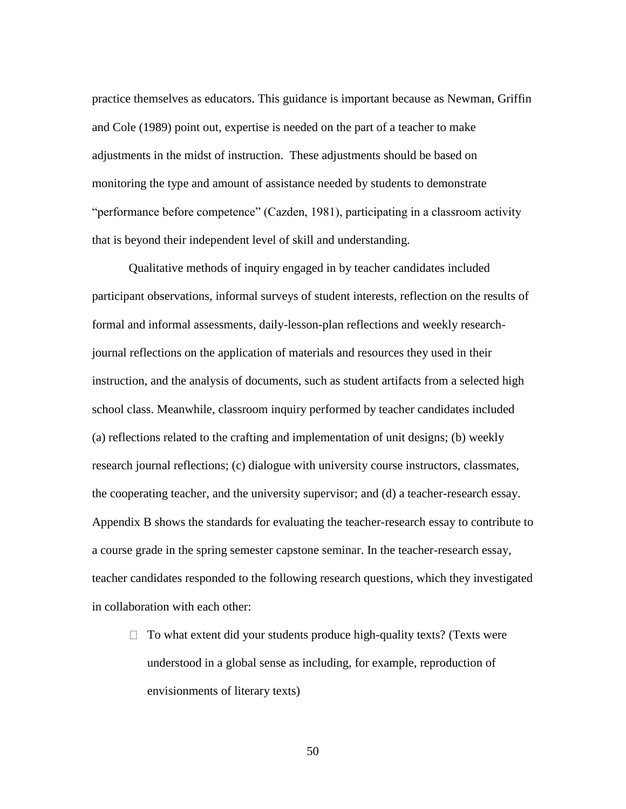practice themselves as educators. This guidance is important because as Newman, Griffin and Cole (1989) point out, expertise is needed on the part of a teacher to make adjustments in the midst of instruction. These adjustments should be based on monitoring the type and amount of assistance needed by students to demonstrate "performance before competence" (Cazden, 1981), participating in a classroom activity that is beyond their independent level of skill and understanding.

Qualitative methods of inquiry engaged in by teacher candidates included participant observations, informal surveys of student interests, reflection on the results of formal and informal assessments, daily-lesson-plan reflections and weekly researchjournal reflections on the application of materials and resources they used in their instruction, and the analysis of documents, such as student artifacts from a selected high school class. Meanwhile, classroom inquiry performed by teacher candidates included (a) reflections related to the crafting and implementation of unit designs; (b) weekly research journal reflections; (c) dialogue with university course instructors, classmates, the cooperating teacher, and the university supervisor; and (d) a teacher-research essay. Appendix B shows the standards for evaluating the teacher-research essay to contribute to a course grade in the spring semester capstone seminar. In the teacher-research essay, teacher candidates responded to the following research questions, which they investigated in collaboration with each other:

 $\Box$  To what extent did your students produce high-quality texts? (Texts were understood in a global sense as including, for example, reproduction of envisionments of literary texts)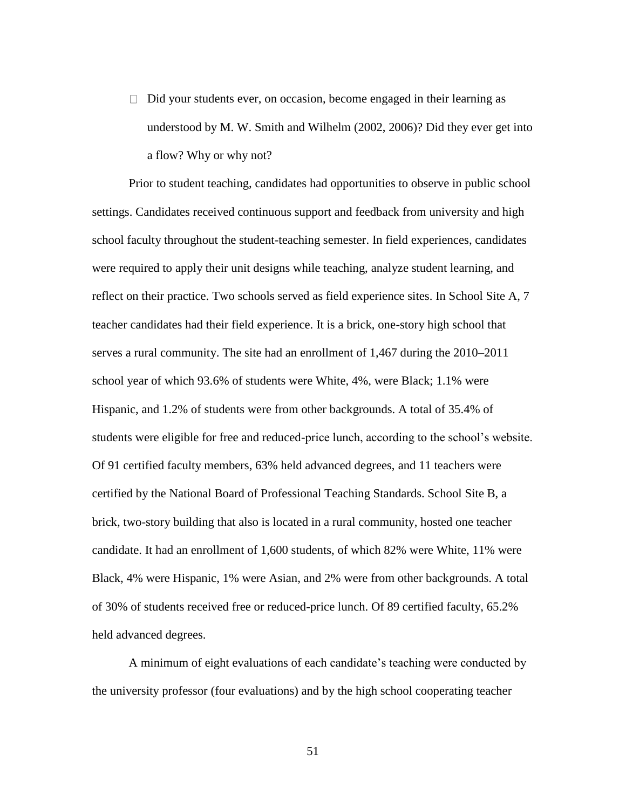$\Box$  Did your students ever, on occasion, become engaged in their learning as understood by M. W. Smith and Wilhelm (2002, 2006)? Did they ever get into a flow? Why or why not?

Prior to student teaching, candidates had opportunities to observe in public school settings. Candidates received continuous support and feedback from university and high school faculty throughout the student-teaching semester. In field experiences, candidates were required to apply their unit designs while teaching, analyze student learning, and reflect on their practice. Two schools served as field experience sites. In School Site A, 7 teacher candidates had their field experience. It is a brick, one-story high school that serves a rural community. The site had an enrollment of 1,467 during the 2010–2011 school year of which 93.6% of students were White, 4%, were Black; 1.1% were Hispanic, and 1.2% of students were from other backgrounds. A total of 35.4% of students were eligible for free and reduced-price lunch, according to the school's website. Of 91 certified faculty members, 63% held advanced degrees, and 11 teachers were certified by the National Board of Professional Teaching Standards. School Site B, a brick, two-story building that also is located in a rural community, hosted one teacher candidate. It had an enrollment of 1,600 students, of which 82% were White, 11% were Black, 4% were Hispanic, 1% were Asian, and 2% were from other backgrounds. A total of 30% of students received free or reduced-price lunch. Of 89 certified faculty, 65.2% held advanced degrees.

A minimum of eight evaluations of each candidate's teaching were conducted by the university professor (four evaluations) and by the high school cooperating teacher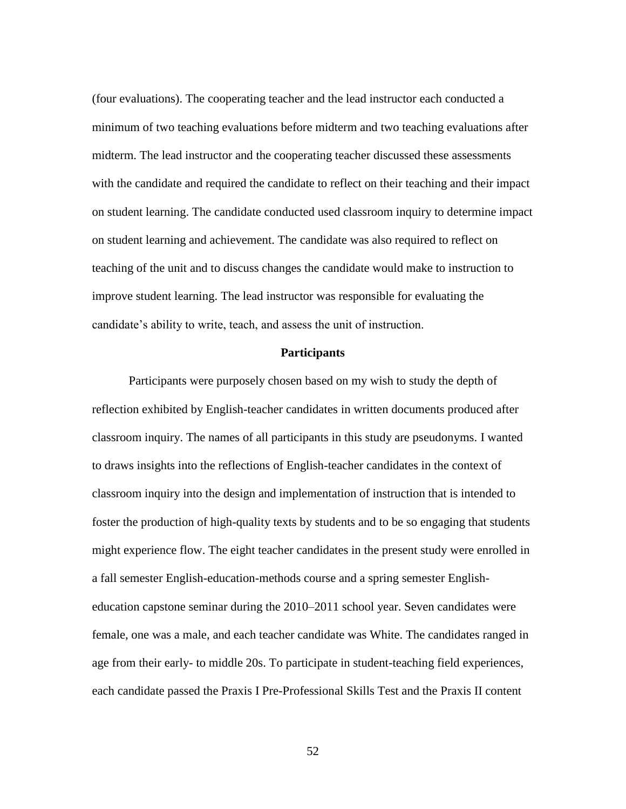(four evaluations). The cooperating teacher and the lead instructor each conducted a minimum of two teaching evaluations before midterm and two teaching evaluations after midterm. The lead instructor and the cooperating teacher discussed these assessments with the candidate and required the candidate to reflect on their teaching and their impact on student learning. The candidate conducted used classroom inquiry to determine impact on student learning and achievement. The candidate was also required to reflect on teaching of the unit and to discuss changes the candidate would make to instruction to improve student learning. The lead instructor was responsible for evaluating the candidate's ability to write, teach, and assess the unit of instruction.

### **Participants**

Participants were purposely chosen based on my wish to study the depth of reflection exhibited by English-teacher candidates in written documents produced after classroom inquiry. The names of all participants in this study are pseudonyms. I wanted to draws insights into the reflections of English-teacher candidates in the context of classroom inquiry into the design and implementation of instruction that is intended to foster the production of high-quality texts by students and to be so engaging that students might experience flow. The eight teacher candidates in the present study were enrolled in a fall semester English-education-methods course and a spring semester Englisheducation capstone seminar during the 2010–2011 school year. Seven candidates were female, one was a male, and each teacher candidate was White. The candidates ranged in age from their early- to middle 20s. To participate in student-teaching field experiences, each candidate passed the Praxis I Pre-Professional Skills Test and the Praxis II content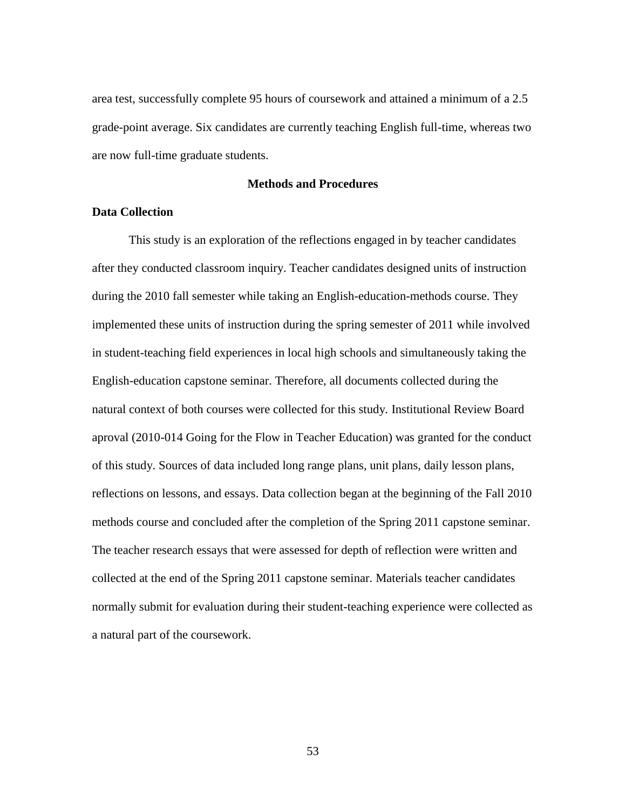area test, successfully complete 95 hours of coursework and attained a minimum of a 2.5 grade-point average. Six candidates are currently teaching English full-time, whereas two are now full-time graduate students.

## **Methods and Procedures**

## **Data Collection**

This study is an exploration of the reflections engaged in by teacher candidates after they conducted classroom inquiry. Teacher candidates designed units of instruction during the 2010 fall semester while taking an English-education-methods course. They implemented these units of instruction during the spring semester of 2011 while involved in student-teaching field experiences in local high schools and simultaneously taking the English-education capstone seminar. Therefore, all documents collected during the natural context of both courses were collected for this study. Institutional Review Board aproval (2010-014 Going for the Flow in Teacher Education) was granted for the conduct of this study. Sources of data included long range plans, unit plans, daily lesson plans, reflections on lessons, and essays. Data collection began at the beginning of the Fall 2010 methods course and concluded after the completion of the Spring 2011 capstone seminar. The teacher research essays that were assessed for depth of reflection were written and collected at the end of the Spring 2011 capstone seminar. Materials teacher candidates normally submit for evaluation during their student-teaching experience were collected as a natural part of the coursework.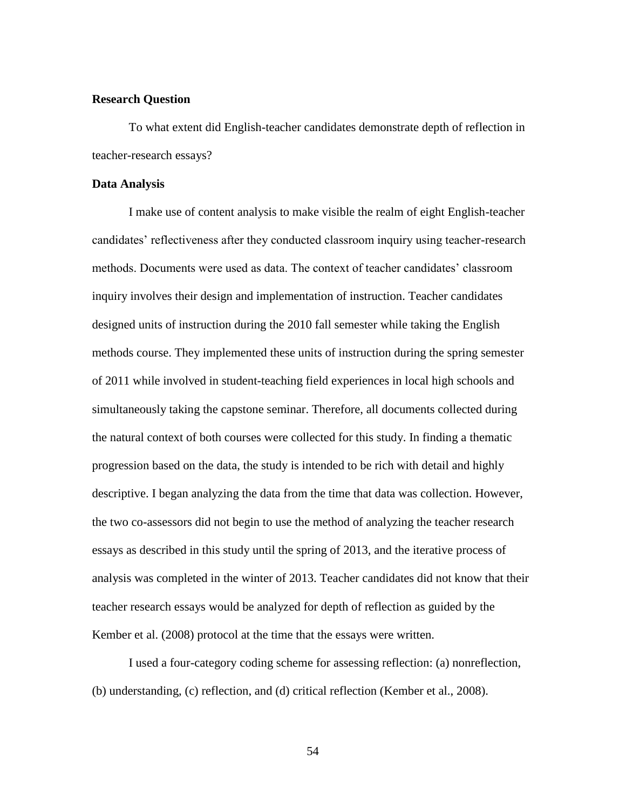### **Research Question**

To what extent did English-teacher candidates demonstrate depth of reflection in teacher-research essays?

#### **Data Analysis**

I make use of content analysis to make visible the realm of eight English-teacher candidates' reflectiveness after they conducted classroom inquiry using teacher-research methods. Documents were used as data. The context of teacher candidates' classroom inquiry involves their design and implementation of instruction. Teacher candidates designed units of instruction during the 2010 fall semester while taking the English methods course. They implemented these units of instruction during the spring semester of 2011 while involved in student-teaching field experiences in local high schools and simultaneously taking the capstone seminar. Therefore, all documents collected during the natural context of both courses were collected for this study. In finding a thematic progression based on the data, the study is intended to be rich with detail and highly descriptive. I began analyzing the data from the time that data was collection. However, the two co-assessors did not begin to use the method of analyzing the teacher research essays as described in this study until the spring of 2013, and the iterative process of analysis was completed in the winter of 2013. Teacher candidates did not know that their teacher research essays would be analyzed for depth of reflection as guided by the Kember et al. (2008) protocol at the time that the essays were written.

I used a four-category coding scheme for assessing reflection: (a) nonreflection, (b) understanding, (c) reflection, and (d) critical reflection (Kember et al., 2008).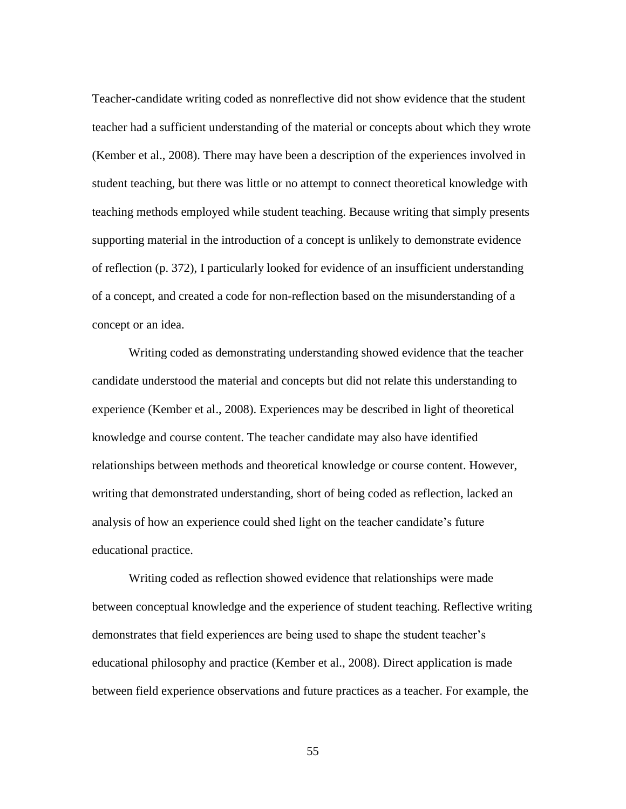Teacher-candidate writing coded as nonreflective did not show evidence that the student teacher had a sufficient understanding of the material or concepts about which they wrote (Kember et al., 2008). There may have been a description of the experiences involved in student teaching, but there was little or no attempt to connect theoretical knowledge with teaching methods employed while student teaching. Because writing that simply presents supporting material in the introduction of a concept is unlikely to demonstrate evidence of reflection (p. 372), I particularly looked for evidence of an insufficient understanding of a concept, and created a code for non-reflection based on the misunderstanding of a concept or an idea.

Writing coded as demonstrating understanding showed evidence that the teacher candidate understood the material and concepts but did not relate this understanding to experience (Kember et al., 2008). Experiences may be described in light of theoretical knowledge and course content. The teacher candidate may also have identified relationships between methods and theoretical knowledge or course content. However, writing that demonstrated understanding, short of being coded as reflection, lacked an analysis of how an experience could shed light on the teacher candidate's future educational practice.

Writing coded as reflection showed evidence that relationships were made between conceptual knowledge and the experience of student teaching. Reflective writing demonstrates that field experiences are being used to shape the student teacher's educational philosophy and practice (Kember et al., 2008). Direct application is made between field experience observations and future practices as a teacher. For example, the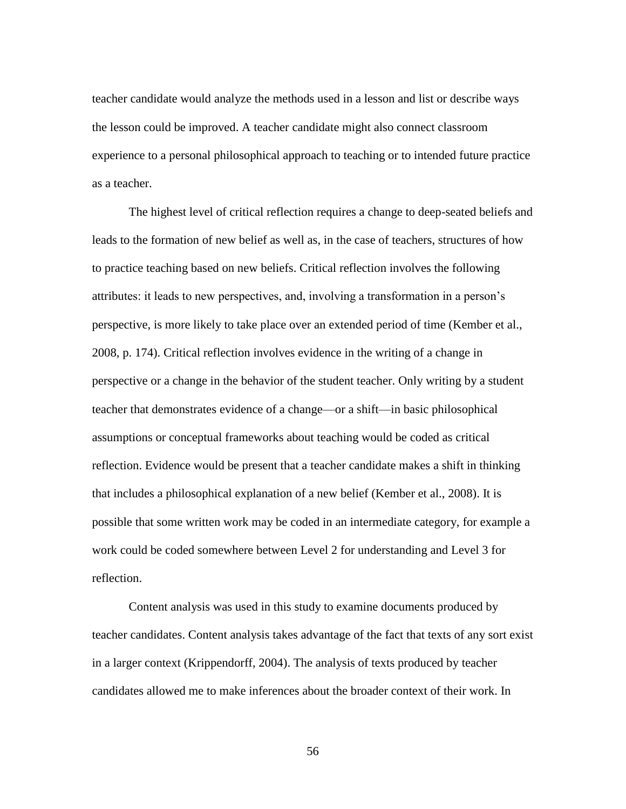teacher candidate would analyze the methods used in a lesson and list or describe ways the lesson could be improved. A teacher candidate might also connect classroom experience to a personal philosophical approach to teaching or to intended future practice as a teacher.

The highest level of critical reflection requires a change to deep-seated beliefs and leads to the formation of new belief as well as, in the case of teachers, structures of how to practice teaching based on new beliefs. Critical reflection involves the following attributes: it leads to new perspectives, and, involving a transformation in a person's perspective, is more likely to take place over an extended period of time (Kember et al., 2008, p. 174). Critical reflection involves evidence in the writing of a change in perspective or a change in the behavior of the student teacher. Only writing by a student teacher that demonstrates evidence of a change—or a shift—in basic philosophical assumptions or conceptual frameworks about teaching would be coded as critical reflection. Evidence would be present that a teacher candidate makes a shift in thinking that includes a philosophical explanation of a new belief (Kember et al., 2008). It is possible that some written work may be coded in an intermediate category, for example a work could be coded somewhere between Level 2 for understanding and Level 3 for reflection.

Content analysis was used in this study to examine documents produced by teacher candidates. Content analysis takes advantage of the fact that texts of any sort exist in a larger context (Krippendorff, 2004). The analysis of texts produced by teacher candidates allowed me to make inferences about the broader context of their work. In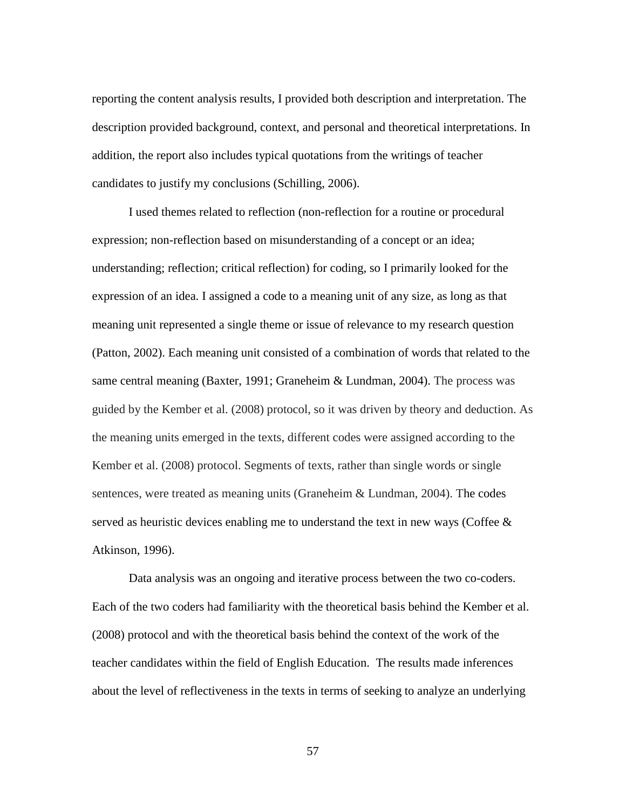reporting the content analysis results, I provided both description and interpretation. The description provided background, context, and personal and theoretical interpretations. In addition, the report also includes typical quotations from the writings of teacher candidates to justify my conclusions (Schilling, 2006).

I used themes related to reflection (non-reflection for a routine or procedural expression; non-reflection based on misunderstanding of a concept or an idea; understanding; reflection; critical reflection) for coding, so I primarily looked for the expression of an idea. I assigned a code to a meaning unit of any size, as long as that meaning unit represented a single theme or issue of relevance to my research question (Patton, 2002). Each meaning unit consisted of a combination of words that related to the same central meaning (Baxter, 1991; Graneheim & Lundman, 2004). The process was guided by the Kember et al. (2008) protocol, so it was driven by theory and deduction. As the meaning units emerged in the texts, different codes were assigned according to the Kember et al. (2008) protocol. Segments of texts, rather than single words or single sentences, were treated as meaning units (Graneheim & Lundman, 2004). The codes served as heuristic devices enabling me to understand the text in new ways (Coffee  $\&$ Atkinson, 1996).

Data analysis was an ongoing and iterative process between the two co-coders. Each of the two coders had familiarity with the theoretical basis behind the Kember et al. (2008) protocol and with the theoretical basis behind the context of the work of the teacher candidates within the field of English Education. The results made inferences about the level of reflectiveness in the texts in terms of seeking to analyze an underlying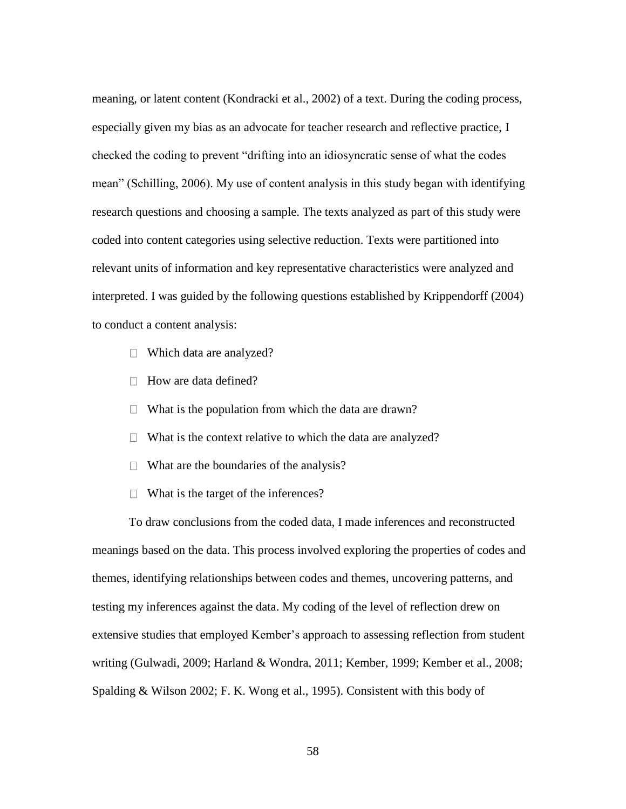meaning, or latent content (Kondracki et al., 2002) of a text. During the coding process, especially given my bias as an advocate for teacher research and reflective practice, I checked the coding to prevent "drifting into an idiosyncratic sense of what the codes mean" (Schilling, 2006). My use of content analysis in this study began with identifying research questions and choosing a sample. The texts analyzed as part of this study were coded into content categories using selective reduction. Texts were partitioned into relevant units of information and key representative characteristics were analyzed and interpreted. I was guided by the following questions established by Krippendorff (2004) to conduct a content analysis:

- $\Box$  Which data are analyzed?
- $\Box$  How are data defined?
- $\Box$  What is the population from which the data are drawn?
- $\Box$  What is the context relative to which the data are analyzed?
- $\Box$  What are the boundaries of the analysis?
- $\Box$  What is the target of the inferences?

To draw conclusions from the coded data, I made inferences and reconstructed meanings based on the data. This process involved exploring the properties of codes and themes, identifying relationships between codes and themes, uncovering patterns, and testing my inferences against the data. My coding of the level of reflection drew on extensive studies that employed Kember's approach to assessing reflection from student writing (Gulwadi, 2009; Harland & Wondra, 2011; Kember, 1999; Kember et al., 2008; Spalding & Wilson 2002; F. K. Wong et al., 1995). Consistent with this body of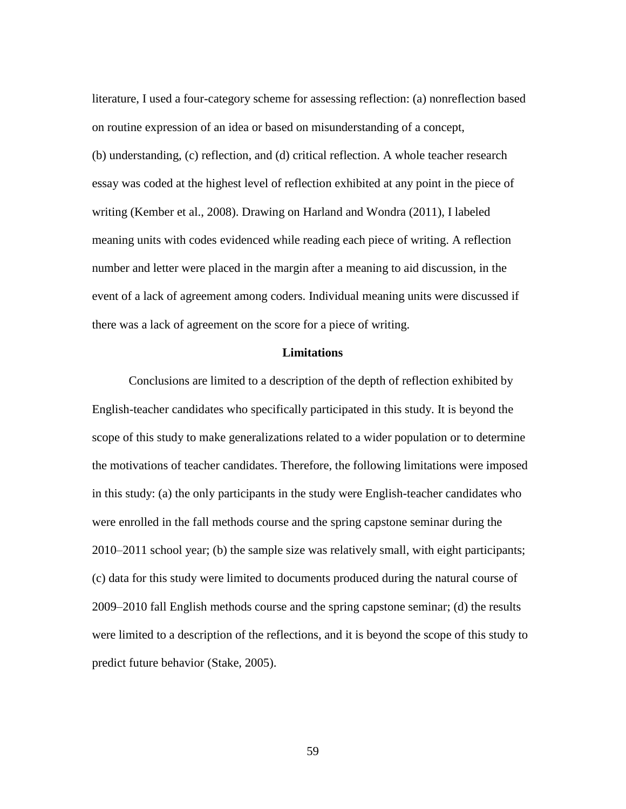literature, I used a four-category scheme for assessing reflection: (a) nonreflection based on routine expression of an idea or based on misunderstanding of a concept, (b) understanding, (c) reflection, and (d) critical reflection. A whole teacher research essay was coded at the highest level of reflection exhibited at any point in the piece of writing (Kember et al., 2008). Drawing on Harland and Wondra (2011), I labeled meaning units with codes evidenced while reading each piece of writing. A reflection number and letter were placed in the margin after a meaning to aid discussion, in the event of a lack of agreement among coders. Individual meaning units were discussed if there was a lack of agreement on the score for a piece of writing.

### **Limitations**

Conclusions are limited to a description of the depth of reflection exhibited by English-teacher candidates who specifically participated in this study. It is beyond the scope of this study to make generalizations related to a wider population or to determine the motivations of teacher candidates. Therefore, the following limitations were imposed in this study: (a) the only participants in the study were English-teacher candidates who were enrolled in the fall methods course and the spring capstone seminar during the 2010–2011 school year; (b) the sample size was relatively small, with eight participants; (c) data for this study were limited to documents produced during the natural course of 2009–2010 fall English methods course and the spring capstone seminar; (d) the results were limited to a description of the reflections, and it is beyond the scope of this study to predict future behavior (Stake, 2005).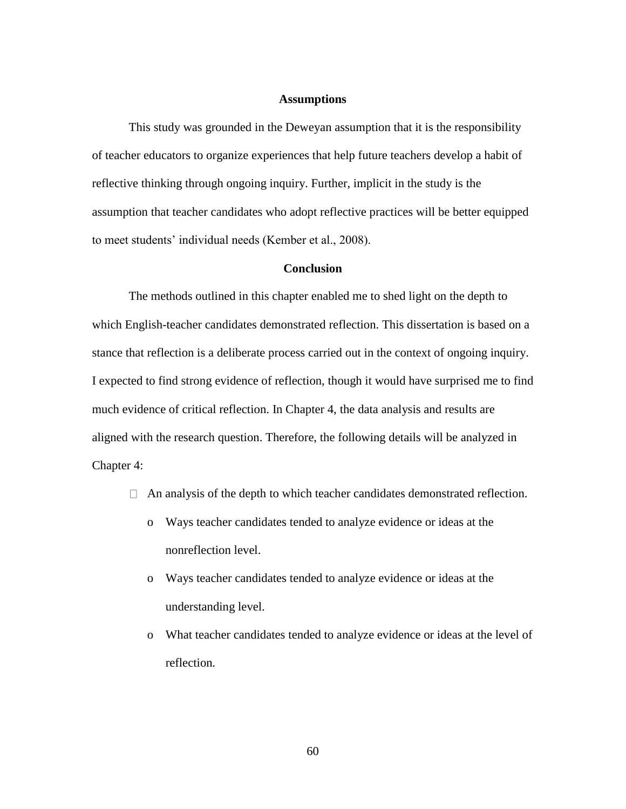#### **Assumptions**

This study was grounded in the Deweyan assumption that it is the responsibility of teacher educators to organize experiences that help future teachers develop a habit of reflective thinking through ongoing inquiry. Further, implicit in the study is the assumption that teacher candidates who adopt reflective practices will be better equipped to meet students' individual needs (Kember et al., 2008).

## **Conclusion**

The methods outlined in this chapter enabled me to shed light on the depth to which English-teacher candidates demonstrated reflection. This dissertation is based on a stance that reflection is a deliberate process carried out in the context of ongoing inquiry. I expected to find strong evidence of reflection, though it would have surprised me to find much evidence of critical reflection. In Chapter 4, the data analysis and results are aligned with the research question. Therefore, the following details will be analyzed in Chapter 4:

- $\Box$  An analysis of the depth to which teacher candidates demonstrated reflection.
	- o Ways teacher candidates tended to analyze evidence or ideas at the nonreflection level.
	- o Ways teacher candidates tended to analyze evidence or ideas at the understanding level.
	- o What teacher candidates tended to analyze evidence or ideas at the level of reflection*.*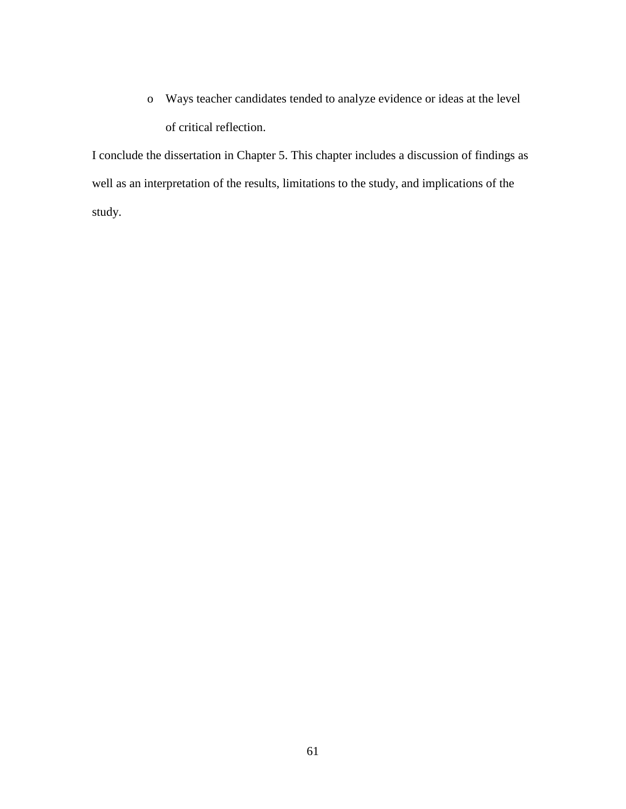o Ways teacher candidates tended to analyze evidence or ideas at the level of critical reflection.

I conclude the dissertation in Chapter 5. This chapter includes a discussion of findings as well as an interpretation of the results, limitations to the study, and implications of the study.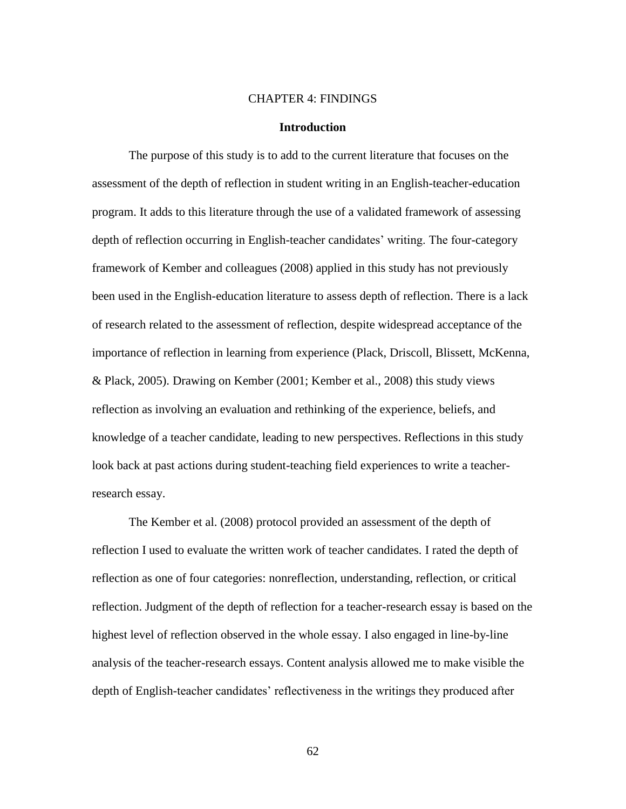### CHAPTER 4: FINDINGS

### **Introduction**

The purpose of this study is to add to the current literature that focuses on the assessment of the depth of reflection in student writing in an English-teacher-education program. It adds to this literature through the use of a validated framework of assessing depth of reflection occurring in English-teacher candidates' writing. The four-category framework of Kember and colleagues (2008) applied in this study has not previously been used in the English-education literature to assess depth of reflection. There is a lack of research related to the assessment of reflection, despite widespread acceptance of the importance of reflection in learning from experience (Plack, Driscoll, Blissett, McKenna, & Plack, 2005). Drawing on Kember (2001; Kember et al., 2008) this study views reflection as involving an evaluation and rethinking of the experience, beliefs, and knowledge of a teacher candidate, leading to new perspectives. Reflections in this study look back at past actions during student-teaching field experiences to write a teacherresearch essay.

The Kember et al. (2008) protocol provided an assessment of the depth of reflection I used to evaluate the written work of teacher candidates. I rated the depth of reflection as one of four categories: nonreflection, understanding, reflection, or critical reflection. Judgment of the depth of reflection for a teacher-research essay is based on the highest level of reflection observed in the whole essay. I also engaged in line-by-line analysis of the teacher-research essays. Content analysis allowed me to make visible the depth of English-teacher candidates' reflectiveness in the writings they produced after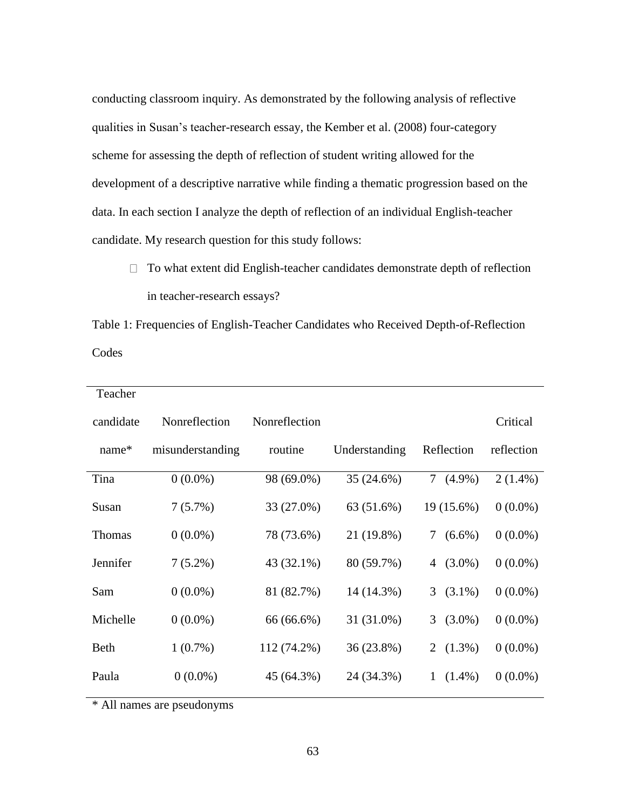conducting classroom inquiry. As demonstrated by the following analysis of reflective qualities in Susan's teacher-research essay, the Kember et al. (2008) four-category scheme for assessing the depth of reflection of student writing allowed for the development of a descriptive narrative while finding a thematic progression based on the data. In each section I analyze the depth of reflection of an individual English-teacher candidate. My research question for this study follows:

 $\Box$  To what extent did English-teacher candidates demonstrate depth of reflection in teacher-research essays?

Table 1: Frequencies of English-Teacher Candidates who Received Depth-of-Reflection Codes

| Teacher       |                  |               |               |                             |            |
|---------------|------------------|---------------|---------------|-----------------------------|------------|
| candidate     | Nonreflection    | Nonreflection |               |                             | Critical   |
| name*         | misunderstanding | routine       | Understanding | Reflection                  | reflection |
| Tina          | $0(0.0\%)$       | 98 (69.0%)    | 35 (24.6%)    | 7 <sup>1</sup><br>$(4.9\%)$ | $2(1.4\%)$ |
| Susan         | $7(5.7\%)$       | 33 (27.0%)    | 63 (51.6%)    | 19 (15.6%)                  | $0(0.0\%)$ |
| <b>Thomas</b> | $0(0.0\%)$       | 78 (73.6%)    | 21 (19.8%)    | $(6.6\%)$<br>7              | $0(0.0\%)$ |
| Jennifer      | $7(5.2\%)$       | 43 (32.1%)    | 80 (59.7%)    | $(3.0\%)$<br>4              | $0(0.0\%)$ |
| Sam           | $0(0.0\%)$       | 81 (82.7%)    | 14 (14.3%)    | $(3.1\%)$<br>3 <sup>1</sup> | $0(0.0\%)$ |
| Michelle      | $0(0.0\%)$       | 66 (66.6%)    | 31 (31.0%)    | $(3.0\%)$<br>3              | $0(0.0\%)$ |
| <b>Beth</b>   | $1(0.7\%)$       | 112 (74.2%)   | 36 (23.8%)    | 2 $(1.3\%)$                 | $0(0.0\%)$ |
| Paula         | $0(0.0\%)$       | 45 (64.3%)    | 24 (34.3%)    | $(1.4\%)$<br>1              | $0(0.0\%)$ |

\* All names are pseudonyms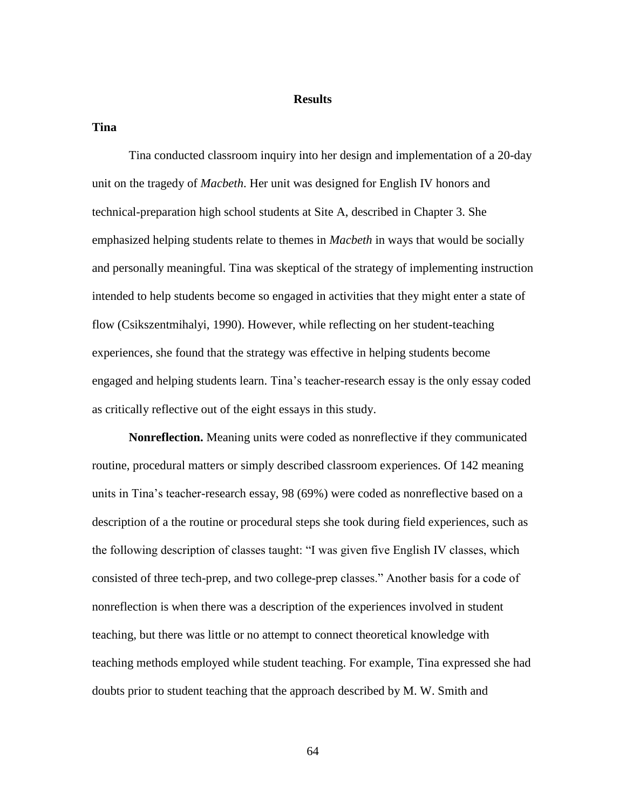## **Results**

**Tina**

Tina conducted classroom inquiry into her design and implementation of a 20-day unit on the tragedy of *Macbeth*. Her unit was designed for English IV honors and technical-preparation high school students at Site A, described in Chapter 3. She emphasized helping students relate to themes in *Macbeth* in ways that would be socially and personally meaningful. Tina was skeptical of the strategy of implementing instruction intended to help students become so engaged in activities that they might enter a state of flow (Csikszentmihalyi, 1990). However, while reflecting on her student-teaching experiences, she found that the strategy was effective in helping students become engaged and helping students learn. Tina's teacher-research essay is the only essay coded as critically reflective out of the eight essays in this study.

**Nonreflection.** Meaning units were coded as nonreflective if they communicated routine, procedural matters or simply described classroom experiences. Of 142 meaning units in Tina's teacher-research essay, 98 (69%) were coded as nonreflective based on a description of a the routine or procedural steps she took during field experiences, such as the following description of classes taught: "I was given five English IV classes, which consisted of three tech-prep, and two college-prep classes." Another basis for a code of nonreflection is when there was a description of the experiences involved in student teaching, but there was little or no attempt to connect theoretical knowledge with teaching methods employed while student teaching. For example, Tina expressed she had doubts prior to student teaching that the approach described by M. W. Smith and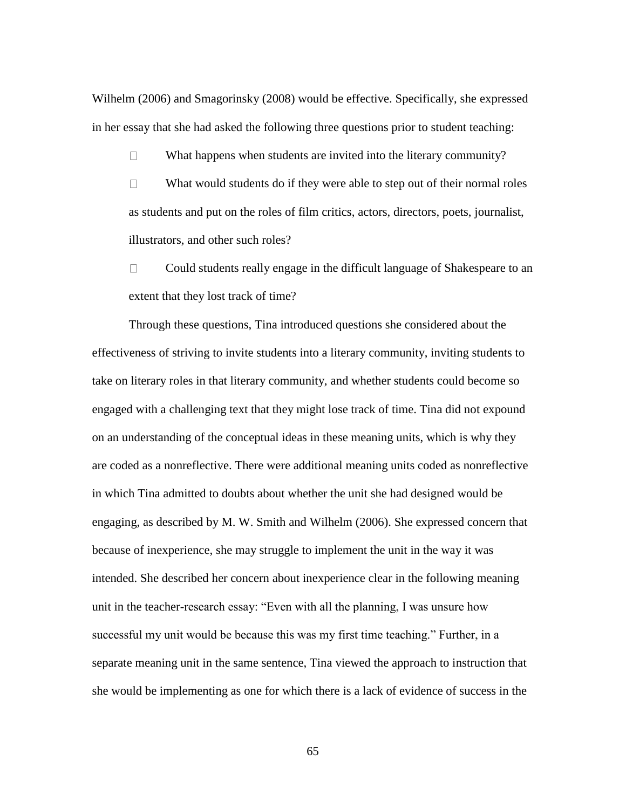Wilhelm (2006) and Smagorinsky (2008) would be effective. Specifically, she expressed in her essay that she had asked the following three questions prior to student teaching:

 $\Box$ What happens when students are invited into the literary community?

What would students do if they were able to step out of their normal roles  $\Box$ as students and put on the roles of film critics, actors, directors, poets, journalist, illustrators, and other such roles?

Could students really engage in the difficult language of Shakespeare to an  $\Box$ extent that they lost track of time?

Through these questions, Tina introduced questions she considered about the effectiveness of striving to invite students into a literary community, inviting students to take on literary roles in that literary community, and whether students could become so engaged with a challenging text that they might lose track of time. Tina did not expound on an understanding of the conceptual ideas in these meaning units, which is why they are coded as a nonreflective. There were additional meaning units coded as nonreflective in which Tina admitted to doubts about whether the unit she had designed would be engaging, as described by M. W. Smith and Wilhelm (2006). She expressed concern that because of inexperience, she may struggle to implement the unit in the way it was intended. She described her concern about inexperience clear in the following meaning unit in the teacher-research essay: "Even with all the planning, I was unsure how successful my unit would be because this was my first time teaching." Further, in a separate meaning unit in the same sentence, Tina viewed the approach to instruction that she would be implementing as one for which there is a lack of evidence of success in the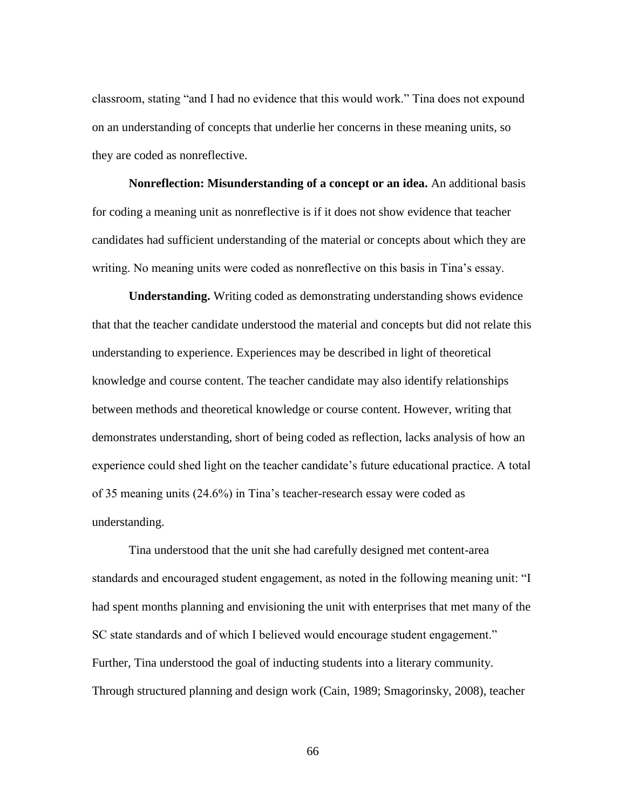classroom, stating "and I had no evidence that this would work." Tina does not expound on an understanding of concepts that underlie her concerns in these meaning units, so they are coded as nonreflective.

**Nonreflection: Misunderstanding of a concept or an idea.** An additional basis for coding a meaning unit as nonreflective is if it does not show evidence that teacher candidates had sufficient understanding of the material or concepts about which they are writing. No meaning units were coded as nonreflective on this basis in Tina's essay.

**Understanding.** Writing coded as demonstrating understanding shows evidence that that the teacher candidate understood the material and concepts but did not relate this understanding to experience. Experiences may be described in light of theoretical knowledge and course content. The teacher candidate may also identify relationships between methods and theoretical knowledge or course content. However, writing that demonstrates understanding, short of being coded as reflection, lacks analysis of how an experience could shed light on the teacher candidate's future educational practice. A total of 35 meaning units (24.6%) in Tina's teacher-research essay were coded as understanding.

Tina understood that the unit she had carefully designed met content-area standards and encouraged student engagement, as noted in the following meaning unit: "I had spent months planning and envisioning the unit with enterprises that met many of the SC state standards and of which I believed would encourage student engagement." Further, Tina understood the goal of inducting students into a literary community. Through structured planning and design work (Cain, 1989; Smagorinsky, 2008), teacher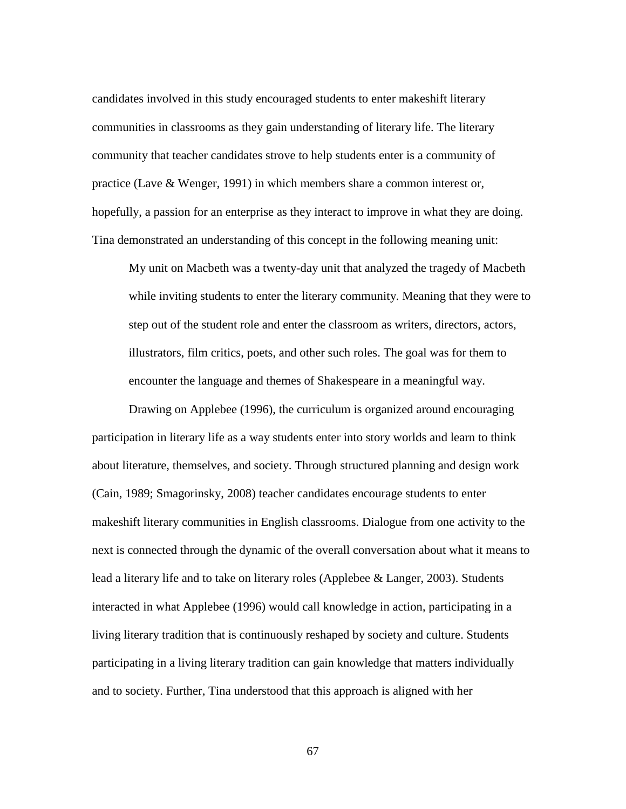candidates involved in this study encouraged students to enter makeshift literary communities in classrooms as they gain understanding of literary life. The literary community that teacher candidates strove to help students enter is a community of practice (Lave & Wenger, 1991) in which members share a common interest or, hopefully, a passion for an enterprise as they interact to improve in what they are doing. Tina demonstrated an understanding of this concept in the following meaning unit:

My unit on Macbeth was a twenty-day unit that analyzed the tragedy of Macbeth while inviting students to enter the literary community. Meaning that they were to step out of the student role and enter the classroom as writers, directors, actors, illustrators, film critics, poets, and other such roles. The goal was for them to encounter the language and themes of Shakespeare in a meaningful way.

Drawing on Applebee (1996), the curriculum is organized around encouraging participation in literary life as a way students enter into story worlds and learn to think about literature, themselves, and society. Through structured planning and design work (Cain, 1989; Smagorinsky, 2008) teacher candidates encourage students to enter makeshift literary communities in English classrooms. Dialogue from one activity to the next is connected through the dynamic of the overall conversation about what it means to lead a literary life and to take on literary roles (Applebee & Langer, 2003). Students interacted in what Applebee (1996) would call knowledge in action, participating in a living literary tradition that is continuously reshaped by society and culture. Students participating in a living literary tradition can gain knowledge that matters individually and to society. Further, Tina understood that this approach is aligned with her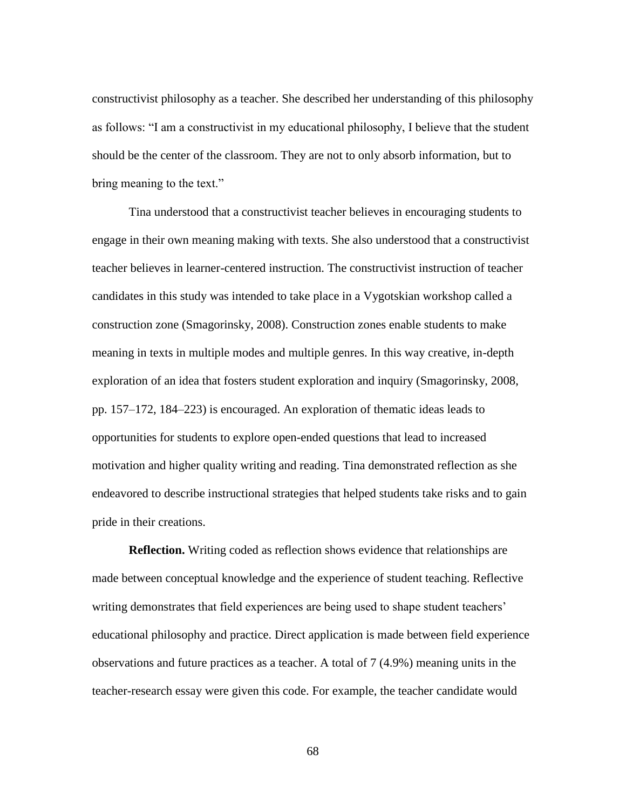constructivist philosophy as a teacher. She described her understanding of this philosophy as follows: "I am a constructivist in my educational philosophy, I believe that the student should be the center of the classroom. They are not to only absorb information, but to bring meaning to the text."

Tina understood that a constructivist teacher believes in encouraging students to engage in their own meaning making with texts. She also understood that a constructivist teacher believes in learner-centered instruction. The constructivist instruction of teacher candidates in this study was intended to take place in a Vygotskian workshop called a construction zone (Smagorinsky, 2008). Construction zones enable students to make meaning in texts in multiple modes and multiple genres. In this way creative, in-depth exploration of an idea that fosters student exploration and inquiry (Smagorinsky, 2008, pp. 157–172, 184–223) is encouraged. An exploration of thematic ideas leads to opportunities for students to explore open-ended questions that lead to increased motivation and higher quality writing and reading. Tina demonstrated reflection as she endeavored to describe instructional strategies that helped students take risks and to gain pride in their creations.

**Reflection.** Writing coded as reflection shows evidence that relationships are made between conceptual knowledge and the experience of student teaching. Reflective writing demonstrates that field experiences are being used to shape student teachers' educational philosophy and practice. Direct application is made between field experience observations and future practices as a teacher. A total of 7 (4.9%) meaning units in the teacher-research essay were given this code. For example, the teacher candidate would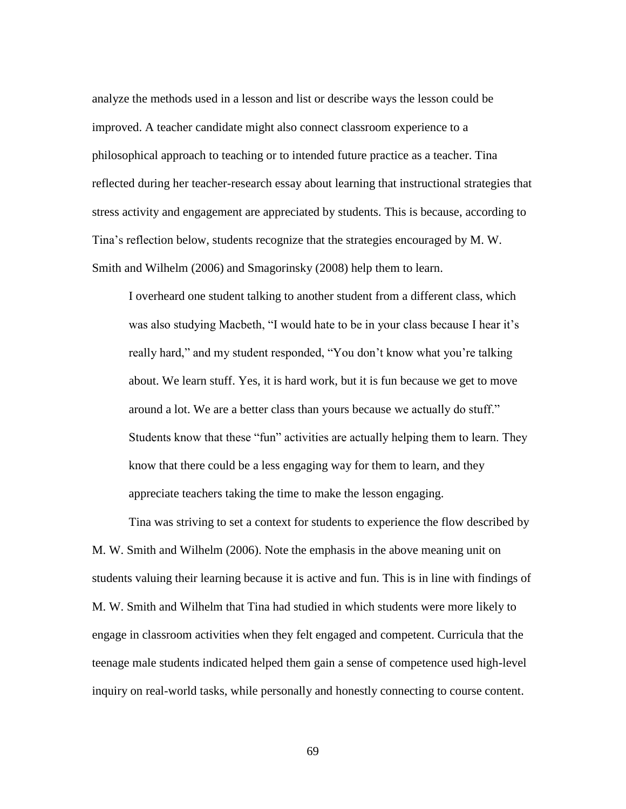analyze the methods used in a lesson and list or describe ways the lesson could be improved. A teacher candidate might also connect classroom experience to a philosophical approach to teaching or to intended future practice as a teacher. Tina reflected during her teacher-research essay about learning that instructional strategies that stress activity and engagement are appreciated by students. This is because, according to Tina's reflection below, students recognize that the strategies encouraged by M. W. Smith and Wilhelm (2006) and Smagorinsky (2008) help them to learn.

I overheard one student talking to another student from a different class, which was also studying Macbeth, "I would hate to be in your class because I hear it's really hard," and my student responded, "You don't know what you're talking about. We learn stuff. Yes, it is hard work, but it is fun because we get to move around a lot. We are a better class than yours because we actually do stuff." Students know that these "fun" activities are actually helping them to learn. They know that there could be a less engaging way for them to learn, and they appreciate teachers taking the time to make the lesson engaging.

Tina was striving to set a context for students to experience the flow described by M. W. Smith and Wilhelm (2006). Note the emphasis in the above meaning unit on students valuing their learning because it is active and fun. This is in line with findings of M. W. Smith and Wilhelm that Tina had studied in which students were more likely to engage in classroom activities when they felt engaged and competent. Curricula that the teenage male students indicated helped them gain a sense of competence used high-level inquiry on real-world tasks, while personally and honestly connecting to course content.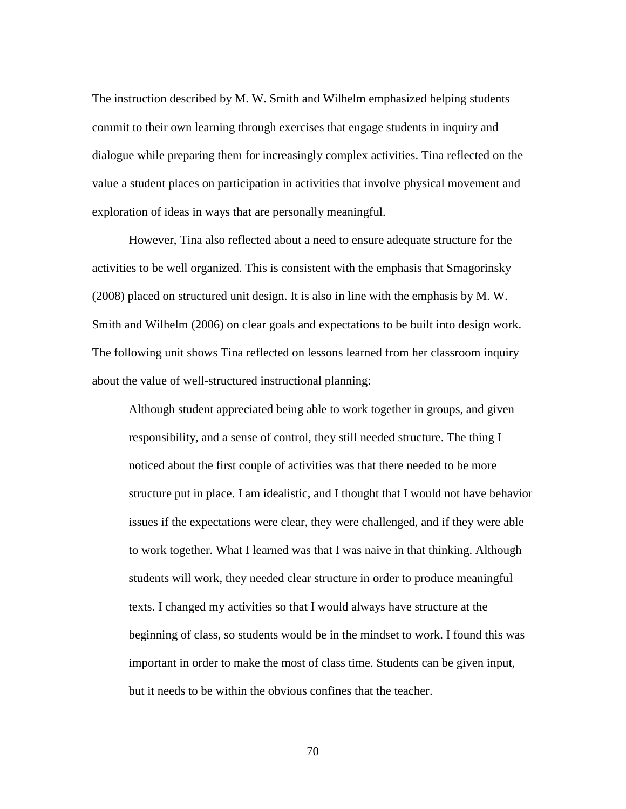The instruction described by M. W. Smith and Wilhelm emphasized helping students commit to their own learning through exercises that engage students in inquiry and dialogue while preparing them for increasingly complex activities. Tina reflected on the value a student places on participation in activities that involve physical movement and exploration of ideas in ways that are personally meaningful.

However, Tina also reflected about a need to ensure adequate structure for the activities to be well organized. This is consistent with the emphasis that Smagorinsky (2008) placed on structured unit design. It is also in line with the emphasis by M. W. Smith and Wilhelm (2006) on clear goals and expectations to be built into design work. The following unit shows Tina reflected on lessons learned from her classroom inquiry about the value of well-structured instructional planning:

Although student appreciated being able to work together in groups, and given responsibility, and a sense of control, they still needed structure. The thing I noticed about the first couple of activities was that there needed to be more structure put in place. I am idealistic, and I thought that I would not have behavior issues if the expectations were clear, they were challenged, and if they were able to work together. What I learned was that I was naive in that thinking. Although students will work, they needed clear structure in order to produce meaningful texts. I changed my activities so that I would always have structure at the beginning of class, so students would be in the mindset to work. I found this was important in order to make the most of class time. Students can be given input, but it needs to be within the obvious confines that the teacher.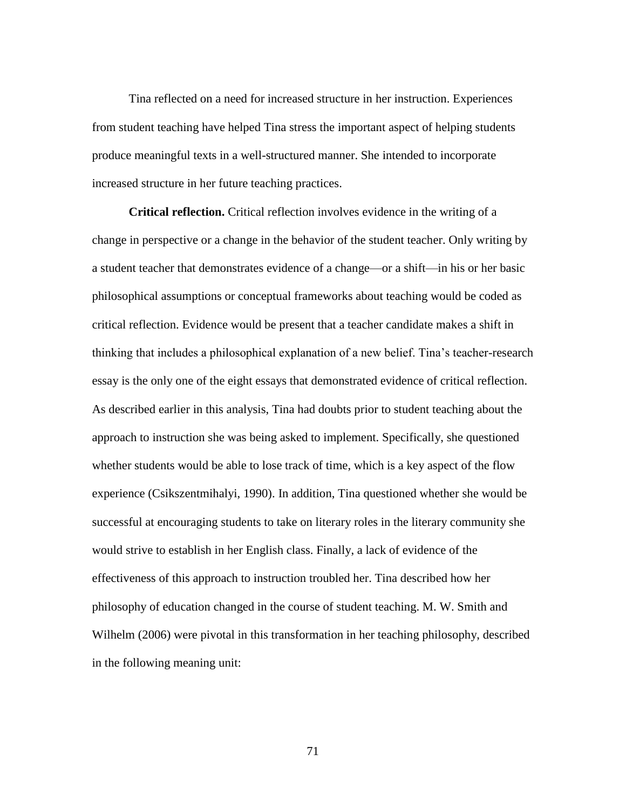Tina reflected on a need for increased structure in her instruction. Experiences from student teaching have helped Tina stress the important aspect of helping students produce meaningful texts in a well-structured manner. She intended to incorporate increased structure in her future teaching practices.

**Critical reflection.** Critical reflection involves evidence in the writing of a change in perspective or a change in the behavior of the student teacher. Only writing by a student teacher that demonstrates evidence of a change—or a shift—in his or her basic philosophical assumptions or conceptual frameworks about teaching would be coded as critical reflection. Evidence would be present that a teacher candidate makes a shift in thinking that includes a philosophical explanation of a new belief. Tina's teacher-research essay is the only one of the eight essays that demonstrated evidence of critical reflection. As described earlier in this analysis, Tina had doubts prior to student teaching about the approach to instruction she was being asked to implement. Specifically, she questioned whether students would be able to lose track of time, which is a key aspect of the flow experience (Csikszentmihalyi, 1990). In addition, Tina questioned whether she would be successful at encouraging students to take on literary roles in the literary community she would strive to establish in her English class. Finally, a lack of evidence of the effectiveness of this approach to instruction troubled her. Tina described how her philosophy of education changed in the course of student teaching. M. W. Smith and Wilhelm (2006) were pivotal in this transformation in her teaching philosophy, described in the following meaning unit: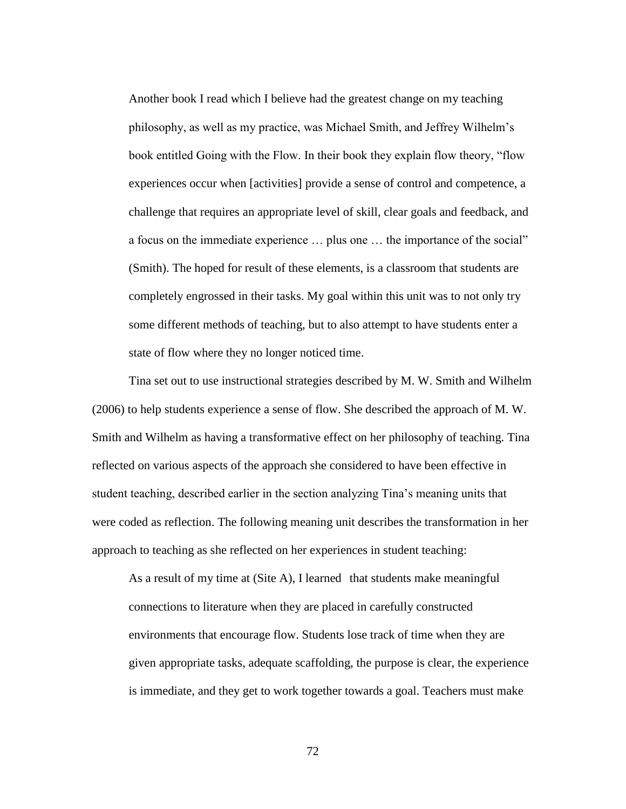Another book I read which I believe had the greatest change on my teaching philosophy, as well as my practice, was Michael Smith, and Jeffrey Wilhelm's book entitled Going with the Flow. In their book they explain flow theory, "flow experiences occur when [activities] provide a sense of control and competence, a challenge that requires an appropriate level of skill, clear goals and feedback, and a focus on the immediate experience … plus one … the importance of the social" (Smith). The hoped for result of these elements, is a classroom that students are completely engrossed in their tasks. My goal within this unit was to not only try some different methods of teaching, but to also attempt to have students enter a state of flow where they no longer noticed time.

Tina set out to use instructional strategies described by M. W. Smith and Wilhelm (2006) to help students experience a sense of flow. She described the approach of M. W. Smith and Wilhelm as having a transformative effect on her philosophy of teaching. Tina reflected on various aspects of the approach she considered to have been effective in student teaching, described earlier in the section analyzing Tina's meaning units that were coded as reflection. The following meaning unit describes the transformation in her approach to teaching as she reflected on her experiences in student teaching:

As a result of my time at (Site A), I learned that students make meaningful connections to literature when they are placed in carefully constructed environments that encourage flow. Students lose track of time when they are given appropriate tasks, adequate scaffolding, the purpose is clear, the experience is immediate, and they get to work together towards a goal. Teachers must make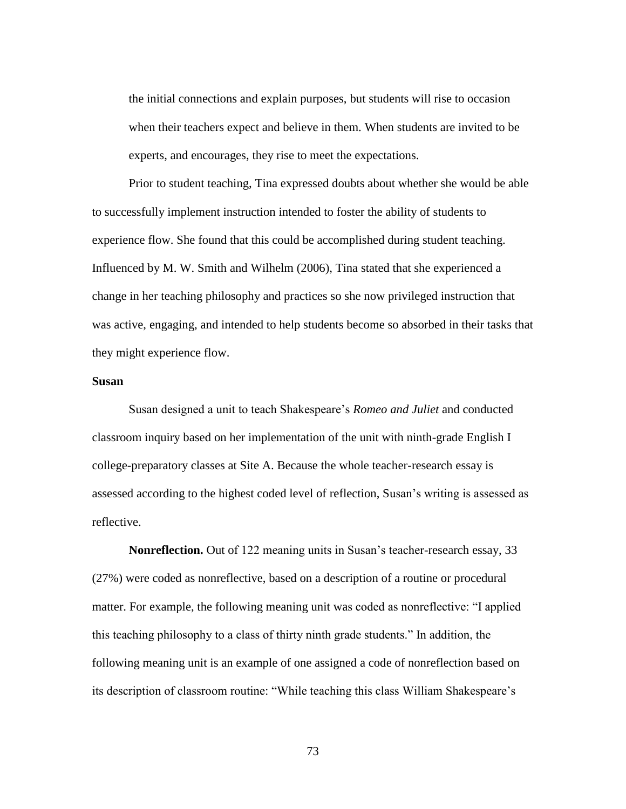the initial connections and explain purposes, but students will rise to occasion when their teachers expect and believe in them. When students are invited to be experts, and encourages, they rise to meet the expectations.

Prior to student teaching, Tina expressed doubts about whether she would be able to successfully implement instruction intended to foster the ability of students to experience flow. She found that this could be accomplished during student teaching. Influenced by M. W. Smith and Wilhelm (2006), Tina stated that she experienced a change in her teaching philosophy and practices so she now privileged instruction that was active, engaging, and intended to help students become so absorbed in their tasks that they might experience flow.

## **Susan**

Susan designed a unit to teach Shakespeare's *Romeo and Juliet* and conducted classroom inquiry based on her implementation of the unit with ninth-grade English I college-preparatory classes at Site A. Because the whole teacher-research essay is assessed according to the highest coded level of reflection, Susan's writing is assessed as reflective.

**Nonreflection.** Out of 122 meaning units in Susan's teacher-research essay, 33 (27%) were coded as nonreflective, based on a description of a routine or procedural matter. For example, the following meaning unit was coded as nonreflective: "I applied this teaching philosophy to a class of thirty ninth grade students." In addition, the following meaning unit is an example of one assigned a code of nonreflection based on its description of classroom routine: "While teaching this class William Shakespeare's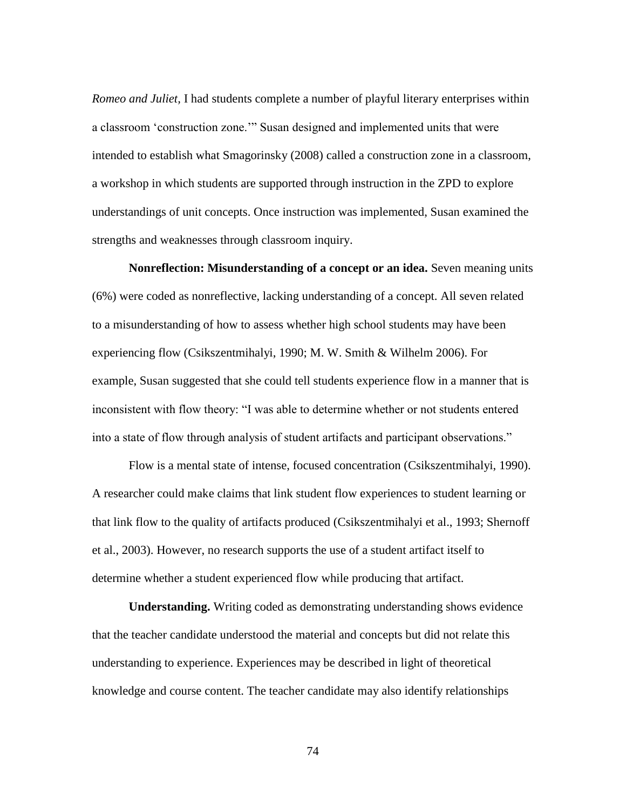*Romeo and Juliet,* I had students complete a number of playful literary enterprises within a classroom 'construction zone.'" Susan designed and implemented units that were intended to establish what Smagorinsky (2008) called a construction zone in a classroom, a workshop in which students are supported through instruction in the ZPD to explore understandings of unit concepts. Once instruction was implemented, Susan examined the strengths and weaknesses through classroom inquiry.

**Nonreflection: Misunderstanding of a concept or an idea.** Seven meaning units (6%) were coded as nonreflective, lacking understanding of a concept. All seven related to a misunderstanding of how to assess whether high school students may have been experiencing flow (Csikszentmihalyi, 1990; M. W. Smith & Wilhelm 2006). For example, Susan suggested that she could tell students experience flow in a manner that is inconsistent with flow theory: "I was able to determine whether or not students entered into a state of flow through analysis of student artifacts and participant observations."

Flow is a mental state of intense, focused concentration (Csikszentmihalyi, 1990). A researcher could make claims that link student flow experiences to student learning or that link flow to the quality of artifacts produced (Csikszentmihalyi et al., 1993; Shernoff et al., 2003). However, no research supports the use of a student artifact itself to determine whether a student experienced flow while producing that artifact.

**Understanding.** Writing coded as demonstrating understanding shows evidence that the teacher candidate understood the material and concepts but did not relate this understanding to experience. Experiences may be described in light of theoretical knowledge and course content. The teacher candidate may also identify relationships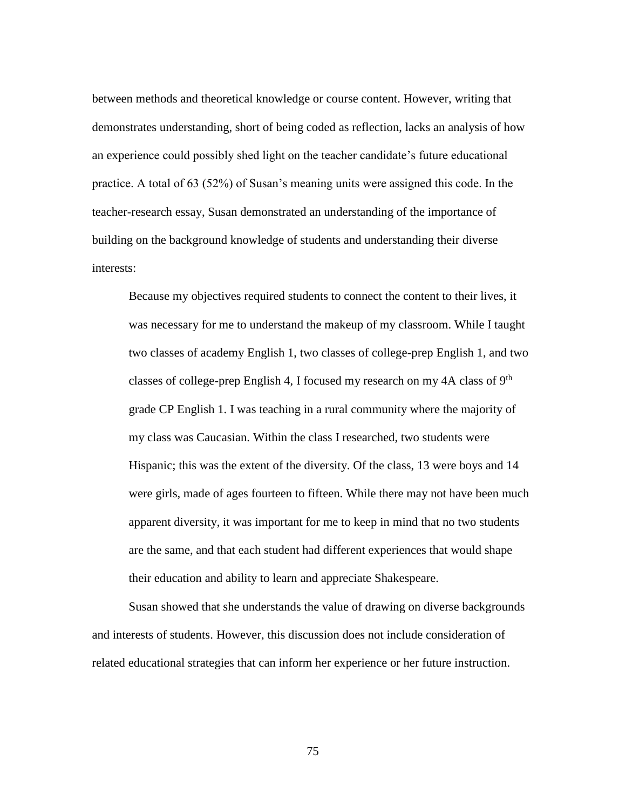between methods and theoretical knowledge or course content. However, writing that demonstrates understanding, short of being coded as reflection, lacks an analysis of how an experience could possibly shed light on the teacher candidate's future educational practice. A total of 63 (52%) of Susan's meaning units were assigned this code. In the teacher-research essay, Susan demonstrated an understanding of the importance of building on the background knowledge of students and understanding their diverse interests:

Because my objectives required students to connect the content to their lives, it was necessary for me to understand the makeup of my classroom. While I taught two classes of academy English 1, two classes of college-prep English 1, and two classes of college-prep English 4, I focused my research on my 4A class of 9th grade CP English 1. I was teaching in a rural community where the majority of my class was Caucasian. Within the class I researched, two students were Hispanic; this was the extent of the diversity. Of the class, 13 were boys and 14 were girls, made of ages fourteen to fifteen. While there may not have been much apparent diversity, it was important for me to keep in mind that no two students are the same, and that each student had different experiences that would shape their education and ability to learn and appreciate Shakespeare.

Susan showed that she understands the value of drawing on diverse backgrounds and interests of students. However, this discussion does not include consideration of related educational strategies that can inform her experience or her future instruction.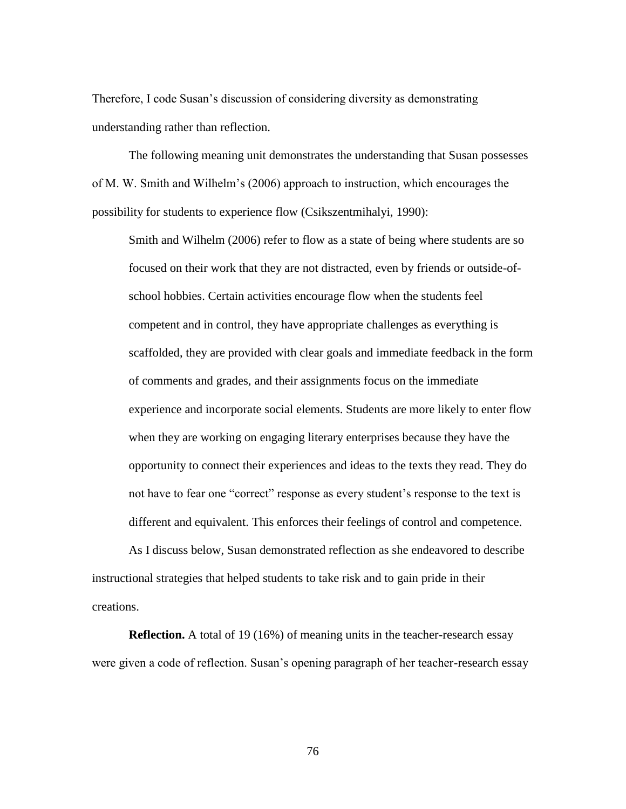Therefore, I code Susan's discussion of considering diversity as demonstrating understanding rather than reflection.

The following meaning unit demonstrates the understanding that Susan possesses of M. W. Smith and Wilhelm's (2006) approach to instruction, which encourages the possibility for students to experience flow (Csikszentmihalyi, 1990):

Smith and Wilhelm (2006) refer to flow as a state of being where students are so focused on their work that they are not distracted, even by friends or outside-ofschool hobbies. Certain activities encourage flow when the students feel competent and in control, they have appropriate challenges as everything is scaffolded, they are provided with clear goals and immediate feedback in the form of comments and grades, and their assignments focus on the immediate experience and incorporate social elements. Students are more likely to enter flow when they are working on engaging literary enterprises because they have the opportunity to connect their experiences and ideas to the texts they read. They do not have to fear one "correct" response as every student's response to the text is different and equivalent. This enforces their feelings of control and competence.

As I discuss below, Susan demonstrated reflection as she endeavored to describe instructional strategies that helped students to take risk and to gain pride in their creations.

**Reflection.** A total of 19 (16%) of meaning units in the teacher-research essay were given a code of reflection. Susan's opening paragraph of her teacher-research essay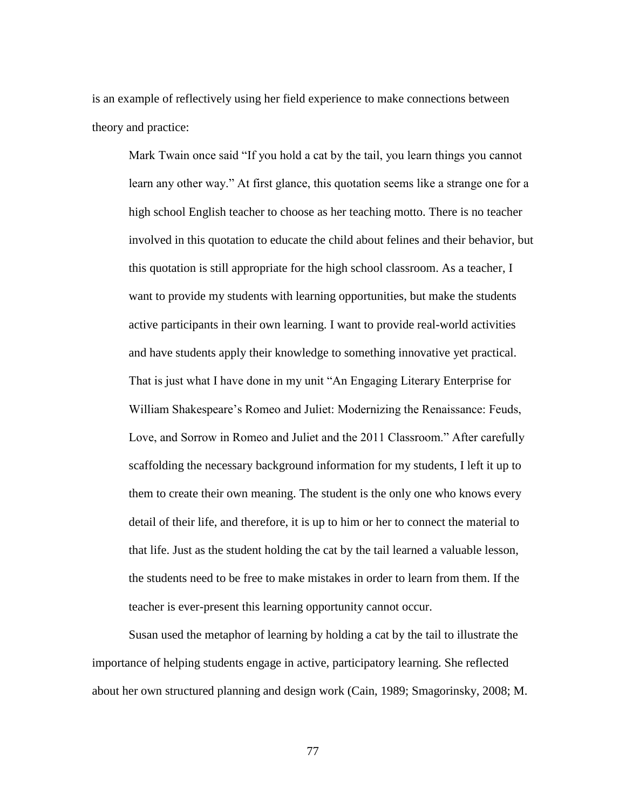is an example of reflectively using her field experience to make connections between theory and practice:

Mark Twain once said "If you hold a cat by the tail, you learn things you cannot learn any other way." At first glance, this quotation seems like a strange one for a high school English teacher to choose as her teaching motto. There is no teacher involved in this quotation to educate the child about felines and their behavior, but this quotation is still appropriate for the high school classroom. As a teacher, I want to provide my students with learning opportunities, but make the students active participants in their own learning. I want to provide real-world activities and have students apply their knowledge to something innovative yet practical. That is just what I have done in my unit "An Engaging Literary Enterprise for William Shakespeare's Romeo and Juliet: Modernizing the Renaissance: Feuds, Love, and Sorrow in Romeo and Juliet and the 2011 Classroom." After carefully scaffolding the necessary background information for my students, I left it up to them to create their own meaning. The student is the only one who knows every detail of their life, and therefore, it is up to him or her to connect the material to that life. Just as the student holding the cat by the tail learned a valuable lesson, the students need to be free to make mistakes in order to learn from them. If the teacher is ever-present this learning opportunity cannot occur.

Susan used the metaphor of learning by holding a cat by the tail to illustrate the importance of helping students engage in active, participatory learning. She reflected about her own structured planning and design work (Cain, 1989; Smagorinsky, 2008; M.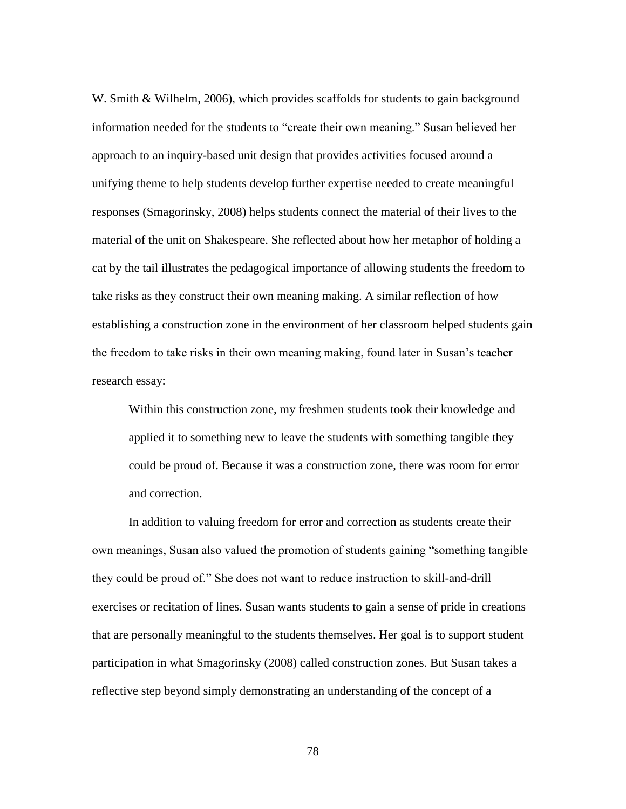W. Smith & Wilhelm, 2006), which provides scaffolds for students to gain background information needed for the students to "create their own meaning." Susan believed her approach to an inquiry-based unit design that provides activities focused around a unifying theme to help students develop further expertise needed to create meaningful responses (Smagorinsky, 2008) helps students connect the material of their lives to the material of the unit on Shakespeare. She reflected about how her metaphor of holding a cat by the tail illustrates the pedagogical importance of allowing students the freedom to take risks as they construct their own meaning making. A similar reflection of how establishing a construction zone in the environment of her classroom helped students gain the freedom to take risks in their own meaning making, found later in Susan's teacher research essay:

Within this construction zone, my freshmen students took their knowledge and applied it to something new to leave the students with something tangible they could be proud of. Because it was a construction zone, there was room for error and correction.

In addition to valuing freedom for error and correction as students create their own meanings, Susan also valued the promotion of students gaining "something tangible they could be proud of." She does not want to reduce instruction to skill-and-drill exercises or recitation of lines. Susan wants students to gain a sense of pride in creations that are personally meaningful to the students themselves. Her goal is to support student participation in what Smagorinsky (2008) called construction zones. But Susan takes a reflective step beyond simply demonstrating an understanding of the concept of a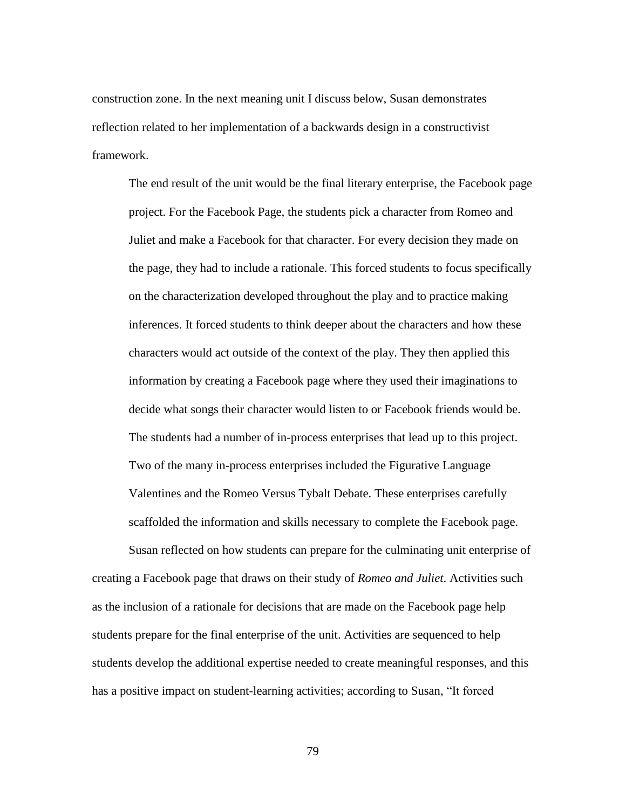construction zone. In the next meaning unit I discuss below, Susan demonstrates reflection related to her implementation of a backwards design in a constructivist framework.

The end result of the unit would be the final literary enterprise, the Facebook page project. For the Facebook Page, the students pick a character from Romeo and Juliet and make a Facebook for that character. For every decision they made on the page, they had to include a rationale. This forced students to focus specifically on the characterization developed throughout the play and to practice making inferences. It forced students to think deeper about the characters and how these characters would act outside of the context of the play. They then applied this information by creating a Facebook page where they used their imaginations to decide what songs their character would listen to or Facebook friends would be. The students had a number of in-process enterprises that lead up to this project. Two of the many in-process enterprises included the Figurative Language Valentines and the Romeo Versus Tybalt Debate. These enterprises carefully scaffolded the information and skills necessary to complete the Facebook page.

Susan reflected on how students can prepare for the culminating unit enterprise of creating a Facebook page that draws on their study of *Romeo and Juliet*. Activities such as the inclusion of a rationale for decisions that are made on the Facebook page help students prepare for the final enterprise of the unit. Activities are sequenced to help students develop the additional expertise needed to create meaningful responses, and this has a positive impact on student-learning activities; according to Susan, "It forced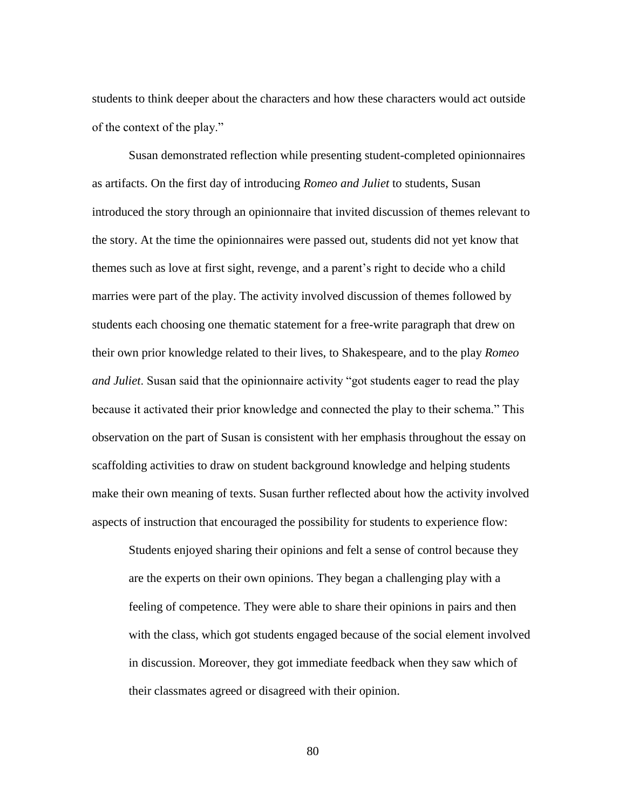students to think deeper about the characters and how these characters would act outside of the context of the play."

Susan demonstrated reflection while presenting student-completed opinionnaires as artifacts. On the first day of introducing *Romeo and Juliet* to students, Susan introduced the story through an opinionnaire that invited discussion of themes relevant to the story. At the time the opinionnaires were passed out, students did not yet know that themes such as love at first sight, revenge, and a parent's right to decide who a child marries were part of the play. The activity involved discussion of themes followed by students each choosing one thematic statement for a free-write paragraph that drew on their own prior knowledge related to their lives, to Shakespeare, and to the play *Romeo and Juliet*. Susan said that the opinionnaire activity "got students eager to read the play because it activated their prior knowledge and connected the play to their schema." This observation on the part of Susan is consistent with her emphasis throughout the essay on scaffolding activities to draw on student background knowledge and helping students make their own meaning of texts. Susan further reflected about how the activity involved aspects of instruction that encouraged the possibility for students to experience flow:

Students enjoyed sharing their opinions and felt a sense of control because they are the experts on their own opinions. They began a challenging play with a feeling of competence. They were able to share their opinions in pairs and then with the class, which got students engaged because of the social element involved in discussion. Moreover, they got immediate feedback when they saw which of their classmates agreed or disagreed with their opinion.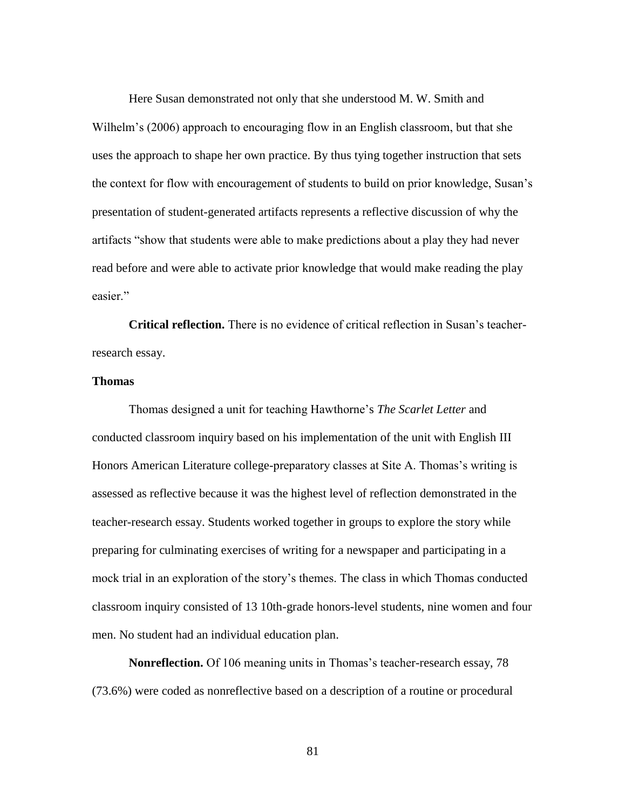Here Susan demonstrated not only that she understood M. W. Smith and Wilhelm's (2006) approach to encouraging flow in an English classroom, but that she uses the approach to shape her own practice. By thus tying together instruction that sets the context for flow with encouragement of students to build on prior knowledge, Susan's presentation of student-generated artifacts represents a reflective discussion of why the artifacts "show that students were able to make predictions about a play they had never read before and were able to activate prior knowledge that would make reading the play easier."

**Critical reflection.** There is no evidence of critical reflection in Susan's teacherresearch essay.

## **Thomas**

Thomas designed a unit for teaching Hawthorne's *The Scarlet Letter* and conducted classroom inquiry based on his implementation of the unit with English III Honors American Literature college-preparatory classes at Site A. Thomas's writing is assessed as reflective because it was the highest level of reflection demonstrated in the teacher-research essay. Students worked together in groups to explore the story while preparing for culminating exercises of writing for a newspaper and participating in a mock trial in an exploration of the story's themes. The class in which Thomas conducted classroom inquiry consisted of 13 10th-grade honors-level students, nine women and four men. No student had an individual education plan.

**Nonreflection.** Of 106 meaning units in Thomas's teacher-research essay, 78 (73.6%) were coded as nonreflective based on a description of a routine or procedural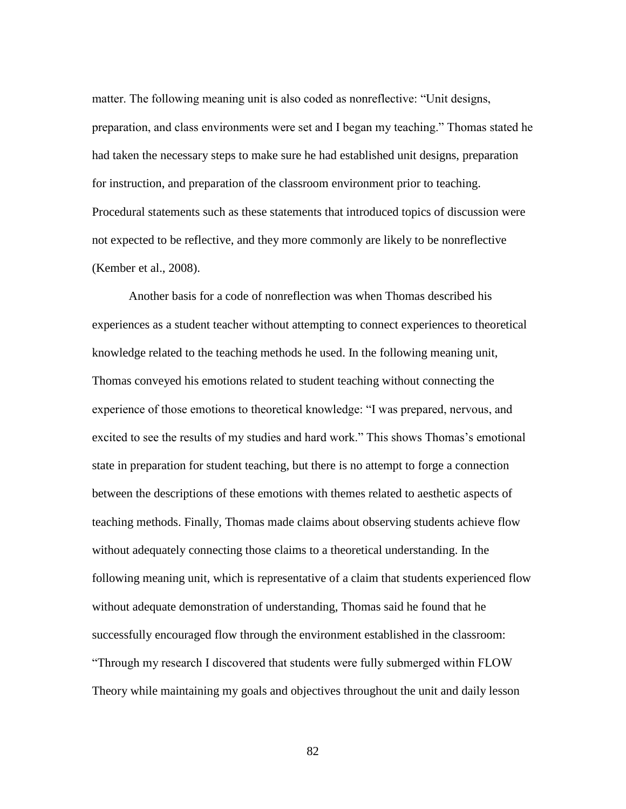matter. The following meaning unit is also coded as nonreflective: "Unit designs, preparation, and class environments were set and I began my teaching." Thomas stated he had taken the necessary steps to make sure he had established unit designs, preparation for instruction, and preparation of the classroom environment prior to teaching. Procedural statements such as these statements that introduced topics of discussion were not expected to be reflective, and they more commonly are likely to be nonreflective (Kember et al., 2008).

Another basis for a code of nonreflection was when Thomas described his experiences as a student teacher without attempting to connect experiences to theoretical knowledge related to the teaching methods he used. In the following meaning unit, Thomas conveyed his emotions related to student teaching without connecting the experience of those emotions to theoretical knowledge: "I was prepared, nervous, and excited to see the results of my studies and hard work." This shows Thomas's emotional state in preparation for student teaching, but there is no attempt to forge a connection between the descriptions of these emotions with themes related to aesthetic aspects of teaching methods. Finally, Thomas made claims about observing students achieve flow without adequately connecting those claims to a theoretical understanding. In the following meaning unit, which is representative of a claim that students experienced flow without adequate demonstration of understanding, Thomas said he found that he successfully encouraged flow through the environment established in the classroom: "Through my research I discovered that students were fully submerged within FLOW Theory while maintaining my goals and objectives throughout the unit and daily lesson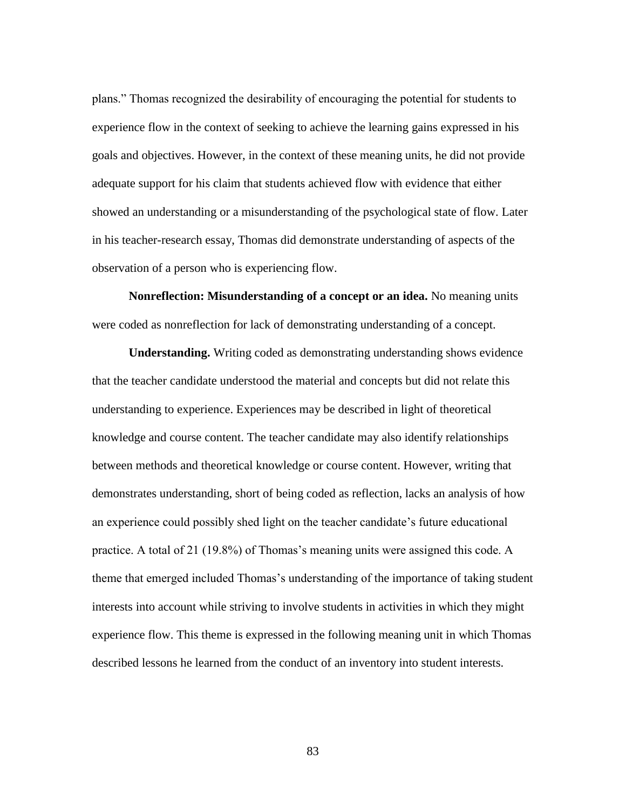plans." Thomas recognized the desirability of encouraging the potential for students to experience flow in the context of seeking to achieve the learning gains expressed in his goals and objectives. However, in the context of these meaning units, he did not provide adequate support for his claim that students achieved flow with evidence that either showed an understanding or a misunderstanding of the psychological state of flow. Later in his teacher-research essay, Thomas did demonstrate understanding of aspects of the observation of a person who is experiencing flow.

**Nonreflection: Misunderstanding of a concept or an idea.** No meaning units were coded as nonreflection for lack of demonstrating understanding of a concept.

**Understanding.** Writing coded as demonstrating understanding shows evidence that the teacher candidate understood the material and concepts but did not relate this understanding to experience. Experiences may be described in light of theoretical knowledge and course content. The teacher candidate may also identify relationships between methods and theoretical knowledge or course content. However, writing that demonstrates understanding, short of being coded as reflection, lacks an analysis of how an experience could possibly shed light on the teacher candidate's future educational practice. A total of 21 (19.8%) of Thomas's meaning units were assigned this code. A theme that emerged included Thomas's understanding of the importance of taking student interests into account while striving to involve students in activities in which they might experience flow. This theme is expressed in the following meaning unit in which Thomas described lessons he learned from the conduct of an inventory into student interests.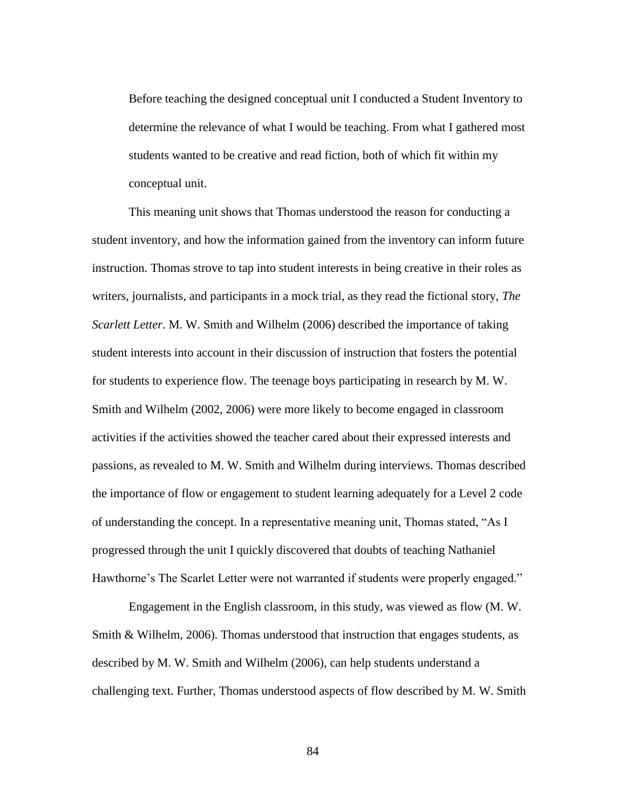Before teaching the designed conceptual unit I conducted a Student Inventory to determine the relevance of what I would be teaching. From what I gathered most students wanted to be creative and read fiction, both of which fit within my conceptual unit.

This meaning unit shows that Thomas understood the reason for conducting a student inventory, and how the information gained from the inventory can inform future instruction. Thomas strove to tap into student interests in being creative in their roles as writers, journalists, and participants in a mock trial, as they read the fictional story, *The Scarlett Letter*. M. W. Smith and Wilhelm (2006) described the importance of taking student interests into account in their discussion of instruction that fosters the potential for students to experience flow. The teenage boys participating in research by M. W. Smith and Wilhelm (2002, 2006) were more likely to become engaged in classroom activities if the activities showed the teacher cared about their expressed interests and passions, as revealed to M. W. Smith and Wilhelm during interviews. Thomas described the importance of flow or engagement to student learning adequately for a Level 2 code of understanding the concept. In a representative meaning unit, Thomas stated, "As I progressed through the unit I quickly discovered that doubts of teaching Nathaniel Hawthorne's The Scarlet Letter were not warranted if students were properly engaged."

Engagement in the English classroom, in this study, was viewed as flow (M. W. Smith & Wilhelm, 2006). Thomas understood that instruction that engages students, as described by M. W. Smith and Wilhelm (2006), can help students understand a challenging text. Further, Thomas understood aspects of flow described by M. W. Smith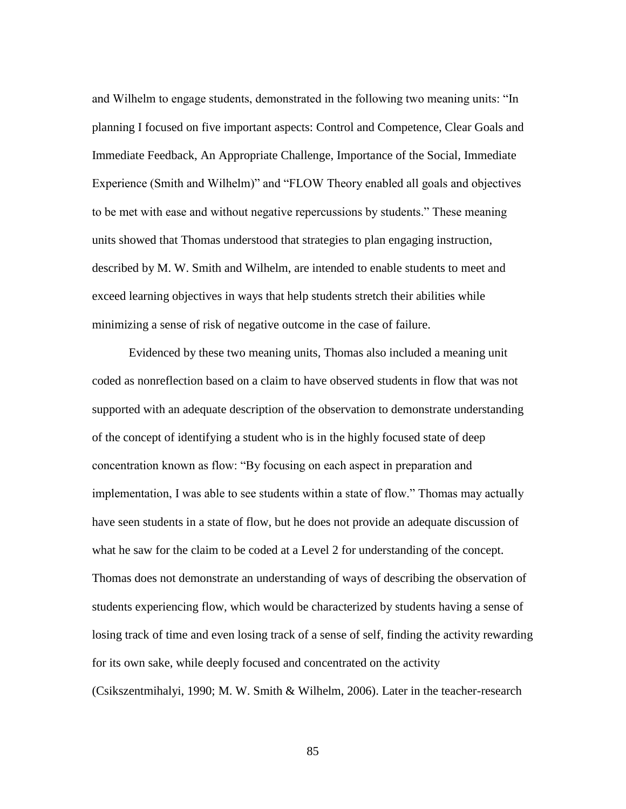and Wilhelm to engage students, demonstrated in the following two meaning units: "In planning I focused on five important aspects: Control and Competence, Clear Goals and Immediate Feedback, An Appropriate Challenge, Importance of the Social, Immediate Experience (Smith and Wilhelm)" and "FLOW Theory enabled all goals and objectives to be met with ease and without negative repercussions by students." These meaning units showed that Thomas understood that strategies to plan engaging instruction, described by M. W. Smith and Wilhelm, are intended to enable students to meet and exceed learning objectives in ways that help students stretch their abilities while minimizing a sense of risk of negative outcome in the case of failure.

Evidenced by these two meaning units, Thomas also included a meaning unit coded as nonreflection based on a claim to have observed students in flow that was not supported with an adequate description of the observation to demonstrate understanding of the concept of identifying a student who is in the highly focused state of deep concentration known as flow: "By focusing on each aspect in preparation and implementation, I was able to see students within a state of flow." Thomas may actually have seen students in a state of flow, but he does not provide an adequate discussion of what he saw for the claim to be coded at a Level 2 for understanding of the concept. Thomas does not demonstrate an understanding of ways of describing the observation of students experiencing flow, which would be characterized by students having a sense of losing track of time and even losing track of a sense of self, finding the activity rewarding for its own sake, while deeply focused and concentrated on the activity (Csikszentmihalyi, 1990; M. W. Smith & Wilhelm, 2006). Later in the teacher-research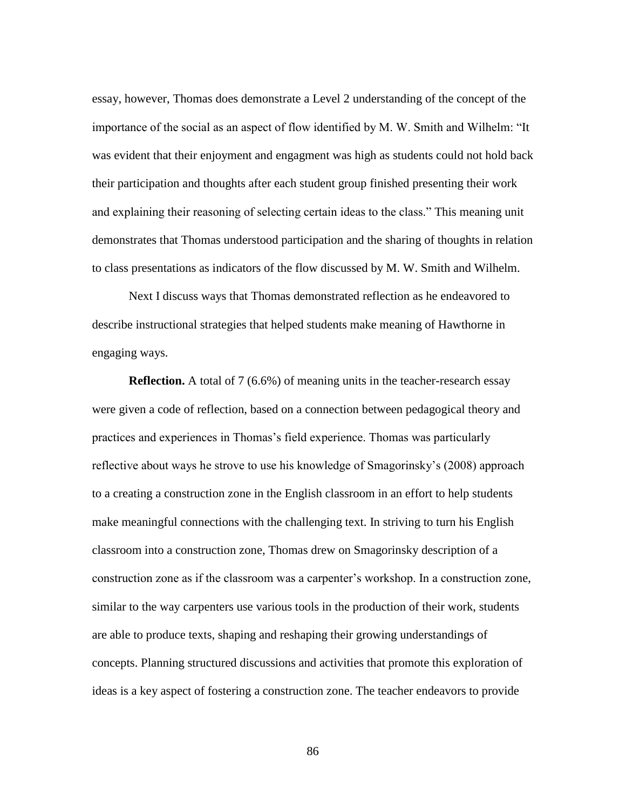essay, however, Thomas does demonstrate a Level 2 understanding of the concept of the importance of the social as an aspect of flow identified by M. W. Smith and Wilhelm: "It was evident that their enjoyment and engagment was high as students could not hold back their participation and thoughts after each student group finished presenting their work and explaining their reasoning of selecting certain ideas to the class." This meaning unit demonstrates that Thomas understood participation and the sharing of thoughts in relation to class presentations as indicators of the flow discussed by M. W. Smith and Wilhelm.

Next I discuss ways that Thomas demonstrated reflection as he endeavored to describe instructional strategies that helped students make meaning of Hawthorne in engaging ways.

**Reflection.** A total of 7 (6.6%) of meaning units in the teacher-research essay were given a code of reflection, based on a connection between pedagogical theory and practices and experiences in Thomas's field experience. Thomas was particularly reflective about ways he strove to use his knowledge of Smagorinsky's (2008) approach to a creating a construction zone in the English classroom in an effort to help students make meaningful connections with the challenging text. In striving to turn his English classroom into a construction zone, Thomas drew on Smagorinsky description of a construction zone as if the classroom was a carpenter's workshop. In a construction zone, similar to the way carpenters use various tools in the production of their work, students are able to produce texts, shaping and reshaping their growing understandings of concepts. Planning structured discussions and activities that promote this exploration of ideas is a key aspect of fostering a construction zone. The teacher endeavors to provide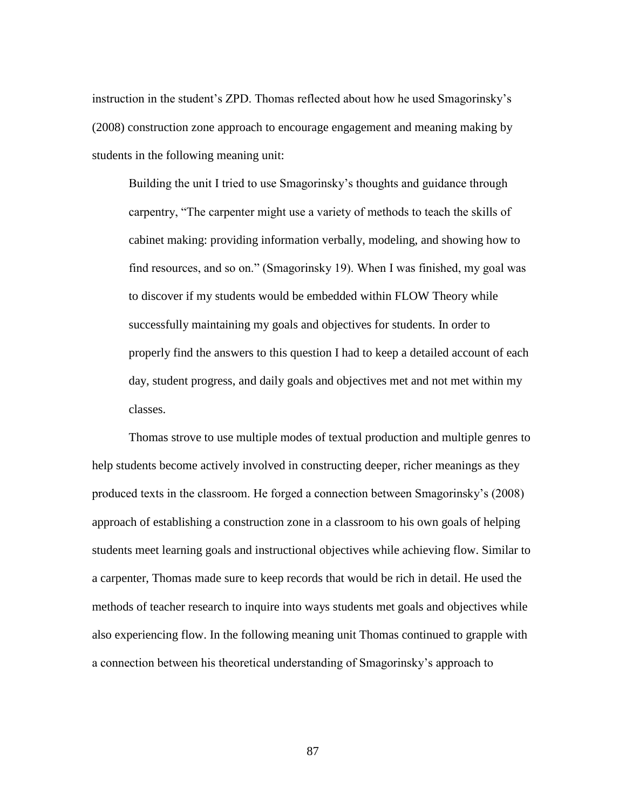instruction in the student's ZPD. Thomas reflected about how he used Smagorinsky's (2008) construction zone approach to encourage engagement and meaning making by students in the following meaning unit:

Building the unit I tried to use Smagorinsky's thoughts and guidance through carpentry, "The carpenter might use a variety of methods to teach the skills of cabinet making: providing information verbally, modeling, and showing how to find resources, and so on." (Smagorinsky 19). When I was finished, my goal was to discover if my students would be embedded within FLOW Theory while successfully maintaining my goals and objectives for students. In order to properly find the answers to this question I had to keep a detailed account of each day, student progress, and daily goals and objectives met and not met within my classes.

Thomas strove to use multiple modes of textual production and multiple genres to help students become actively involved in constructing deeper, richer meanings as they produced texts in the classroom. He forged a connection between Smagorinsky's (2008) approach of establishing a construction zone in a classroom to his own goals of helping students meet learning goals and instructional objectives while achieving flow. Similar to a carpenter, Thomas made sure to keep records that would be rich in detail. He used the methods of teacher research to inquire into ways students met goals and objectives while also experiencing flow. In the following meaning unit Thomas continued to grapple with a connection between his theoretical understanding of Smagorinsky's approach to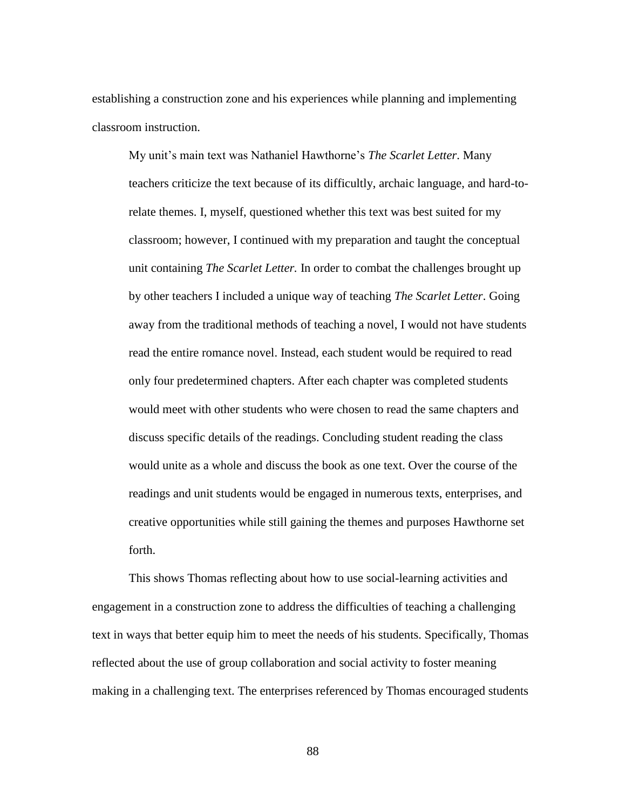establishing a construction zone and his experiences while planning and implementing classroom instruction.

My unit's main text was Nathaniel Hawthorne's *The Scarlet Letter*. Many teachers criticize the text because of its difficultly, archaic language, and hard-torelate themes. I, myself, questioned whether this text was best suited for my classroom; however, I continued with my preparation and taught the conceptual unit containing *The Scarlet Letter.* In order to combat the challenges brought up by other teachers I included a unique way of teaching *The Scarlet Letter*. Going away from the traditional methods of teaching a novel, I would not have students read the entire romance novel. Instead, each student would be required to read only four predetermined chapters. After each chapter was completed students would meet with other students who were chosen to read the same chapters and discuss specific details of the readings. Concluding student reading the class would unite as a whole and discuss the book as one text. Over the course of the readings and unit students would be engaged in numerous texts, enterprises, and creative opportunities while still gaining the themes and purposes Hawthorne set forth.

This shows Thomas reflecting about how to use social-learning activities and engagement in a construction zone to address the difficulties of teaching a challenging text in ways that better equip him to meet the needs of his students. Specifically, Thomas reflected about the use of group collaboration and social activity to foster meaning making in a challenging text. The enterprises referenced by Thomas encouraged students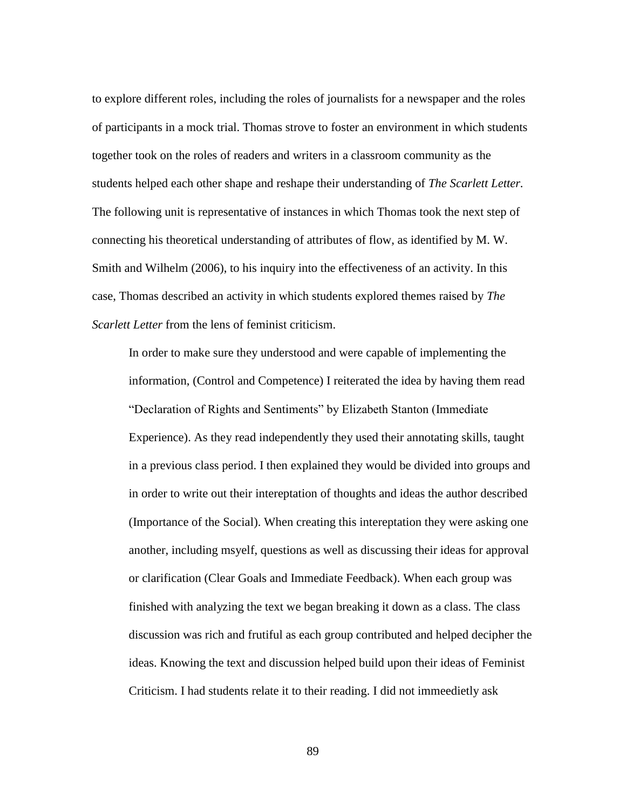to explore different roles, including the roles of journalists for a newspaper and the roles of participants in a mock trial. Thomas strove to foster an environment in which students together took on the roles of readers and writers in a classroom community as the students helped each other shape and reshape their understanding of *The Scarlett Letter.* The following unit is representative of instances in which Thomas took the next step of connecting his theoretical understanding of attributes of flow, as identified by M. W. Smith and Wilhelm (2006), to his inquiry into the effectiveness of an activity. In this case, Thomas described an activity in which students explored themes raised by *The Scarlett Letter* from the lens of feminist criticism.

In order to make sure they understood and were capable of implementing the information, (Control and Competence) I reiterated the idea by having them read "Declaration of Rights and Sentiments" by Elizabeth Stanton (Immediate Experience). As they read independently they used their annotating skills, taught in a previous class period. I then explained they would be divided into groups and in order to write out their intereptation of thoughts and ideas the author described (Importance of the Social). When creating this intereptation they were asking one another, including msyelf, questions as well as discussing their ideas for approval or clarification (Clear Goals and Immediate Feedback). When each group was finished with analyzing the text we began breaking it down as a class. The class discussion was rich and frutiful as each group contributed and helped decipher the ideas. Knowing the text and discussion helped build upon their ideas of Feminist Criticism. I had students relate it to their reading. I did not immeedietly ask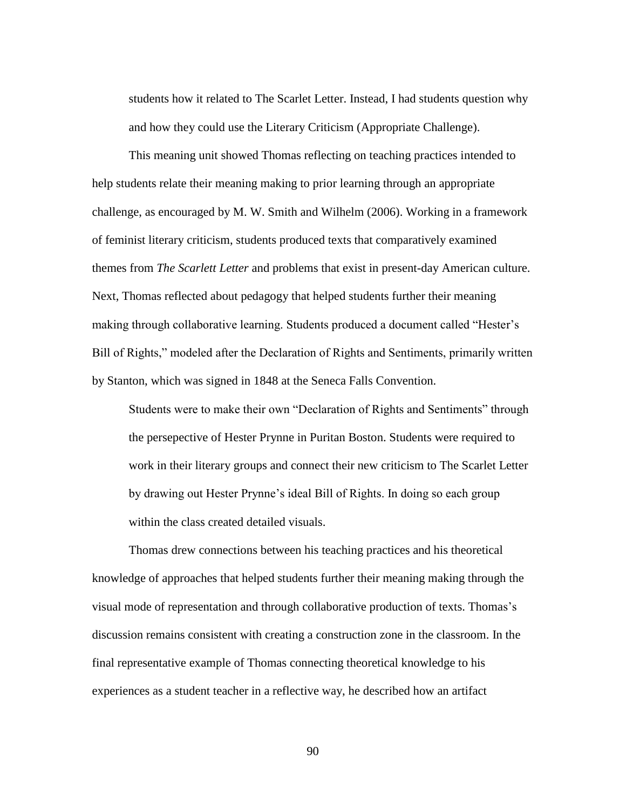students how it related to The Scarlet Letter. Instead, I had students question why and how they could use the Literary Criticism (Appropriate Challenge).

This meaning unit showed Thomas reflecting on teaching practices intended to help students relate their meaning making to prior learning through an appropriate challenge, as encouraged by M. W. Smith and Wilhelm (2006). Working in a framework of feminist literary criticism, students produced texts that comparatively examined themes from *The Scarlett Letter* and problems that exist in present-day American culture. Next, Thomas reflected about pedagogy that helped students further their meaning making through collaborative learning. Students produced a document called "Hester's Bill of Rights," modeled after the Declaration of Rights and Sentiments, primarily written by Stanton, which was signed in 1848 at the Seneca Falls Convention.

Students were to make their own "Declaration of Rights and Sentiments" through the persepective of Hester Prynne in Puritan Boston. Students were required to work in their literary groups and connect their new criticism to The Scarlet Letter by drawing out Hester Prynne's ideal Bill of Rights. In doing so each group within the class created detailed visuals.

Thomas drew connections between his teaching practices and his theoretical knowledge of approaches that helped students further their meaning making through the visual mode of representation and through collaborative production of texts. Thomas's discussion remains consistent with creating a construction zone in the classroom. In the final representative example of Thomas connecting theoretical knowledge to his experiences as a student teacher in a reflective way, he described how an artifact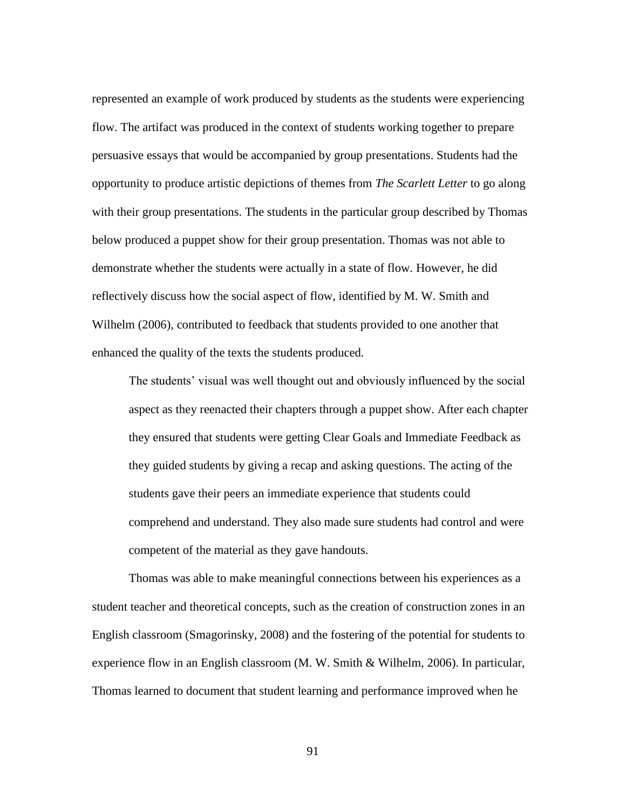represented an example of work produced by students as the students were experiencing flow. The artifact was produced in the context of students working together to prepare persuasive essays that would be accompanied by group presentations. Students had the opportunity to produce artistic depictions of themes from *The Scarlett Letter* to go along with their group presentations. The students in the particular group described by Thomas below produced a puppet show for their group presentation. Thomas was not able to demonstrate whether the students were actually in a state of flow. However, he did reflectively discuss how the social aspect of flow, identified by M. W. Smith and Wilhelm (2006), contributed to feedback that students provided to one another that enhanced the quality of the texts the students produced.

The students' visual was well thought out and obviously influenced by the social aspect as they reenacted their chapters through a puppet show. After each chapter they ensured that students were getting Clear Goals and Immediate Feedback as they guided students by giving a recap and asking questions. The acting of the students gave their peers an immediate experience that students could comprehend and understand. They also made sure students had control and were competent of the material as they gave handouts.

Thomas was able to make meaningful connections between his experiences as a student teacher and theoretical concepts, such as the creation of construction zones in an English classroom (Smagorinsky, 2008) and the fostering of the potential for students to experience flow in an English classroom (M. W. Smith & Wilhelm, 2006). In particular, Thomas learned to document that student learning and performance improved when he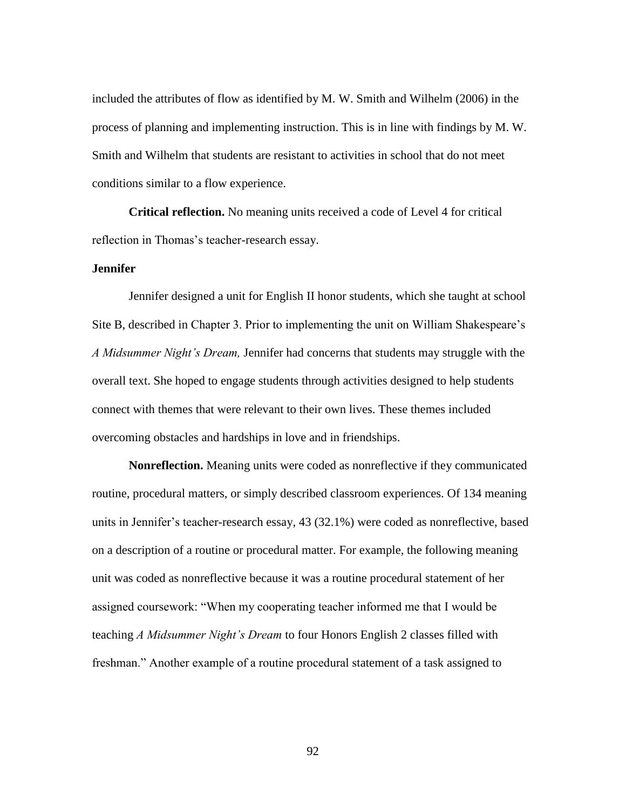included the attributes of flow as identified by M. W. Smith and Wilhelm (2006) in the process of planning and implementing instruction. This is in line with findings by M. W. Smith and Wilhelm that students are resistant to activities in school that do not meet conditions similar to a flow experience.

**Critical reflection.** No meaning units received a code of Level 4 for critical reflection in Thomas's teacher-research essay.

## **Jennifer**

Jennifer designed a unit for English II honor students, which she taught at school Site B, described in Chapter 3. Prior to implementing the unit on William Shakespeare's *A Midsummer Night's Dream,* Jennifer had concerns that students may struggle with the overall text. She hoped to engage students through activities designed to help students connect with themes that were relevant to their own lives. These themes included overcoming obstacles and hardships in love and in friendships.

**Nonreflection.** Meaning units were coded as nonreflective if they communicated routine, procedural matters, or simply described classroom experiences. Of 134 meaning units in Jennifer's teacher-research essay, 43 (32.1%) were coded as nonreflective, based on a description of a routine or procedural matter. For example, the following meaning unit was coded as nonreflective because it was a routine procedural statement of her assigned coursework: "When my cooperating teacher informed me that I would be teaching *A Midsummer Night's Dream* to four Honors English 2 classes filled with freshman." Another example of a routine procedural statement of a task assigned to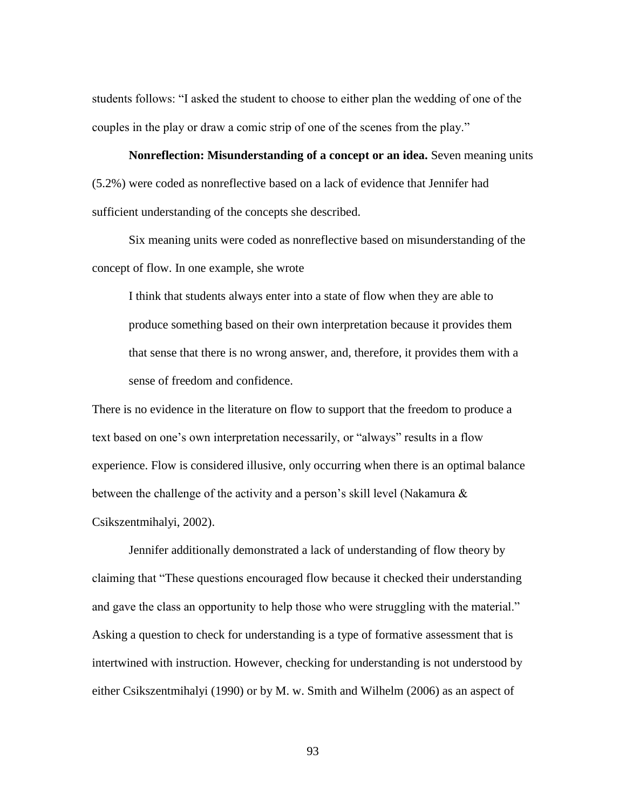students follows: "I asked the student to choose to either plan the wedding of one of the couples in the play or draw a comic strip of one of the scenes from the play."

**Nonreflection: Misunderstanding of a concept or an idea.** Seven meaning units (5.2%) were coded as nonreflective based on a lack of evidence that Jennifer had sufficient understanding of the concepts she described.

Six meaning units were coded as nonreflective based on misunderstanding of the concept of flow. In one example, she wrote

I think that students always enter into a state of flow when they are able to produce something based on their own interpretation because it provides them that sense that there is no wrong answer, and, therefore, it provides them with a sense of freedom and confidence.

There is no evidence in the literature on flow to support that the freedom to produce a text based on one's own interpretation necessarily, or "always" results in a flow experience. Flow is considered illusive, only occurring when there is an optimal balance between the challenge of the activity and a person's skill level (Nakamura & Csikszentmihalyi, 2002).

Jennifer additionally demonstrated a lack of understanding of flow theory by claiming that "These questions encouraged flow because it checked their understanding and gave the class an opportunity to help those who were struggling with the material." Asking a question to check for understanding is a type of formative assessment that is intertwined with instruction. However, checking for understanding is not understood by either Csikszentmihalyi (1990) or by M. w. Smith and Wilhelm (2006) as an aspect of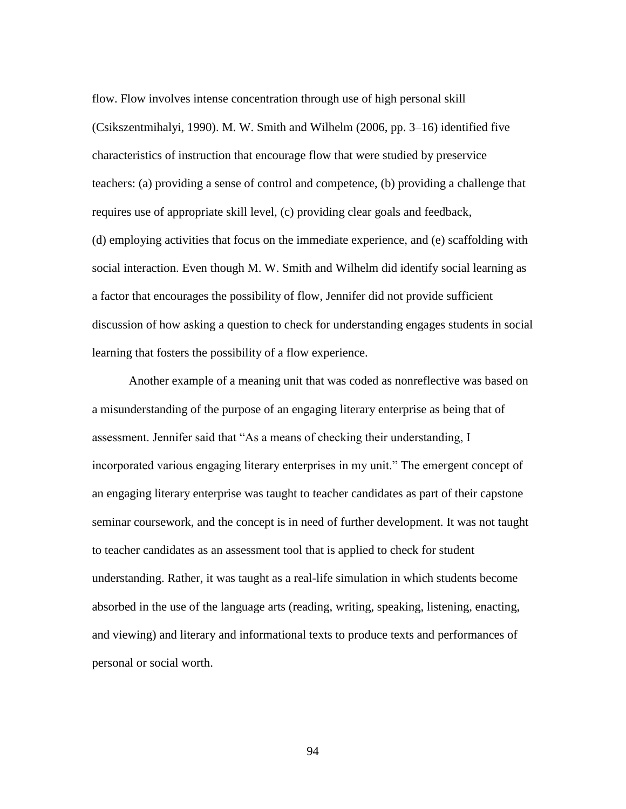flow. Flow involves intense concentration through use of high personal skill (Csikszentmihalyi, 1990). M. W. Smith and Wilhelm (2006, pp. 3–16) identified five characteristics of instruction that encourage flow that were studied by preservice teachers: (a) providing a sense of control and competence, (b) providing a challenge that requires use of appropriate skill level, (c) providing clear goals and feedback, (d) employing activities that focus on the immediate experience, and (e) scaffolding with social interaction. Even though M. W. Smith and Wilhelm did identify social learning as a factor that encourages the possibility of flow, Jennifer did not provide sufficient discussion of how asking a question to check for understanding engages students in social learning that fosters the possibility of a flow experience.

Another example of a meaning unit that was coded as nonreflective was based on a misunderstanding of the purpose of an engaging literary enterprise as being that of assessment. Jennifer said that "As a means of checking their understanding, I incorporated various engaging literary enterprises in my unit." The emergent concept of an engaging literary enterprise was taught to teacher candidates as part of their capstone seminar coursework, and the concept is in need of further development. It was not taught to teacher candidates as an assessment tool that is applied to check for student understanding. Rather, it was taught as a real-life simulation in which students become absorbed in the use of the language arts (reading, writing, speaking, listening, enacting, and viewing) and literary and informational texts to produce texts and performances of personal or social worth.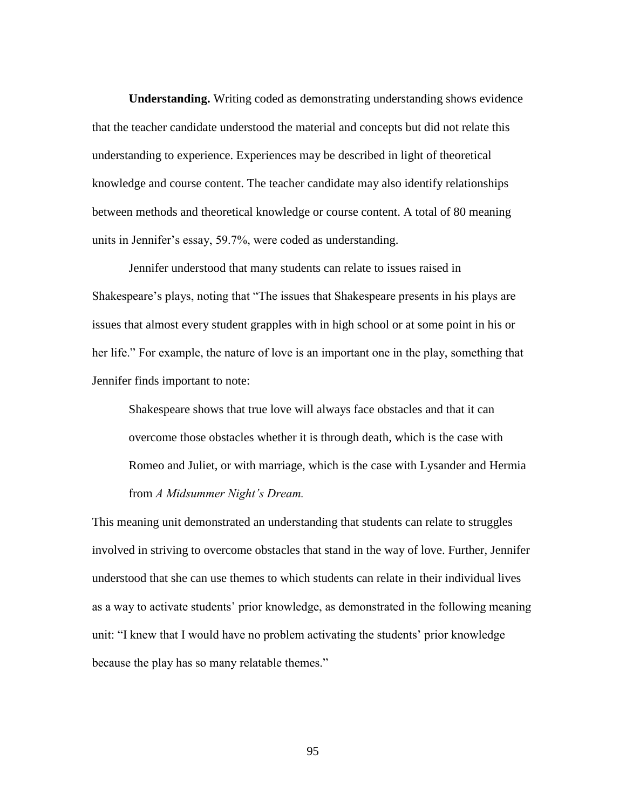**Understanding.** Writing coded as demonstrating understanding shows evidence that the teacher candidate understood the material and concepts but did not relate this understanding to experience. Experiences may be described in light of theoretical knowledge and course content. The teacher candidate may also identify relationships between methods and theoretical knowledge or course content. A total of 80 meaning units in Jennifer's essay, 59.7%, were coded as understanding.

Jennifer understood that many students can relate to issues raised in Shakespeare's plays, noting that "The issues that Shakespeare presents in his plays are issues that almost every student grapples with in high school or at some point in his or her life." For example, the nature of love is an important one in the play, something that Jennifer finds important to note:

Shakespeare shows that true love will always face obstacles and that it can overcome those obstacles whether it is through death, which is the case with Romeo and Juliet, or with marriage, which is the case with Lysander and Hermia from *A Midsummer Night's Dream.*

This meaning unit demonstrated an understanding that students can relate to struggles involved in striving to overcome obstacles that stand in the way of love. Further, Jennifer understood that she can use themes to which students can relate in their individual lives as a way to activate students' prior knowledge, as demonstrated in the following meaning unit: "I knew that I would have no problem activating the students' prior knowledge because the play has so many relatable themes."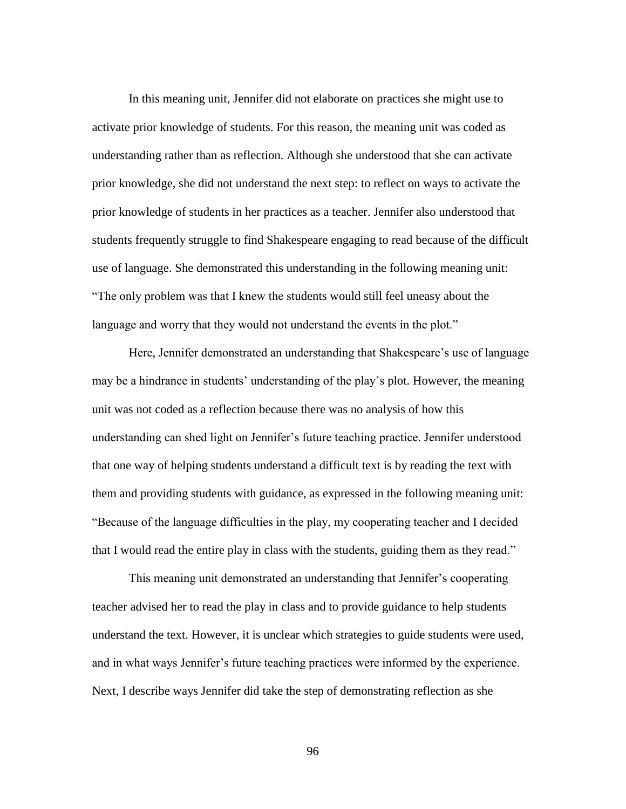In this meaning unit, Jennifer did not elaborate on practices she might use to activate prior knowledge of students. For this reason, the meaning unit was coded as understanding rather than as reflection. Although she understood that she can activate prior knowledge, she did not understand the next step: to reflect on ways to activate the prior knowledge of students in her practices as a teacher. Jennifer also understood that students frequently struggle to find Shakespeare engaging to read because of the difficult use of language. She demonstrated this understanding in the following meaning unit: "The only problem was that I knew the students would still feel uneasy about the language and worry that they would not understand the events in the plot."

Here, Jennifer demonstrated an understanding that Shakespeare's use of language may be a hindrance in students' understanding of the play's plot. However, the meaning unit was not coded as a reflection because there was no analysis of how this understanding can shed light on Jennifer's future teaching practice. Jennifer understood that one way of helping students understand a difficult text is by reading the text with them and providing students with guidance, as expressed in the following meaning unit: "Because of the language difficulties in the play, my cooperating teacher and I decided that I would read the entire play in class with the students, guiding them as they read."

This meaning unit demonstrated an understanding that Jennifer's cooperating teacher advised her to read the play in class and to provide guidance to help students understand the text. However, it is unclear which strategies to guide students were used, and in what ways Jennifer's future teaching practices were informed by the experience. Next, I describe ways Jennifer did take the step of demonstrating reflection as she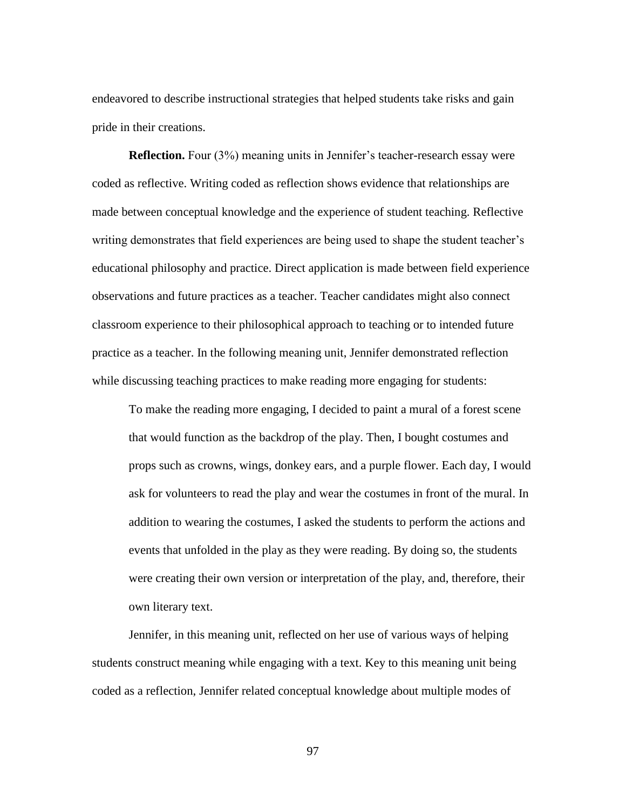endeavored to describe instructional strategies that helped students take risks and gain pride in their creations.

**Reflection.** Four (3%) meaning units in Jennifer's teacher-research essay were coded as reflective. Writing coded as reflection shows evidence that relationships are made between conceptual knowledge and the experience of student teaching. Reflective writing demonstrates that field experiences are being used to shape the student teacher's educational philosophy and practice. Direct application is made between field experience observations and future practices as a teacher. Teacher candidates might also connect classroom experience to their philosophical approach to teaching or to intended future practice as a teacher. In the following meaning unit, Jennifer demonstrated reflection while discussing teaching practices to make reading more engaging for students:

To make the reading more engaging, I decided to paint a mural of a forest scene that would function as the backdrop of the play. Then, I bought costumes and props such as crowns, wings, donkey ears, and a purple flower. Each day, I would ask for volunteers to read the play and wear the costumes in front of the mural. In addition to wearing the costumes, I asked the students to perform the actions and events that unfolded in the play as they were reading. By doing so, the students were creating their own version or interpretation of the play, and, therefore, their own literary text.

Jennifer, in this meaning unit, reflected on her use of various ways of helping students construct meaning while engaging with a text. Key to this meaning unit being coded as a reflection, Jennifer related conceptual knowledge about multiple modes of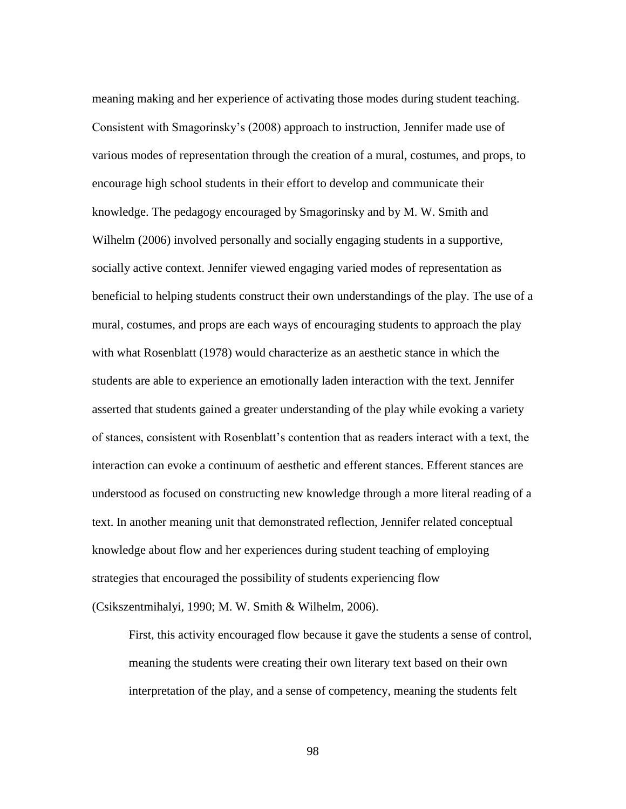meaning making and her experience of activating those modes during student teaching. Consistent with Smagorinsky's (2008) approach to instruction, Jennifer made use of various modes of representation through the creation of a mural, costumes, and props, to encourage high school students in their effort to develop and communicate their knowledge. The pedagogy encouraged by Smagorinsky and by M. W. Smith and Wilhelm (2006) involved personally and socially engaging students in a supportive, socially active context. Jennifer viewed engaging varied modes of representation as beneficial to helping students construct their own understandings of the play. The use of a mural, costumes, and props are each ways of encouraging students to approach the play with what Rosenblatt (1978) would characterize as an aesthetic stance in which the students are able to experience an emotionally laden interaction with the text. Jennifer asserted that students gained a greater understanding of the play while evoking a variety of stances, consistent with Rosenblatt's contention that as readers interact with a text, the interaction can evoke a continuum of aesthetic and efferent stances. Efferent stances are understood as focused on constructing new knowledge through a more literal reading of a text. In another meaning unit that demonstrated reflection, Jennifer related conceptual knowledge about flow and her experiences during student teaching of employing strategies that encouraged the possibility of students experiencing flow (Csikszentmihalyi, 1990; M. W. Smith & Wilhelm, 2006).

First, this activity encouraged flow because it gave the students a sense of control, meaning the students were creating their own literary text based on their own interpretation of the play, and a sense of competency, meaning the students felt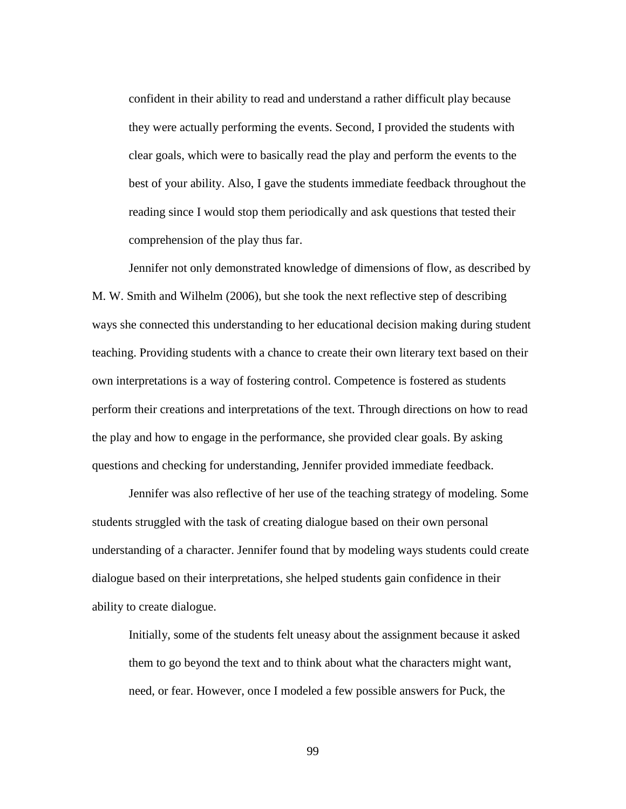confident in their ability to read and understand a rather difficult play because they were actually performing the events. Second, I provided the students with clear goals, which were to basically read the play and perform the events to the best of your ability. Also, I gave the students immediate feedback throughout the reading since I would stop them periodically and ask questions that tested their comprehension of the play thus far.

Jennifer not only demonstrated knowledge of dimensions of flow, as described by M. W. Smith and Wilhelm (2006), but she took the next reflective step of describing ways she connected this understanding to her educational decision making during student teaching. Providing students with a chance to create their own literary text based on their own interpretations is a way of fostering control. Competence is fostered as students perform their creations and interpretations of the text. Through directions on how to read the play and how to engage in the performance, she provided clear goals. By asking questions and checking for understanding, Jennifer provided immediate feedback.

Jennifer was also reflective of her use of the teaching strategy of modeling. Some students struggled with the task of creating dialogue based on their own personal understanding of a character. Jennifer found that by modeling ways students could create dialogue based on their interpretations, she helped students gain confidence in their ability to create dialogue.

Initially, some of the students felt uneasy about the assignment because it asked them to go beyond the text and to think about what the characters might want, need, or fear. However, once I modeled a few possible answers for Puck, the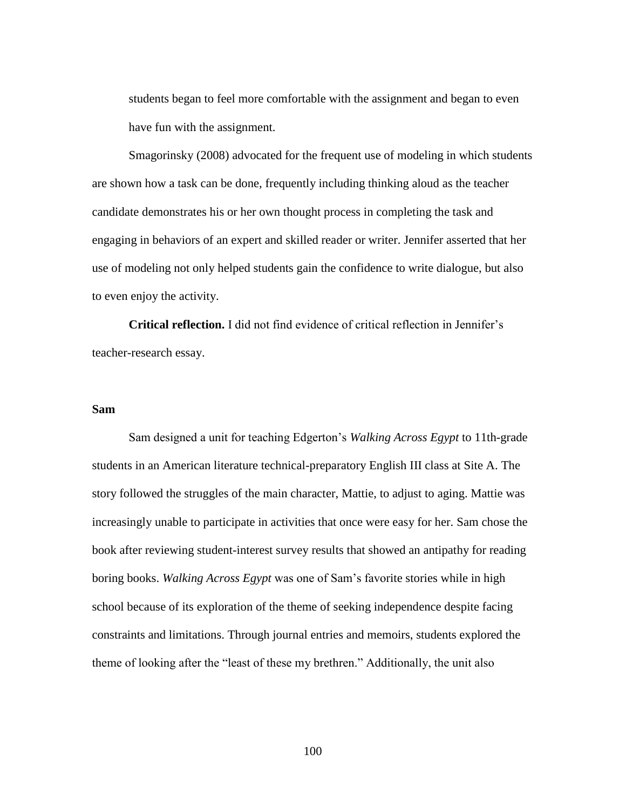students began to feel more comfortable with the assignment and began to even have fun with the assignment.

Smagorinsky (2008) advocated for the frequent use of modeling in which students are shown how a task can be done, frequently including thinking aloud as the teacher candidate demonstrates his or her own thought process in completing the task and engaging in behaviors of an expert and skilled reader or writer. Jennifer asserted that her use of modeling not only helped students gain the confidence to write dialogue, but also to even enjoy the activity.

**Critical reflection.** I did not find evidence of critical reflection in Jennifer's teacher-research essay.

#### **Sam**

Sam designed a unit for teaching Edgerton's *Walking Across Egypt* to 11th-grade students in an American literature technical-preparatory English III class at Site A. The story followed the struggles of the main character, Mattie, to adjust to aging. Mattie was increasingly unable to participate in activities that once were easy for her. Sam chose the book after reviewing student-interest survey results that showed an antipathy for reading boring books. *Walking Across Egypt* was one of Sam's favorite stories while in high school because of its exploration of the theme of seeking independence despite facing constraints and limitations. Through journal entries and memoirs, students explored the theme of looking after the "least of these my brethren." Additionally, the unit also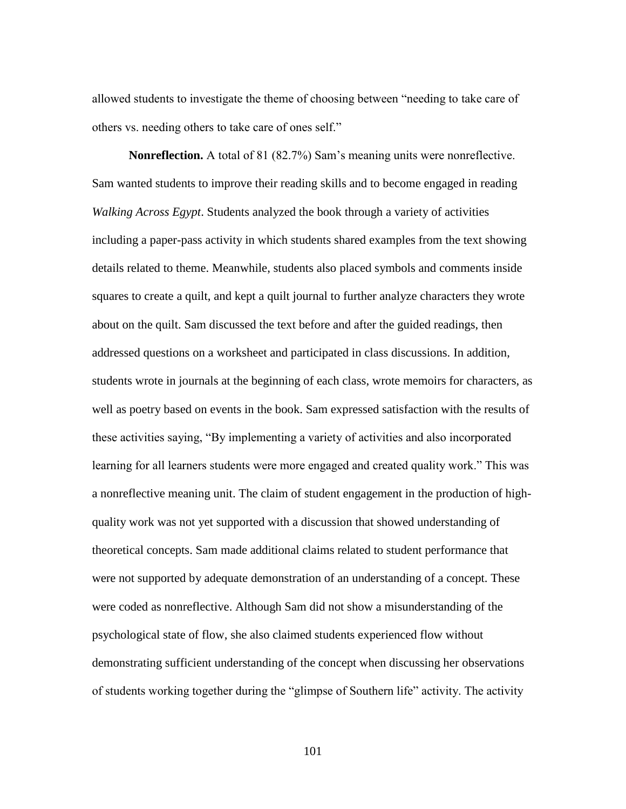allowed students to investigate the theme of choosing between "needing to take care of others vs. needing others to take care of ones self."

**Nonreflection.** A total of 81 (82.7%) Sam's meaning units were nonreflective. Sam wanted students to improve their reading skills and to become engaged in reading *Walking Across Egypt*. Students analyzed the book through a variety of activities including a paper-pass activity in which students shared examples from the text showing details related to theme. Meanwhile, students also placed symbols and comments inside squares to create a quilt, and kept a quilt journal to further analyze characters they wrote about on the quilt. Sam discussed the text before and after the guided readings, then addressed questions on a worksheet and participated in class discussions. In addition, students wrote in journals at the beginning of each class, wrote memoirs for characters, as well as poetry based on events in the book. Sam expressed satisfaction with the results of these activities saying, "By implementing a variety of activities and also incorporated learning for all learners students were more engaged and created quality work." This was a nonreflective meaning unit. The claim of student engagement in the production of highquality work was not yet supported with a discussion that showed understanding of theoretical concepts. Sam made additional claims related to student performance that were not supported by adequate demonstration of an understanding of a concept. These were coded as nonreflective. Although Sam did not show a misunderstanding of the psychological state of flow, she also claimed students experienced flow without demonstrating sufficient understanding of the concept when discussing her observations of students working together during the "glimpse of Southern life" activity. The activity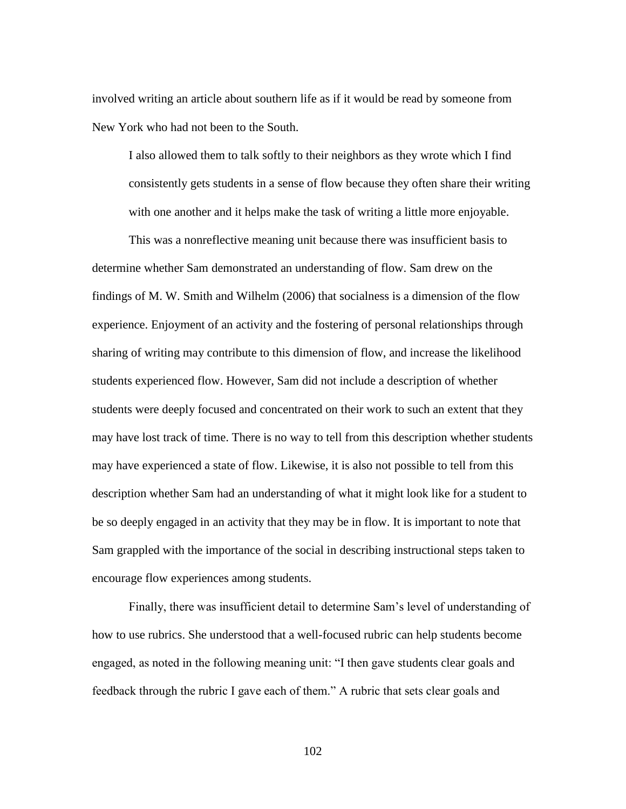involved writing an article about southern life as if it would be read by someone from New York who had not been to the South.

I also allowed them to talk softly to their neighbors as they wrote which I find consistently gets students in a sense of flow because they often share their writing with one another and it helps make the task of writing a little more enjoyable.

This was a nonreflective meaning unit because there was insufficient basis to determine whether Sam demonstrated an understanding of flow. Sam drew on the findings of M. W. Smith and Wilhelm (2006) that socialness is a dimension of the flow experience. Enjoyment of an activity and the fostering of personal relationships through sharing of writing may contribute to this dimension of flow, and increase the likelihood students experienced flow. However, Sam did not include a description of whether students were deeply focused and concentrated on their work to such an extent that they may have lost track of time. There is no way to tell from this description whether students may have experienced a state of flow. Likewise, it is also not possible to tell from this description whether Sam had an understanding of what it might look like for a student to be so deeply engaged in an activity that they may be in flow. It is important to note that Sam grappled with the importance of the social in describing instructional steps taken to encourage flow experiences among students.

Finally, there was insufficient detail to determine Sam's level of understanding of how to use rubrics. She understood that a well-focused rubric can help students become engaged, as noted in the following meaning unit: "I then gave students clear goals and feedback through the rubric I gave each of them." A rubric that sets clear goals and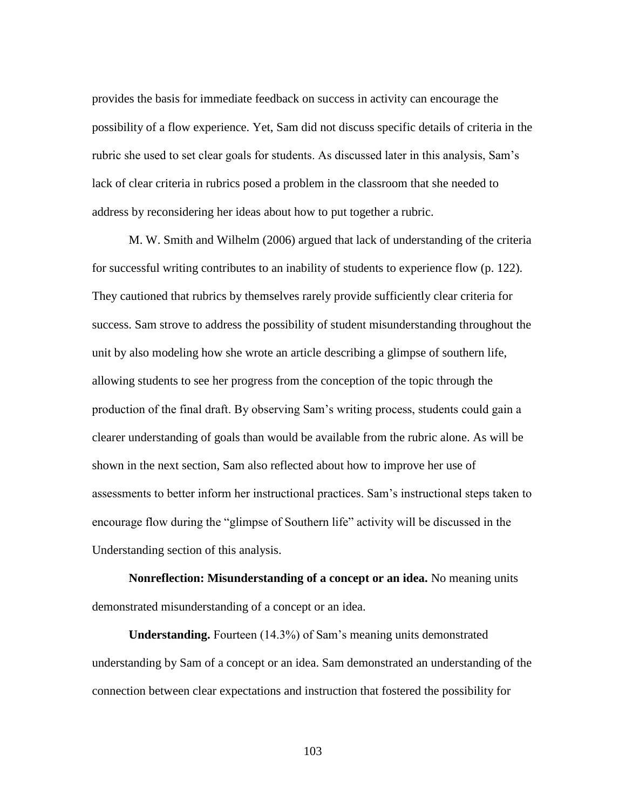provides the basis for immediate feedback on success in activity can encourage the possibility of a flow experience. Yet, Sam did not discuss specific details of criteria in the rubric she used to set clear goals for students. As discussed later in this analysis, Sam's lack of clear criteria in rubrics posed a problem in the classroom that she needed to address by reconsidering her ideas about how to put together a rubric.

M. W. Smith and Wilhelm (2006) argued that lack of understanding of the criteria for successful writing contributes to an inability of students to experience flow (p. 122). They cautioned that rubrics by themselves rarely provide sufficiently clear criteria for success. Sam strove to address the possibility of student misunderstanding throughout the unit by also modeling how she wrote an article describing a glimpse of southern life, allowing students to see her progress from the conception of the topic through the production of the final draft. By observing Sam's writing process, students could gain a clearer understanding of goals than would be available from the rubric alone. As will be shown in the next section, Sam also reflected about how to improve her use of assessments to better inform her instructional practices. Sam's instructional steps taken to encourage flow during the "glimpse of Southern life" activity will be discussed in the Understanding section of this analysis.

**Nonreflection: Misunderstanding of a concept or an idea.** No meaning units demonstrated misunderstanding of a concept or an idea.

**Understanding.** Fourteen (14.3%) of Sam's meaning units demonstrated understanding by Sam of a concept or an idea. Sam demonstrated an understanding of the connection between clear expectations and instruction that fostered the possibility for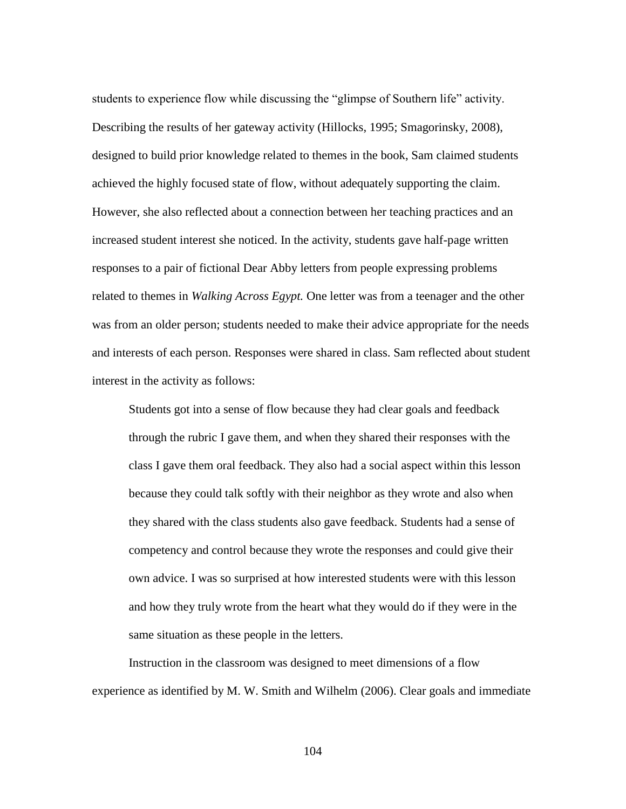students to experience flow while discussing the "glimpse of Southern life" activity. Describing the results of her gateway activity (Hillocks, 1995; Smagorinsky, 2008), designed to build prior knowledge related to themes in the book, Sam claimed students achieved the highly focused state of flow, without adequately supporting the claim. However, she also reflected about a connection between her teaching practices and an increased student interest she noticed. In the activity, students gave half-page written responses to a pair of fictional Dear Abby letters from people expressing problems related to themes in *Walking Across Egypt.* One letter was from a teenager and the other was from an older person; students needed to make their advice appropriate for the needs and interests of each person. Responses were shared in class. Sam reflected about student interest in the activity as follows:

Students got into a sense of flow because they had clear goals and feedback through the rubric I gave them, and when they shared their responses with the class I gave them oral feedback. They also had a social aspect within this lesson because they could talk softly with their neighbor as they wrote and also when they shared with the class students also gave feedback. Students had a sense of competency and control because they wrote the responses and could give their own advice. I was so surprised at how interested students were with this lesson and how they truly wrote from the heart what they would do if they were in the same situation as these people in the letters.

Instruction in the classroom was designed to meet dimensions of a flow experience as identified by M. W. Smith and Wilhelm (2006). Clear goals and immediate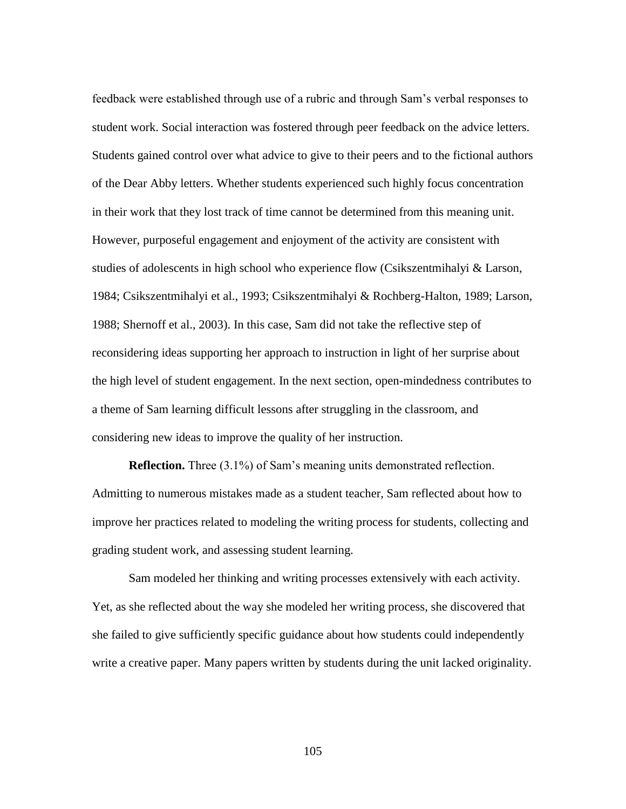feedback were established through use of a rubric and through Sam's verbal responses to student work. Social interaction was fostered through peer feedback on the advice letters. Students gained control over what advice to give to their peers and to the fictional authors of the Dear Abby letters. Whether students experienced such highly focus concentration in their work that they lost track of time cannot be determined from this meaning unit. However, purposeful engagement and enjoyment of the activity are consistent with studies of adolescents in high school who experience flow (Csikszentmihalyi & Larson, 1984; Csikszentmihalyi et al., 1993; Csikszentmihalyi & Rochberg-Halton, 1989; Larson, 1988; Shernoff et al., 2003). In this case, Sam did not take the reflective step of reconsidering ideas supporting her approach to instruction in light of her surprise about the high level of student engagement. In the next section, open-mindedness contributes to a theme of Sam learning difficult lessons after struggling in the classroom, and considering new ideas to improve the quality of her instruction.

**Reflection.** Three (3.1%) of Sam's meaning units demonstrated reflection. Admitting to numerous mistakes made as a student teacher, Sam reflected about how to improve her practices related to modeling the writing process for students, collecting and grading student work, and assessing student learning.

Sam modeled her thinking and writing processes extensively with each activity. Yet, as she reflected about the way she modeled her writing process, she discovered that she failed to give sufficiently specific guidance about how students could independently write a creative paper. Many papers written by students during the unit lacked originality.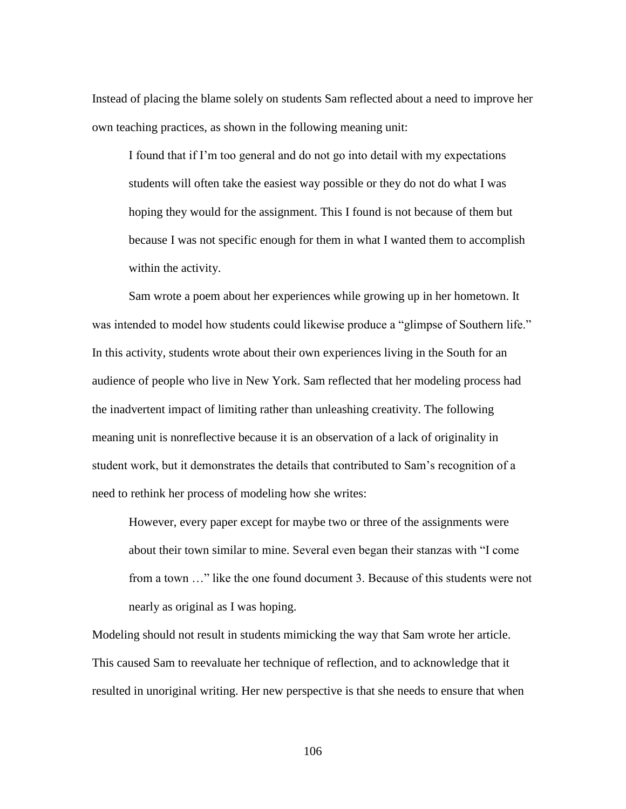Instead of placing the blame solely on students Sam reflected about a need to improve her own teaching practices, as shown in the following meaning unit:

I found that if I'm too general and do not go into detail with my expectations students will often take the easiest way possible or they do not do what I was hoping they would for the assignment. This I found is not because of them but because I was not specific enough for them in what I wanted them to accomplish within the activity.

Sam wrote a poem about her experiences while growing up in her hometown. It was intended to model how students could likewise produce a "glimpse of Southern life." In this activity, students wrote about their own experiences living in the South for an audience of people who live in New York. Sam reflected that her modeling process had the inadvertent impact of limiting rather than unleashing creativity. The following meaning unit is nonreflective because it is an observation of a lack of originality in student work, but it demonstrates the details that contributed to Sam's recognition of a need to rethink her process of modeling how she writes:

However, every paper except for maybe two or three of the assignments were about their town similar to mine. Several even began their stanzas with "I come from a town …" like the one found document 3. Because of this students were not nearly as original as I was hoping.

Modeling should not result in students mimicking the way that Sam wrote her article. This caused Sam to reevaluate her technique of reflection, and to acknowledge that it resulted in unoriginal writing. Her new perspective is that she needs to ensure that when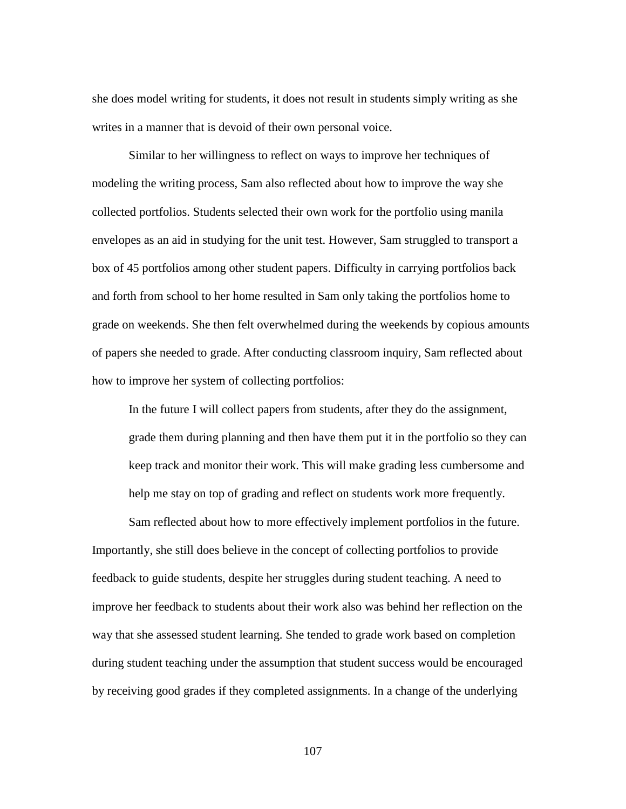she does model writing for students, it does not result in students simply writing as she writes in a manner that is devoid of their own personal voice.

Similar to her willingness to reflect on ways to improve her techniques of modeling the writing process, Sam also reflected about how to improve the way she collected portfolios. Students selected their own work for the portfolio using manila envelopes as an aid in studying for the unit test. However, Sam struggled to transport a box of 45 portfolios among other student papers. Difficulty in carrying portfolios back and forth from school to her home resulted in Sam only taking the portfolios home to grade on weekends. She then felt overwhelmed during the weekends by copious amounts of papers she needed to grade. After conducting classroom inquiry, Sam reflected about how to improve her system of collecting portfolios:

In the future I will collect papers from students, after they do the assignment, grade them during planning and then have them put it in the portfolio so they can keep track and monitor their work. This will make grading less cumbersome and help me stay on top of grading and reflect on students work more frequently.

Sam reflected about how to more effectively implement portfolios in the future. Importantly, she still does believe in the concept of collecting portfolios to provide feedback to guide students, despite her struggles during student teaching. A need to improve her feedback to students about their work also was behind her reflection on the way that she assessed student learning. She tended to grade work based on completion during student teaching under the assumption that student success would be encouraged by receiving good grades if they completed assignments. In a change of the underlying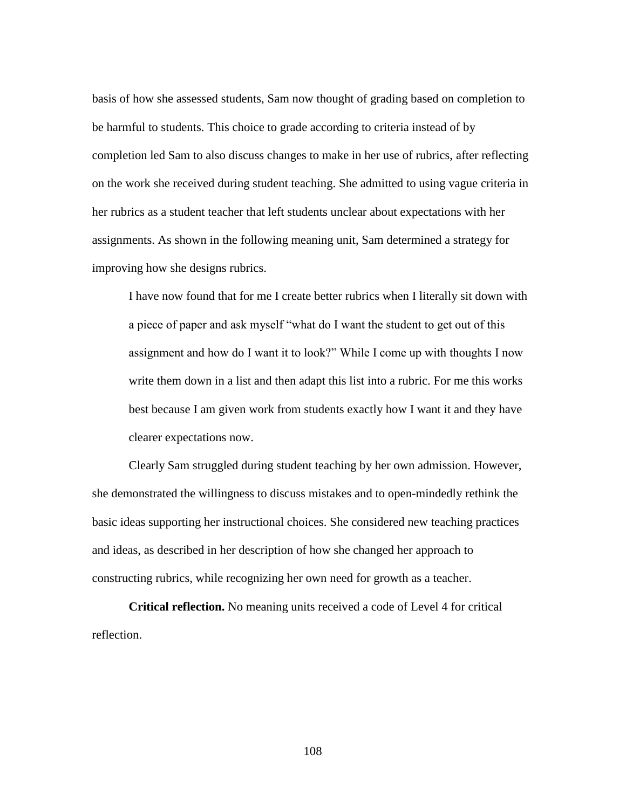basis of how she assessed students, Sam now thought of grading based on completion to be harmful to students. This choice to grade according to criteria instead of by completion led Sam to also discuss changes to make in her use of rubrics, after reflecting on the work she received during student teaching. She admitted to using vague criteria in her rubrics as a student teacher that left students unclear about expectations with her assignments. As shown in the following meaning unit, Sam determined a strategy for improving how she designs rubrics.

I have now found that for me I create better rubrics when I literally sit down with a piece of paper and ask myself "what do I want the student to get out of this assignment and how do I want it to look?" While I come up with thoughts I now write them down in a list and then adapt this list into a rubric. For me this works best because I am given work from students exactly how I want it and they have clearer expectations now.

Clearly Sam struggled during student teaching by her own admission. However, she demonstrated the willingness to discuss mistakes and to open-mindedly rethink the basic ideas supporting her instructional choices. She considered new teaching practices and ideas, as described in her description of how she changed her approach to constructing rubrics, while recognizing her own need for growth as a teacher.

**Critical reflection.** No meaning units received a code of Level 4 for critical reflection.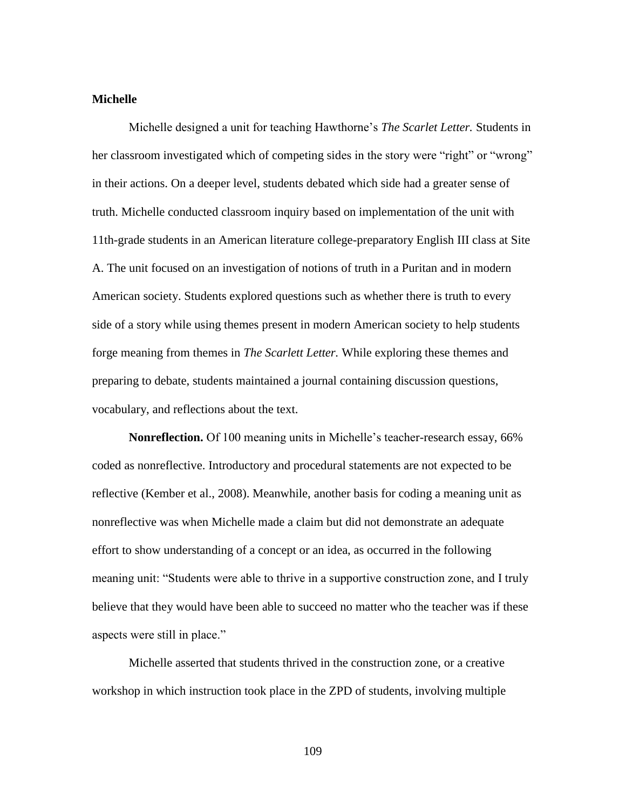## **Michelle**

Michelle designed a unit for teaching Hawthorne's *The Scarlet Letter.* Students in her classroom investigated which of competing sides in the story were "right" or "wrong" in their actions. On a deeper level, students debated which side had a greater sense of truth. Michelle conducted classroom inquiry based on implementation of the unit with 11th-grade students in an American literature college-preparatory English III class at Site A. The unit focused on an investigation of notions of truth in a Puritan and in modern American society. Students explored questions such as whether there is truth to every side of a story while using themes present in modern American society to help students forge meaning from themes in *The Scarlett Letter.* While exploring these themes and preparing to debate, students maintained a journal containing discussion questions, vocabulary, and reflections about the text.

**Nonreflection.** Of 100 meaning units in Michelle's teacher-research essay, 66% coded as nonreflective. Introductory and procedural statements are not expected to be reflective (Kember et al., 2008). Meanwhile, another basis for coding a meaning unit as nonreflective was when Michelle made a claim but did not demonstrate an adequate effort to show understanding of a concept or an idea, as occurred in the following meaning unit: "Students were able to thrive in a supportive construction zone, and I truly believe that they would have been able to succeed no matter who the teacher was if these aspects were still in place."

Michelle asserted that students thrived in the construction zone, or a creative workshop in which instruction took place in the ZPD of students, involving multiple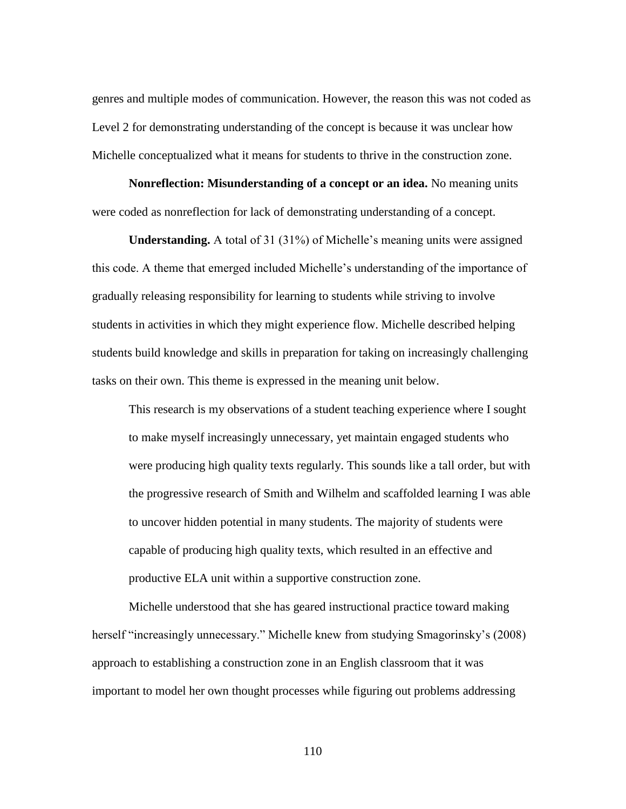genres and multiple modes of communication. However, the reason this was not coded as Level 2 for demonstrating understanding of the concept is because it was unclear how Michelle conceptualized what it means for students to thrive in the construction zone.

**Nonreflection: Misunderstanding of a concept or an idea.** No meaning units were coded as nonreflection for lack of demonstrating understanding of a concept.

**Understanding.** A total of 31 (31%) of Michelle's meaning units were assigned this code. A theme that emerged included Michelle's understanding of the importance of gradually releasing responsibility for learning to students while striving to involve students in activities in which they might experience flow. Michelle described helping students build knowledge and skills in preparation for taking on increasingly challenging tasks on their own. This theme is expressed in the meaning unit below.

This research is my observations of a student teaching experience where I sought to make myself increasingly unnecessary, yet maintain engaged students who were producing high quality texts regularly. This sounds like a tall order, but with the progressive research of Smith and Wilhelm and scaffolded learning I was able to uncover hidden potential in many students. The majority of students were capable of producing high quality texts, which resulted in an effective and productive ELA unit within a supportive construction zone.

Michelle understood that she has geared instructional practice toward making herself "increasingly unnecessary." Michelle knew from studying Smagorinsky's (2008) approach to establishing a construction zone in an English classroom that it was important to model her own thought processes while figuring out problems addressing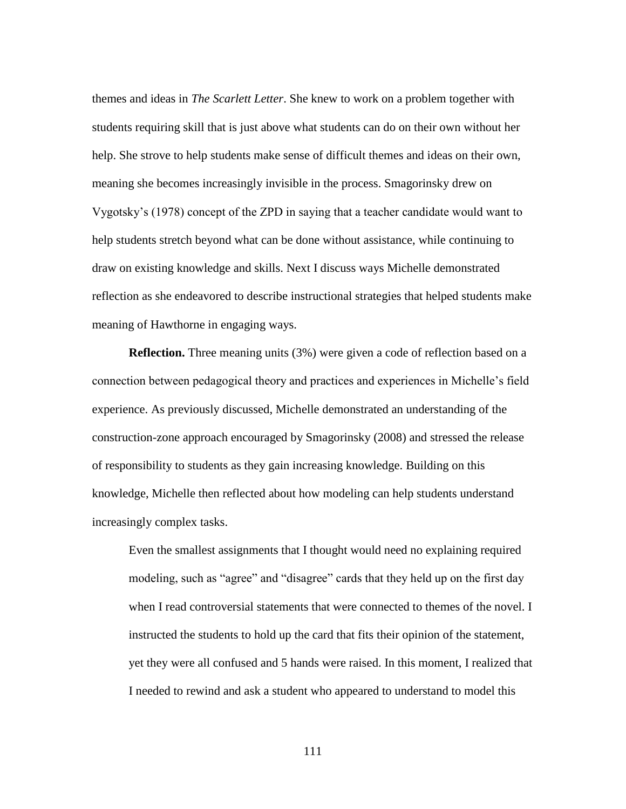themes and ideas in *The Scarlett Letter*. She knew to work on a problem together with students requiring skill that is just above what students can do on their own without her help. She strove to help students make sense of difficult themes and ideas on their own, meaning she becomes increasingly invisible in the process. Smagorinsky drew on Vygotsky's (1978) concept of the ZPD in saying that a teacher candidate would want to help students stretch beyond what can be done without assistance, while continuing to draw on existing knowledge and skills. Next I discuss ways Michelle demonstrated reflection as she endeavored to describe instructional strategies that helped students make meaning of Hawthorne in engaging ways.

**Reflection.** Three meaning units (3%) were given a code of reflection based on a connection between pedagogical theory and practices and experiences in Michelle's field experience. As previously discussed, Michelle demonstrated an understanding of the construction-zone approach encouraged by Smagorinsky (2008) and stressed the release of responsibility to students as they gain increasing knowledge. Building on this knowledge, Michelle then reflected about how modeling can help students understand increasingly complex tasks.

Even the smallest assignments that I thought would need no explaining required modeling, such as "agree" and "disagree" cards that they held up on the first day when I read controversial statements that were connected to themes of the novel. I instructed the students to hold up the card that fits their opinion of the statement, yet they were all confused and 5 hands were raised. In this moment, I realized that I needed to rewind and ask a student who appeared to understand to model this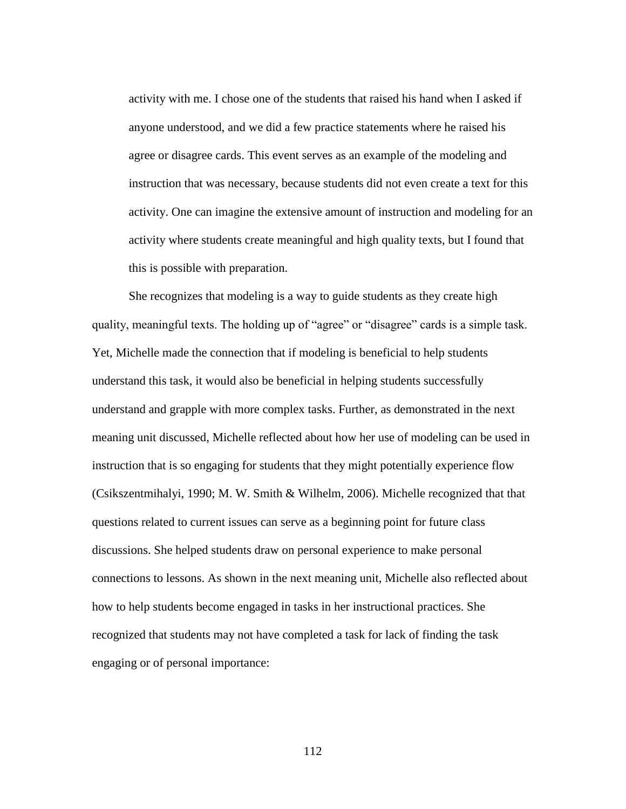activity with me. I chose one of the students that raised his hand when I asked if anyone understood, and we did a few practice statements where he raised his agree or disagree cards. This event serves as an example of the modeling and instruction that was necessary, because students did not even create a text for this activity. One can imagine the extensive amount of instruction and modeling for an activity where students create meaningful and high quality texts, but I found that this is possible with preparation.

She recognizes that modeling is a way to guide students as they create high quality, meaningful texts. The holding up of "agree" or "disagree" cards is a simple task. Yet, Michelle made the connection that if modeling is beneficial to help students understand this task, it would also be beneficial in helping students successfully understand and grapple with more complex tasks. Further, as demonstrated in the next meaning unit discussed, Michelle reflected about how her use of modeling can be used in instruction that is so engaging for students that they might potentially experience flow (Csikszentmihalyi, 1990; M. W. Smith & Wilhelm, 2006). Michelle recognized that that questions related to current issues can serve as a beginning point for future class discussions. She helped students draw on personal experience to make personal connections to lessons. As shown in the next meaning unit, Michelle also reflected about how to help students become engaged in tasks in her instructional practices. She recognized that students may not have completed a task for lack of finding the task engaging or of personal importance: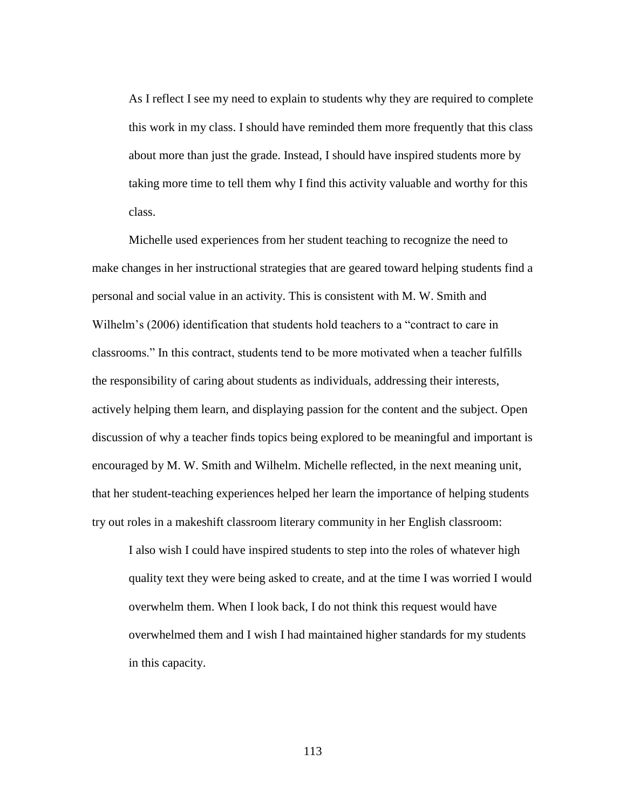As I reflect I see my need to explain to students why they are required to complete this work in my class. I should have reminded them more frequently that this class about more than just the grade. Instead, I should have inspired students more by taking more time to tell them why I find this activity valuable and worthy for this class.

Michelle used experiences from her student teaching to recognize the need to make changes in her instructional strategies that are geared toward helping students find a personal and social value in an activity. This is consistent with M. W. Smith and Wilhelm's (2006) identification that students hold teachers to a "contract to care in classrooms." In this contract, students tend to be more motivated when a teacher fulfills the responsibility of caring about students as individuals, addressing their interests, actively helping them learn, and displaying passion for the content and the subject. Open discussion of why a teacher finds topics being explored to be meaningful and important is encouraged by M. W. Smith and Wilhelm. Michelle reflected, in the next meaning unit, that her student-teaching experiences helped her learn the importance of helping students try out roles in a makeshift classroom literary community in her English classroom:

I also wish I could have inspired students to step into the roles of whatever high quality text they were being asked to create, and at the time I was worried I would overwhelm them. When I look back, I do not think this request would have overwhelmed them and I wish I had maintained higher standards for my students in this capacity.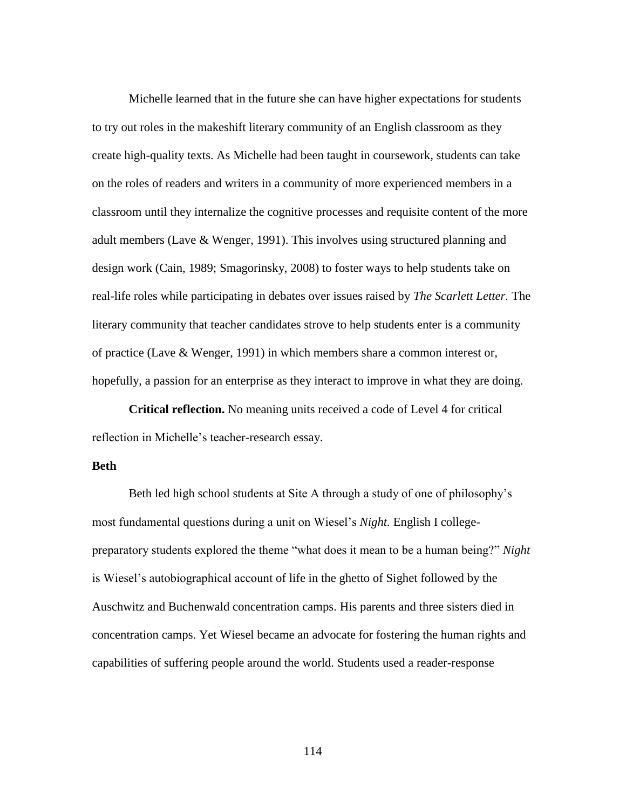Michelle learned that in the future she can have higher expectations for students to try out roles in the makeshift literary community of an English classroom as they create high-quality texts. As Michelle had been taught in coursework, students can take on the roles of readers and writers in a community of more experienced members in a classroom until they internalize the cognitive processes and requisite content of the more adult members (Lave & Wenger, 1991). This involves using structured planning and design work (Cain, 1989; Smagorinsky, 2008) to foster ways to help students take on real-life roles while participating in debates over issues raised by *The Scarlett Letter.* The literary community that teacher candidates strove to help students enter is a community of practice (Lave & Wenger, 1991) in which members share a common interest or, hopefully, a passion for an enterprise as they interact to improve in what they are doing.

**Critical reflection.** No meaning units received a code of Level 4 for critical reflection in Michelle's teacher-research essay.

# **Beth**

Beth led high school students at Site A through a study of one of philosophy's most fundamental questions during a unit on Wiesel's *Night.* English I collegepreparatory students explored the theme "what does it mean to be a human being?" *Night* is Wiesel's autobiographical account of life in the ghetto of Sighet followed by the Auschwitz and Buchenwald concentration camps. His parents and three sisters died in concentration camps. Yet Wiesel became an advocate for fostering the human rights and capabilities of suffering people around the world. Students used a reader-response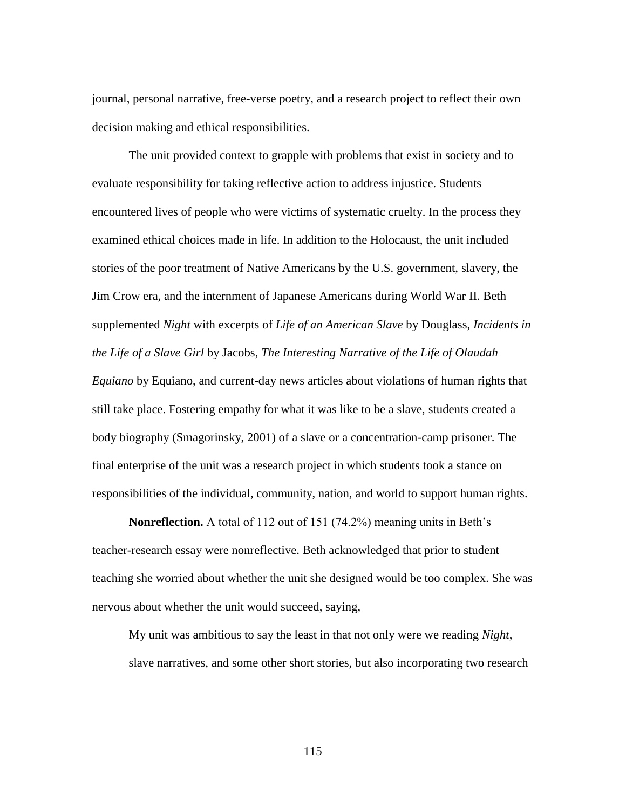journal, personal narrative, free-verse poetry, and a research project to reflect their own decision making and ethical responsibilities.

The unit provided context to grapple with problems that exist in society and to evaluate responsibility for taking reflective action to address injustice. Students encountered lives of people who were victims of systematic cruelty. In the process they examined ethical choices made in life. In addition to the Holocaust, the unit included stories of the poor treatment of Native Americans by the U.S. government, slavery, the Jim Crow era, and the internment of Japanese Americans during World War II. Beth supplemented *Night* with excerpts of *Life of an American Slave* by Douglass, *Incidents in the Life of a Slave Girl* by Jacobs, *The Interesting Narrative of the Life of Olaudah Equiano* by Equiano, and current-day news articles about violations of human rights that still take place. Fostering empathy for what it was like to be a slave, students created a body biography (Smagorinsky, 2001) of a slave or a concentration-camp prisoner. The final enterprise of the unit was a research project in which students took a stance on responsibilities of the individual, community, nation, and world to support human rights.

**Nonreflection.** A total of 112 out of 151 (74.2%) meaning units in Beth's teacher-research essay were nonreflective. Beth acknowledged that prior to student teaching she worried about whether the unit she designed would be too complex. She was nervous about whether the unit would succeed, saying,

My unit was ambitious to say the least in that not only were we reading *Night*, slave narratives, and some other short stories, but also incorporating two research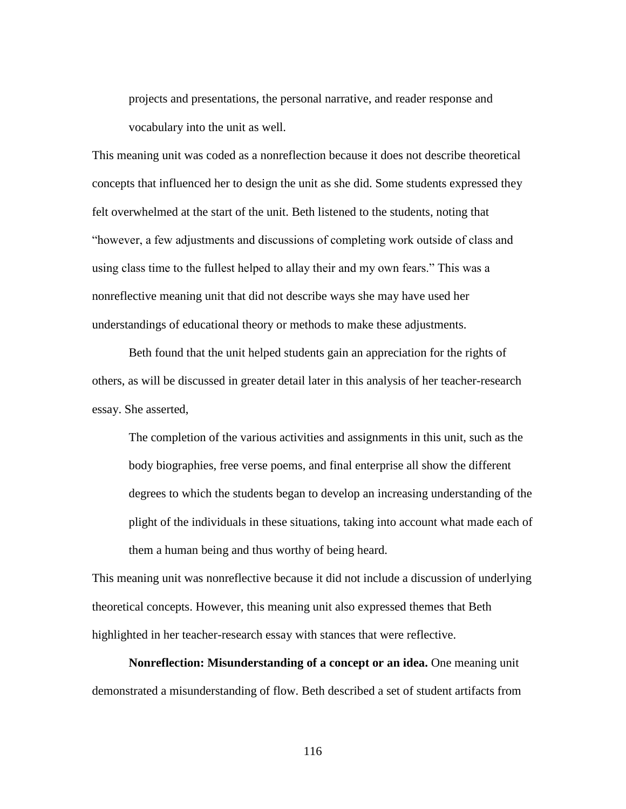projects and presentations, the personal narrative, and reader response and vocabulary into the unit as well.

This meaning unit was coded as a nonreflection because it does not describe theoretical concepts that influenced her to design the unit as she did. Some students expressed they felt overwhelmed at the start of the unit. Beth listened to the students, noting that "however, a few adjustments and discussions of completing work outside of class and using class time to the fullest helped to allay their and my own fears." This was a nonreflective meaning unit that did not describe ways she may have used her understandings of educational theory or methods to make these adjustments.

Beth found that the unit helped students gain an appreciation for the rights of others, as will be discussed in greater detail later in this analysis of her teacher-research essay. She asserted,

The completion of the various activities and assignments in this unit, such as the body biographies, free verse poems, and final enterprise all show the different degrees to which the students began to develop an increasing understanding of the plight of the individuals in these situations, taking into account what made each of them a human being and thus worthy of being heard.

This meaning unit was nonreflective because it did not include a discussion of underlying theoretical concepts. However, this meaning unit also expressed themes that Beth highlighted in her teacher-research essay with stances that were reflective.

**Nonreflection: Misunderstanding of a concept or an idea.** One meaning unit demonstrated a misunderstanding of flow. Beth described a set of student artifacts from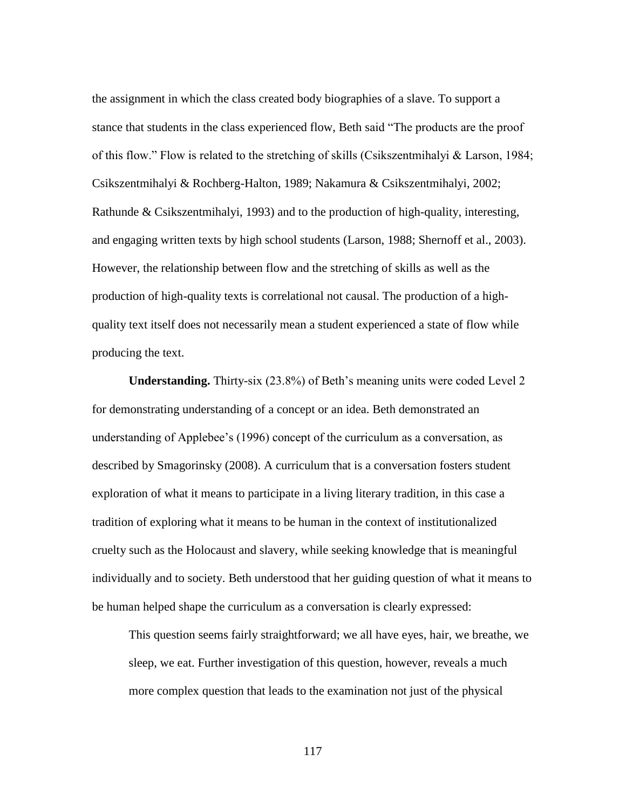the assignment in which the class created body biographies of a slave. To support a stance that students in the class experienced flow, Beth said "The products are the proof of this flow." Flow is related to the stretching of skills (Csikszentmihalyi & Larson, 1984; Csikszentmihalyi & Rochberg-Halton, 1989; Nakamura & Csikszentmihalyi, 2002; Rathunde & Csikszentmihalyi, 1993) and to the production of high-quality, interesting, and engaging written texts by high school students (Larson, 1988; Shernoff et al., 2003). However, the relationship between flow and the stretching of skills as well as the production of high-quality texts is correlational not causal. The production of a highquality text itself does not necessarily mean a student experienced a state of flow while producing the text.

**Understanding.** Thirty-six (23.8%) of Beth's meaning units were coded Level 2 for demonstrating understanding of a concept or an idea. Beth demonstrated an understanding of Applebee's (1996) concept of the curriculum as a conversation, as described by Smagorinsky (2008). A curriculum that is a conversation fosters student exploration of what it means to participate in a living literary tradition, in this case a tradition of exploring what it means to be human in the context of institutionalized cruelty such as the Holocaust and slavery, while seeking knowledge that is meaningful individually and to society. Beth understood that her guiding question of what it means to be human helped shape the curriculum as a conversation is clearly expressed:

This question seems fairly straightforward; we all have eyes, hair, we breathe, we sleep, we eat. Further investigation of this question, however, reveals a much more complex question that leads to the examination not just of the physical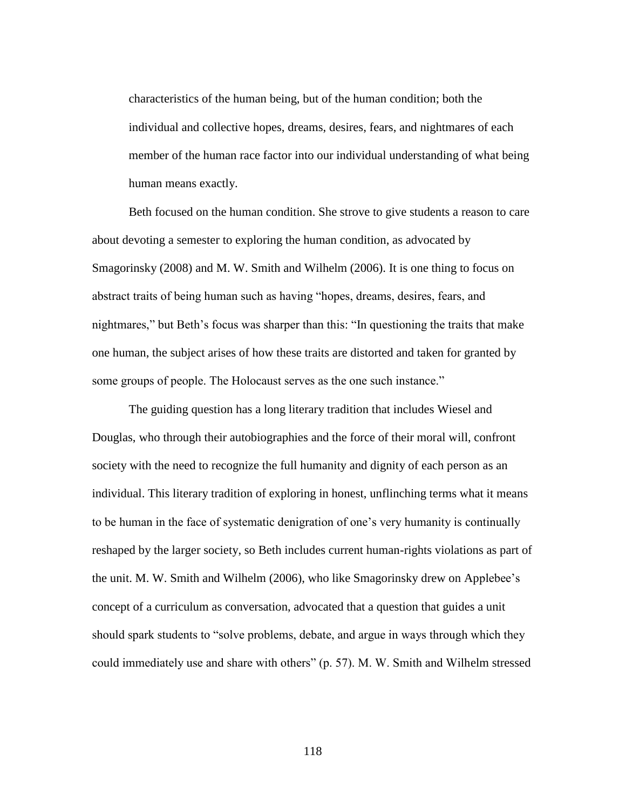characteristics of the human being, but of the human condition; both the individual and collective hopes, dreams, desires, fears, and nightmares of each member of the human race factor into our individual understanding of what being human means exactly.

Beth focused on the human condition. She strove to give students a reason to care about devoting a semester to exploring the human condition, as advocated by Smagorinsky (2008) and M. W. Smith and Wilhelm (2006). It is one thing to focus on abstract traits of being human such as having "hopes, dreams, desires, fears, and nightmares," but Beth's focus was sharper than this: "In questioning the traits that make one human, the subject arises of how these traits are distorted and taken for granted by some groups of people. The Holocaust serves as the one such instance."

The guiding question has a long literary tradition that includes Wiesel and Douglas, who through their autobiographies and the force of their moral will, confront society with the need to recognize the full humanity and dignity of each person as an individual. This literary tradition of exploring in honest, unflinching terms what it means to be human in the face of systematic denigration of one's very humanity is continually reshaped by the larger society, so Beth includes current human-rights violations as part of the unit. M. W. Smith and Wilhelm (2006), who like Smagorinsky drew on Applebee's concept of a curriculum as conversation, advocated that a question that guides a unit should spark students to "solve problems, debate, and argue in ways through which they could immediately use and share with others" (p. 57). M. W. Smith and Wilhelm stressed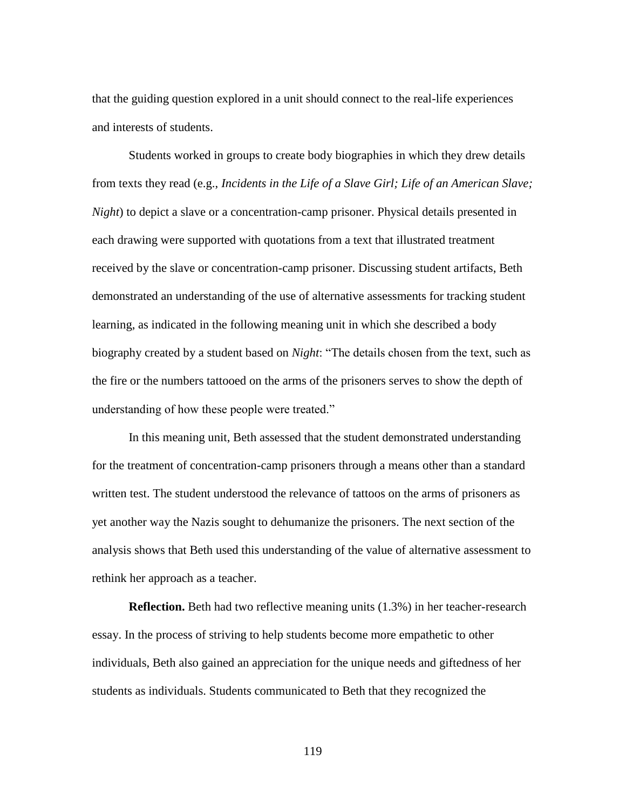that the guiding question explored in a unit should connect to the real-life experiences and interests of students.

Students worked in groups to create body biographies in which they drew details from texts they read (e.g., *Incidents in the Life of a Slave Girl; Life of an American Slave; Night*) to depict a slave or a concentration-camp prisoner. Physical details presented in each drawing were supported with quotations from a text that illustrated treatment received by the slave or concentration-camp prisoner. Discussing student artifacts, Beth demonstrated an understanding of the use of alternative assessments for tracking student learning, as indicated in the following meaning unit in which she described a body biography created by a student based on *Night*: "The details chosen from the text, such as the fire or the numbers tattooed on the arms of the prisoners serves to show the depth of understanding of how these people were treated."

In this meaning unit, Beth assessed that the student demonstrated understanding for the treatment of concentration-camp prisoners through a means other than a standard written test. The student understood the relevance of tattoos on the arms of prisoners as yet another way the Nazis sought to dehumanize the prisoners. The next section of the analysis shows that Beth used this understanding of the value of alternative assessment to rethink her approach as a teacher.

**Reflection.** Beth had two reflective meaning units (1.3%) in her teacher-research essay. In the process of striving to help students become more empathetic to other individuals, Beth also gained an appreciation for the unique needs and giftedness of her students as individuals. Students communicated to Beth that they recognized the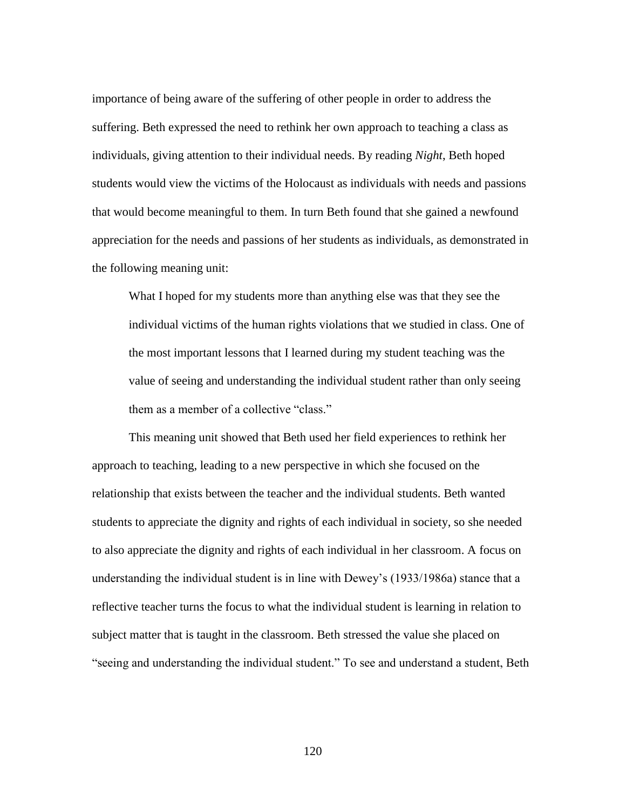importance of being aware of the suffering of other people in order to address the suffering. Beth expressed the need to rethink her own approach to teaching a class as individuals, giving attention to their individual needs. By reading *Night*, Beth hoped students would view the victims of the Holocaust as individuals with needs and passions that would become meaningful to them. In turn Beth found that she gained a newfound appreciation for the needs and passions of her students as individuals, as demonstrated in the following meaning unit:

What I hoped for my students more than anything else was that they see the individual victims of the human rights violations that we studied in class. One of the most important lessons that I learned during my student teaching was the value of seeing and understanding the individual student rather than only seeing them as a member of a collective "class."

This meaning unit showed that Beth used her field experiences to rethink her approach to teaching, leading to a new perspective in which she focused on the relationship that exists between the teacher and the individual students. Beth wanted students to appreciate the dignity and rights of each individual in society, so she needed to also appreciate the dignity and rights of each individual in her classroom. A focus on understanding the individual student is in line with Dewey's (1933/1986a) stance that a reflective teacher turns the focus to what the individual student is learning in relation to subject matter that is taught in the classroom. Beth stressed the value she placed on "seeing and understanding the individual student." To see and understand a student, Beth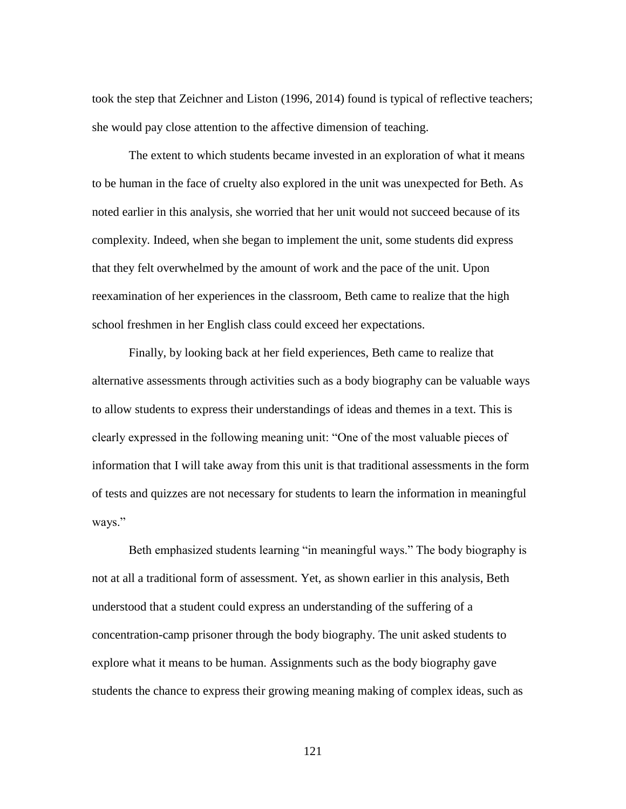took the step that Zeichner and Liston (1996, 2014) found is typical of reflective teachers; she would pay close attention to the affective dimension of teaching.

The extent to which students became invested in an exploration of what it means to be human in the face of cruelty also explored in the unit was unexpected for Beth. As noted earlier in this analysis, she worried that her unit would not succeed because of its complexity. Indeed, when she began to implement the unit, some students did express that they felt overwhelmed by the amount of work and the pace of the unit. Upon reexamination of her experiences in the classroom, Beth came to realize that the high school freshmen in her English class could exceed her expectations.

Finally, by looking back at her field experiences, Beth came to realize that alternative assessments through activities such as a body biography can be valuable ways to allow students to express their understandings of ideas and themes in a text. This is clearly expressed in the following meaning unit: "One of the most valuable pieces of information that I will take away from this unit is that traditional assessments in the form of tests and quizzes are not necessary for students to learn the information in meaningful ways."

Beth emphasized students learning "in meaningful ways." The body biography is not at all a traditional form of assessment. Yet, as shown earlier in this analysis, Beth understood that a student could express an understanding of the suffering of a concentration-camp prisoner through the body biography. The unit asked students to explore what it means to be human. Assignments such as the body biography gave students the chance to express their growing meaning making of complex ideas, such as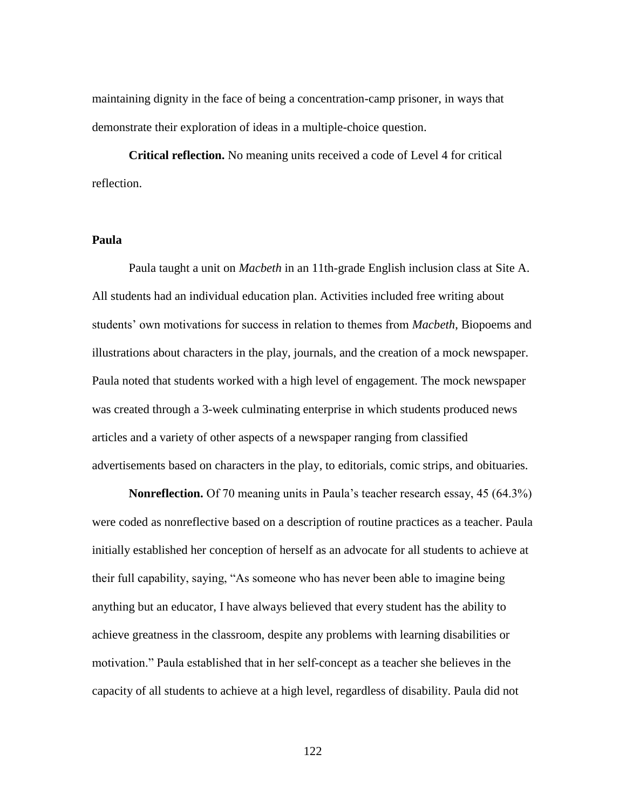maintaining dignity in the face of being a concentration-camp prisoner, in ways that demonstrate their exploration of ideas in a multiple-choice question.

**Critical reflection.** No meaning units received a code of Level 4 for critical reflection.

# **Paula**

Paula taught a unit on *Macbeth* in an 11th-grade English inclusion class at Site A. All students had an individual education plan. Activities included free writing about students' own motivations for success in relation to themes from *Macbeth*, Biopoems and illustrations about characters in the play, journals, and the creation of a mock newspaper. Paula noted that students worked with a high level of engagement. The mock newspaper was created through a 3-week culminating enterprise in which students produced news articles and a variety of other aspects of a newspaper ranging from classified advertisements based on characters in the play, to editorials, comic strips, and obituaries.

**Nonreflection.** Of 70 meaning units in Paula's teacher research essay, 45 (64.3%) were coded as nonreflective based on a description of routine practices as a teacher. Paula initially established her conception of herself as an advocate for all students to achieve at their full capability, saying, "As someone who has never been able to imagine being anything but an educator, I have always believed that every student has the ability to achieve greatness in the classroom, despite any problems with learning disabilities or motivation." Paula established that in her self-concept as a teacher she believes in the capacity of all students to achieve at a high level, regardless of disability. Paula did not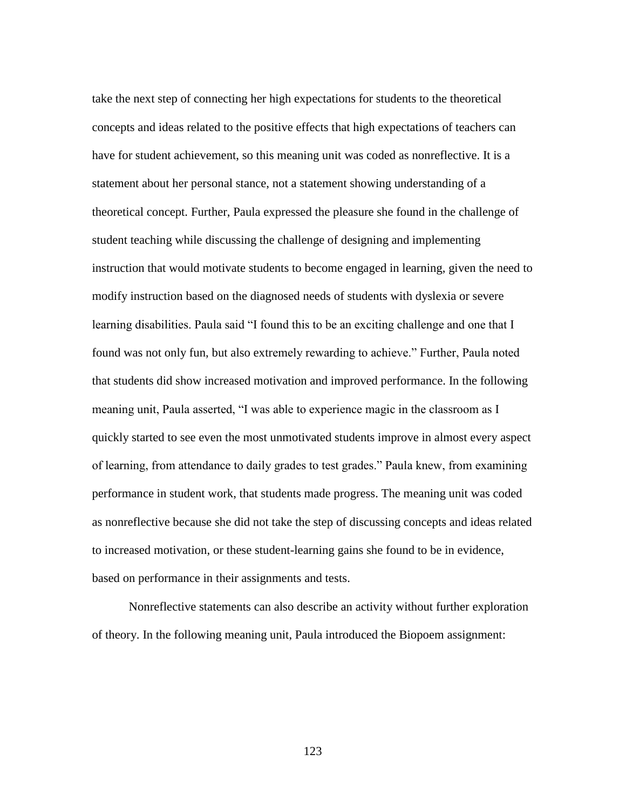take the next step of connecting her high expectations for students to the theoretical concepts and ideas related to the positive effects that high expectations of teachers can have for student achievement, so this meaning unit was coded as nonreflective. It is a statement about her personal stance, not a statement showing understanding of a theoretical concept. Further, Paula expressed the pleasure she found in the challenge of student teaching while discussing the challenge of designing and implementing instruction that would motivate students to become engaged in learning, given the need to modify instruction based on the diagnosed needs of students with dyslexia or severe learning disabilities. Paula said "I found this to be an exciting challenge and one that I found was not only fun, but also extremely rewarding to achieve." Further, Paula noted that students did show increased motivation and improved performance. In the following meaning unit, Paula asserted, "I was able to experience magic in the classroom as I quickly started to see even the most unmotivated students improve in almost every aspect of learning, from attendance to daily grades to test grades." Paula knew, from examining performance in student work, that students made progress. The meaning unit was coded as nonreflective because she did not take the step of discussing concepts and ideas related to increased motivation, or these student-learning gains she found to be in evidence, based on performance in their assignments and tests.

Nonreflective statements can also describe an activity without further exploration of theory. In the following meaning unit, Paula introduced the Biopoem assignment: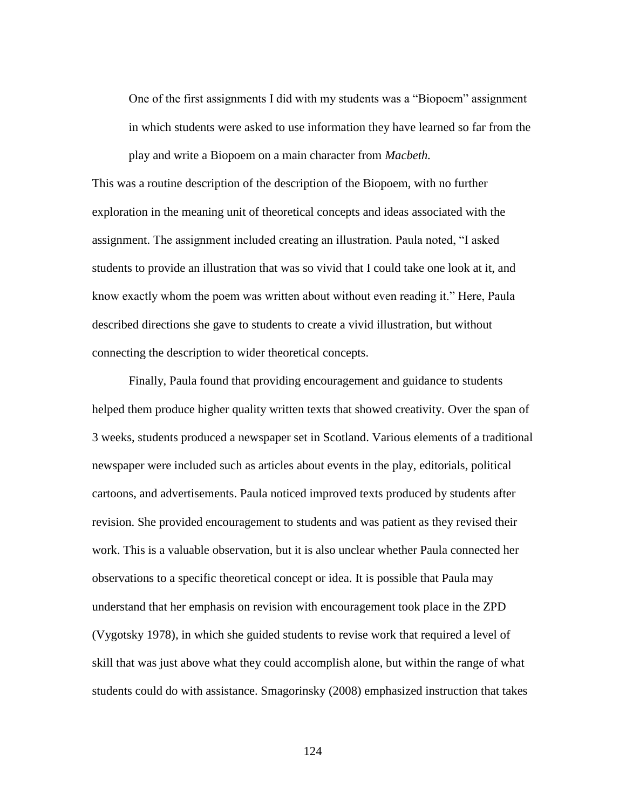One of the first assignments I did with my students was a "Biopoem" assignment in which students were asked to use information they have learned so far from the play and write a Biopoem on a main character from *Macbeth.*

This was a routine description of the description of the Biopoem, with no further exploration in the meaning unit of theoretical concepts and ideas associated with the assignment. The assignment included creating an illustration. Paula noted, "I asked students to provide an illustration that was so vivid that I could take one look at it, and know exactly whom the poem was written about without even reading it." Here, Paula described directions she gave to students to create a vivid illustration, but without connecting the description to wider theoretical concepts.

Finally, Paula found that providing encouragement and guidance to students helped them produce higher quality written texts that showed creativity. Over the span of 3 weeks, students produced a newspaper set in Scotland. Various elements of a traditional newspaper were included such as articles about events in the play, editorials, political cartoons, and advertisements. Paula noticed improved texts produced by students after revision. She provided encouragement to students and was patient as they revised their work. This is a valuable observation, but it is also unclear whether Paula connected her observations to a specific theoretical concept or idea. It is possible that Paula may understand that her emphasis on revision with encouragement took place in the ZPD (Vygotsky 1978), in which she guided students to revise work that required a level of skill that was just above what they could accomplish alone, but within the range of what students could do with assistance. Smagorinsky (2008) emphasized instruction that takes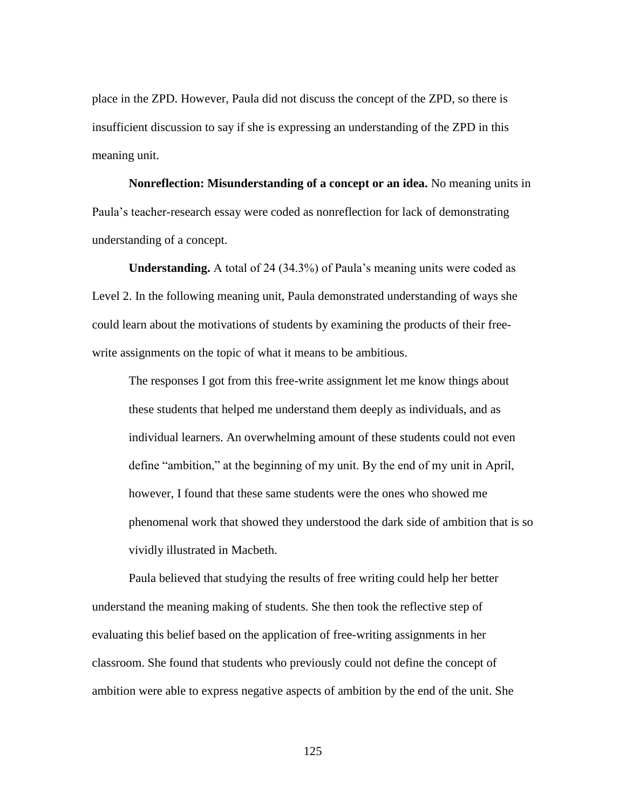place in the ZPD. However, Paula did not discuss the concept of the ZPD, so there is insufficient discussion to say if she is expressing an understanding of the ZPD in this meaning unit.

**Nonreflection: Misunderstanding of a concept or an idea.** No meaning units in Paula's teacher-research essay were coded as nonreflection for lack of demonstrating understanding of a concept.

**Understanding.** A total of 24 (34.3%) of Paula's meaning units were coded as Level 2. In the following meaning unit, Paula demonstrated understanding of ways she could learn about the motivations of students by examining the products of their freewrite assignments on the topic of what it means to be ambitious.

The responses I got from this free-write assignment let me know things about these students that helped me understand them deeply as individuals, and as individual learners. An overwhelming amount of these students could not even define "ambition," at the beginning of my unit. By the end of my unit in April, however, I found that these same students were the ones who showed me phenomenal work that showed they understood the dark side of ambition that is so vividly illustrated in Macbeth.

Paula believed that studying the results of free writing could help her better understand the meaning making of students. She then took the reflective step of evaluating this belief based on the application of free-writing assignments in her classroom. She found that students who previously could not define the concept of ambition were able to express negative aspects of ambition by the end of the unit. She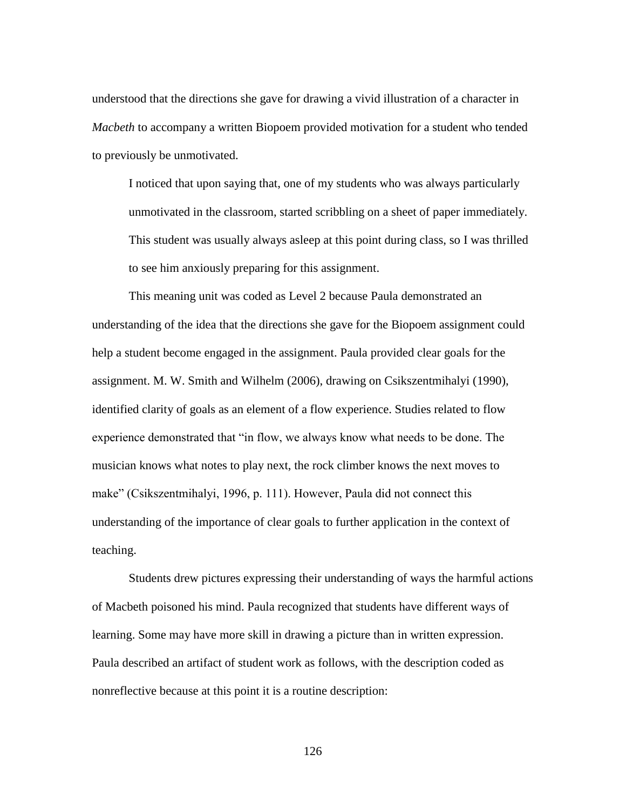understood that the directions she gave for drawing a vivid illustration of a character in *Macbeth* to accompany a written Biopoem provided motivation for a student who tended to previously be unmotivated.

I noticed that upon saying that, one of my students who was always particularly unmotivated in the classroom, started scribbling on a sheet of paper immediately. This student was usually always asleep at this point during class, so I was thrilled to see him anxiously preparing for this assignment.

This meaning unit was coded as Level 2 because Paula demonstrated an understanding of the idea that the directions she gave for the Biopoem assignment could help a student become engaged in the assignment. Paula provided clear goals for the assignment. M. W. Smith and Wilhelm (2006), drawing on Csikszentmihalyi (1990), identified clarity of goals as an element of a flow experience. Studies related to flow experience demonstrated that "in flow, we always know what needs to be done. The musician knows what notes to play next, the rock climber knows the next moves to make" (Csikszentmihalyi, 1996, p. 111). However, Paula did not connect this understanding of the importance of clear goals to further application in the context of teaching.

Students drew pictures expressing their understanding of ways the harmful actions of Macbeth poisoned his mind. Paula recognized that students have different ways of learning. Some may have more skill in drawing a picture than in written expression. Paula described an artifact of student work as follows, with the description coded as nonreflective because at this point it is a routine description: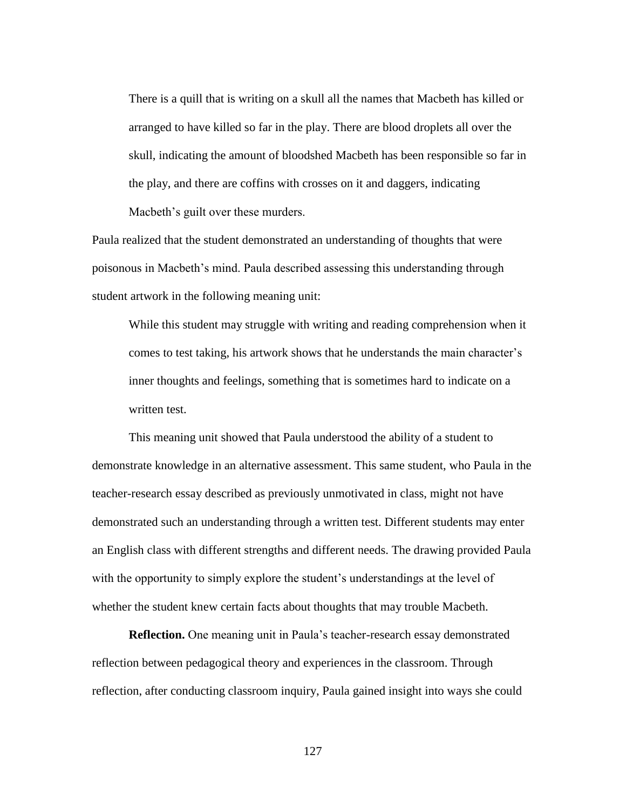There is a quill that is writing on a skull all the names that Macbeth has killed or arranged to have killed so far in the play. There are blood droplets all over the skull, indicating the amount of bloodshed Macbeth has been responsible so far in the play, and there are coffins with crosses on it and daggers, indicating Macbeth's guilt over these murders.

Paula realized that the student demonstrated an understanding of thoughts that were poisonous in Macbeth's mind. Paula described assessing this understanding through student artwork in the following meaning unit:

While this student may struggle with writing and reading comprehension when it comes to test taking, his artwork shows that he understands the main character's inner thoughts and feelings, something that is sometimes hard to indicate on a written test.

This meaning unit showed that Paula understood the ability of a student to demonstrate knowledge in an alternative assessment. This same student, who Paula in the teacher-research essay described as previously unmotivated in class, might not have demonstrated such an understanding through a written test. Different students may enter an English class with different strengths and different needs. The drawing provided Paula with the opportunity to simply explore the student's understandings at the level of whether the student knew certain facts about thoughts that may trouble Macbeth.

**Reflection.** One meaning unit in Paula's teacher-research essay demonstrated reflection between pedagogical theory and experiences in the classroom. Through reflection, after conducting classroom inquiry, Paula gained insight into ways she could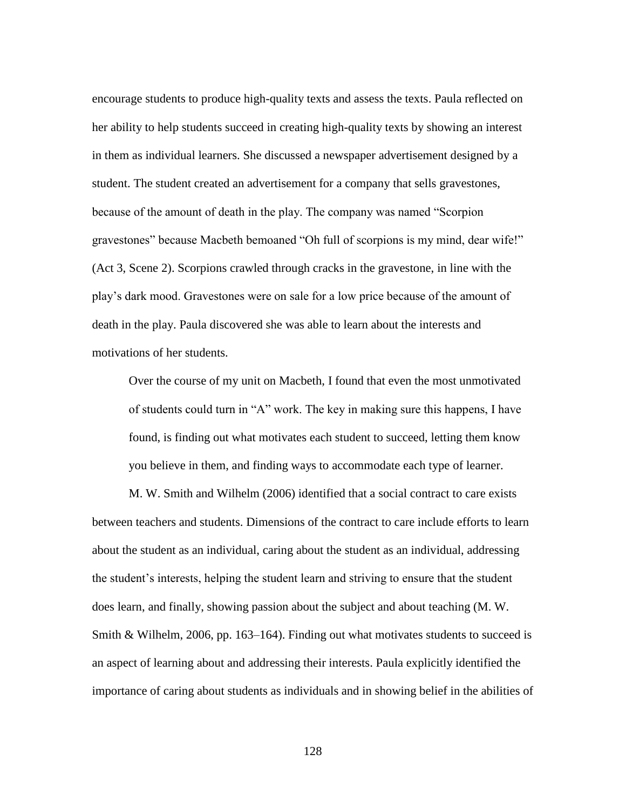encourage students to produce high-quality texts and assess the texts. Paula reflected on her ability to help students succeed in creating high-quality texts by showing an interest in them as individual learners. She discussed a newspaper advertisement designed by a student. The student created an advertisement for a company that sells gravestones, because of the amount of death in the play. The company was named "Scorpion gravestones" because Macbeth bemoaned "Oh full of scorpions is my mind, dear wife!" (Act 3, Scene 2). Scorpions crawled through cracks in the gravestone, in line with the play's dark mood. Gravestones were on sale for a low price because of the amount of death in the play. Paula discovered she was able to learn about the interests and motivations of her students.

Over the course of my unit on Macbeth, I found that even the most unmotivated of students could turn in "A" work. The key in making sure this happens, I have found, is finding out what motivates each student to succeed, letting them know you believe in them, and finding ways to accommodate each type of learner.

M. W. Smith and Wilhelm (2006) identified that a social contract to care exists between teachers and students. Dimensions of the contract to care include efforts to learn about the student as an individual, caring about the student as an individual, addressing the student's interests, helping the student learn and striving to ensure that the student does learn, and finally, showing passion about the subject and about teaching (M. W. Smith & Wilhelm, 2006, pp. 163–164). Finding out what motivates students to succeed is an aspect of learning about and addressing their interests. Paula explicitly identified the importance of caring about students as individuals and in showing belief in the abilities of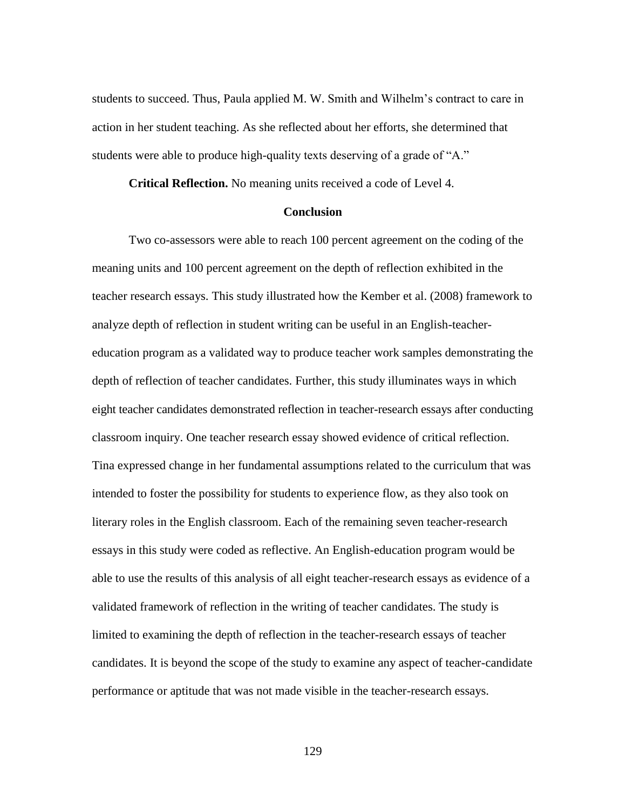students to succeed. Thus, Paula applied M. W. Smith and Wilhelm's contract to care in action in her student teaching. As she reflected about her efforts, she determined that students were able to produce high-quality texts deserving of a grade of "A."

**Critical Reflection.** No meaning units received a code of Level 4.

### **Conclusion**

Two co-assessors were able to reach 100 percent agreement on the coding of the meaning units and 100 percent agreement on the depth of reflection exhibited in the teacher research essays. This study illustrated how the Kember et al. (2008) framework to analyze depth of reflection in student writing can be useful in an English-teachereducation program as a validated way to produce teacher work samples demonstrating the depth of reflection of teacher candidates. Further, this study illuminates ways in which eight teacher candidates demonstrated reflection in teacher-research essays after conducting classroom inquiry. One teacher research essay showed evidence of critical reflection. Tina expressed change in her fundamental assumptions related to the curriculum that was intended to foster the possibility for students to experience flow, as they also took on literary roles in the English classroom. Each of the remaining seven teacher-research essays in this study were coded as reflective. An English-education program would be able to use the results of this analysis of all eight teacher-research essays as evidence of a validated framework of reflection in the writing of teacher candidates. The study is limited to examining the depth of reflection in the teacher-research essays of teacher candidates. It is beyond the scope of the study to examine any aspect of teacher-candidate performance or aptitude that was not made visible in the teacher-research essays.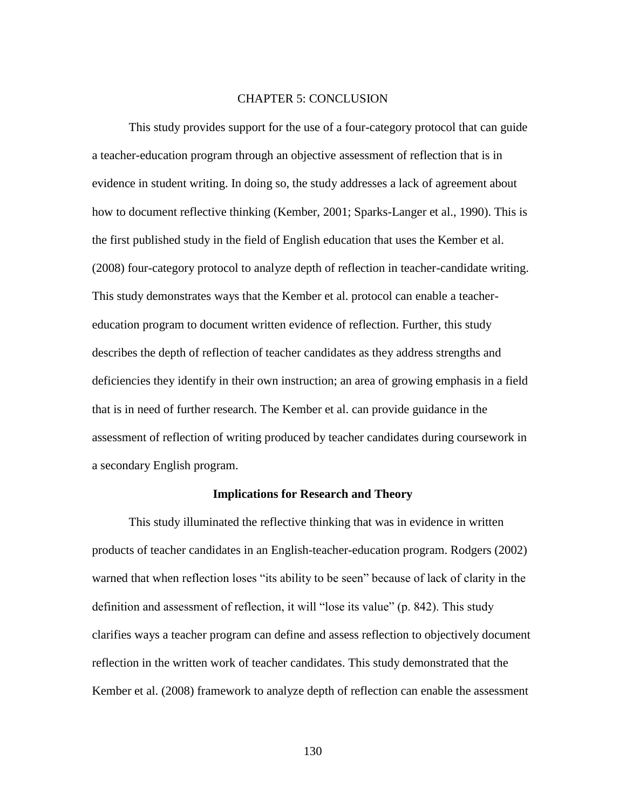### CHAPTER 5: CONCLUSION

This study provides support for the use of a four-category protocol that can guide a teacher-education program through an objective assessment of reflection that is in evidence in student writing. In doing so, the study addresses a lack of agreement about how to document reflective thinking (Kember, 2001; Sparks-Langer et al., 1990). This is the first published study in the field of English education that uses the Kember et al. (2008) four-category protocol to analyze depth of reflection in teacher-candidate writing. This study demonstrates ways that the Kember et al. protocol can enable a teachereducation program to document written evidence of reflection. Further, this study describes the depth of reflection of teacher candidates as they address strengths and deficiencies they identify in their own instruction; an area of growing emphasis in a field that is in need of further research. The Kember et al. can provide guidance in the assessment of reflection of writing produced by teacher candidates during coursework in a secondary English program.

### **Implications for Research and Theory**

This study illuminated the reflective thinking that was in evidence in written products of teacher candidates in an English-teacher-education program. Rodgers (2002) warned that when reflection loses "its ability to be seen" because of lack of clarity in the definition and assessment of reflection, it will "lose its value" (p. 842). This study clarifies ways a teacher program can define and assess reflection to objectively document reflection in the written work of teacher candidates. This study demonstrated that the Kember et al. (2008) framework to analyze depth of reflection can enable the assessment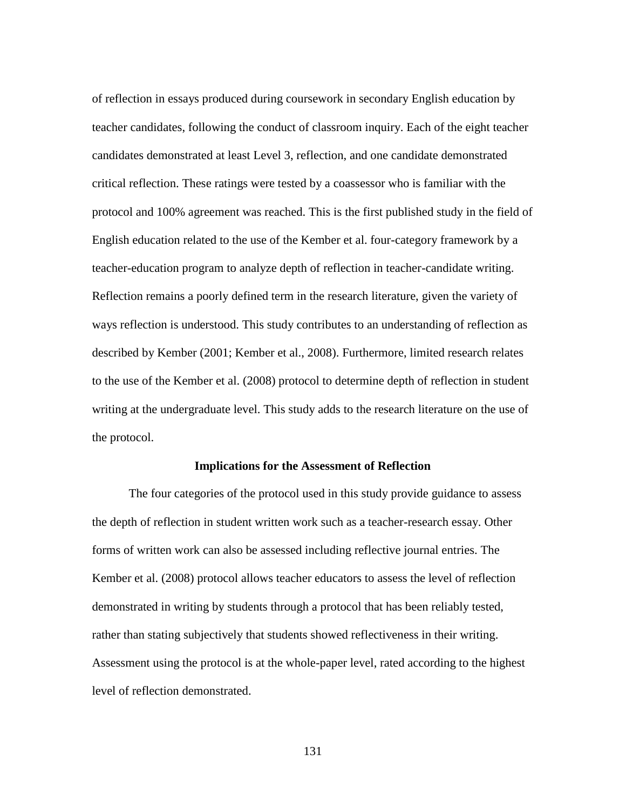of reflection in essays produced during coursework in secondary English education by teacher candidates, following the conduct of classroom inquiry. Each of the eight teacher candidates demonstrated at least Level 3, reflection, and one candidate demonstrated critical reflection. These ratings were tested by a coassessor who is familiar with the protocol and 100% agreement was reached. This is the first published study in the field of English education related to the use of the Kember et al. four-category framework by a teacher-education program to analyze depth of reflection in teacher-candidate writing. Reflection remains a poorly defined term in the research literature, given the variety of ways reflection is understood. This study contributes to an understanding of reflection as described by Kember (2001; Kember et al., 2008). Furthermore, limited research relates to the use of the Kember et al. (2008) protocol to determine depth of reflection in student writing at the undergraduate level. This study adds to the research literature on the use of the protocol.

### **Implications for the Assessment of Reflection**

The four categories of the protocol used in this study provide guidance to assess the depth of reflection in student written work such as a teacher-research essay. Other forms of written work can also be assessed including reflective journal entries. The Kember et al. (2008) protocol allows teacher educators to assess the level of reflection demonstrated in writing by students through a protocol that has been reliably tested, rather than stating subjectively that students showed reflectiveness in their writing. Assessment using the protocol is at the whole-paper level, rated according to the highest level of reflection demonstrated.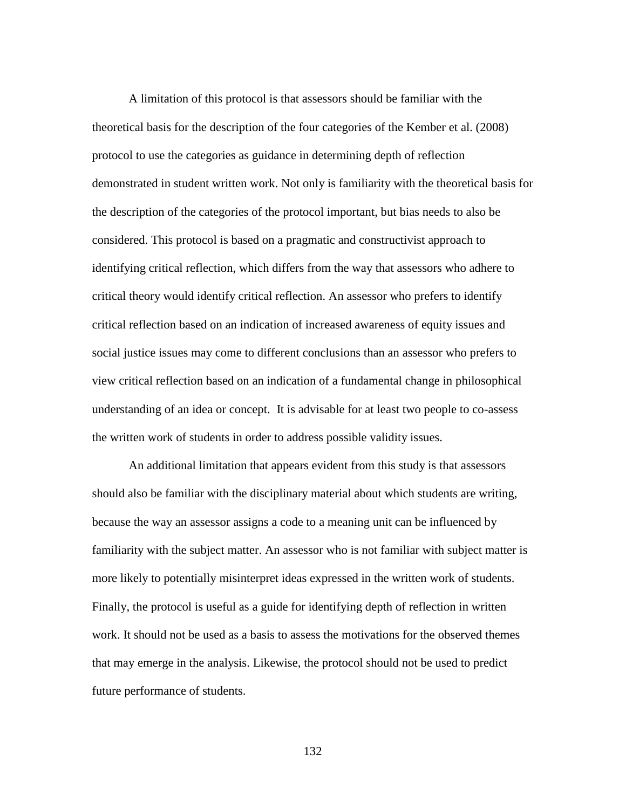A limitation of this protocol is that assessors should be familiar with the theoretical basis for the description of the four categories of the Kember et al. (2008) protocol to use the categories as guidance in determining depth of reflection demonstrated in student written work. Not only is familiarity with the theoretical basis for the description of the categories of the protocol important, but bias needs to also be considered. This protocol is based on a pragmatic and constructivist approach to identifying critical reflection, which differs from the way that assessors who adhere to critical theory would identify critical reflection. An assessor who prefers to identify critical reflection based on an indication of increased awareness of equity issues and social justice issues may come to different conclusions than an assessor who prefers to view critical reflection based on an indication of a fundamental change in philosophical understanding of an idea or concept. It is advisable for at least two people to co-assess the written work of students in order to address possible validity issues.

An additional limitation that appears evident from this study is that assessors should also be familiar with the disciplinary material about which students are writing, because the way an assessor assigns a code to a meaning unit can be influenced by familiarity with the subject matter. An assessor who is not familiar with subject matter is more likely to potentially misinterpret ideas expressed in the written work of students. Finally, the protocol is useful as a guide for identifying depth of reflection in written work. It should not be used as a basis to assess the motivations for the observed themes that may emerge in the analysis. Likewise, the protocol should not be used to predict future performance of students.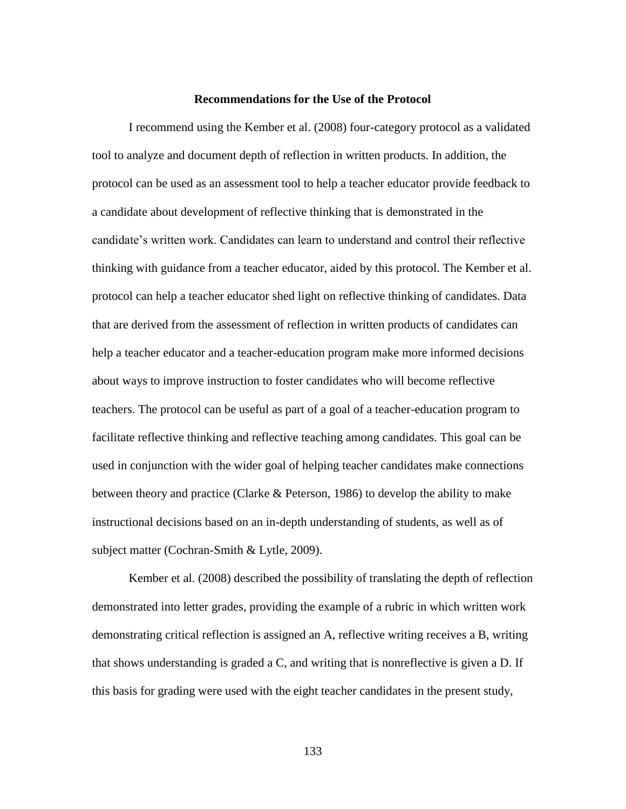#### **Recommendations for the Use of the Protocol**

I recommend using the Kember et al. (2008) four-category protocol as a validated tool to analyze and document depth of reflection in written products. In addition, the protocol can be used as an assessment tool to help a teacher educator provide feedback to a candidate about development of reflective thinking that is demonstrated in the candidate's written work. Candidates can learn to understand and control their reflective thinking with guidance from a teacher educator, aided by this protocol. The Kember et al. protocol can help a teacher educator shed light on reflective thinking of candidates. Data that are derived from the assessment of reflection in written products of candidates can help a teacher educator and a teacher-education program make more informed decisions about ways to improve instruction to foster candidates who will become reflective teachers. The protocol can be useful as part of a goal of a teacher-education program to facilitate reflective thinking and reflective teaching among candidates. This goal can be used in conjunction with the wider goal of helping teacher candidates make connections between theory and practice (Clarke & Peterson, 1986) to develop the ability to make instructional decisions based on an in-depth understanding of students, as well as of subject matter (Cochran-Smith & Lytle, 2009).

Kember et al. (2008) described the possibility of translating the depth of reflection demonstrated into letter grades, providing the example of a rubric in which written work demonstrating critical reflection is assigned an A, reflective writing receives a B, writing that shows understanding is graded a C, and writing that is nonreflective is given a D. If this basis for grading were used with the eight teacher candidates in the present study,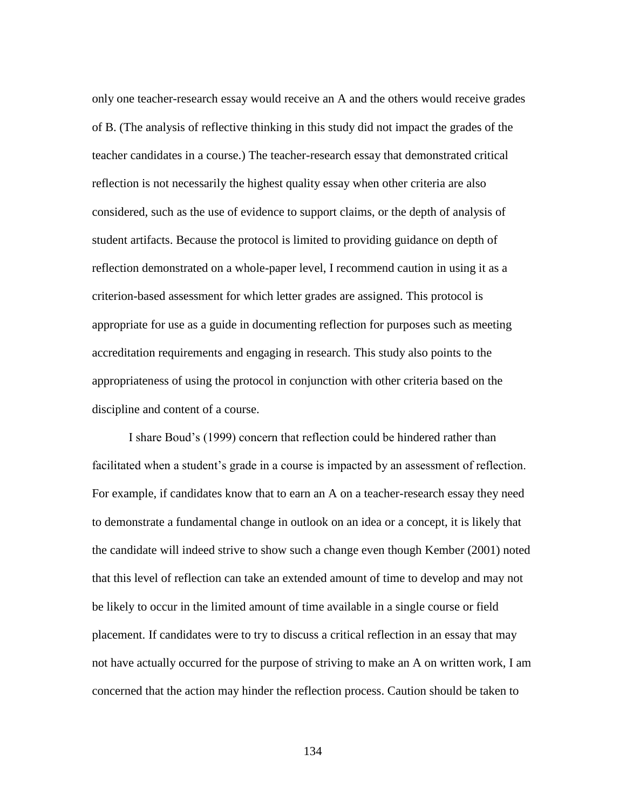only one teacher-research essay would receive an A and the others would receive grades of B. (The analysis of reflective thinking in this study did not impact the grades of the teacher candidates in a course.) The teacher-research essay that demonstrated critical reflection is not necessarily the highest quality essay when other criteria are also considered, such as the use of evidence to support claims, or the depth of analysis of student artifacts. Because the protocol is limited to providing guidance on depth of reflection demonstrated on a whole-paper level, I recommend caution in using it as a criterion-based assessment for which letter grades are assigned. This protocol is appropriate for use as a guide in documenting reflection for purposes such as meeting accreditation requirements and engaging in research. This study also points to the appropriateness of using the protocol in conjunction with other criteria based on the discipline and content of a course.

I share Boud's (1999) concern that reflection could be hindered rather than facilitated when a student's grade in a course is impacted by an assessment of reflection. For example, if candidates know that to earn an A on a teacher-research essay they need to demonstrate a fundamental change in outlook on an idea or a concept, it is likely that the candidate will indeed strive to show such a change even though Kember (2001) noted that this level of reflection can take an extended amount of time to develop and may not be likely to occur in the limited amount of time available in a single course or field placement. If candidates were to try to discuss a critical reflection in an essay that may not have actually occurred for the purpose of striving to make an A on written work, I am concerned that the action may hinder the reflection process. Caution should be taken to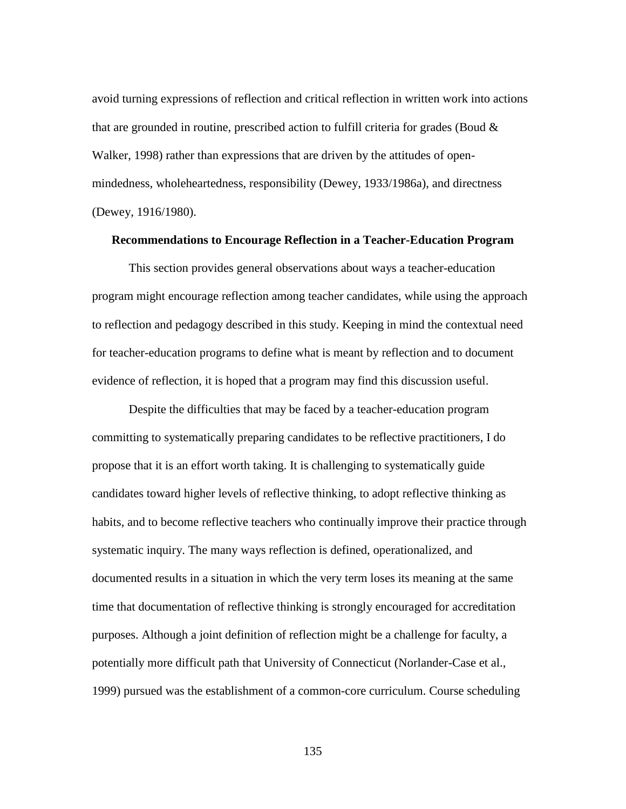avoid turning expressions of reflection and critical reflection in written work into actions that are grounded in routine, prescribed action to fulfill criteria for grades (Boud  $\&$ Walker, 1998) rather than expressions that are driven by the attitudes of openmindedness, wholeheartedness, responsibility (Dewey, 1933/1986a), and directness (Dewey, 1916/1980).

#### **Recommendations to Encourage Reflection in a Teacher-Education Program**

This section provides general observations about ways a teacher-education program might encourage reflection among teacher candidates, while using the approach to reflection and pedagogy described in this study. Keeping in mind the contextual need for teacher-education programs to define what is meant by reflection and to document evidence of reflection, it is hoped that a program may find this discussion useful.

Despite the difficulties that may be faced by a teacher-education program committing to systematically preparing candidates to be reflective practitioners, I do propose that it is an effort worth taking. It is challenging to systematically guide candidates toward higher levels of reflective thinking, to adopt reflective thinking as habits, and to become reflective teachers who continually improve their practice through systematic inquiry. The many ways reflection is defined, operationalized, and documented results in a situation in which the very term loses its meaning at the same time that documentation of reflective thinking is strongly encouraged for accreditation purposes. Although a joint definition of reflection might be a challenge for faculty, a potentially more difficult path that University of Connecticut (Norlander-Case et al., 1999) pursued was the establishment of a common-core curriculum. Course scheduling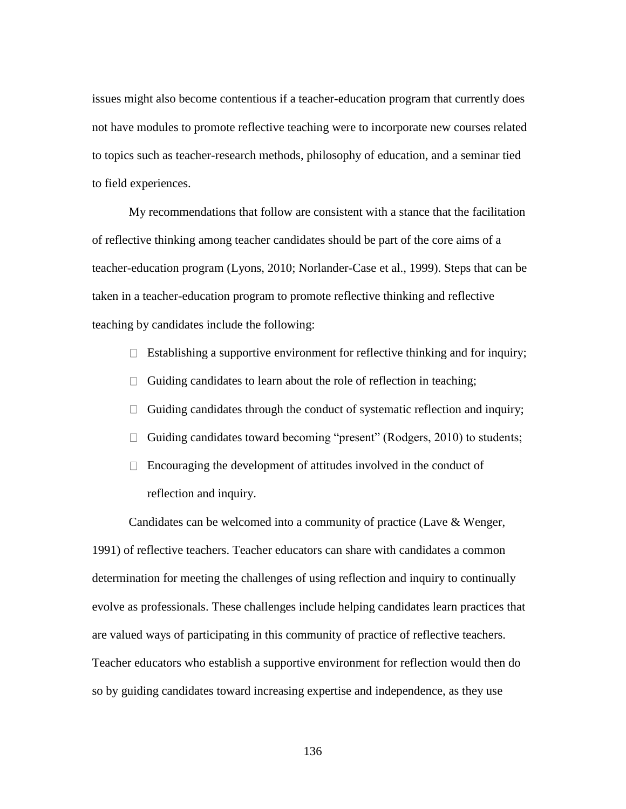issues might also become contentious if a teacher-education program that currently does not have modules to promote reflective teaching were to incorporate new courses related to topics such as teacher-research methods, philosophy of education, and a seminar tied to field experiences.

My recommendations that follow are consistent with a stance that the facilitation of reflective thinking among teacher candidates should be part of the core aims of a teacher-education program (Lyons, 2010; Norlander-Case et al., 1999). Steps that can be taken in a teacher-education program to promote reflective thinking and reflective teaching by candidates include the following:

- $\Box$  Establishing a supportive environment for reflective thinking and for inquiry;
- $\Box$  Guiding candidates to learn about the role of reflection in teaching;
- $\Box$  Guiding candidates through the conduct of systematic reflection and inquiry;
- $\Box$  Guiding candidates toward becoming "present" (Rodgers, 2010) to students;
- $\Box$  Encouraging the development of attitudes involved in the conduct of reflection and inquiry.

Candidates can be welcomed into a community of practice (Lave & Wenger, 1991) of reflective teachers. Teacher educators can share with candidates a common determination for meeting the challenges of using reflection and inquiry to continually evolve as professionals. These challenges include helping candidates learn practices that are valued ways of participating in this community of practice of reflective teachers. Teacher educators who establish a supportive environment for reflection would then do so by guiding candidates toward increasing expertise and independence, as they use

136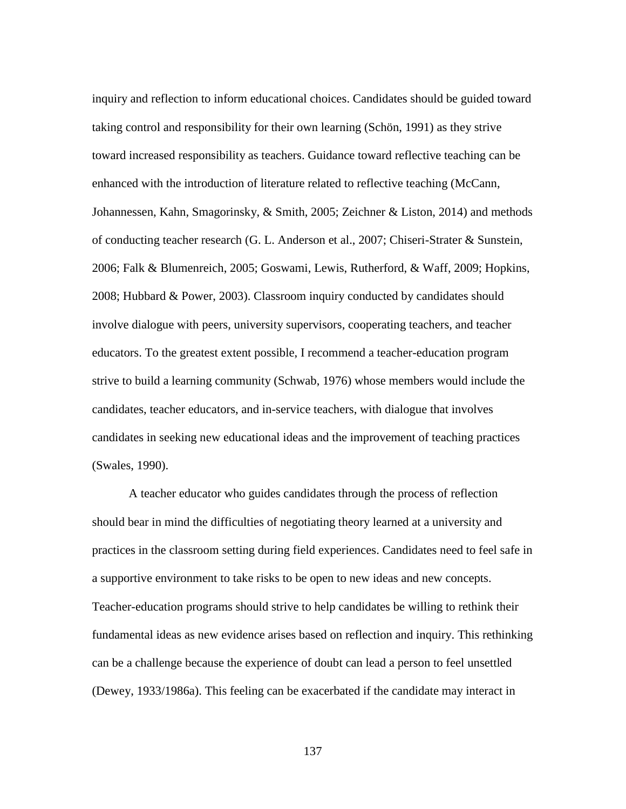inquiry and reflection to inform educational choices. Candidates should be guided toward taking control and responsibility for their own learning (Schön, 1991) as they strive toward increased responsibility as teachers. Guidance toward reflective teaching can be enhanced with the introduction of literature related to reflective teaching (McCann, Johannessen, Kahn, Smagorinsky, & Smith, 2005; Zeichner & Liston, 2014) and methods of conducting teacher research (G. L. Anderson et al., 2007; Chiseri-Strater & Sunstein, 2006; Falk & Blumenreich, 2005; Goswami, Lewis, Rutherford, & Waff, 2009; Hopkins, 2008; Hubbard & Power, 2003). Classroom inquiry conducted by candidates should involve dialogue with peers, university supervisors, cooperating teachers, and teacher educators. To the greatest extent possible, I recommend a teacher-education program strive to build a learning community (Schwab, 1976) whose members would include the candidates, teacher educators, and in-service teachers, with dialogue that involves candidates in seeking new educational ideas and the improvement of teaching practices (Swales, 1990).

A teacher educator who guides candidates through the process of reflection should bear in mind the difficulties of negotiating theory learned at a university and practices in the classroom setting during field experiences. Candidates need to feel safe in a supportive environment to take risks to be open to new ideas and new concepts. Teacher-education programs should strive to help candidates be willing to rethink their fundamental ideas as new evidence arises based on reflection and inquiry. This rethinking can be a challenge because the experience of doubt can lead a person to feel unsettled (Dewey, 1933/1986a). This feeling can be exacerbated if the candidate may interact in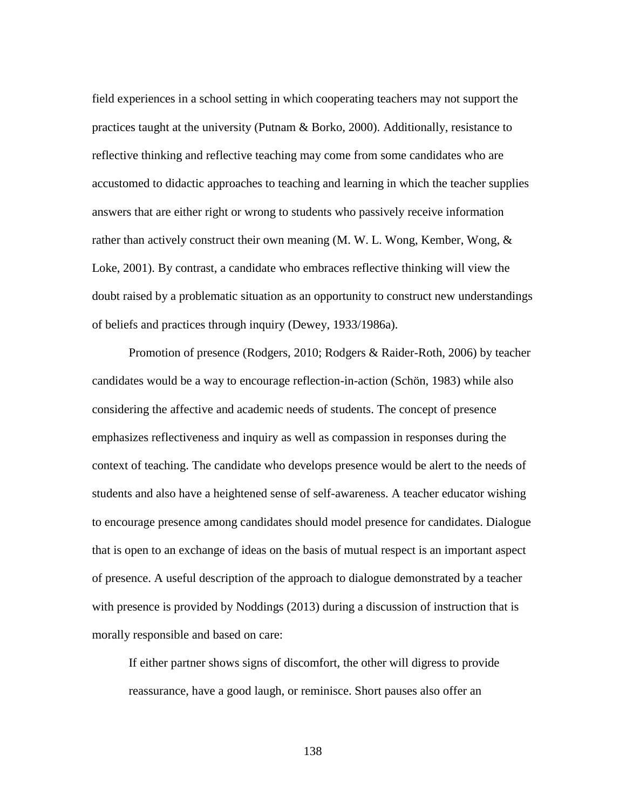field experiences in a school setting in which cooperating teachers may not support the practices taught at the university (Putnam & Borko, 2000). Additionally, resistance to reflective thinking and reflective teaching may come from some candidates who are accustomed to didactic approaches to teaching and learning in which the teacher supplies answers that are either right or wrong to students who passively receive information rather than actively construct their own meaning (M. W. L. Wong, Kember, Wong, & Loke, 2001). By contrast, a candidate who embraces reflective thinking will view the doubt raised by a problematic situation as an opportunity to construct new understandings of beliefs and practices through inquiry (Dewey, 1933/1986a).

Promotion of presence (Rodgers, 2010; Rodgers & Raider-Roth, 2006) by teacher candidates would be a way to encourage reflection-in-action (Schön, 1983) while also considering the affective and academic needs of students. The concept of presence emphasizes reflectiveness and inquiry as well as compassion in responses during the context of teaching. The candidate who develops presence would be alert to the needs of students and also have a heightened sense of self-awareness. A teacher educator wishing to encourage presence among candidates should model presence for candidates. Dialogue that is open to an exchange of ideas on the basis of mutual respect is an important aspect of presence. A useful description of the approach to dialogue demonstrated by a teacher with presence is provided by Noddings (2013) during a discussion of instruction that is morally responsible and based on care:

If either partner shows signs of discomfort, the other will digress to provide reassurance, have a good laugh, or reminisce. Short pauses also offer an

138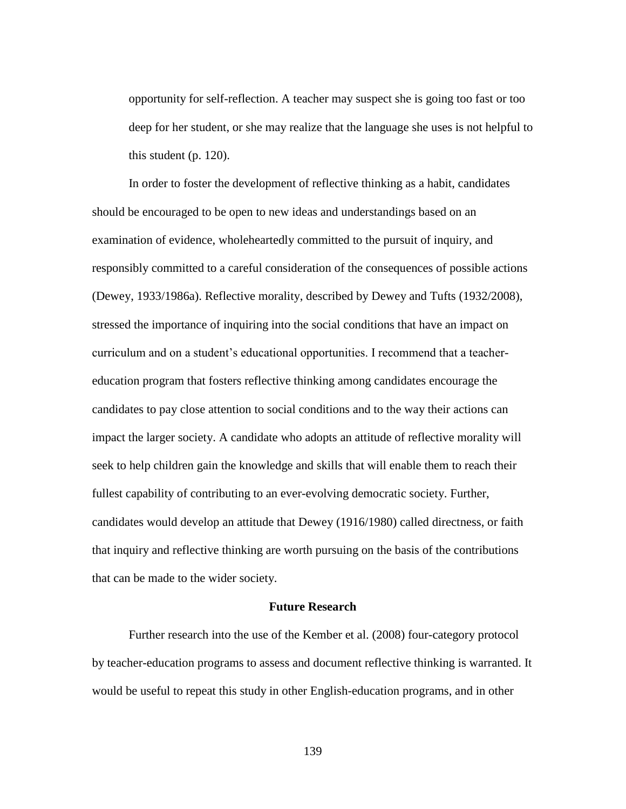opportunity for self-reflection. A teacher may suspect she is going too fast or too deep for her student, or she may realize that the language she uses is not helpful to this student (p. 120).

In order to foster the development of reflective thinking as a habit, candidates should be encouraged to be open to new ideas and understandings based on an examination of evidence, wholeheartedly committed to the pursuit of inquiry, and responsibly committed to a careful consideration of the consequences of possible actions (Dewey, 1933/1986a). Reflective morality, described by Dewey and Tufts (1932/2008), stressed the importance of inquiring into the social conditions that have an impact on curriculum and on a student's educational opportunities. I recommend that a teachereducation program that fosters reflective thinking among candidates encourage the candidates to pay close attention to social conditions and to the way their actions can impact the larger society. A candidate who adopts an attitude of reflective morality will seek to help children gain the knowledge and skills that will enable them to reach their fullest capability of contributing to an ever-evolving democratic society. Further, candidates would develop an attitude that Dewey (1916/1980) called directness, or faith that inquiry and reflective thinking are worth pursuing on the basis of the contributions that can be made to the wider society.

## **Future Research**

Further research into the use of the Kember et al. (2008) four-category protocol by teacher-education programs to assess and document reflective thinking is warranted. It would be useful to repeat this study in other English-education programs, and in other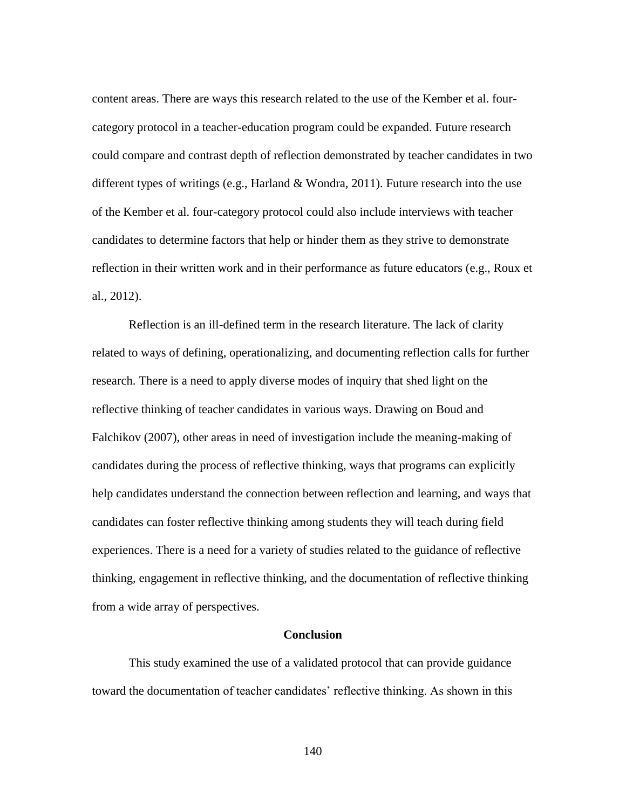content areas. There are ways this research related to the use of the Kember et al. fourcategory protocol in a teacher-education program could be expanded. Future research could compare and contrast depth of reflection demonstrated by teacher candidates in two different types of writings (e.g., Harland  $&$  Wondra, 2011). Future research into the use of the Kember et al. four-category protocol could also include interviews with teacher candidates to determine factors that help or hinder them as they strive to demonstrate reflection in their written work and in their performance as future educators (e.g., Roux et al., 2012).

Reflection is an ill-defined term in the research literature. The lack of clarity related to ways of defining, operationalizing, and documenting reflection calls for further research. There is a need to apply diverse modes of inquiry that shed light on the reflective thinking of teacher candidates in various ways. Drawing on Boud and Falchikov (2007), other areas in need of investigation include the meaning-making of candidates during the process of reflective thinking, ways that programs can explicitly help candidates understand the connection between reflection and learning, and ways that candidates can foster reflective thinking among students they will teach during field experiences. There is a need for a variety of studies related to the guidance of reflective thinking, engagement in reflective thinking, and the documentation of reflective thinking from a wide array of perspectives.

## **Conclusion**

This study examined the use of a validated protocol that can provide guidance toward the documentation of teacher candidates' reflective thinking. As shown in this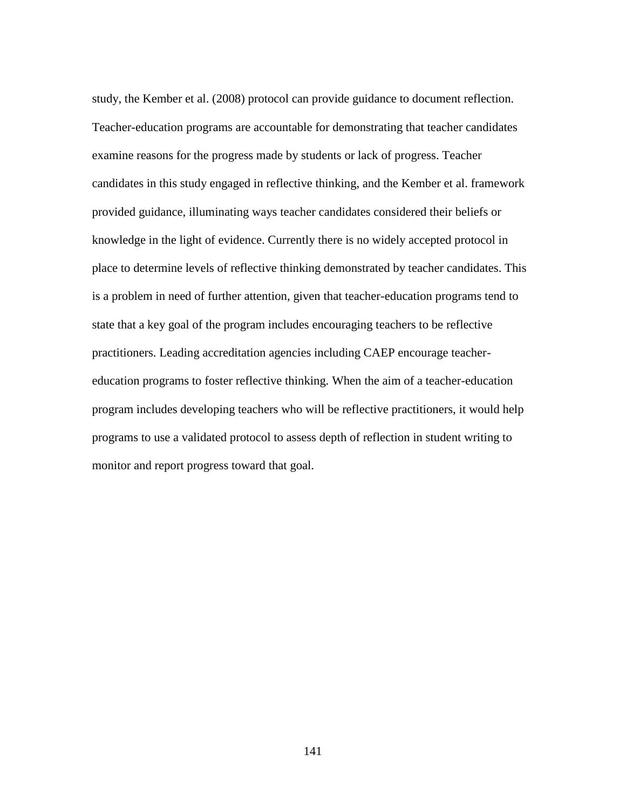study, the Kember et al. (2008) protocol can provide guidance to document reflection. Teacher-education programs are accountable for demonstrating that teacher candidates examine reasons for the progress made by students or lack of progress. Teacher candidates in this study engaged in reflective thinking, and the Kember et al. framework provided guidance, illuminating ways teacher candidates considered their beliefs or knowledge in the light of evidence. Currently there is no widely accepted protocol in place to determine levels of reflective thinking demonstrated by teacher candidates. This is a problem in need of further attention, given that teacher-education programs tend to state that a key goal of the program includes encouraging teachers to be reflective practitioners. Leading accreditation agencies including CAEP encourage teachereducation programs to foster reflective thinking. When the aim of a teacher-education program includes developing teachers who will be reflective practitioners, it would help programs to use a validated protocol to assess depth of reflection in student writing to monitor and report progress toward that goal.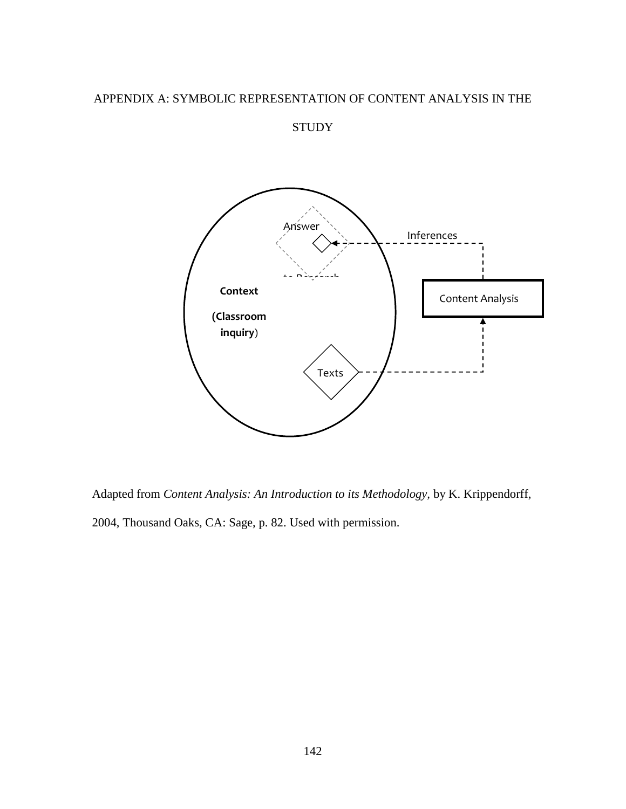## APPENDIX A: SYMBOLIC REPRESENTATION OF CONTENT ANALYSIS IN THE

**STUDY** 



Adapted from *Content Analysis: An Introduction to its Methodology,* by K. Krippendorff, 2004, Thousand Oaks, CA: Sage, p. 82. Used with permission.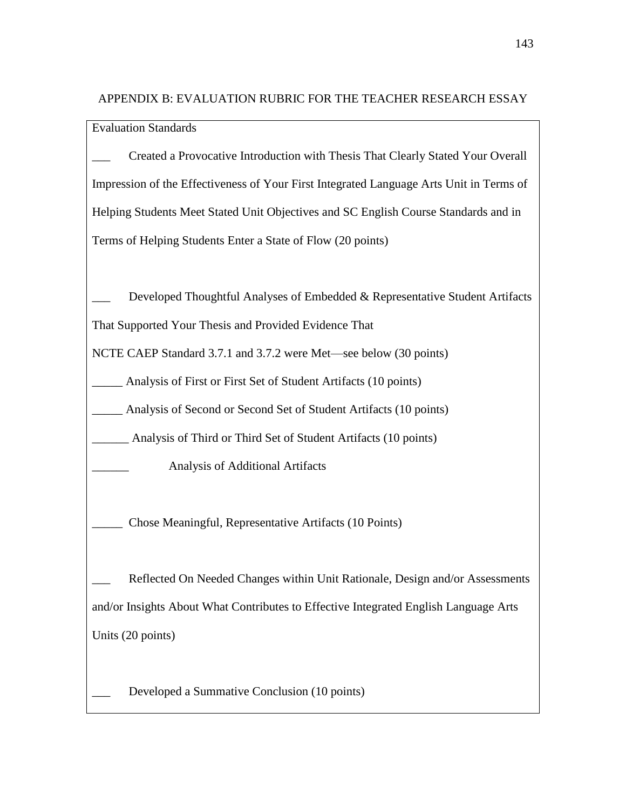APPENDIX B: EVALUATION RUBRIC FOR THE TEACHER RESEARCH ESSAY

Evaluation Standards

\_\_\_ Created a Provocative Introduction with Thesis That Clearly Stated Your Overall Impression of the Effectiveness of Your First Integrated Language Arts Unit in Terms of Helping Students Meet Stated Unit Objectives and SC English Course Standards and in Terms of Helping Students Enter a State of Flow (20 points)

Developed Thoughtful Analyses of Embedded & Representative Student Artifacts

That Supported Your Thesis and Provided Evidence That

NCTE CAEP Standard 3.7.1 and 3.7.2 were Met—see below (30 points)

Analysis of First or First Set of Student Artifacts (10 points)

Analysis of Second or Second Set of Student Artifacts (10 points)

Analysis of Third or Third Set of Student Artifacts (10 points)

\_\_\_\_\_\_ Analysis of Additional Artifacts

\_\_\_\_\_ Chose Meaningful, Representative Artifacts (10 Points)

Reflected On Needed Changes within Unit Rationale, Design and/or Assessments and/or Insights About What Contributes to Effective Integrated English Language Arts Units (20 points)

Developed a Summative Conclusion (10 points)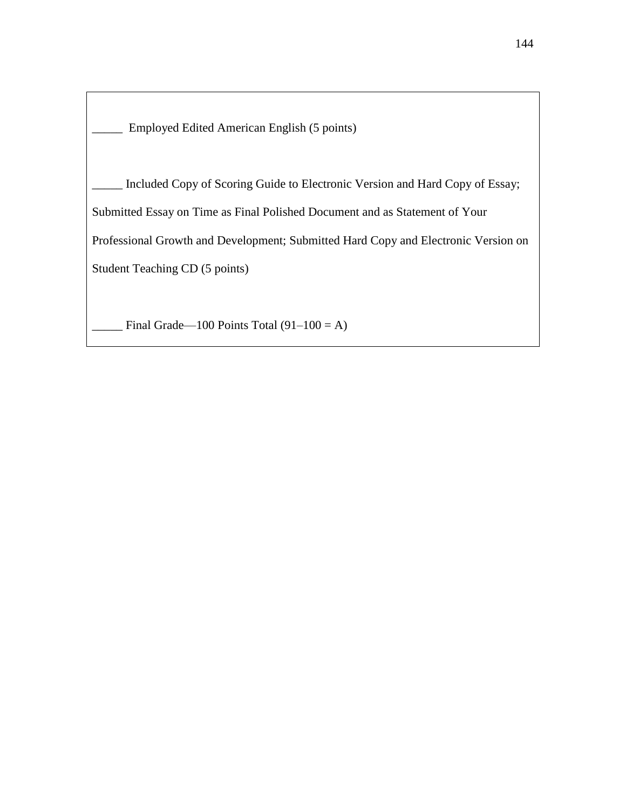\_\_\_\_\_ Employed Edited American English (5 points)

Included Copy of Scoring Guide to Electronic Version and Hard Copy of Essay; Submitted Essay on Time as Final Polished Document and as Statement of Your Professional Growth and Development; Submitted Hard Copy and Electronic Version on Student Teaching CD (5 points)

Final Grade—100 Points Total  $(91-100 = A)$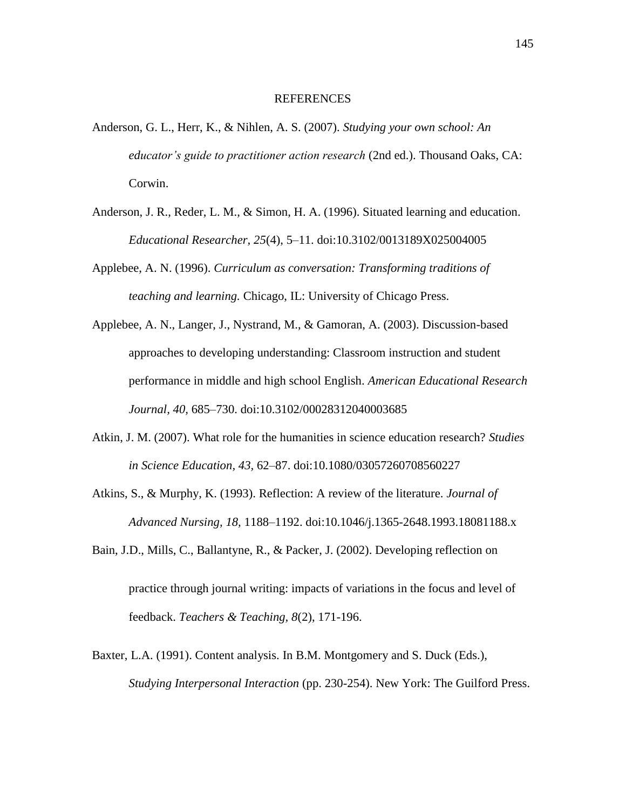## REFERENCES

- Anderson, G. L., Herr, K., & Nihlen, A. S. (2007). *Studying your own school: An educator's guide to practitioner action research* (2nd ed.). Thousand Oaks, CA: Corwin.
- Anderson, J. R., Reder, L. M., & Simon, H. A. (1996). Situated learning and education. *Educational Researcher, 25*(4), 5–11. doi:10.3102/0013189X025004005
- Applebee, A. N. (1996). *Curriculum as conversation: Transforming traditions of teaching and learning.* Chicago, IL: University of Chicago Press.
- Applebee, A. N., Langer, J., Nystrand, M., & Gamoran, A. (2003). Discussion-based approaches to developing understanding: Classroom instruction and student performance in middle and high school English. *American Educational Research Journal, 40,* 685–730. doi:10.3102/00028312040003685
- Atkin, J. M. (2007). What role for the humanities in science education research? *Studies in Science Education, 43,* 62–87. doi:10.1080/03057260708560227
- Atkins, S., & Murphy, K. (1993). Reflection: A review of the literature. *Journal of Advanced Nursing, 18,* 1188–1192. doi:10.1046/j.1365-2648.1993.18081188.x
- Bain, J.D., Mills, C., Ballantyne, R., & Packer, J. (2002). Developing reflection on practice through journal writing: impacts of variations in the focus and level of feedback. *Teachers & Teaching, 8*(2), 171-196.
- Baxter, L.A. (1991). Content analysis. In B.M. Montgomery and S. Duck (Eds.), *Studying Interpersonal Interaction* (pp. 230-254). New York: The Guilford Press.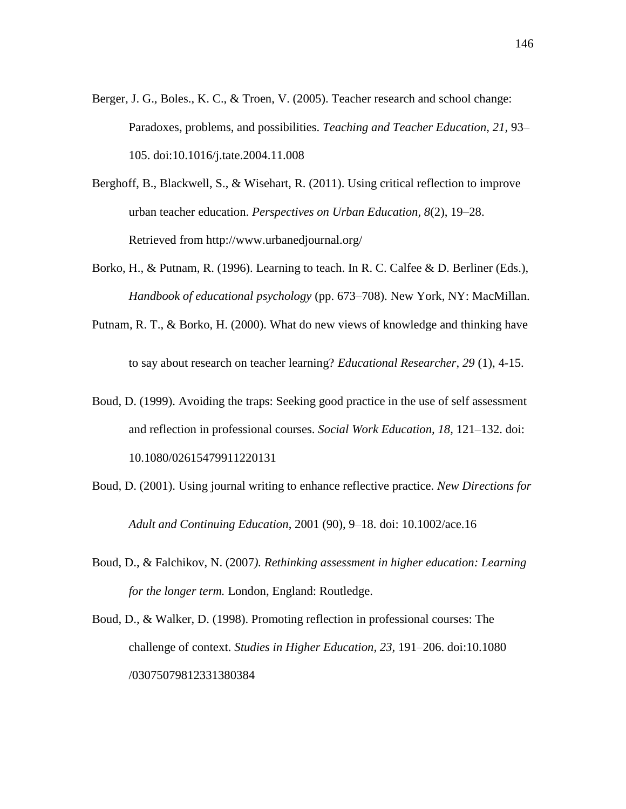- Berger, J. G., Boles., K. C., & Troen, V. (2005). Teacher research and school change: Paradoxes, problems, and possibilities. *Teaching and Teacher Education, 21,* 93– 105. doi:10.1016/j.tate.2004.11.008
- Berghoff, B., Blackwell, S., & Wisehart, R. (2011). Using critical reflection to improve urban teacher education. *Perspectives on Urban Education, 8*(2), 19–28. Retrieved from http://www.urbanedjournal.org/
- Borko, H., & Putnam, R. (1996). Learning to teach. In R. C. Calfee & D. Berliner (Eds.), *Handbook of educational psychology* (pp. 673–708). New York, NY: MacMillan.
- Putnam, R. T., & Borko, H. (2000). What do new views of knowledge and thinking have

to say about research on teacher learning? *Educational Researcher*, *29* (1), 4-15.

- Boud, D. (1999). Avoiding the traps: Seeking good practice in the use of self assessment and reflection in professional courses. *Social Work Education, 18,* 121–132. doi: 10.1080/02615479911220131
- Boud, D. (2001). Using journal writing to enhance reflective practice. *New Directions for Adult and Continuing Education*, 2001 (90), 9–18. doi: 10.1002/ace.16
- Boud, D., & Falchikov, N. (2007*). Rethinking assessment in higher education: Learning for the longer term.* London, England: Routledge.
- Boud, D., & Walker, D. (1998). Promoting reflection in professional courses: The challenge of context. *Studies in Higher Education, 23,* 191–206. doi:10.1080 /03075079812331380384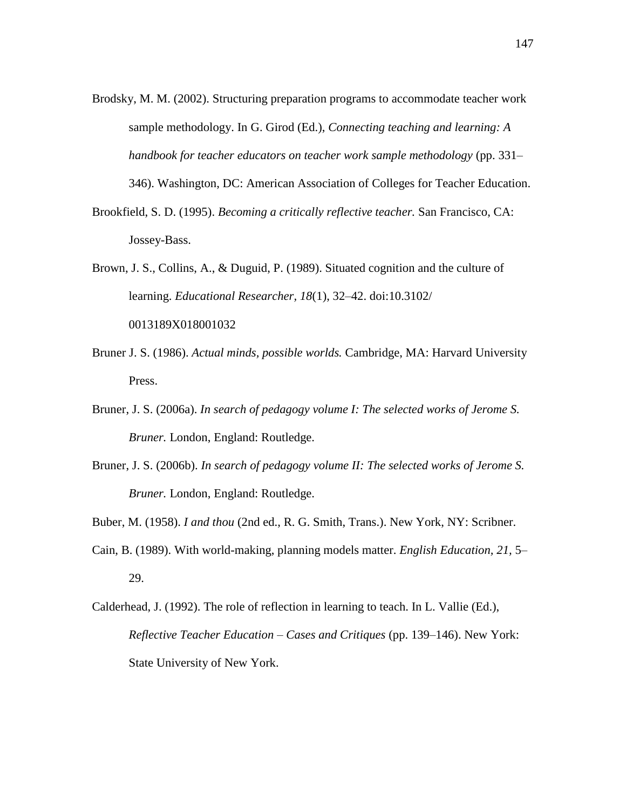Brodsky, M. M. (2002). Structuring preparation programs to accommodate teacher work sample methodology. In G. Girod (Ed.), *Connecting teaching and learning: A handbook for teacher educators on teacher work sample methodology* (pp. 331–

346). Washington, DC: American Association of Colleges for Teacher Education.

- Brookfield, S. D. (1995). *Becoming a critically reflective teacher.* San Francisco, CA: Jossey-Bass.
- Brown, J. S., Collins, A., & Duguid, P. (1989). Situated cognition and the culture of learning. *Educational Researcher, 18*(1), 32–42. doi:10.3102/ 0013189X018001032
- Bruner J. S. (1986). *Actual minds, possible worlds.* Cambridge, MA: Harvard University Press.
- Bruner, J. S. (2006a). *In search of pedagogy volume I: The selected works of Jerome S. Bruner.* London, England: Routledge.
- Bruner, J. S. (2006b). *In search of pedagogy volume II: The selected works of Jerome S. Bruner.* London, England: Routledge.
- Buber, M. (1958). *I and thou* (2nd ed., R. G. Smith, Trans.). New York, NY: Scribner.
- Cain, B. (1989). With world-making, planning models matter. *English Education, 21,* 5– 29.
- Calderhead, J. (1992). The role of reflection in learning to teach. In L. Vallie (Ed.), *Reflective Teacher Education – Cases and Critiques* (pp. 139–146). New York: State University of New York.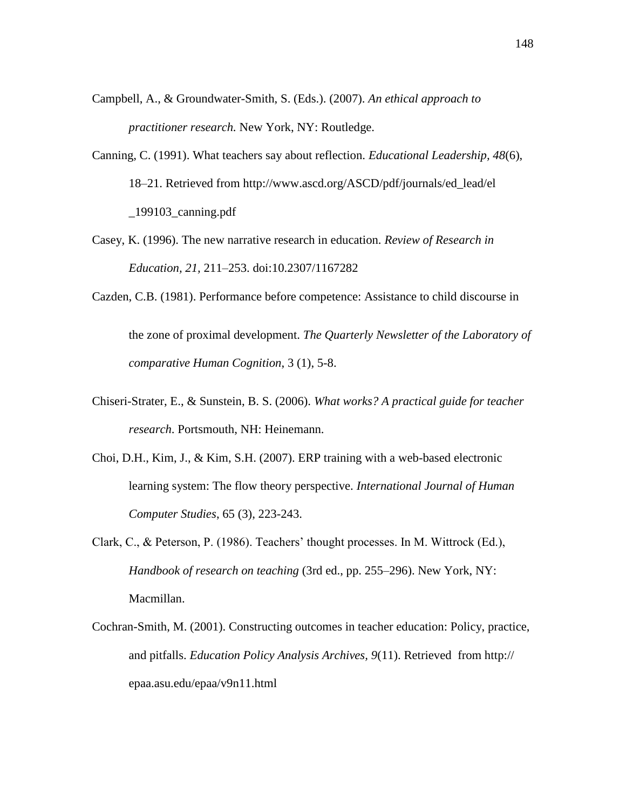- Campbell, A., & Groundwater-Smith, S. (Eds.). (2007). *An ethical approach to practitioner research.* New York, NY: Routledge.
- Canning, C. (1991). What teachers say about reflection. *Educational Leadership, 48*(6), 18–21. Retrieved from http://www.ascd.org/ASCD/pdf/journals/ed\_lead/el \_199103\_canning.pdf
- Casey, K. (1996). The new narrative research in education. *Review of Research in Education, 21,* 211–253. doi:10.2307/1167282
- Cazden, C.B. (1981). Performance before competence: Assistance to child discourse in the zone of proximal development. *The Quarterly Newsletter of the Laboratory of comparative Human Cognition*, 3 (1), 5-8.
- Chiseri-Strater, E., & Sunstein, B. S. (2006). *What works? A practical guide for teacher research*. Portsmouth, NH: Heinemann.
- Choi, D.H., Kim, J., & Kim, S.H. (2007). ERP training with a web-based electronic learning system: The flow theory perspective. *International Journal of Human Computer Studies*, 65 (3), 223-243.
- Clark, C., & Peterson, P. (1986). Teachers' thought processes. In M. Wittrock (Ed.), *Handbook of research on teaching* (3rd ed., pp. 255–296). New York, NY: Macmillan.
- Cochran-Smith, M. (2001). Constructing outcomes in teacher education: Policy, practice, and pitfalls. *Education Policy Analysis Archives, 9*(11). Retrieved from http:// epaa.asu.edu/epaa/v9n11.html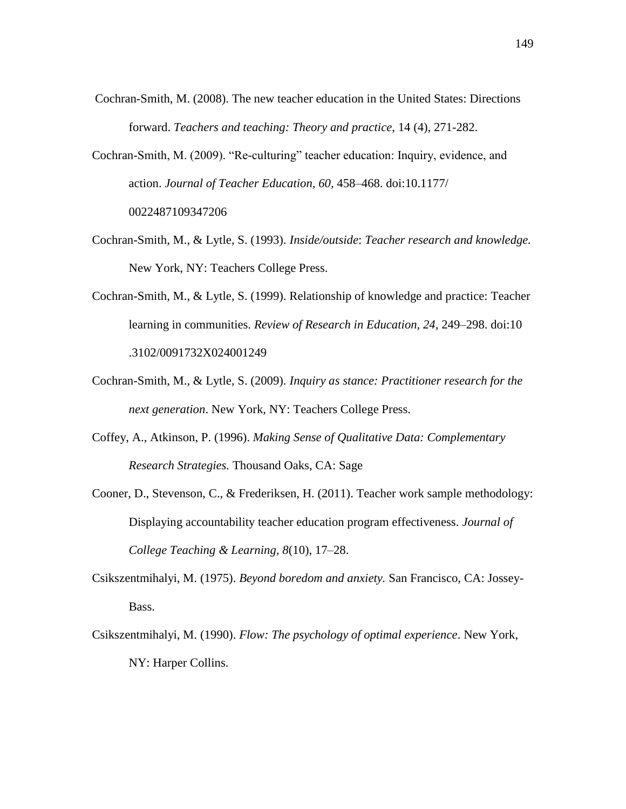- Cochran-Smith, M. (2008). The new teacher education in the United States: Directions forward. *Teachers and teaching: Theory and practice*, 14 (4), 271-282.
- Cochran-Smith, M. (2009). "Re-culturing" teacher education: Inquiry, evidence, and action. *Journal of Teacher Education, 60,* 458–468. doi:10.1177/ 0022487109347206
- Cochran-Smith, M., & Lytle, S. (1993). *Inside/outside*: *Teacher research and knowledge.* New York, NY: Teachers College Press.
- Cochran-Smith, M., & Lytle, S. (1999). Relationship of knowledge and practice: Teacher learning in communities. *Review of Research in Education, 24,* 249–298. doi:10 .3102/0091732X024001249
- Cochran-Smith, M., & Lytle, S. (2009). *Inquiry as stance: Practitioner research for the next generation*. New York, NY: Teachers College Press.
- Coffey, A., Atkinson, P. (1996). *Making Sense of Qualitative Data: Complementary Research Strategies.* Thousand Oaks, CA: Sage
- Cooner, D., Stevenson, C., & Frederiksen, H. (2011). Teacher work sample methodology: Displaying accountability teacher education program effectiveness. *Journal of College Teaching & Learning, 8*(10), 17–28.
- Csikszentmihalyi, M. (1975). *Beyond boredom and anxiety.* San Francisco, CA: Jossey-Bass.
- Csikszentmihalyi, M. (1990). *Flow: The psychology of optimal experience*. New York, NY: Harper Collins.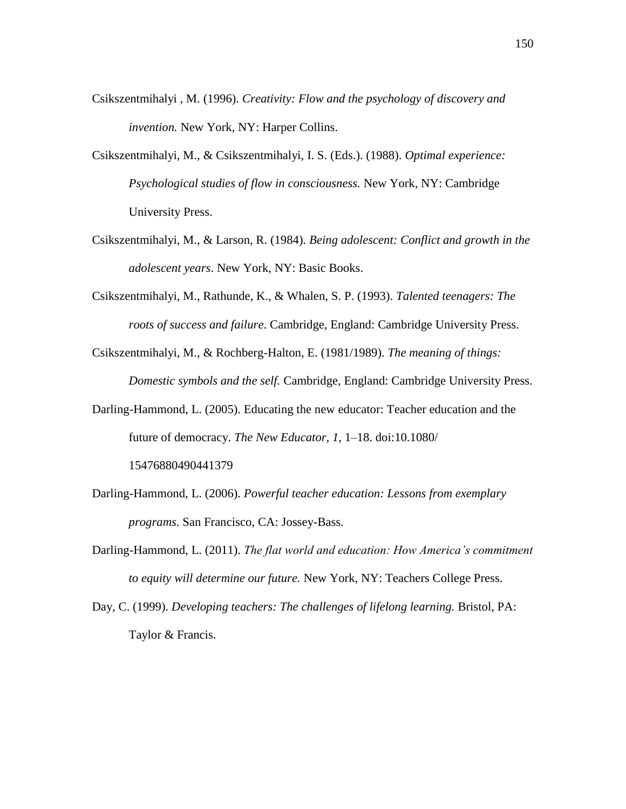- Csikszentmihalyi , M. (1996). *Creativity: Flow and the psychology of discovery and invention.* New York, NY: Harper Collins.
- Csikszentmihalyi, M., & Csikszentmihalyi, I. S. (Eds.). (1988). *Optimal experience: Psychological studies of flow in consciousness.* New York, NY: Cambridge University Press.
- Csikszentmihalyi, M., & Larson, R. (1984). *Being adolescent: Conflict and growth in the adolescent years*. New York, NY: Basic Books.
- Csikszentmihalyi, M., Rathunde, K., & Whalen, S. P. (1993). *Talented teenagers: The roots of success and failure*. Cambridge, England: Cambridge University Press.
- Csikszentmihalyi, M., & Rochberg-Halton, E. (1981/1989). *The meaning of things: Domestic symbols and the self.* Cambridge, England: Cambridge University Press.
- Darling-Hammond, L. (2005). Educating the new educator: Teacher education and the future of democracy. *The New Educator, 1,* 1–18. doi:10.1080/ 15476880490441379
- Darling-Hammond, L. (2006). *Powerful teacher education: Lessons from exemplary programs.* San Francisco, CA: Jossey-Bass.
- Darling-Hammond, L. (2011). *The flat world and education: How America's commitment to equity will determine our future.* New York, NY: Teachers College Press.
- Day, C. (1999). *Developing teachers: The challenges of lifelong learning.* Bristol, PA: Taylor & Francis.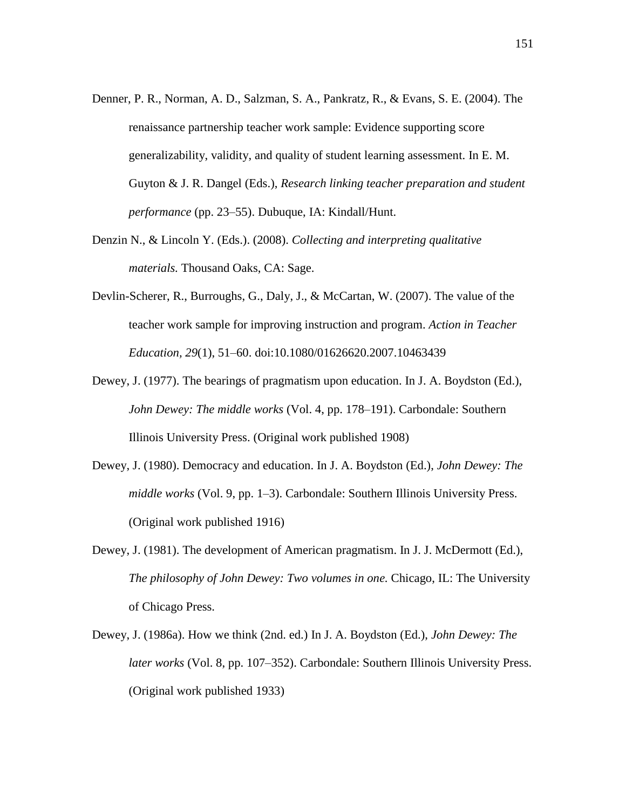- Denner, P. R., Norman, A. D., Salzman, S. A., Pankratz, R., & Evans, S. E. (2004). The renaissance partnership teacher work sample: Evidence supporting score generalizability, validity, and quality of student learning assessment. In E. M. Guyton & J. R. Dangel (Eds.), *Research linking teacher preparation and student performance* (pp. 23–55). Dubuque, IA: Kindall/Hunt.
- Denzin N., & Lincoln Y. (Eds.). (2008). *Collecting and interpreting qualitative materials.* Thousand Oaks, CA: Sage.
- Devlin-Scherer, R., Burroughs, G., Daly, J., & McCartan, W. (2007). The value of the teacher work sample for improving instruction and program. *Action in Teacher Education, 29*(1), 51–60. doi:10.1080/01626620.2007.10463439
- Dewey, J. (1977). The bearings of pragmatism upon education. In J. A. Boydston (Ed.), *John Dewey: The middle works* (Vol. 4, pp. 178–191). Carbondale: Southern Illinois University Press. (Original work published 1908)
- Dewey, J. (1980). Democracy and education. In J. A. Boydston (Ed.), *John Dewey: The middle works* (Vol. 9, pp. 1–3). Carbondale: Southern Illinois University Press. (Original work published 1916)
- Dewey, J. (1981). The development of American pragmatism. In J. J. McDermott (Ed.), *The philosophy of John Dewey: Two volumes in one.* Chicago, IL: The University of Chicago Press.
- Dewey, J. (1986a). How we think (2nd. ed.) In J. A. Boydston (Ed.), *John Dewey: The later works* (Vol. 8, pp. 107–352). Carbondale: Southern Illinois University Press. (Original work published 1933)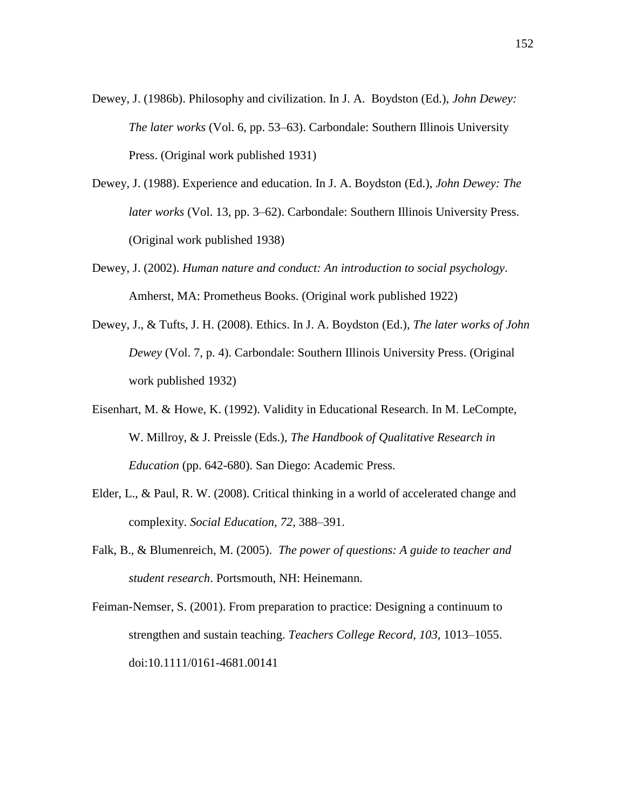- Dewey, J. (1986b). Philosophy and civilization. In J. A. Boydston (Ed.), *John Dewey: The later works* (Vol. 6, pp. 53–63). Carbondale: Southern Illinois University Press. (Original work published 1931)
- Dewey, J. (1988). Experience and education. In J. A. Boydston (Ed.), *John Dewey: The later works* (Vol. 13, pp. 3–62). Carbondale: Southern Illinois University Press. (Original work published 1938)
- Dewey, J. (2002). *Human nature and conduct: An introduction to social psychology*. Amherst, MA: Prometheus Books. (Original work published 1922)
- Dewey, J., & Tufts, J. H. (2008). Ethics. In J. A. Boydston (Ed.), *The later works of John Dewey* (Vol. 7, p. 4). Carbondale: Southern Illinois University Press. (Original work published 1932)
- Eisenhart, M. & Howe, K. (1992). Validity in Educational Research. In M. LeCompte, W. Millroy, & J. Preissle (Eds.), *The Handbook of Qualitative Research in Education* (pp. 642-680). San Diego: Academic Press.
- Elder, L., & Paul, R. W. (2008). Critical thinking in a world of accelerated change and complexity. *Social Education, 72,* 388–391.
- Falk, B., & Blumenreich, M. (2005). *The power of questions: A guide to teacher and student research*. Portsmouth, NH: Heinemann.
- Feiman-Nemser, S. (2001). From preparation to practice: Designing a continuum to strengthen and sustain teaching. *Teachers College Record, 103,* 1013–1055. doi:10.1111/0161-4681.00141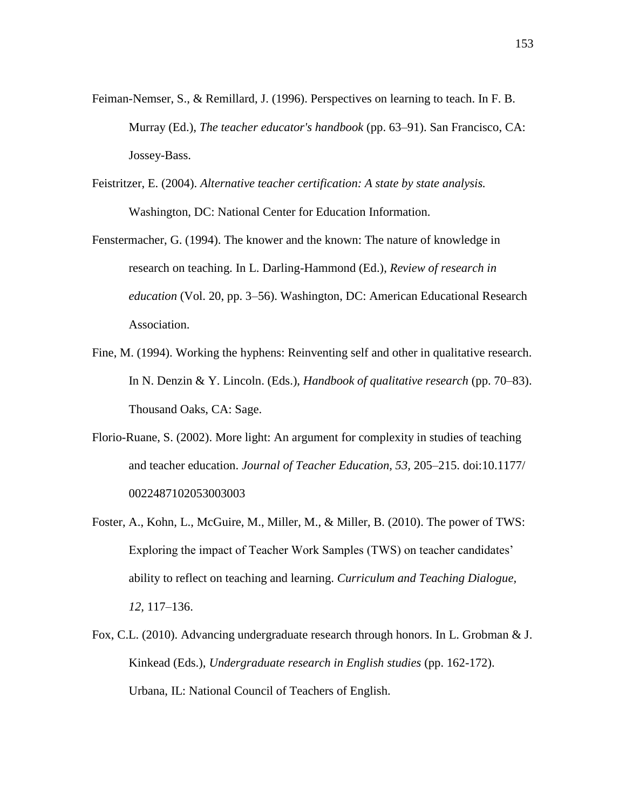- Feiman-Nemser, S., & Remillard, J. (1996). Perspectives on learning to teach. In F. B. Murray (Ed.), *The teacher educator's handbook* (pp. 63–91). San Francisco, CA: Jossey-Bass.
- Feistritzer, E. (2004). *Alternative teacher certification: A state by state analysis.* Washington, DC: National Center for Education Information.
- Fenstermacher, G. (1994). The knower and the known: The nature of knowledge in research on teaching. In L. Darling-Hammond (Ed.), *Review of research in education* (Vol. 20, pp. 3–56). Washington, DC: American Educational Research Association.
- Fine, M. (1994). Working the hyphens: Reinventing self and other in qualitative research. In N. Denzin & Y. Lincoln. (Eds.), *Handbook of qualitative research* (pp. 70–83). Thousand Oaks, CA: Sage.
- Florio-Ruane, S. (2002). More light: An argument for complexity in studies of teaching and teacher education. *Journal of Teacher Education, 53,* 205–215. doi:10.1177/ 0022487102053003003
- Foster, A., Kohn, L., McGuire, M., Miller, M., & Miller, B. (2010). The power of TWS: Exploring the impact of Teacher Work Samples (TWS) on teacher candidates' ability to reflect on teaching and learning. *Curriculum and Teaching Dialogue, 12,* 117–136.
- Fox, C.L. (2010). Advancing undergraduate research through honors. In L. Grobman & J. Kinkead (Eds.), *Undergraduate research in English studies* (pp. 162-172). Urbana, IL: National Council of Teachers of English.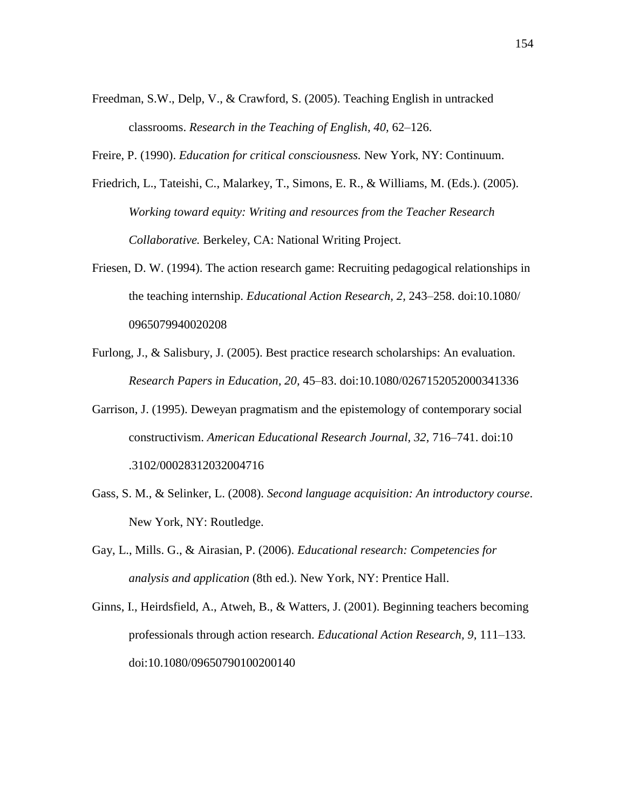Freedman, S.W., Delp, V., & Crawford, S. (2005). Teaching English in untracked classrooms. *Research in the Teaching of English, 40,* 62–126.

Freire, P. (1990). *Education for critical consciousness.* New York, NY: Continuum.

- Friedrich, L., Tateishi, C., Malarkey, T., Simons, E. R., & Williams, M. (Eds.). (2005). *Working toward equity: Writing and resources from the Teacher Research Collaborative.* Berkeley, CA: National Writing Project.
- Friesen, D. W. (1994). The action research game: Recruiting pedagogical relationships in the teaching internship. *Educational Action Research, 2,* 243–258. doi:10.1080/ 0965079940020208
- Furlong, J., & Salisbury, J. (2005). Best practice research scholarships: An evaluation. *Research Papers in Education, 20,* 45–83. doi:10.1080/0267152052000341336
- Garrison, J. (1995). Deweyan pragmatism and the epistemology of contemporary social constructivism. *American Educational Research Journal, 32,* 716–741. doi:10 .3102/00028312032004716
- Gass, S. M., & Selinker, L. (2008). *Second language acquisition: An introductory course*. New York, NY: Routledge.
- Gay, L., Mills. G., & Airasian, P. (2006). *Educational research: Competencies for analysis and application* (8th ed.). New York, NY: Prentice Hall.
- Ginns, I., Heirdsfield, A., Atweh, B., & Watters, J. (2001). Beginning teachers becoming professionals through action research. *Educational Action Research, 9,* 111–133*.* doi:10.1080/09650790100200140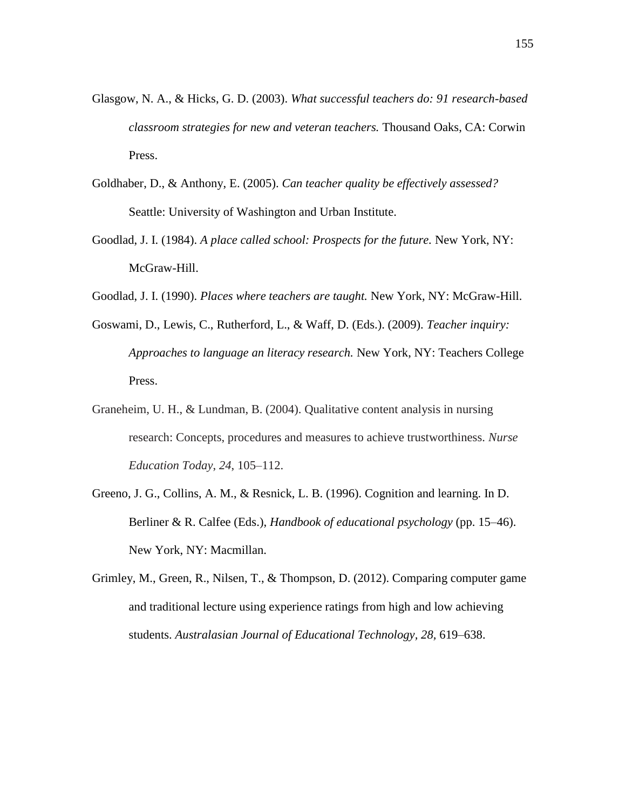- Glasgow, N. A., & Hicks, G. D. (2003). *What successful teachers do: 91 research-based classroom strategies for new and veteran teachers.* Thousand Oaks, CA: Corwin Press.
- Goldhaber, D., & Anthony, E. (2005). *Can teacher quality be effectively assessed?*  Seattle: University of Washington and Urban Institute.
- Goodlad, J. I. (1984). *A place called school: Prospects for the future.* New York, NY: McGraw-Hill.
- Goodlad, J. I. (1990). *Places where teachers are taught.* New York, NY: McGraw-Hill.
- Goswami, D., Lewis, C., Rutherford, L., & Waff, D. (Eds.). (2009). *Teacher inquiry: Approaches to language an literacy research.* New York, NY: Teachers College Press.
- Graneheim, U. H., & Lundman, B. (2004). Qualitative content analysis in nursing research: Concepts, procedures and measures to achieve trustworthiness. *Nurse Education Today*, *24*, 105–112.
- Greeno, J. G., Collins, A. M., & Resnick, L. B. (1996). Cognition and learning. In D. Berliner & R. Calfee (Eds.), *Handbook of educational psychology* (pp. 15–46). New York, NY: Macmillan.
- Grimley, M., Green, R., Nilsen, T., & Thompson, D. (2012). Comparing computer game and traditional lecture using experience ratings from high and low achieving students. *Australasian Journal of Educational Technology, 28,* 619–638.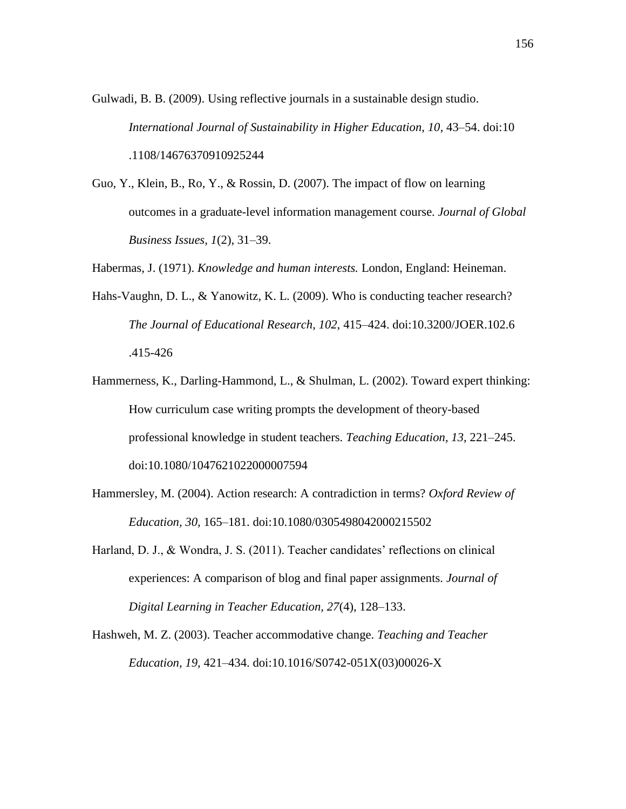Gulwadi, B. B. (2009). Using reflective journals in a sustainable design studio. *International Journal of Sustainability in Higher Education, 10,* 43–54. doi:10 .1108/14676370910925244

- Guo, Y., Klein, B., Ro, Y., & Rossin, D. (2007). The impact of flow on learning outcomes in a graduate-level information management course. *Journal of Global Business Issues, 1*(2), 31–39.
- Habermas, J. (1971). *Knowledge and human interests.* London, England: Heineman.
- Hahs-Vaughn, D. L., & Yanowitz, K. L. (2009). Who is conducting teacher research? *The Journal of Educational Research, 102,* 415–424. doi:10.3200/JOER.102.6 .415-426
- Hammerness, K., Darling-Hammond, L., & Shulman, L. (2002). Toward expert thinking: How curriculum case writing prompts the development of theory-based professional knowledge in student teachers. *Teaching Education, 13,* 221–245. doi:10.1080/1047621022000007594
- Hammersley, M. (2004). Action research: A contradiction in terms? *Oxford Review of Education, 30,* 165–181. doi:10.1080/0305498042000215502
- Harland, D. J., & Wondra, J. S. (2011). Teacher candidates' reflections on clinical experiences: A comparison of blog and final paper assignments. *Journal of Digital Learning in Teacher Education, 27*(4), 128–133.

Hashweh, M. Z. (2003). Teacher accommodative change. *Teaching and Teacher Education, 19,* 421–434. doi:10.1016/S0742-051X(03)00026-X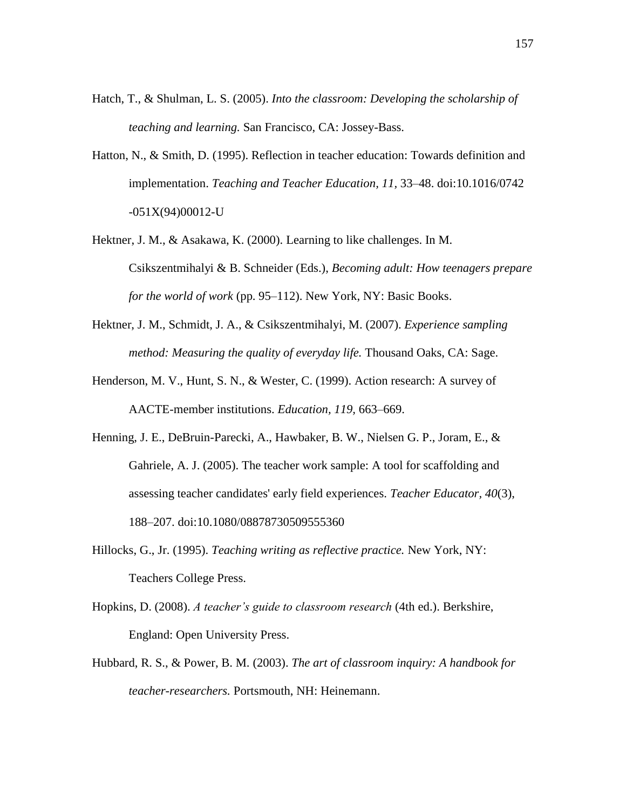- Hatch, T., & Shulman, L. S. (2005). *Into the classroom: Developing the scholarship of teaching and learning.* San Francisco, CA: Jossey-Bass.
- Hatton, N., & Smith, D. (1995). Reflection in teacher education: Towards definition and implementation. *Teaching and Teacher Education, 11,* 33–48. doi:10.1016/0742 -051X(94)00012-U
- Hektner, J. M., & Asakawa, K. (2000). Learning to like challenges. In M. Csikszentmihalyi & B. Schneider (Eds.), *Becoming adult: How teenagers prepare for the world of work* (pp. 95–112). New York, NY: Basic Books.
- Hektner, J. M., Schmidt, J. A., & Csikszentmihalyi, M. (2007). *Experience sampling method: Measuring the quality of everyday life.* Thousand Oaks, CA: Sage.
- Henderson, M. V., Hunt, S. N., & Wester, C. (1999). Action research: A survey of AACTE-member institutions. *Education, 119,* 663–669.
- Henning, J. E., DeBruin-Parecki, A., Hawbaker, B. W., Nielsen G. P., Joram, E., & Gahriele, A. J. (2005). The teacher work sample: A tool for scaffolding and assessing teacher candidates' early field experiences. *Teacher Educator, 40*(3), 188–207. doi:10.1080/08878730509555360
- Hillocks, G., Jr. (1995). *Teaching writing as reflective practice.* New York, NY: Teachers College Press.
- Hopkins, D. (2008). *A teacher's guide to classroom research* (4th ed.). Berkshire, England: Open University Press.
- Hubbard, R. S., & Power, B. M. (2003). *The art of classroom inquiry: A handbook for teacher-researchers.* Portsmouth, NH: Heinemann.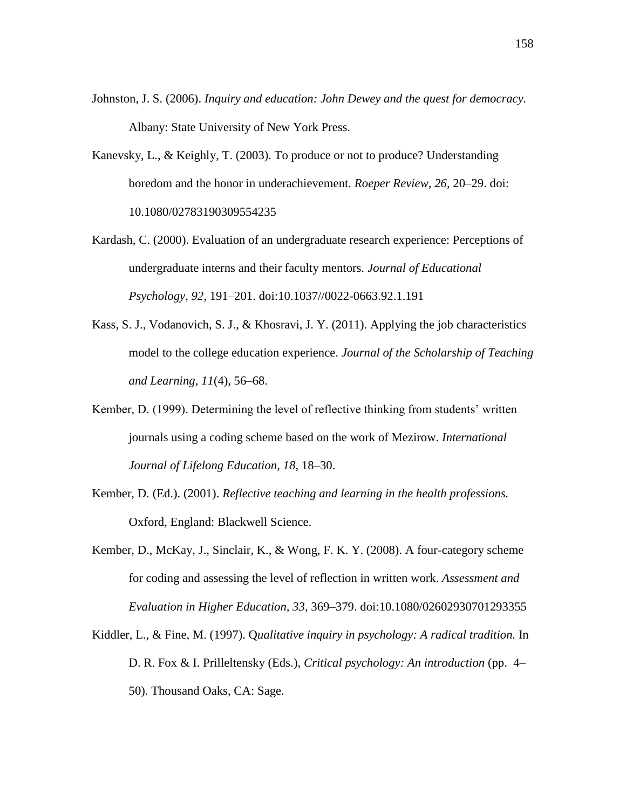- Johnston, J. S. (2006). *Inquiry and education: John Dewey and the quest for democracy.*  Albany: State University of New York Press.
- Kanevsky, L., & Keighly, T. (2003). To produce or not to produce? Understanding boredom and the honor in underachievement. *Roeper Review, 26,* 20–29. doi: 10.1080/02783190309554235
- Kardash, C. (2000). Evaluation of an undergraduate research experience: Perceptions of undergraduate interns and their faculty mentors. *Journal of Educational Psychology, 92,* 191–201. doi:10.1037//0022-0663.92.1.191
- Kass, S. J., Vodanovich, S. J., & Khosravi, J. Y. (2011). Applying the job characteristics model to the college education experience. *Journal of the Scholarship of Teaching and Learning, 11*(4), 56–68.
- Kember, D. (1999). Determining the level of reflective thinking from students' written journals using a coding scheme based on the work of Mezirow. *International Journal of Lifelong Education, 18,* 18–30.
- Kember, D. (Ed.). (2001). *Reflective teaching and learning in the health professions.*  Oxford, England: Blackwell Science.
- Kember, D., McKay, J., Sinclair, K., & Wong, F. K. Y. (2008). A four-category scheme for coding and assessing the level of reflection in written work. *Assessment and Evaluation in Higher Education, 33,* 369–379. doi:10.1080/02602930701293355
- Kiddler, L., & Fine, M. (1997). Q*ualitative inquiry in psychology: A radical tradition.* In D. R. Fox & I. Prilleltensky (Eds.), *Critical psychology: An introduction* (pp. 4– 50). Thousand Oaks, CA: Sage.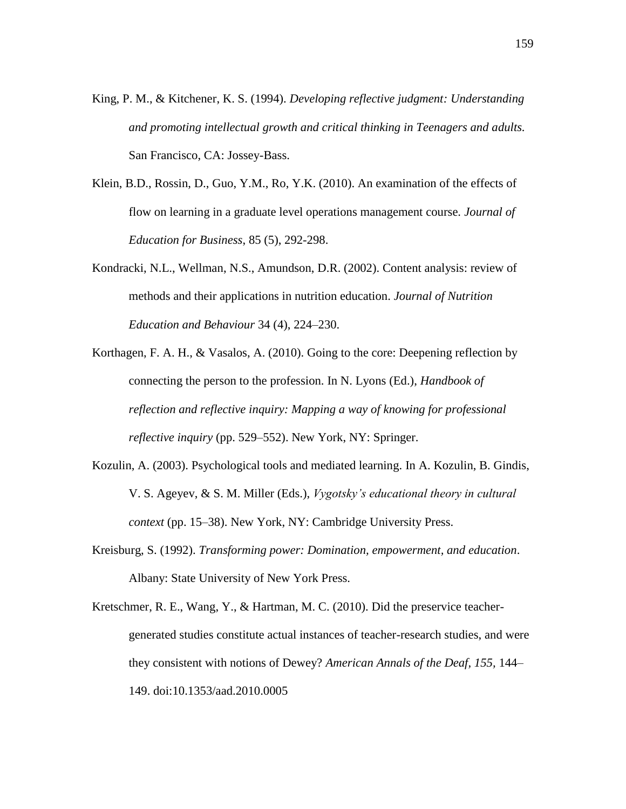- King, P. M., & Kitchener, K. S. (1994). *Developing reflective judgment: Understanding and promoting intellectual growth and critical thinking in Teenagers and adults.*  San Francisco, CA: Jossey-Bass.
- Klein, B.D., Rossin, D., Guo, Y.M., Ro, Y.K. (2010). An examination of the effects of flow on learning in a graduate level operations management course. *Journal of Education for Business*, 85 (5), 292-298.
- Kondracki, N.L., Wellman, N.S., Amundson, D.R. (2002). Content analysis: review of methods and their applications in nutrition education. *Journal of Nutrition Education and Behaviour* 34 (4), 224–230.
- Korthagen, F. A. H., & Vasalos, A. (2010). Going to the core: Deepening reflection by connecting the person to the profession. In N. Lyons (Ed.), *Handbook of reflection and reflective inquiry: Mapping a way of knowing for professional reflective inquiry* (pp. 529–552). New York, NY: Springer.
- Kozulin, A. (2003). Psychological tools and mediated learning. In A. Kozulin, B. Gindis, V. S. Ageyev, & S. M. Miller (Eds.), *Vygotsky's educational theory in cultural context* (pp. 15–38). New York, NY: Cambridge University Press.
- Kreisburg, S. (1992). *Transforming power: Domination, empowerment, and education*. Albany: State University of New York Press.
- Kretschmer, R. E., Wang, Y., & Hartman, M. C. (2010). Did the preservice teachergenerated studies constitute actual instances of teacher-research studies, and were they consistent with notions of Dewey? *American Annals of the Deaf, 155,* 144– 149. doi:10.1353/aad.2010.0005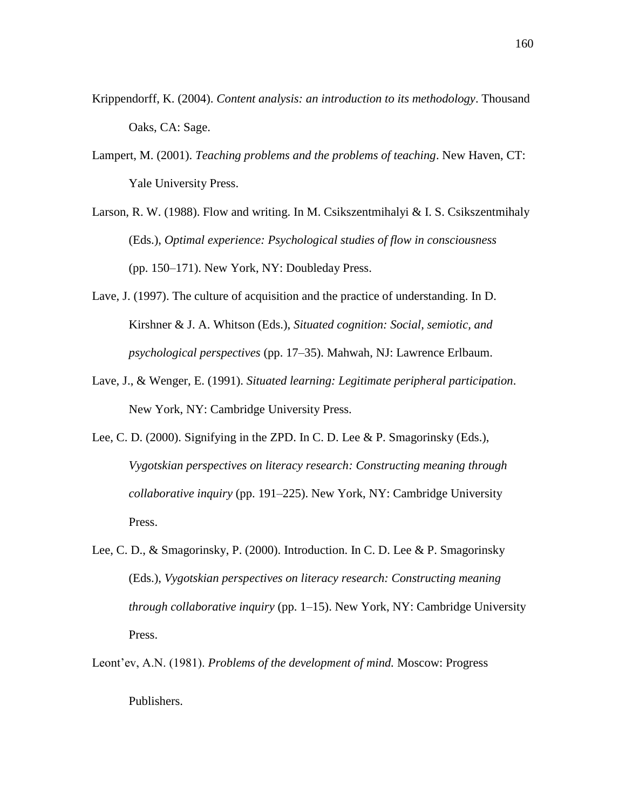- Krippendorff, K. (2004). *Content analysis: an introduction to its methodology*. Thousand Oaks, CA: Sage.
- Lampert, M. (2001). *Teaching problems and the problems of teaching*. New Haven, CT: Yale University Press.
- Larson, R. W. (1988). Flow and writing. In M. Csikszentmihalyi & I. S. Csikszentmihaly (Eds.), *Optimal experience: Psychological studies of flow in consciousness*  (pp. 150–171). New York, NY: Doubleday Press.
- Lave, J. (1997). The culture of acquisition and the practice of understanding. In D. Kirshner & J. A. Whitson (Eds.), *Situated cognition: Social, semiotic, and psychological perspectives* (pp. 17–35). Mahwah, NJ: Lawrence Erlbaum.
- Lave, J., & Wenger, E. (1991). *Situated learning: Legitimate peripheral participation*. New York, NY: Cambridge University Press.
- Lee, C. D. (2000). Signifying in the ZPD. In C. D. Lee & P. Smagorinsky (Eds.), *Vygotskian perspectives on literacy research: Constructing meaning through collaborative inquiry* (pp. 191–225). New York, NY: Cambridge University Press.
- Lee, C. D., & Smagorinsky, P. (2000). Introduction. In C. D. Lee & P. Smagorinsky (Eds.), *Vygotskian perspectives on literacy research: Constructing meaning through collaborative inquiry* (pp. 1–15). New York, NY: Cambridge University Press.
- Leont'ev, A.N. (1981). *Problems of the development of mind.* Moscow: Progress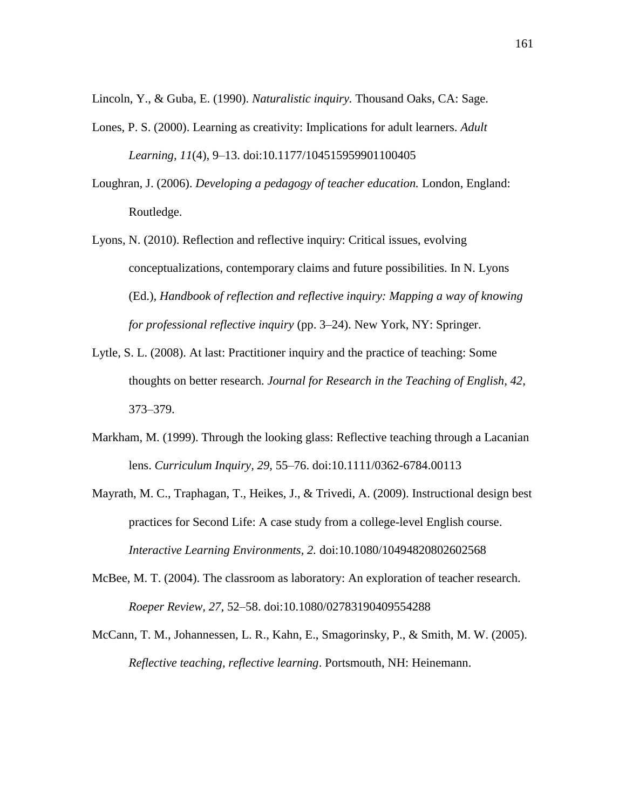Lincoln, Y., & Guba, E. (1990). *Naturalistic inquiry.* Thousand Oaks, CA: Sage.

- Lones, P. S. (2000). Learning as creativity: Implications for adult learners. *Adult Learning, 11*(4), 9–13. doi:10.1177/104515959901100405
- Loughran, J. (2006). *Developing a pedagogy of teacher education.* London, England: Routledge.
- Lyons, N. (2010). Reflection and reflective inquiry: Critical issues, evolving conceptualizations, contemporary claims and future possibilities. In N. Lyons (Ed.)*, Handbook of reflection and reflective inquiry: Mapping a way of knowing for professional reflective inquiry* (pp. 3–24). New York, NY: Springer.
- Lytle, S. L. (2008). At last: Practitioner inquiry and the practice of teaching: Some thoughts on better research. *Journal for Research in the Teaching of English, 42,* 373–379.
- Markham, M. (1999). Through the looking glass: Reflective teaching through a Lacanian lens. *Curriculum Inquiry, 29,* 55–76. doi:10.1111/0362-6784.00113
- Mayrath, M. C., Traphagan, T., Heikes, J., & Trivedi, A. (2009). Instructional design best practices for Second Life: A case study from a college-level English course. *Interactive Learning Environments, 2.* doi:10.1080/10494820802602568
- McBee, M. T. (2004). The classroom as laboratory: An exploration of teacher research. *Roeper Review, 27,* 52–58. doi:10.1080/02783190409554288
- McCann, T. M., Johannessen, L. R., Kahn, E., Smagorinsky, P., & Smith, M. W. (2005). *Reflective teaching, reflective learning*. Portsmouth, NH: Heinemann.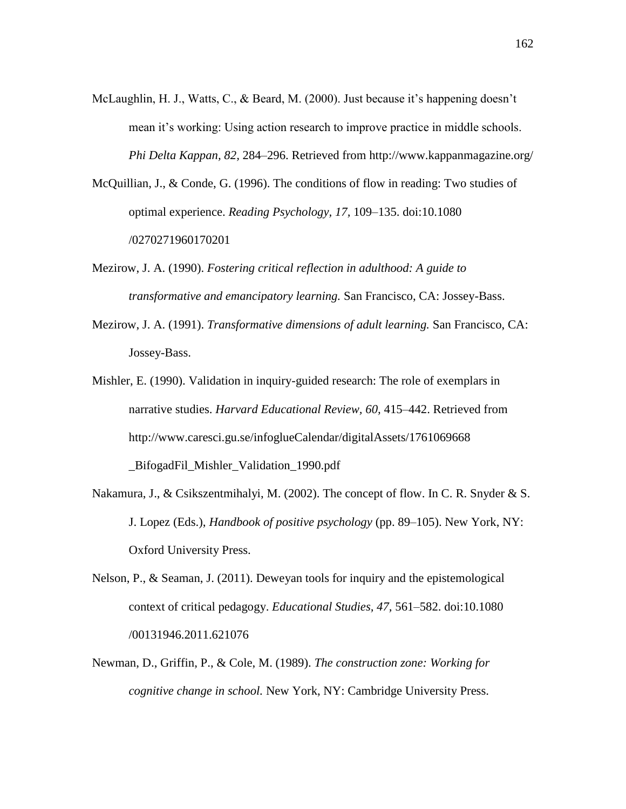- McLaughlin, H. J., Watts, C., & Beard, M. (2000). Just because it's happening doesn't mean it's working: Using action research to improve practice in middle schools. *Phi Delta Kappan, 82,* 284–296. Retrieved from http://www.kappanmagazine.org/
- McQuillian, J., & Conde, G. (1996). The conditions of flow in reading: Two studies of optimal experience. *Reading Psychology, 17,* 109–135. doi:10.1080 /0270271960170201
- Mezirow, J. A. (1990). *Fostering critical reflection in adulthood: A guide to transformative and emancipatory learning.* San Francisco, CA: Jossey-Bass.
- Mezirow, J. A. (1991). *Transformative dimensions of adult learning.* San Francisco, CA: Jossey-Bass.
- Mishler, E. (1990). Validation in inquiry-guided research: The role of exemplars in narrative studies. *Harvard Educational Review, 60,* 415–442. Retrieved from http://www.caresci.gu.se/infoglueCalendar/digitalAssets/1761069668 \_BifogadFil\_Mishler\_Validation\_1990.pdf
- Nakamura, J., & Csikszentmihalyi, M. (2002). The concept of flow. In C. R. Snyder & S. J. Lopez (Eds.), *Handbook of positive psychology* (pp. 89–105). New York, NY: Oxford University Press.
- Nelson, P., & Seaman, J. (2011). Deweyan tools for inquiry and the epistemological context of critical pedagogy. *Educational Studies, 47,* 561–582. doi:10.1080 /00131946.2011.621076
- Newman, D., Griffin, P., & Cole, M. (1989). *The construction zone: Working for cognitive change in school.* New York, NY: Cambridge University Press.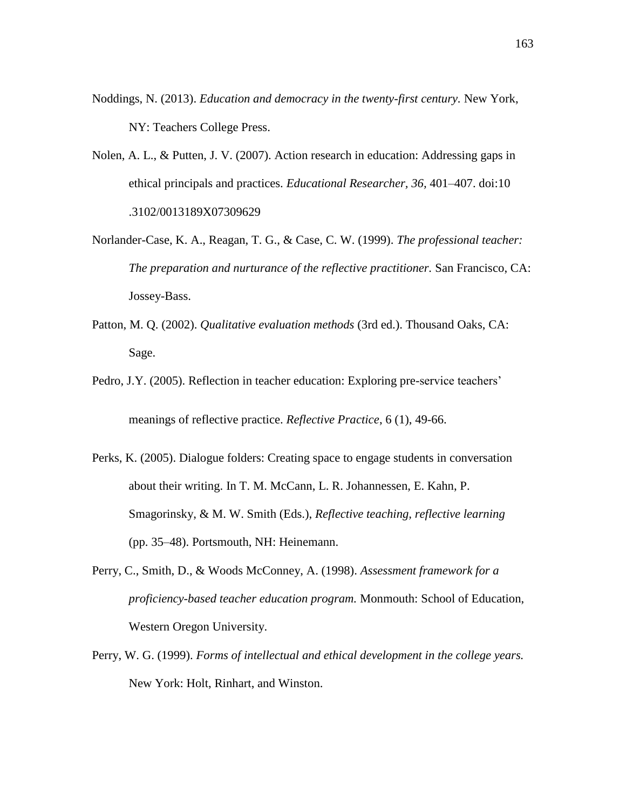- Noddings, N. (2013). *Education and democracy in the twenty-first century.* New York, NY: Teachers College Press.
- Nolen, A. L., & Putten, J. V. (2007). Action research in education: Addressing gaps in ethical principals and practices. *Educational Researcher, 36,* 401–407. doi:10 .3102/0013189X07309629
- Norlander-Case, K. A., Reagan, T. G., & Case, C. W. (1999). *The professional teacher: The preparation and nurturance of the reflective practitioner.* San Francisco, CA: Jossey-Bass.
- Patton, M. Q. (2002). *Qualitative evaluation methods* (3rd ed.). Thousand Oaks, CA: Sage.
- Pedro, J.Y. (2005). Reflection in teacher education: Exploring pre-service teachers' meanings of reflective practice. *Reflective Practice*, 6 (1), 49-66.
- Perks, K. (2005). Dialogue folders: Creating space to engage students in conversation about their writing. In T. M. McCann, L. R. Johannessen, E. Kahn, P. Smagorinsky, & M. W. Smith (Eds.), *Reflective teaching, reflective learning* (pp. 35–48). Portsmouth, NH: Heinemann.
- Perry, C., Smith, D., & Woods McConney, A. (1998). *Assessment framework for a proficiency-based teacher education program.* Monmouth: School of Education, Western Oregon University.
- Perry, W. G. (1999). *Forms of intellectual and ethical development in the college years.* New York: Holt, Rinhart, and Winston.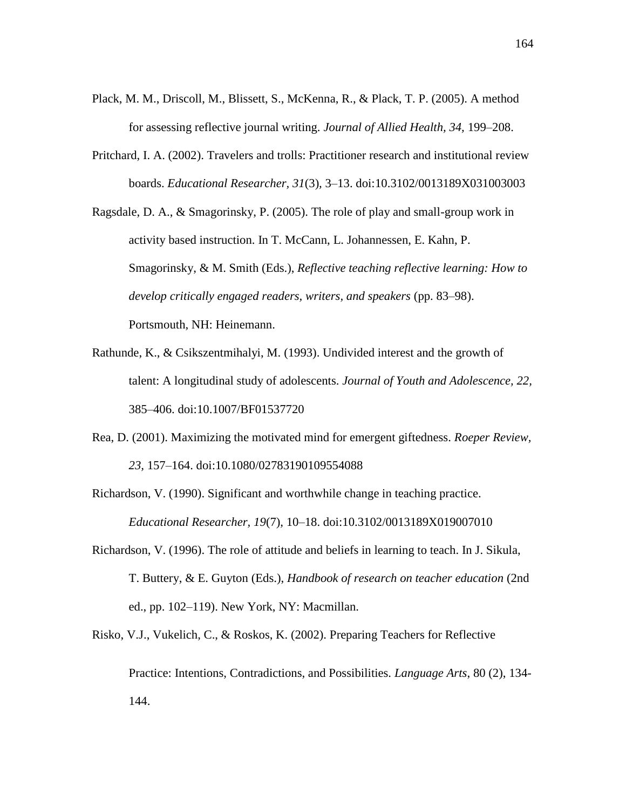- Plack, M. M., Driscoll, M., Blissett, S., McKenna, R., & Plack, T. P. (2005). A method for assessing reflective journal writing. *Journal of Allied Health, 34,* 199–208.
- Pritchard, I. A. (2002). Travelers and trolls: Practitioner research and institutional review boards. *Educational Researcher, 31*(3)*,* 3–13. doi:10.3102/0013189X031003003
- Ragsdale, D. A., & Smagorinsky, P. (2005). The role of play and small-group work in activity based instruction. In T. McCann, L. Johannessen, E. Kahn, P. Smagorinsky, & M. Smith (Eds.), *Reflective teaching reflective learning: How to develop critically engaged readers, writers, and speakers* (pp. 83–98). Portsmouth, NH: Heinemann.
- Rathunde, K., & Csikszentmihalyi, M. (1993). Undivided interest and the growth of talent: A longitudinal study of adolescents. *Journal of Youth and Adolescence, 22,* 385–406. doi:10.1007/BF01537720
- Rea, D. (2001). Maximizing the motivated mind for emergent giftedness. *Roeper Review, 23,* 157–164. doi:10.1080/02783190109554088
- Richardson, V. (1990). Significant and worthwhile change in teaching practice. *Educational Researcher, 19*(7), 10–18. doi:10.3102/0013189X019007010
- Richardson, V. (1996). The role of attitude and beliefs in learning to teach. In J. Sikula, T. Buttery, & E. Guyton (Eds.), *Handbook of research on teacher education* (2nd ed., pp. 102–119). New York, NY: Macmillan.
- Risko, V.J., Vukelich, C., & Roskos, K. (2002). Preparing Teachers for Reflective Practice: Intentions, Contradictions, and Possibilities. *Language Arts*, 80 (2), 134-

144.

164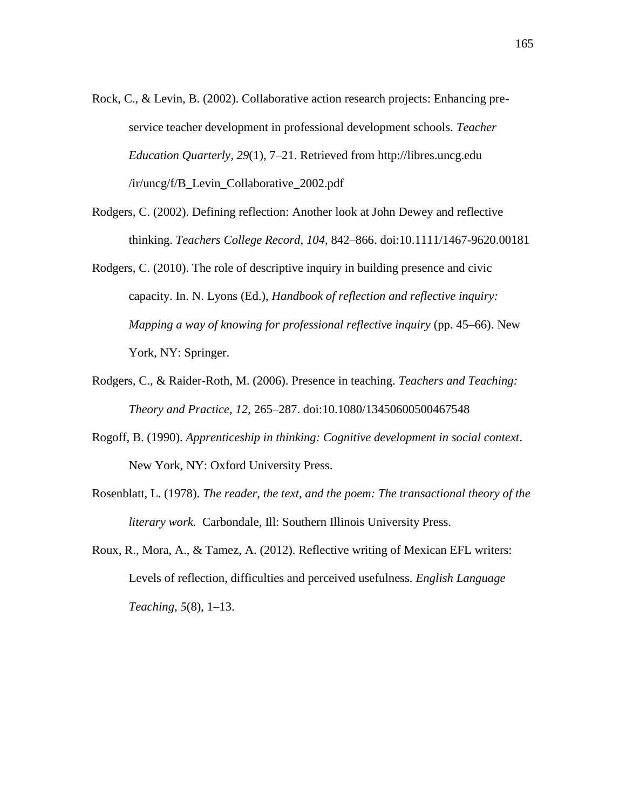- Rock, C., & Levin, B. (2002). Collaborative action research projects: Enhancing preservice teacher development in professional development schools. *Teacher Education Quarterly, 29*(1), 7–21. Retrieved from http://libres.uncg.edu /ir/uncg/f/B\_Levin\_Collaborative\_2002.pdf
- Rodgers, C. (2002). Defining reflection: Another look at John Dewey and reflective thinking. *Teachers College Record, 104,* 842–866. doi:10.1111/1467-9620.00181
- Rodgers, C. (2010). The role of descriptive inquiry in building presence and civic capacity. In. N. Lyons (Ed.), *Handbook of reflection and reflective inquiry: Mapping a way of knowing for professional reflective inquiry* (pp. 45–66). New York, NY: Springer.
- Rodgers, C., & Raider-Roth, M. (2006). Presence in teaching. *Teachers and Teaching: Theory and Practice, 12,* 265–287. doi:10.1080/13450600500467548
- Rogoff, B. (1990). *Apprenticeship in thinking: Cognitive development in social context*. New York, NY: Oxford University Press.
- Rosenblatt, L. (1978). *The reader, the text, and the poem: The transactional theory of the literary work.* Carbondale, Ill: Southern Illinois University Press.
- Roux, R., Mora, A., & Tamez, A. (2012). Reflective writing of Mexican EFL writers: Levels of reflection, difficulties and perceived usefulness. *English Language Teaching, 5*(8), 1–13.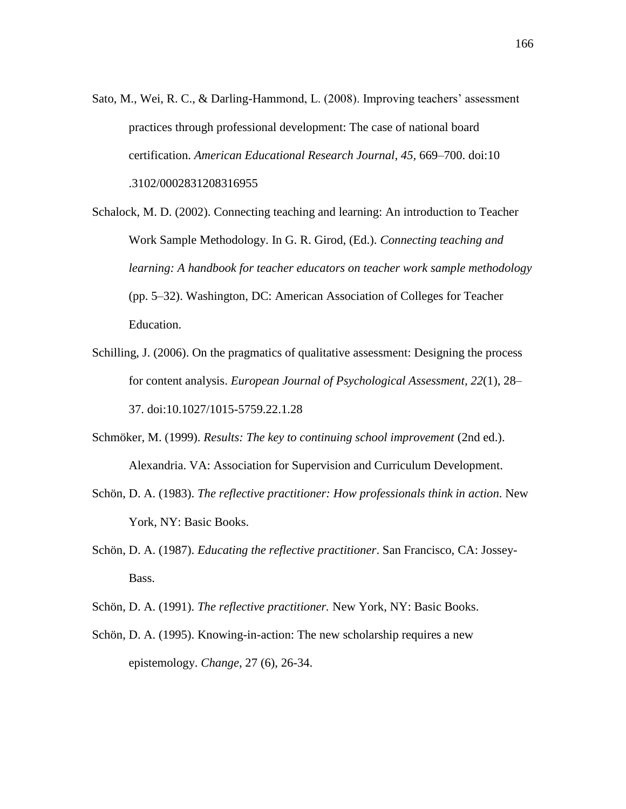- Sato, M., Wei, R. C., & Darling-Hammond, L. (2008). Improving teachers' assessment practices through professional development: The case of national board certification. *American Educational Research Journal, 45,* 669–700. doi:10 .3102/0002831208316955
- Schalock, M. D. (2002). Connecting teaching and learning: An introduction to Teacher Work Sample Methodology. In G. R. Girod, (Ed.). *Connecting teaching and learning: A handbook for teacher educators on teacher work sample methodology*  (pp. 5–32). Washington, DC: American Association of Colleges for Teacher Education.
- Schilling, J. (2006). On the pragmatics of qualitative assessment: Designing the process for content analysis. *European Journal of Psychological Assessment, 22*(1), 28– 37. doi:10.1027/1015-5759.22.1.28
- Schmöker, M. (1999). *Results: The key to continuing school improvement* (2nd ed.). Alexandria. VA: Association for Supervision and Curriculum Development.
- Schön, D. A. (1983). *The reflective practitioner: How professionals think in action*. New York, NY: Basic Books.
- Schön, D. A. (1987). *Educating the reflective practitioner*. San Francisco, CA: Jossey-Bass.
- Schön, D. A. (1991). *The reflective practitioner.* New York, NY: Basic Books.
- Schön, D. A. (1995). Knowing-in-action: The new scholarship requires a new epistemology. *Change*, 27 (6), 26-34.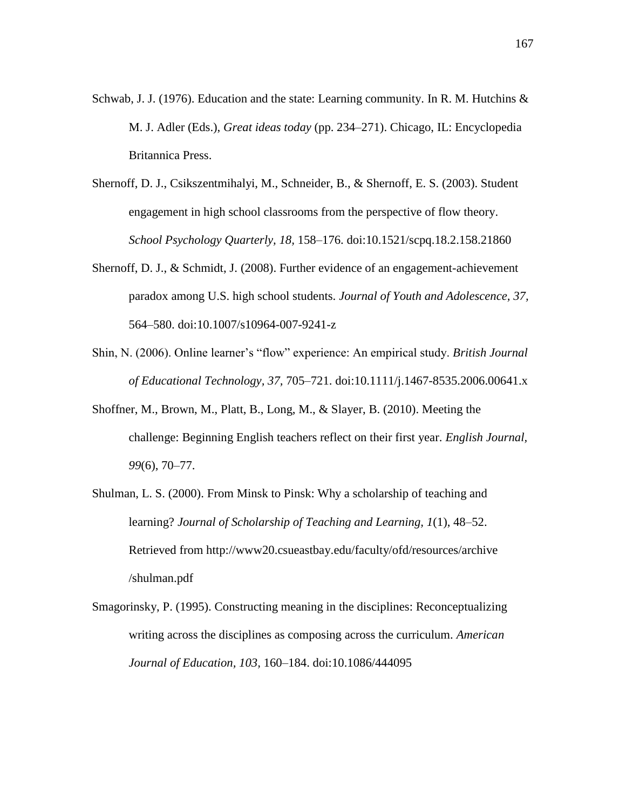- Schwab, J. J. (1976). Education and the state: Learning community. In R. M. Hutchins & M. J. Adler (Eds.), *Great ideas today* (pp. 234–271). Chicago, IL: Encyclopedia Britannica Press.
- Shernoff, D. J., Csikszentmihalyi, M., Schneider, B., & Shernoff, E. S. (2003). Student engagement in high school classrooms from the perspective of flow theory. *School Psychology Quarterly, 18,* 158–176. doi:10.1521/scpq.18.2.158.21860
- Shernoff, D. J., & Schmidt, J. (2008). Further evidence of an engagement-achievement paradox among U.S. high school students. *Journal of Youth and Adolescence, 37,* 564–580. doi:10.1007/s10964-007-9241-z
- Shin, N. (2006). Online learner's "flow" experience: An empirical study. *British Journal of Educational Technology, 37,* 705–721. doi:10.1111/j.1467-8535.2006.00641.x
- Shoffner, M., Brown, M., Platt, B., Long, M., & Slayer, B. (2010). Meeting the challenge: Beginning English teachers reflect on their first year. *English Journal, 99*(6), 70–77.
- Shulman, L. S. (2000). From Minsk to Pinsk: Why a scholarship of teaching and learning? *Journal of Scholarship of Teaching and Learning, 1*(1), 48–52. Retrieved from http://www20.csueastbay.edu/faculty/ofd/resources/archive /shulman.pdf
- Smagorinsky, P. (1995). Constructing meaning in the disciplines: Reconceptualizing writing across the disciplines as composing across the curriculum. *American Journal of Education, 103,* 160–184. doi:10.1086/444095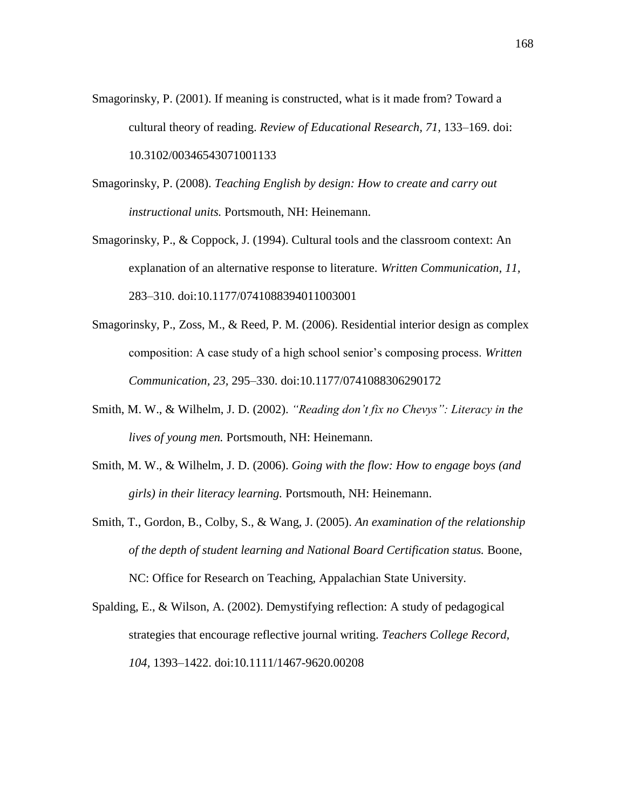- Smagorinsky, P. (2001). If meaning is constructed, what is it made from? Toward a cultural theory of reading. *Review of Educational Research, 71,* 133–169. doi: 10.3102/00346543071001133
- Smagorinsky, P. (2008). *Teaching English by design: How to create and carry out instructional units.* Portsmouth, NH: Heinemann.
- Smagorinsky, P., & Coppock, J. (1994). Cultural tools and the classroom context: An explanation of an alternative response to literature. *Written Communication, 11,* 283–310. doi:10.1177/0741088394011003001
- Smagorinsky, P., Zoss, M., & Reed, P. M. (2006). Residential interior design as complex composition: A case study of a high school senior's composing process. *Written Communication, 23,* 295–330. doi:10.1177/0741088306290172
- Smith, M. W., & Wilhelm, J. D. (2002). *"Reading don't fix no Chevys": Literacy in the lives of young men.* Portsmouth, NH: Heinemann.
- Smith, M. W., & Wilhelm, J. D. (2006). *Going with the flow: How to engage boys (and girls) in their literacy learning.* Portsmouth, NH: Heinemann.
- Smith, T., Gordon, B., Colby, S., & Wang, J. (2005). *An examination of the relationship of the depth of student learning and National Board Certification status.* Boone, NC: Office for Research on Teaching, Appalachian State University.
- Spalding, E., & Wilson, A. (2002). Demystifying reflection: A study of pedagogical strategies that encourage reflective journal writing. *Teachers College Record, 104,* 1393–1422. doi:10.1111/1467-9620.00208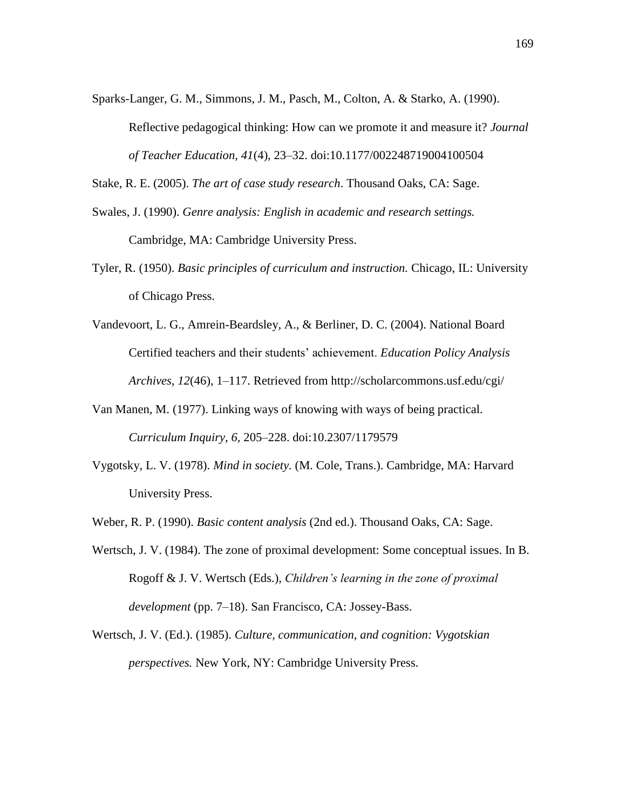Sparks-Langer, G. M., Simmons, J. M., Pasch, M., Colton, A. & Starko, A. (1990).

Reflective pedagogical thinking: How can we promote it and measure it? *Journal of Teacher Education, 41*(4), 23–32. doi:10.1177/002248719004100504

Stake, R. E. (2005). *The art of case study research*. Thousand Oaks, CA: Sage.

- Swales, J. (1990). *Genre analysis: English in academic and research settings.*  Cambridge, MA: Cambridge University Press.
- Tyler, R. (1950). *Basic principles of curriculum and instruction.* Chicago, IL: University of Chicago Press.
- Vandevoort, L. G., Amrein-Beardsley, A., & Berliner, D. C. (2004). National Board Certified teachers and their students' achievement. *Education Policy Analysis Archives, 12*(46), 1–117. Retrieved from http://scholarcommons.usf.edu/cgi/
- Van Manen, M. (1977). Linking ways of knowing with ways of being practical. *Curriculum Inquiry, 6,* 205–228. doi:10.2307/1179579
- Vygotsky, L. V. (1978). *Mind in society.* (M. Cole, Trans.). Cambridge, MA: Harvard University Press.

Weber, R. P. (1990). *Basic content analysis* (2nd ed.). Thousand Oaks, CA: Sage.

- Wertsch, J. V. (1984). The zone of proximal development: Some conceptual issues. In B. Rogoff & J. V. Wertsch (Eds.), *Children's learning in the zone of proximal development* (pp. 7–18). San Francisco, CA: Jossey-Bass.
- Wertsch, J. V. (Ed.). (1985). *Culture, communication, and cognition: Vygotskian perspectives.* New York, NY: Cambridge University Press.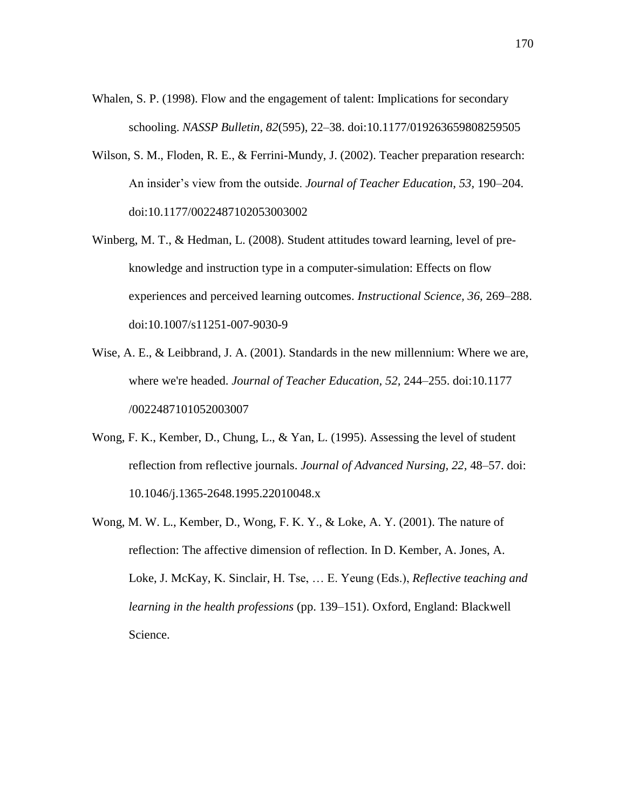- Whalen, S. P. (1998). Flow and the engagement of talent: Implications for secondary schooling. *NASSP Bulletin, 82*(595), 22–38. doi:10.1177/019263659808259505
- Wilson, S. M., Floden, R. E., & Ferrini-Mundy, J. (2002). Teacher preparation research: An insider's view from the outside. *Journal of Teacher Education, 53,* 190–204. doi:10.1177/0022487102053003002
- Winberg, M. T., & Hedman, L. (2008). Student attitudes toward learning, level of preknowledge and instruction type in a computer-simulation: Effects on flow experiences and perceived learning outcomes. *Instructional Science, 36,* 269–288. doi:10.1007/s11251-007-9030-9
- Wise, A. E., & Leibbrand, J. A. (2001). Standards in the new millennium: Where we are, where we're headed. *Journal of Teacher Education, 52,* 244–255. doi:10.1177 /0022487101052003007
- Wong, F. K., Kember, D., Chung, L., & Yan, L. (1995). Assessing the level of student reflection from reflective journals. *Journal of Advanced Nursing, 22,* 48–57. doi: 10.1046/j.1365-2648.1995.22010048.x
- Wong, M. W. L., Kember, D., Wong, F. K. Y., & Loke, A. Y. (2001). The nature of reflection: The affective dimension of reflection. In D. Kember, A. Jones, A. Loke, J. McKay, K. Sinclair, H. Tse, … E. Yeung (Eds.), *Reflective teaching and learning in the health professions* (pp. 139–151). Oxford, England: Blackwell Science.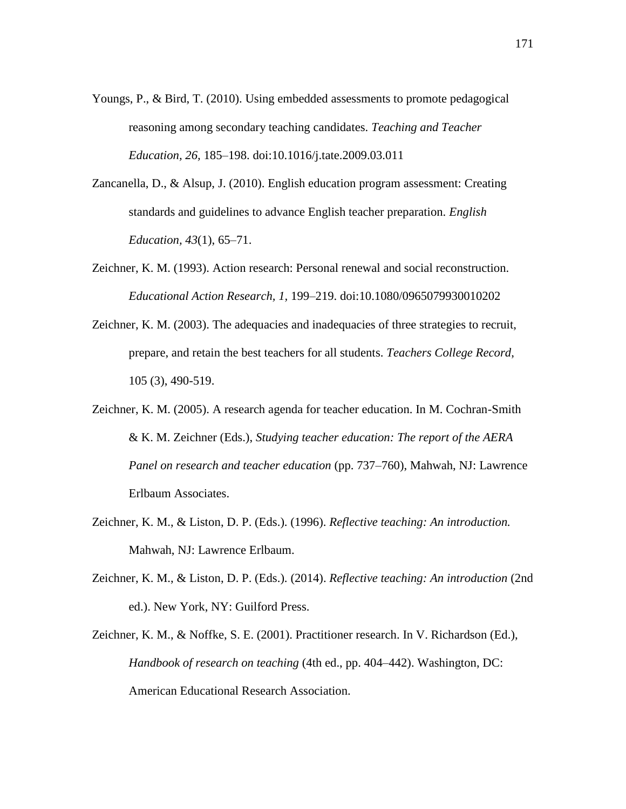- Youngs, P., & Bird, T. (2010). Using embedded assessments to promote pedagogical reasoning among secondary teaching candidates. *Teaching and Teacher Education, 26,* 185–198. doi:10.1016/j.tate.2009.03.011
- Zancanella, D., & Alsup, J. (2010). English education program assessment: Creating standards and guidelines to advance English teacher preparation. *English Education, 43*(1), 65–71.
- Zeichner, K. M. (1993). Action research: Personal renewal and social reconstruction. *Educational Action Research, 1,* 199–219. doi:10.1080/0965079930010202
- Zeichner, K. M. (2003). The adequacies and inadequacies of three strategies to recruit, prepare, and retain the best teachers for all students. *Teachers College Record*, 105 (3), 490-519.
- Zeichner, K. M. (2005). A research agenda for teacher education. In M. Cochran-Smith & K. M. Zeichner (Eds.), *Studying teacher education: The report of the AERA Panel on research and teacher education* (pp. 737–760), Mahwah, NJ: Lawrence Erlbaum Associates.
- Zeichner, K. M., & Liston, D. P. (Eds.). (1996). *Reflective teaching: An introduction.*  Mahwah, NJ: Lawrence Erlbaum.
- Zeichner, K. M., & Liston, D. P. (Eds.). (2014). *Reflective teaching: An introduction* (2nd ed.). New York, NY: Guilford Press.
- Zeichner, K. M., & Noffke, S. E. (2001). Practitioner research. In V. Richardson (Ed.), *Handbook of research on teaching* (4th ed., pp. 404–442). Washington, DC: American Educational Research Association.